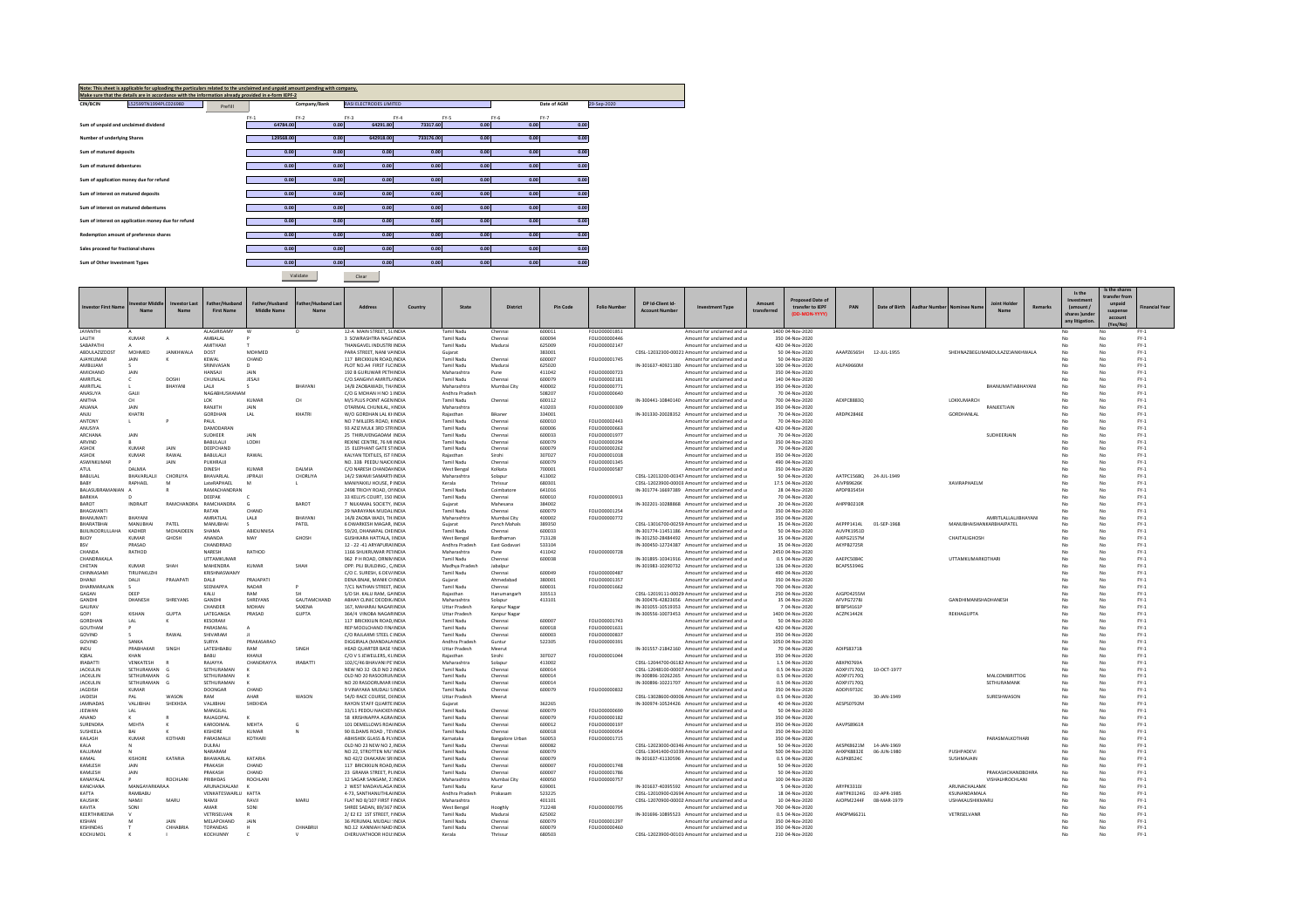| Note: This sheet is applicable for uploading the particulars related to the unclaimed and unpaid amount pending with company.<br>Make sure that the details are in accordance with the information already provided in e-form IEPF-2 |         |           |              |                         |                |        |      |                            |
|--------------------------------------------------------------------------------------------------------------------------------------------------------------------------------------------------------------------------------------|---------|-----------|--------------|-------------------------|----------------|--------|------|----------------------------|
| L52599TN1994PLC026980<br>CIN/BCIN                                                                                                                                                                                                    | Prefill |           | Company/Bank | RASI ELECTRODES LIMITED |                |        |      | 29-Sep-2020<br>Date of AGM |
|                                                                                                                                                                                                                                      |         | $FY-1$    | $FY-2$       | $FY-3$                  | $FY-4$<br>FY-5 | $FY-6$ |      | $FY-7$                     |
| Sum of unpaid and unclaimed dividend                                                                                                                                                                                                 |         | 64784.00  | 0.00         | 64291.80                | 73317.60       | 0.00   | 0.00 | 0.00                       |
| Number of underlying Shares                                                                                                                                                                                                          |         | 129568.00 | 0.00         | 642918.00               | 733176.00      | 0.00   | 0.00 | 0.00                       |
| Sum of matured deposits                                                                                                                                                                                                              |         | 0.00      | 0.00         | 0.00                    | 0.00           | 0.00   | 0.00 | 0.00                       |
| Sum of matured debentures                                                                                                                                                                                                            |         | 0.00      | 0.00         | 0.00                    | 0.00           | 0.00   | 0.00 | 0.00                       |
| Sum of application money due for refund                                                                                                                                                                                              |         | 0.00      | 0.00         | 0.00                    | 0.00           | 0.00   | 0.00 | 0.00                       |
| Sum of interest on matured deposits                                                                                                                                                                                                  |         | 0.00      | 0.00         | 0.00                    | 0.00           | 0.00   | 0.00 | 0.00                       |
| Sum of interest on matured debentures                                                                                                                                                                                                |         | 0.00      | 0.00         | 0.00                    | 0.00           | 0.00   | 0.00 | 0.00                       |
| Sum of interest on application money due for refund                                                                                                                                                                                  |         | 0.00      | 0.00         | 0.00                    | 0.00           | 0.00   | 0.00 | 0.00                       |
| Redemption amount of preference shares                                                                                                                                                                                               |         | 0.00      | 0.00         | 0.00                    | 0.00           | 0.00   | 0.00 | 0.00                       |
| Sales proceed for fractional shares                                                                                                                                                                                                  |         | 0.00      | 0.00         | 0.00                    | 0.00           | 0.00   | 0.00 | 0.00                       |
| Sum of Other Investment Types                                                                                                                                                                                                        |         | 0.00      | 0.00         | 0.00                    | 0.00           | 0.00   | 0.00 | 0.00                       |

Validate **Dear** 

|                           |                |                  |                                |                               |                        |                                                      |                                              |                            |                  |                                 |                      |                                                                                                  |                       |                                   |                          |               |                      |                             |                                |         | Is the         | Is the shares       |                  |
|---------------------------|----------------|------------------|--------------------------------|-------------------------------|------------------------|------------------------------------------------------|----------------------------------------------|----------------------------|------------------|---------------------------------|----------------------|--------------------------------------------------------------------------------------------------|-----------------------|-----------------------------------|--------------------------|---------------|----------------------|-----------------------------|--------------------------------|---------|----------------|---------------------|------------------|
|                           |                |                  |                                |                               |                        |                                                      |                                              |                            |                  |                                 |                      |                                                                                                  |                       | <b>Proposed Date of</b>           |                          |               |                      |                             |                                |         |                |                     |                  |
| <b>Investor First Nam</b> | westor Middle  | Investor Last    | Father/Hushan                  | Father/Husband<br>Middle Name | Father/Hushand Las     | Address<br>Country                                   | State                                        | District                   | <b>Pin Code</b>  | <b>Folio Number</b>             | DP Id-Client Id      | <b>Investment Type</b>                                                                           | Amount<br>transferred | transfer to IEPF                  | PAN                      | Date of Birth | <b>Aadhar Number</b> | Nominee Nan                 | <b>Inint Hr</b>                | Remarks | $l$ amount $l$ | unnaid              | inancial Year    |
|                           | Name           | Name             | <b>First Name</b>              |                               | Name                   |                                                      |                                              |                            |                  |                                 | <b>Account Numbe</b> |                                                                                                  |                       | (DD-MON-YYYY)                     |                          |               |                      |                             | Name                           |         | shares )unde   | suspense<br>account |                  |
|                           |                |                  |                                |                               |                        |                                                      |                                              |                            |                  |                                 |                      |                                                                                                  |                       |                                   |                          |               |                      |                             |                                |         | any litigation | (Yes/No)            |                  |
| ΙΔΥΔΝΤΗΙ                  |                |                  | <b>ALAGIRISAMY</b>             | w                             | $\Omega$               | 12-A MAIN STREET SLINDIA                             | Tamil Nadu                                   | Chennai                    | 600011           | <b>FOLIO00001851</b>            |                      | Amount for unclaimed and u                                                                       |                       | 1400.04-Nov-2020                  |                          |               |                      |                             |                                |         | No             | No                  | FY-1             |
| LALITH                    | <b>KUMAR</b>   |                  | AMBALAL                        |                               |                        | 3 SOWRASHTRA NAGAINDIA                               | Tamil Nadu                                   | Chennai                    | 600094           | FOLIO00000446                   |                      | Amount for unclaimed and u                                                                       |                       | 350 04-Nov-2020                   |                          |               |                      |                             |                                |         |                | No                  | $FY-1$           |
| SARAPATHI                 |                |                  | <b>AMITHAM</b>                 |                               |                        | THANGAVEL INDUSTRIUNDIA                              | Tamil Nadu                                   | Madurai                    | 625009           | FOLIO00002147                   |                      | Amount for unclaimed and u                                                                       |                       | 420 04-Nov-2020                   |                          |               |                      |                             |                                |         |                | No                  | $FY-1$           |
| ABDULAZIZDOST             | MOHMED         | <b>JANKHWALA</b> | DOST                           | MOHMED                        |                        | PARA STREET, NANI VAINDIA                            | Guiarat                                      |                            | 383001           |                                 |                      | CDSL-12032300-00021 Amount for unclaimed and u                                                   |                       | 50 04-Nov-2020                    | AAAPZ6565H               | 12-JUL-1955   |                      |                             | SHEHNAZBEGUMABDULAZIZJANKHWALA |         | No             | No                  | $FY-1$           |
| <b>AJAYKUMAR</b>          | JAIN           |                  | KEWAL                          | CHAND                         |                        | 117 BRICKKILIN ROAD. INDIA                           | Tamil Nadu                                   | Chennai                    | 600007           | FOLIO00001745                   |                      | Amount for unclaimed and u                                                                       |                       | 50 04-Nov-2020                    |                          |               |                      |                             |                                |         |                | No                  | $FY-1$           |
| AMBUJAM                   |                |                  | SRINIVASAN                     | $\mathsf{D}$                  |                        | PLOT NO.A4 FIRST FLCINDIA                            | Tamil Nadu                                   | Madurai                    | 625020           |                                 |                      | IN-301637-40921180 Amount for unclaimed and u                                                    |                       | 100 04-Nov-2020                   | AILPA9660M               |               |                      |                             |                                |         | No             | No                  | $FY-1$           |
| AMICHAND                  | <b>JAIN</b>    |                  | HANSAIL                        | <b>JAIN</b>                   |                        | 192 B GURUWAR PETHINDIA                              | Maharashtra                                  | Pune                       | 411042           | EQLIQ00000723                   |                      | Amount for unclaimed and u                                                                       |                       | 350.04-Nov-2020                   |                          |               |                      |                             |                                |         | No             | No                  | $FY-1$           |
| AMRITLAL                  |                | DOSH             | CHUNILAL                       | JESAJI                        |                        | C/O.SANGHVI AMRITL/INDIA                             | Tamil Nadu                                   | Chennai                    | 600079           | FOLIO00002181                   |                      | Amount for unclaimed and u                                                                       |                       | 140 04-Nov-2020                   |                          |               |                      |                             |                                |         |                | No                  | $FY-1$           |
| AMRITI AI                 |                | BHAYANI          | 1.41.11                        |                               | RHAYANI                | 14/B ZAOBAWADI, THAINDIA                             | Maharashtra                                  | Mumbai City                | 400002           | <b>EQLIO00000771</b>            |                      | Amount for unclaimed and u                                                                       |                       | 350 04-Nov-2020                   |                          |               |                      |                             | BHANUMATIABHAYANI              |         | M.             | No                  | $FY-1$           |
| <b>ANASIIYA</b>           | <b>GAIL</b>    |                  | <b>NAGARHUSHANAM</b>           |                               |                        | C/O G MOHAN H NO 1: INDIA                            | Andhra Pradesh                               |                            | 508207           | FOLIOD0000640                   |                      | Amount for unclaimed and u                                                                       |                       | 70.04-Nov-2020                    |                          |               |                      |                             |                                |         |                | No                  | FY-1             |
| <b>ANITHA</b>             | CH             |                  | 10K                            | KUMAR                         | CH                     | M/S PLUS POINT AGENINDIA                             | Tamil Nadu                                   | Chennai                    | 600112           |                                 |                      | IN-300441-10840140 Amount for unclaimed and u                                                    |                       | 700 04-Nov-2020                   | AEXPC8883Q               |               |                      | LOKKUMARCH                  |                                |         |                | No                  | $FY-1$           |
| ANJANA                    | <b>JAIN</b>    |                  | RANJITH                        | <b>JAIN</b>                   |                        | OTARMAL CHUNILAL, HNDIA                              | Maharashtra                                  |                            | 410203           | FOLIO00000309                   |                      | Amount for unclaimed and u                                                                       |                       | 350 04-Nov-2020                   |                          |               |                      |                             | RANJEETJAIN                    |         |                | No                  | $FY-1$           |
| ANIII                     | KHATRI         |                  | GORDHAN                        | A                             | KHATRI                 | W/O GORDHAN LAL KHINDIA                              | Raiasthan                                    | Rikaner                    | 334001           |                                 |                      | IN-301330-20028352 Amount for unclaimed and u                                                    |                       | 70.04-Nov-2020                    | ARDPK2846F               |               |                      | <b>GORDHANLAI</b>           |                                |         | No             | No                  | $FY-1$           |
| ANTONY                    | <b>I</b>       |                  | PALIL<br>DAMODARAN             |                               |                        | NO 7 MILLERS ROAD, KINDIA                            | Tamil Nadu                                   | Chennai                    | 600010<br>600006 | FOU IO00002443<br>FOLIO00000663 |                      | Amount for unclaimed and u                                                                       |                       | 70.04-Nov-2020                    |                          |               |                      |                             |                                |         | No             | No                  | FY-1             |
| ANUSIYA<br><b>ARCHANA</b> | <b>JAIN</b>    |                  | SUDHEER                        | <b>JAIN</b>                   |                        | 93 AZIZ MULK 3RD STRINDIA<br>25 THIRLIVENGADAM INDIA | Tamil Nadu<br>Tamil Nadu                     | Chennai<br>Chennai         | 600033           | <b>FOLIO00001977</b>            |                      | Amount for unclaimed and u<br>Amount for unclaimed and u                                         |                       | 420 04-Nov-2020<br>70 04-Nov-2020 |                          |               |                      |                             | SUDHEERJAIN                    |         | No<br>No       | No<br>No            | $FY-1$           |
| ARVIND                    |                |                  | BABULALII                      | LODHI                         |                        | REXINE CENTRE, 76 MI INDIA                           | Tamil Nadu                                   | Chennai                    | 600079           | FOLIO00000294                   |                      | Amount for unclaimed and u                                                                       |                       | 350 04-Nov-2020                   |                          |               |                      |                             |                                |         | No             | No                  | $FY-1$<br>$FY-1$ |
| ASHOK                     | <b>KUMAR</b>   | JAIN             | DEEPCHAND                      |                               |                        | 15 ELEPHANT GATE STINDIA                             | Tamil Nadu                                   | Chennai                    | 600079           | FOLIO00000262                   |                      | Amount for unclaimed and u                                                                       |                       | 70 04-Nov-2020                    |                          |               |                      |                             |                                |         |                | No                  | $FY-1$           |
| <b>ASHOK</b>              | KUMAR          | RAWAI            | BABULALII                      | RAWAI                         |                        | KALYAN TEXTILES, IST FINDIA                          | Rajasthan                                    | Sirohi                     | 307027           | FOLIO00001018                   |                      | Amount for unclaimed and u                                                                       |                       | 350 04-Nov-2020                   |                          |               |                      |                             |                                |         | No             | No                  | $FY-1$           |
| <b>ASWINKLIMAR</b>        |                | JAIN             | PUKHRAIL                       |                               |                        | NO 338 PEEDU NAICKINDIA                              | Tamil Nadu                                   | Chennai                    | 600079           | <b>FOLIO00001345</b>            |                      | Amount for unclaimed and u                                                                       |                       | 490.04-Nov-2020                   |                          |               |                      |                             |                                |         | No             | No                  | $FY-1$           |
| ATUL                      | DALMIA         |                  | <b>DINESH</b>                  | KUMAR                         | DALMIA                 | C/O NARESH CHANDANINDIA                              | West Bengal                                  | Kolkata                    | 700001           | FOLIO00000587                   |                      | Amount for unclaimed and u                                                                       |                       | 350 04-Nov-2020                   |                          |               |                      |                             |                                |         |                | No                  | $FY-1$           |
| BABULAL                   | BHAVARLALII    | <b>CHORLIVA</b>  | <b>RHAVARI AI</b>              | <b>IIPRAIII</b>               | CHORLIYA               | 14/2 SWAMI SAMARTHNDIA                               | Maharashtra                                  | Solapur                    | 413002           |                                 |                      | CDSL-12013200-00347 Amount for unclaimed and u                                                   |                       | 50 04-Nov-2020                    | <b>AATPC15680</b>        | 24-JUL-1949   |                      |                             |                                |         | No             | No                  | $FY-1$           |
| RARY                      | RAPHAEL        | $\mathcal{M}$    | <b>LateRAPHAEL</b>             | M                             | п.                     | MANIYAKKU HOUSE PINDIA                               | Kerala                                       | Thrissur                   | 680301           |                                 |                      | CDSL-12023900-00003 Amount for unclaimed and u                                                   |                       | 17 S 04-Nov-2020                  | AIVPR9626K               |               |                      | ΧΑΛΙΒΑΡΗΔΕΙ Μ               |                                |         | No             | No                  | FY-1             |
| BALASUBRAMANIAN           |                |                  | RAMACHANDRAN                   |                               |                        | 2498 TRICHY ROAD, ONNDIA                             | Tamil Nadu                                   | Coimbatore                 | 641016           |                                 |                      | IN-301774-16697389 Amount for unclaimed and u                                                    |                       | 28 04-Nov-2020                    | APDPB3545H               |               |                      |                             |                                |         |                | No                  | $FY-1$           |
| BARKHA                    |                |                  | DEEPAK                         |                               |                        | 33 KELLYS COURT, 150 INDIA                           | Tamil Nadu                                   | Chennai                    | 600010           | FOLIO00000913                   |                      | Amount for unclaimed and u                                                                       |                       | 70 04-Nov-2020                    |                          |               |                      |                             |                                |         |                | No                  | $FY-1$           |
| RAROT                     | <b>INDRAIT</b> | RAMCHANDRA       | RAMCHANDRA                     | $\mathbf{G}$                  | <b>BAROT</b>           | 7 NILKAMAL SOCIETY. INDIA                            | Guiarat                                      | Mahesana                   | 384002           |                                 |                      | IN-302201-10288868 Amount for unclaimed and u                                                    |                       | 20 04-Nov-2020                    | AHPPR0210R               |               |                      |                             |                                |         | No             | No                  | $FY-1$           |
| BHAGWANTI                 |                |                  | RATAN                          | CHAND                         |                        | 29 NARAYANA MUDALINDIA                               | Tamil Nadu                                   | Chennai                    | 600079           | FOLIO00001254                   |                      | Amount for unclaimed and u                                                                       |                       | 350 04-Nov-2020                   |                          |               |                      |                             |                                |         | No             | No                  | $FY-1$           |
| RHANUMATI                 | RHAYANI        |                  | AMRATLAI                       | LALI                          | BHAYAN                 | 14/B ZAOBA WADI, TH.INDIA                            | Maharashtra                                  | Mumbai City                | 400002           | FOLIO00000772                   |                      | Amount for unclaimed and u                                                                       |                       | 350 04-Nov-2020                   |                          |               |                      |                             | AMRITLALLALJIBHAYANI           |         | No             | No                  | $FY-1$           |
| RHARATRHAI                | MANURHA        | PATFI            | <b>MANURHAL</b>                | $\epsilon$                    | PATEL                  | 6 DWARKESH MAGAR INDIA                               | Guiarat                                      | Panch Mahals               | 389350           |                                 |                      | CDSL-13016700-00259 Amount for unclaimed and u                                                   |                       | 35.04-Nov-2020                    | AKPPP1414L               | 01-SEP-1968   |                      | ΜΔΝΗ ΒΗΔΙΚΗΔΝΚΑΒΒΗΔΙΡΑΤΕΙ   |                                |         | No             | No                  | $FY-1$           |
| BUILINOORULLAHA           | KADHER         | MOHAIDEEN        | SHAMA                          | ABIDUNNISA                    |                        | 59/20, DHANAPAL CHEINDIA                             | Tamil Nadu                                   | Chennai                    | 600033           |                                 |                      | IN-301774-11451186 Amount for unclaimed and u                                                    |                       | 50 04-Nov-2020                    | AUVPK1951D               |               |                      |                             |                                |         | No             | No                  | $FY-1$           |
| <b>BIJOY</b>              | KUMAR          | GHOSH            | ANANDA                         | MAY                           | GHOSH                  | <b>GUSHKARA HATTALA, UNDIA</b>                       | West Bengal                                  | Bardhaman                  | 713128           |                                 |                      | IN-301250-28484492 Amount for unclaimed and u                                                    |                       | 35 04-Nov-2020                    | AJKPG2157N               |               |                      | CHAITALIGHOSH               |                                |         | No             | No                  | $FY-1$           |
| 050                       | PRASAD         |                  | CHANDRRAD                      |                               |                        | 12 - 22 -41 ARYAPURAUNDIA                            | Andhra Pradesh                               | East Godavar               | 533104           |                                 |                      | IN-300450-12724387 Amount for unclaimed and u                                                    |                       | 35 04-Nov-2020                    | AKYPR2725R               |               |                      |                             |                                |         | No.            | No                  | $FY-1$           |
| CHANDA                    | RATHOD         |                  | <b>NARESH</b>                  | RATHOD                        |                        | 1166 SHUKRUWAR PETINDIA                              | Maharashtra                                  | Pune                       | 411042           | <b>EQLIQ00000728</b>            |                      | Amount for unclaimed and u                                                                       |                       | 2450.04-Nov-2020                  |                          |               |                      |                             |                                |         | No             | No                  | $FY-1$           |
| CHANDRAKALA               |                |                  | UTTAMKUMAR                     |                               |                        | 962 P H ROAD, ORNIMINDIA                             | Tamil Nadu                                   | Chennai                    | 600038           |                                 |                      | IN-301895-10341916 Amount for unclaimed and u                                                    |                       | 0.5 04-Nov-2020                   | AAEPC5084C               |               |                      | <b>UTTAMKUMARKOTHARI</b>    |                                |         | No             | No                  | $FY-1$           |
| CHETAN                    | KUMAR          | SHAH             | <b>MAHENDRA</b>                | KUMAR                         | SHAH                   | OPP. PILI BUILDING . C/INDIA                         | Madhya Pradesh                               | Jabalour                   |                  |                                 |                      | IN-301983-10290732 Amount for unclaimed and u                                                    |                       | 126.04-Nov-2020                   | BCAPSS394G               |               |                      |                             |                                |         | No             | No                  | $FY-1$           |
| CHINNASAMI                | TIRUPAKUZHI    |                  | KRISHNASWAMY                   |                               |                        | C/OC SURESH 6 DEV/INDIA                              | Tamil Nadu                                   | Chennai                    | 600049           | FOLIO00000487                   |                      | Amount for unclaimed and u                                                                       |                       | 490.04-Nov-2020                   |                          |               |                      |                             |                                |         | No             | No                  | FY-1             |
| DHANJI                    | DALI           | PRAJAPATI        | DALI                           | PRAJAPAT                      |                        | DENA BNAK, MANIK CHNDIA                              | Guiarat                                      | Ahmedabad                  | 380001           | FOLIO00001357                   |                      | Amount for unclaimed and u                                                                       |                       | 350 04-Nov-2020                   |                          |               |                      |                             |                                |         |                | No                  | $FY-1$           |
| DHARMARAJAM               |                |                  | SEENIAPPA                      | NADAR                         |                        | 7/C1 NATHAN STREET, INDIA                            | Tamil Nadu                                   | Chennai                    | 600031           | FOLIO00001662                   |                      | Amount for unclaimed and u                                                                       |                       | 700 04-Nov-2020                   |                          |               |                      |                             |                                |         | M.             | No                  | $FY-1$           |
| GAGAN                     | DEEP           |                  | KALLI                          | RAM                           | SH                     | S/O SH, KALU RAM, GAINDIA                            | Raiasthan                                    | Hanumangarh                | 335513           |                                 |                      | CDSL-12019111-00029 Amount for unclaimed and u                                                   |                       | 250 04-Nov-2020                   | AIGPD4255M               |               |                      |                             |                                |         | No             | No                  | $FY-1$           |
| GANDHI                    | <b>DHANESH</b> | SHREYANS         | <b>GANDHI</b>                  | SHREYANS<br><b>MOHAN</b>      | GAUTAMCHAND            | ABHAY CLINIC DEODIK INDIA                            | Maharashtra                                  | Solapur                    | 413101           |                                 |                      | IN-300476-42823656 Amount for unclaimed and u                                                    |                       | 35 04-Nov-2020                    | AFVPG7278J<br>RERPS4161P |               |                      | <b>GANDHIMANISHADHANESH</b> |                                |         |                | No                  | $FY-1$           |
| GAURAV<br>GOPI            | KISHAN         | <b>GLIPTA</b>    | CHANDER<br><b>LATEGANGA</b>    | PRASAD                        | SAXENA<br><b>GUPTA</b> | 167. MAHARAJ NAGARINDIA<br>364/4 VINORA NAGARINDIA   | <b>Uttar Pradesh</b><br><b>Uttar Pradesh</b> | Kanpur Naga<br>Kanpur Naga |                  |                                 |                      | IN-301055-10519353 Amount for unclaimed and u<br>IN-300556-10073453 Amount for unclaimed and u   |                       | 7 04-Nov-2020<br>1400.04-Nov-2020 | AC7PK1442K               |               |                      | REKHAGUPTA                  |                                |         | No<br>No       | No<br>No            | $FY-1$<br>$FY-1$ |
| GORDHAN                   | LAL            |                  | KESORAM                        |                               |                        | 117 BRICKKILIN ROAD. INDIA                           | Tamil Nadu                                   | Chennai                    | 600007           | FOLIO00001743                   |                      | Amount for unclaimed and u                                                                       |                       | 50 04-Nov-2020                    |                          |               |                      |                             |                                |         | No             | No                  | $FY-1$           |
| GOUTHAM                   |                |                  | PARASMAL                       |                               |                        | REP MOOLCHAND FIN/INDIA                              | Tamil Nadu                                   | Chennai                    | 600018           | FOLIO00001631                   |                      | Amount for unclaimed and u                                                                       |                       | 420 04-Nov-2020                   |                          |               |                      |                             |                                |         |                | No                  | $FY-1$           |
| GOVIND                    |                | RAWAI            | SHIVARAM                       |                               |                        | C/O RAJLAXMI STEEL C INDIA                           | Tamil Nadu                                   | Chennai                    | 600003           | EQUO00000837                    |                      | Amount for unclaimed and u                                                                       |                       | 350 04-Nov-2020                   |                          |               |                      |                             |                                |         | No.            | No                  | $FY-1$           |
| GOVINE                    | <b>SANKA</b>   |                  | <b>SLIRVA</b>                  | PRAKASARAO                    |                        | DIGGIRALA (MANDALAINDIA                              | Andhra Pradesh                               | Guntur                     | 522305           | FOLIO00000391                   |                      | Amount for unclaimed and u                                                                       |                       | 1050.04-Nov-2020                  |                          |               |                      |                             |                                |         | No             | No                  | $FY-1$           |
| INDU                      | PRARHAKAR      | SINGE            | LATESHBABU                     | RAM                           | SINGH                  | HEAD QUARTER BASE VINDIA                             | <b>Uttar Pradesh</b>                         | Meerut                     |                  |                                 |                      | IN-301557-21842160 Amount for unclaimed and u                                                    |                       | 70 04-Nov-2020                    | ADIPS8371B               |               |                      |                             |                                |         | No             | No                  | $FY-1$           |
| <b>IORAL</b>              | KHAN           |                  | RABIL                          | KHANII                        |                        | C/O V S JEWELLERS, KL INDIA                          | Raiasthan                                    | Sirohi                     | 307027           | FOLIO00001044                   |                      | Amount for unclaimed and u                                                                       |                       | 350 04-Nov-2020                   |                          |               |                      |                             |                                |         | No             | No                  | $FY-1$           |
| <b>IRABATTI</b>           | VENKATESH      |                  | RAJAYYA                        | CHANDRAYYA                    | <b>IRABATTI</b>        | 102/C/46 BHAVANI PE'INDIA                            | Maharashtra                                  | Solapur                    | 413002           |                                 |                      | CDSL-12044700-06182 Amount for unclaimed and u                                                   |                       | 1.5 04-Nov-2020                   | ABXPI0769A               |               |                      |                             |                                |         |                | No                  | $FY-1$           |
| <b>JACKULIN</b>           | SETHURAMAN     | G                | SETHURAMAN                     |                               |                        | NEW NO 32 OLD NO 2 INDIA                             | <b>Tamil Nadu</b>                            | Chennai                    | 600014           |                                 |                      | CDSL-12048100-00007. Amount for unclaimed and u                                                  |                       | 0.5 04-Nov-2020                   | ADXPJ7170Q               | 10-OCT-1977   |                      |                             |                                |         |                | No                  | $FY-1$           |
| <b>JACKULIN</b>           | SETHURAMAN     | G                | SETHURAMAN                     |                               |                        | OLD NO 20 RASOORUNINDIA                              | Tamil Nadu                                   | Chennai                    | 600014           |                                 |                      | IN-300896-10262265 Amount for unclaimed and u                                                    |                       | 0.5 04-Nov-2020                   | ADXPJ7170Q               |               |                      |                             | MALCOMBRITTOG                  |         | No             | No                  | $FY-1$           |
| <b>JACKULIN</b>           | SETHURAMAN     | G                | SETHURAMAN                     |                               |                        | NO 20 RASOORUMAR IINDIA                              | Tamil Nadu                                   | Chennai                    | 600014           |                                 |                      | IN-300896-10221707 Amount for unclaimed and u                                                    |                       | 0.5 04-Nov-2020                   | ADXPJ7170Q               |               |                      |                             | SETHURAMANK                    |         | No             | No                  | $FY-1$           |
| <b>AGDISH</b>             | <b>KUMAR</b>   |                  | DOONGAR                        | CHAND                         |                        | 9 VINAYAKA MUDALI SINDIA                             | Tamil Nadu                                   | Chennai                    | 600079           | FOLIO00000832                   |                      | Amount for unclaimed and u                                                                       |                       | 350 04-Nov-2020                   | ADDPJ97320               |               |                      |                             |                                |         | No             | No                  | $FY-1$           |
| JAIDESH                   | PAI            | <b>WASON</b>     | <b>PAM</b>                     | <b>AHAP</b>                   | WASON                  | 54/D RACE COURSE, DHNDIA                             | <b>Uttar Pradesh</b>                         | Meerut                     |                  |                                 |                      | CDSL-13028600-00006 Amount for unclaimed and u                                                   |                       | 0.5 04-Nov-2020                   |                          | 30-JAN-1949   |                      |                             | SURESHWASON                    |         | No             | No                  | $FY-1$           |
| <b>IAMNADAS</b>           | VALURHA        | SHEKHDA          | VALIIRHAI                      | SHEKHDA                       |                        | RAYON STAFF OLIARTE INDIA                            | Guiarat                                      |                            | 362265           |                                 |                      | IN-300974-10524426 Amount for unclaimed and u                                                    |                       | 40.04-Nov-2020                    | AFSPS0792M               |               |                      |                             |                                |         | No             | No                  | $FY-1$           |
| JEEWAN                    | LAL            |                  | MANGILAL                       |                               |                        | 33/11 PEDDU NAICKENINDIA                             | Tamil Nadu                                   | Chennai                    | 600079           | EQUIO0000690                    |                      | Amount for unclaimed and u                                                                       |                       | 50 04-Nov-2020                    |                          |               |                      |                             |                                |         | No             | No                  | $FY-1$           |
| ANAND                     |                |                  | RAJAGOPAL                      |                               |                        | 58 KRISHNAPPA AGRAINDIA                              | Tamil Nadu                                   | Chennai                    | 600079           | FOLIO00000182                   |                      | Amount for unclaimed and u                                                                       |                       | 350 04-Nov-2020                   |                          |               |                      |                             |                                |         | No             | No                  | $FY-1$           |
| SURENDRA                  | MEHTA          | $\mathbf{K}$     | KARODIMAL                      | <b>MEHTA</b>                  | G                      | 101 DEMELLOWS ROAHNDIA                               | Tamil Nadu                                   | Chennai                    | 600012           | <b>EQUIO0000197</b>             |                      | Amount for unclaimed and u                                                                       |                       | 350 04-Nov-2020                   | AAVPS8961R               |               |                      |                             |                                |         | No.            | No                  | $FY-1$           |
| SUSHEELA                  | BAI            |                  | KISHORE                        | KUMAR                         | N                      | 90 ELDAMS ROAD . TENNDIA                             | Tamil Nadu                                   | Chennai                    | 600018           | FOLIO00000054                   |                      | Amount for unclaimed and u                                                                       |                       | 350 04-Nov-2020                   |                          |               |                      |                             |                                |         |                | No                  | $FY-1$           |
| KAILASH                   | KUMAR          | KOTHARI          | PARASMALJI                     | KOTHARI                       |                        | ABHISHEK GLASS & PLYINDIA                            | Karnataka                                    | Bangalore Urba             | 560053           | FOLIO00001715                   |                      | Amount for unclaimed and u                                                                       |                       | 350 04-Nov-2020                   |                          |               |                      |                             | PARASMALKOTHARI                |         | No             | No                  | $FY-1$           |
| KAI A                     |                |                  | <b>DUIRAL</b>                  |                               |                        | OLD NO 23 NEW NO 2. INDIA                            | Tamil Nadu                                   | Chennai                    | 600082           |                                 |                      | CDSL-12023000-00346 Amount for unclaimed and u                                                   |                       | 50 04-Nov-2020                    | AKSPKR621M               | 14-14N-1969   |                      |                             |                                |         |                | No                  | $FY-1$           |
| KALURAM                   |                |                  | NARARAM                        |                               |                        | NO 22. STROTTEN MUTINDIA                             | <b>Tamil Nadu</b>                            | Chennai                    | 600079           |                                 |                      | CDSL-13041400-01039 Amount for unclaimed and u                                                   |                       | 500 04-Nov-2020                   | AHXPK8832E               | 06-JUN-1980   |                      | PUSHPADEV                   |                                |         | No             | No                  | $FY-1$           |
| KAMAL                     | KISHORE        | KATARIA          | BHAWARLAL                      | KATARIA                       |                        | NO 42/2 CHAKARAI SRIINDIA                            | <b>Tamil Nadu</b>                            | Chennai                    | 600079           |                                 |                      | IN-301637-41130596 Amount for unclaimed and u                                                    |                       | 0.5 04-Nov-2020                   | ALSPK85240               |               |                      | SUSHMAJAIN                  |                                |         |                | No                  | $FY-1$           |
| KAMLESH                   | <b>JAIN</b>    |                  | PRAKASH                        | CHAND                         |                        | 117 BRICKKILIN ROAD, INDIA                           | Tamil Nadu                                   | Chennai                    | 600007           | FOLIO00001748                   |                      | Amount for unclaimed and u                                                                       |                       | 50 04-Nov-2020                    |                          |               |                      |                             |                                |         | No             | No                  | $FY-1$           |
| <b>KAMLESH</b>            | <b>JAIN</b>    |                  | PRAKASH                        | CHAND                         |                        | 23 GRAMA STREET, PLINDIA                             | Tamil Nadu                                   | Chennai                    | 600007           | <b>EQUO00001786</b>             |                      | Amount for unclaimed and u                                                                       |                       | 50 04-Nov-2020                    |                          |               |                      |                             | PRAKASHCHANDROHRA              |         | No             | No                  | $FY-1$           |
| KANAYALAL                 | MANCAVARKARAA  | <b>ROCHLAN</b>   | PRIBHDAS<br><b>ARUNACHALAM</b> | ROCHLANI                      |                        | 12 SAGAR SANGAM, 27INDIA                             | Maharashtra                                  | Mumbai City                | 400050<br>639001 | FOLIO00000757                   |                      | Amount for unclaimed and u                                                                       |                       | 100 04-Nov-2020                   | ARYPK33101               |               |                      | ARUNACHALAMI                | VISHALHROCHLAN                 |         | No             | No                  | $FY-1$           |
| KANCHANA<br>KATTA         | RAMRARII       |                  | VENKATESWARLLI KATTA           |                               |                        | 2 WEST MADAVILAGA INDIA<br>4-73 SANTHANLITHLAUNDIA   | Tamil Nadu<br>Andhra Pradesh                 | Kanır<br>Prakasam          | 523225           |                                 |                      | IN-301637-40395592 Amount for unclaimed and u<br>CDSI-12010900-02694; Amount for unclaimed and u |                       | 5 04-Nov-2020<br>18.04-Nov-2020   | AWTPK0124G               | 02-APR-1985   |                      | <b>KSUNANDAMALA</b>         |                                |         | No<br>No       | No<br>No            | $FY-1$<br>$FY-1$ |
| KAUSHIK                   | <b>NAMI</b>    | MARLI            | NAMIL                          | RAVII                         | MARII                  | FLAT NO B/107 FIRST FINDIA                           | Maharashtra                                  |                            | 401101           |                                 |                      | CDSL-12070900-00002 Amount for unclaimed and u                                                   |                       | 10 04-Nov-2020                    | AJOPM2244F               | 08-MAR-1979   |                      | USHAKAUSHIKMARU             |                                |         |                | No                  | $FY-1$           |
| KAVITA                    | SONI           |                  | <b>AMAR</b>                    | SONI                          |                        | SHREE SADAN, 89/367 INDIA                            | West Bengal                                  | Hooghly                    | 712248           | FOLIO00000795                   |                      | Amount for unclaimed and u                                                                       |                       | 700 04-Nov-2020                   |                          |               |                      |                             |                                |         |                | No                  | $FY-1$           |
| <b>KEERTHIMEEN4</b>       |                |                  | <b>VETRISEI VAN</b>            |                               |                        | 2/E2 E2 1ST STREET NINDIA                            | Tamil Nadu                                   | Madurai                    | 625002           |                                 |                      | IN-301696-10895523 Amount for unclaimed and u                                                    |                       | 0.5 04-Nov-2020                   | ANOPM6621                |               |                      | VETRISELVANR                |                                |         | No             | No                  | $FY-1$           |
| KISHAN                    |                |                  | MELAPCHAND                     | JAIN                          |                        | 36 PERUMAL MUDALI : INDIA                            | <b>Tamil Nadu</b>                            | Chennai                    | 600079           | FOLIO00001297                   |                      | Amount for unclaimed and u                                                                       |                       | 350 04-Nov-2020                   |                          |               |                      |                             |                                |         |                | No                  | $FY-1$           |
| KISHINDAS                 |                | CHHABRIA         | <b>TOPANDAS</b>                |                               | CHHABRU                | NO.12 KANNIAH NAID INDIA                             | Tamil Nadu                                   | Chennai                    | 600079           | FOLIO00000460                   |                      | Amount for unclaimed and u                                                                       |                       | 350 04-Nov-2020                   |                          |               |                      |                             |                                |         |                | No                  | $FY-1$           |
| KOCHUMOL                  |                |                  | KOCHLINNY                      |                               |                        | CHERUVATHOOR HOU! INDIA                              | Kerala                                       | Thriscur                   | 680503           |                                 |                      | CDSL-12023900-00101(Amount for unclaimed and u                                                   |                       | 210.04-Nov-2020                   |                          |               |                      |                             |                                |         |                |                     | FY-1             |
|                           |                |                  |                                |                               |                        |                                                      |                                              |                            |                  |                                 |                      |                                                                                                  |                       |                                   |                          |               |                      |                             |                                |         |                |                     |                  |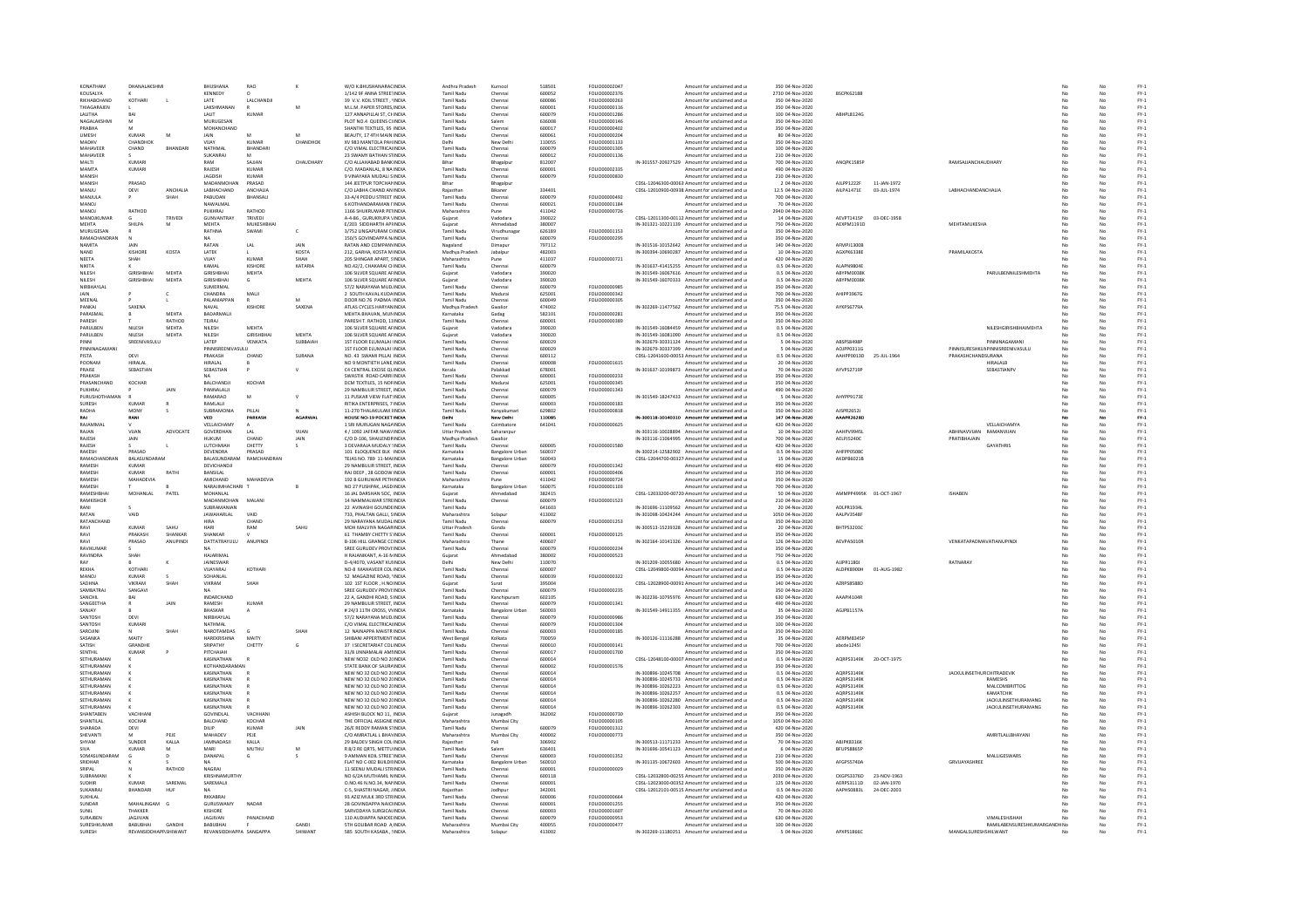| KONATHAM<br>KOUSALVA<br>RIKHABCHAND | DHANALAKSHM                       |              | BHUSHANA                                | RAO                      |                  | W/O K.BHUSHANARACINDIA                                      | Andhra Pradesl               | Kurnool                | 51850            | FOLIO00002047        | Amount for unclaimed and u                                                  | 350 04-Nov-2020                    |                    |             |                                                     |     |          | $FY-1$           |
|-------------------------------------|-----------------------------------|--------------|-----------------------------------------|--------------------------|------------------|-------------------------------------------------------------|------------------------------|------------------------|------------------|----------------------|-----------------------------------------------------------------------------|------------------------------------|--------------------|-------------|-----------------------------------------------------|-----|----------|------------------|
|                                     |                                   |              | KENNEDY                                 | $\Omega$                 |                  | 1/142 9F ANNA STREETINDIA                                   | Tamil Nadu                   | Chennai                | 600052           | FOLIO00002376        | Amount for unclaimed and u                                                  | 2730 04-Nov-2020                   | BSCPK6218B         |             |                                                     |     | No       | $FY-1$           |
|                                     | KOTHARI                           |              | LATE                                    | LALCHANDJI               |                  | 39 V.V. KOIL STREET . 'INDIA                                | Tamil Nadu                   | Chennai                | 600086           | FOLIO00000263        | Amount for unclaimed and u                                                  | 350 04-Nov-2020                    |                    |             |                                                     | No  | No       | $FY-1$           |
| THIAGARAJEN                         |                                   |              | LAKSHMANAN                              |                          |                  | M.L.M. PAPER STORES, INDIA                                  | Tamil Nadu                   | Chennai                | 600001           | FOLIO00000116        | Amount for unclaimed and u                                                  | 350 04-Nov-2020                    |                    |             |                                                     | No  | No       | $FY-1$           |
| LALITHA                             |                                   |              | LALIT                                   | KUMAR                    |                  | 127 ANNAPILLAI ST, CHINDIA                                  | Tamil Nadu                   | Chennai                | 600079           | FOLIO00001286        | Amount for unclaimed and u                                                  | 100 04-Nov-2020                    | ABHPL8124G         |             |                                                     |     | No       | $FY-1$           |
| NAGALAKSHMI                         | <b>M</b>                          |              | MURUGESAN                               |                          |                  | PLOT NO.4 QUEENS CHNDIA                                     | Tamil Nadu                   | Salem                  | 636008           | EQUOD000146          | Amount for unclaimed and u                                                  | 350 04-Nov-2020                    |                    |             |                                                     |     | No       | $FY-1$           |
| PRABHA                              |                                   |              | MOHANCHAND                              |                          |                  | SHANTHI TEXTILES, 95 INDIA                                  | Tamil Nadu                   | Chennai                | 600017           | FOLIO00000402        | Amount for unclaimed and u                                                  | 350 04-Nov-2020                    |                    |             |                                                     | No  | No       | $FY-1$           |
| UMESH                               | KUMAR                             | M            | <b>JAIN</b>                             |                          |                  | BEAUTY, 17 4TH MAIN INDIA                                   | Tamil Nadu                   | Chennai                | 600061           | FOLIO00000204        | Amount for unclaimed and u                                                  | 80 04-Nov-2020                     |                    |             |                                                     |     | No       | $FY-1$           |
| MADHV                               | CHANDHOK                          |              | VIJAY                                   | <b>KUMAR</b>             | CHANDHON         | XV 983 MANTOLA PAH INDIA                                    |                              | New Delh               | 110055           | FOLIO00001133        | Amount for unclaimed and u                                                  | 350 04-Nov-2020                    |                    |             |                                                     |     | No       | $FY-1$           |
| <b>MAHAVEER</b>                     | CHAND                             | RHANDAR      | NATHMAL                                 | RHANDARI                 |                  | C/O VIMAL FLECTRICALINDIA                                   | Tamil Nadi                   | Chennai                | 600079           | EQUIQ00001305        | Amount for unclaimed and u                                                  | 100.04-Nov-2020                    |                    |             |                                                     | No  | No       | $FN-1$           |
| MAHAVEER                            |                                   |              | SUKANRAJ                                |                          |                  | 23 SWAMY BATHAN STINDIA                                     | <b>Tamil Nadu</b>            | Chennai                | 600012           | FOLIO00001136        | Amount for unclaimed and u                                                  | 210 04-Nov-2020                    |                    |             |                                                     | No  | No       | $FY-1$           |
|                                     |                                   |              |                                         |                          | <b>CHAUDHARY</b> |                                                             |                              |                        |                  |                      |                                                                             |                                    |                    |             | RAMSAJJANCHAUDHARY                                  |     |          |                  |
| MALTI<br>MAMTA                      | <b>KUMAR</b><br>KUMARI            |              | RAM<br>RAJESH                           | SAJJAN<br><b>KUMAR</b>   |                  | C/O ALLAHABAD BANK INDIA<br>C/O. MADANLAL, 8 NA INDIA       | Bihar<br>Tamil Nadu          | Bhagalpur              | 812007<br>600001 | <b>EQUO00002335</b>  | IN-301557-20927529 Amount for unclaimed and u                               | 700 04-Nov-2020<br>490.04-Nov-2020 | <b>ANOPK1585</b>   |             |                                                     | No  | No<br>No | $FY-1$<br>$FY-1$ |
|                                     |                                   |              |                                         |                          |                  |                                                             |                              | Chennai                |                  |                      | Amount for unclaimed and u                                                  |                                    |                    |             |                                                     |     |          |                  |
| MANISH                              |                                   |              | JAGDISH                                 | <b>KUMAR</b>             |                  | 9 VINAYAKA MUDALI SINDIA                                    | <b>Tamil Nadu</b>            | Chennai                | 600079           | FOLIO00000830        | Amount for unclaimed and u                                                  | 210 04-Nov-2020                    |                    |             |                                                     | No  | No       | $FY-1$           |
| MANISH                              | PRASAD                            |              | MADANMOHAN                              | PRASAD                   |                  | 144 JEETPUR TOPCHANINDIA                                    | Bihar                        | Bhagalpur              |                  |                      | CDSL-12046300-00063 Amount for unclaimed and u                              | 2 04-Nov-2020                      | AJLPP1222F         | 11-JAN-1972 |                                                     | No  | No       | $FY-1$           |
| MANJU                               | DEVI                              | ANCHALIA     | LABHACHAND                              | ANCHALIA                 |                  | C/O LABHA CHAND AN INDIA                                    | Rajasthar                    | Bikaner                | 334401           |                      | CDSL-12010900-00938 Amount for unclaimed and u                              | 12.5 04-Nov-2020                   | AILPA1471E         | 03-JUL-1974 | LABHACHANDANCHALIA                                  |     | No       | $FY-1$           |
| MANIULA                             |                                   | <b>SHAH</b>  | PARLIDAN                                | BHANSAL                  |                  | 33-A/4 PEDDU STREET INDIA                                   | Tamil Nadu                   | Chennai                | 600079           | <b>EQUIO0000492</b>  | Amount for unclaimed and u                                                  | 700 04-Nov-2020                    |                    |             |                                                     |     | No       | FY-1             |
| MANOL                               |                                   |              | NAWAI MAI                               |                          |                  | <b>6 KOTHANDARAMAN LINDIA</b>                               | Tamil Nadu                   | Chennai                | 600021           | <b>FOLIO00001184</b> | Amount for unclaimed and u                                                  | 70.04-Nov-2020                     |                    |             |                                                     | No  | No       | FY-1             |
| <b>MANOJ</b>                        | RATHOD                            |              | PUKHRAJ                                 | RATHOD                   |                  | 1166 SHUKRUWAR PETINDIA                                     | Maharashtra                  | Pune                   | 411042           | FOLIO00000726        | Amount for unclaimed and u                                                  | 2940 04-Nov-2020                   |                    |             |                                                     | No  | No       | $FY-1$           |
| MANOJKUMAR                          |                                   | TRIVEDI      | GUNVANTRAY                              | TRIVEDI                  |                  | A-4-86, GURUKRUPA VINDIA                                    | Gujarat                      | Vadodara               | 390022           |                      | CDSL-12011300-00112 Amount for unclaimed and u                              | 14 04-Nov-2020                     | AFVPT1415P         | 03-DEC-1958 |                                                     |     |          | $FY-1$           |
| <b>MEHTA</b>                        | <b>SHILPA</b>                     | M            | <b>MFHTA</b>                            | MUKESHRHA                |                  | F/203 SIDDHARTH APFINDIA                                    | Guiarat                      | Ahmedahar              | 380007           |                      | IN-301321-10221139 Amount for unclaimed and u                               | 750.04-Nov-2020                    | AEXPM1191D         |             | MEHTAMUKESHA                                        | No  | No       | FY-1             |
| MURUGESAN                           |                                   |              | RATHNA                                  | SWAMI                    | c                | 3/752 LINGAPURAM CIINDIA                                    | Tamil Nadu                   | Virudhunaga            | 626189           | FOLIO00001153        | Amount for unclaimed and u                                                  | 350 04-Nov-2020                    |                    |             |                                                     | No  | No       | $FY-1$           |
| RAMACHANDRAN                        |                                   |              |                                         |                          |                  | 150/5 GOVINDAPPA N/INDIA                                    | Tamil Nadu                   | Chennai                | 600079           | FOLIO00000295        | Amount for unclaimed and u                                                  | 350 04-Nov-2020                    |                    |             |                                                     |     | No       | $FY-1$           |
| NAMITA                              | JAIN                              |              | RATAN                                   | LAL                      | JAIN             | RATAN AND COMPANYINDIA                                      |                              | Dimapu                 | 797112           |                      | IN-301516-10152642 Amount for unclaimed and u                               | 140 04-Nov-2020                    | AFMPJ13006         |             |                                                     |     | No       | $FY-1$           |
| <b>NAND</b>                         | KISHORE                           | KOSTA        | <b>LATEK</b>                            |                          | KOSTA            | 212. GARHA, KOSTA MINDIA                                    | Madhya Pradesh               | Jabalpur               | 482003           |                      | IN-300394-10690287 Amount for unclaimed and u                               | 10 04-Nov-2020                     | AGXPK6338E         |             | PRAMILAKOSTA                                        |     | No       | $FN-1$           |
| NEETA                               | SHAH                              |              | YALIV                                   | KUMAR                    | SHAH             | 205 SHINGAR APART, SINDIA                                   | Maharashtra                  | Pune                   | 411037           | FOLIO00000721        | Amount for unclaimed and u                                                  | 420 04-Nov-2020                    |                    |             |                                                     |     | No       | $FY-1$           |
| NIKITA                              |                                   |              | KAMAL                                   | KISHORI                  | KATARIA          | NO.42/2, CHAKARAI CHNDIA                                    | Tamil Nadu                   | Chenna                 | 600079           |                      | IN-301637-41415255 Amount for unclaimed and u                               | 0.5 04-Nov-2020                    | ALAPN98048         |             |                                                     |     |          | $FY-1$           |
| NILESH                              | GIRISHRHAI                        | <b>MEHTA</b> | <b>GIRISHBHA</b>                        | <b>MEHTA</b>             |                  | 106 SILVER SQUARE AFINDIA                                   | Gujarat                      | Vadodara               | 390020           |                      | IN-301549-16067616 Amount for unclaimed and u                               | 0.5 04-Nov-2020                    | ARYPMO038k         |             | PARULBENNILESHMEHTA                                 |     | No       | $FY-1$           |
| NILESH                              | GIRISHBHAI                        | <b>MEHTA</b> | GIRISHBHAI                              | G                        | MEHTA            | 106 SILVER SQUARE AFINDIA                                   | Guiarat                      | Vadodara               | 390020           |                      | IN-301549-16070333 Amount for unclaimed and u                               | 0.5 04-Nov-2020                    | ABYPM0038K         |             |                                                     | No. | No       | $FY-1$           |
| NIRBHAYLAI                          |                                   |              | SUMERMAL                                |                          |                  | 57/2 NARAYANA MUD INDIA                                     | Tamil Nadu                   | Chennai                | 600079           | FOLIO00000985        | Amount for unclaimed and u                                                  | 350 04-Nov-2020                    |                    |             |                                                     |     | No       | $FY-1$           |
|                                     |                                   |              | CHANDRA                                 | MALI                     |                  | 2 SOUTH KAVAL KUDAINDIA                                     | Tamil Nadu                   | Madura                 | 625001           | FOLIO00000342        | Amount for unclaimed and u                                                  | 700 04-Nov-2020                    | AHIPP3967G         |             |                                                     |     | No       | $FY-1$           |
| MEENAL                              |                                   |              | ΡΔΙ ΔΝΙΔΡΡΑΝ                            |                          | M                | DOOR NO 76 PADMA UNDIA                                      | Tamil Nadu                   | Chennai                | 600049           | EQUIO0000305         | Amount for unclaimed and u                                                  | 350.04-Nov-2020                    |                    |             |                                                     |     | No       | FY-1             |
| PANKAJ                              | SAXENA                            |              | NAVAL                                   | <b>KISHORE</b>           | SAXENA           | ATLAS CYCLES HARYAN INDIA                                   | Madhya Pradesh               | Gwalion                | 474002           |                      | IN-302269-11477562 Amount for unclaimed and u                               | 75.5 04-Nov-2020                   | AYKPS6779A         |             |                                                     | No  | No       | $FY-1$           |
| PARASMAI                            |                                   | MEHTA        | BADARMALI                               |                          |                  | MEHTA BHAVAN, MUNINDIA                                      | Karnataka                    | Gadag                  | 582101           | FOLIO00000281        | Amount for unclaimed and u                                                  | 350 04-Nov-2020                    |                    |             |                                                     |     | No       | $FY-1$           |
| PARESH                              |                                   | RATHOD       | TEJRAJ                                  |                          |                  | PARESH T. RATHOD, 11INDIA                                   | Tamil Nadu                   | Chenna                 | 600001           | FOLIO00000389        | Amount for unclaimed and u                                                  | 350 04-Nov-2020                    |                    |             |                                                     |     | No       | $FY-1$           |
| <b>PARLILREN</b>                    | NILFSH                            | <b>MEHTA</b> | NII FSH                                 | MEHTA                    |                  | 106 SILVER SQUARE AFINDIA                                   | Gujarat                      | Vadodara               | 390020           |                      | IN-301549-16084459 Amount for unclaimed and u                               | 0.5 04-Nov-2020                    |                    |             | <b>NII FSHGIRISHRHAIMEHTA</b>                       |     | No       | $FN-1$           |
| PARULBEN                            | NILESH                            | <b>MEHTA</b> | NILESH                                  | <b>GIRISHBHA</b>         | <b>MEHTA</b>     | 106 SILVER SQUARE AFINDIA                                   | Guiarat                      | Vadodara               | 390020           |                      | IN-301549-16081090 Amount for unclaimed and u                               | 0.5 04-Nov-2020                    |                    |             |                                                     |     | No       | $FY-1$           |
| PINNI                               | SREENIVASULL                      |              | LATEP                                   | VENKATA                  | SUBBAIAH         | 1ST FLOOR ELUMALAI IINDIA                                   | Tamil Nadu                   | Chennai                | 600029           |                      | IN-302679-30331124 Amount for unclaimed and u                               | 5 04-Nov-2020                      | ABSPS8498          |             | PINNINAGAMAN                                        |     | No       | $FY-1$           |
| PINNINAGAMAN                        |                                   |              | PINNISREENIVASULU                       |                          |                  | 1ST FLOOR ELUMALAI IINDIA                                   | <b>Tamil Nadu</b>            | Chennai                | 600029           |                      | IN-302679-30337399 Amount for unclaimed and u                               | 5 04-Nov-2020                      | AQJPP0311G         |             | PINNISURESHKUNPINNISREENIVASULU                     |     | No       | $FY-1$           |
| PISTA                               | DEVI                              |              | PRAKASH                                 | CHAND                    | SURANA           | NO. 43 SWAMI PILLAI: INDIA                                  | <b>Tamil Nadu</b>            | Chennai                | 600112           |                      | CDSL-12041600-00053 Amount for unclaimed and u                              | 0.5 04-Nov-2020                    | AAHPP0013D         | 25-JUL-1964 | PRAKASHCHANDSURANA                                  | No  | No       | $FY-1$           |
| POONAM                              | HIRALAL                           |              | HIRALAL                                 |                          |                  | NO 9 MONTIETH LANE, INDIA                                   | Tamil Nadu                   | Chennai                | 600008           | FOLIO00001615        | Amount for unclaimed and u                                                  | 20 04-Nov-2020                     |                    |             | <b>HIRALALB</b>                                     | No  | No       | $FY-1$           |
| PRAISE                              | SEBASTIAN                         |              | SEBASTIAN                               |                          |                  | C4 CENTRAL EXCISE QUINDIA                                   | Kerala                       | Palakkad               | 678001           |                      | IN-301637-10199873 Amount for unclaimed and u                               | 70 04-Nov-2020                     | AYVPS2719          |             | SEBASTIANP                                          | No  | No       | $FY-1$           |
| PRAKASH                             |                                   |              |                                         |                          |                  | <b>SWASTIK ROAD CARRI INDIA</b>                             | Tamil Nadu                   | Chennai                | 600001           | FOLIO00000233        | Amount for unclaimed and u                                                  | 350 04-Nov-2020                    |                    |             |                                                     |     | No       | $FY-1$           |
| PRASANCHAND                         | KOCHAR                            |              | <b>BALCHANDIL</b>                       | KOCHAR                   |                  | DOM TEXTUES 15 NORINDIA                                     | Tamil Nadu                   | Madurai                | 625001           | FOU IO00000345       | Amount for unclaimed and u                                                  | 350.04-Nov-2020                    |                    |             |                                                     | No  | No       | FY-1             |
| PUKHRAJ                             |                                   | JAIN         | PANNALALII                              |                          |                  | 29 NAMBULIR STREET, INDIA                                   | <b>Tamil Nadu</b>            | Chennai                | 600079           | FOLIO00001343        | Amount for unclaimed and u                                                  | 490 04-Nov-2020                    |                    |             |                                                     |     | No       | $FY-1$           |
| PURUSHO <sup>®</sup>                |                                   |              | RAMARAO                                 | M                        |                  | 11 PUSKAR VIEW FLAT: INDIA                                  | Tamil Nadu                   | Chenna                 | 600005           |                      | IN-301549-18247433 Amount for unclaimed and u                               | 5 04-Nov-2020                      | AHYPP91738         |             |                                                     |     | No       | $FY-1$           |
| SURFSH                              | KUMAR                             |              | RAMLALIL                                |                          |                  | <b>RITIKA ENTERPRISES 7 INDIA</b>                           | Tamil Nadu                   | Chennai                | 600003           | <b>FOLIO00000183</b> | Amount for unclaimed and u                                                  | 350 04-Nov-2020                    |                    |             |                                                     | No  | No       | $FN-1$           |
| RADHA                               | MONY                              |              | SUBRAMONIA                              | PILLAI                   |                  | 11-270 THALAKULAM FINDIA                                    | Tamil Nadu                   | Kanyakumari            | 629802           | FOLIO00000818        | Amount for unclaimed and u                                                  | 350 04-Nov-2020                    | AJSPR2652J         |             |                                                     | No  | No       | $FY-1$           |
| RAI                                 | RANI                              |              | VED                                     | PARKASH                  | <b>AGARWAI</b>   | HOUSE NO-19 POCKET INDIA                                    |                              | New Delhi              | 110085           |                      | IN-300118-10140310 Amount for unclaimed and u                               | 147 04-Nov-2020                    | AAAPR2628D         |             |                                                     | No  | No       | $FY-1$           |
| RAJAMM/                             |                                   |              | VELLAICHAMY                             |                          |                  | 1 SRI MURUGAN NAGAINDIA                                     | Delhi<br>Tamil Nadu          | Coimbatore             | 641041           | FOLIO00000625        | Amount for unclaimed and u                                                  | 420 04-Nov-2020                    |                    |             | <b>VELLAICHAMY</b>                                  |     | No       | $FY-1$           |
| RAJAN                               | VIJAN                             | ADVOCATE     | GOVERDHAN                               | LAL                      | VIJAN            | 4 / 1092 JAFFAR NAW/INDIA                                   | <b>Uttar Pradesh</b>         | Saharanpur             |                  |                      | IN-303116-10028894 Amount for unclaimed and u                               | 10 04-Nov-2020                     | AAHPV994SI         |             | ABHINAVVUAN<br>RAMANVIJAN                           | No  | No       | $FY-1$           |
|                                     |                                   |              |                                         |                          |                  | C/O D-106, SHAILENDRINDIA                                   |                              |                        |                  |                      |                                                                             | 700 04-Nov-2020                    |                    |             | PRATIBHAJAIN                                        | No  |          | $FY-1$           |
| RAJESH                              | JAIN                              |              | HUKUM<br>LUTCHMIA                       | CHAND<br>CHETTY          | JAIN             | 3 DEVARAJA MUDALY (INDIA                                    | Madhya Pradesh<br>Tamil Nadu | Gwalior                | 600005           | FOLIO00001580        | IN-303116-11064995 Amount for unclaimed and u                               | 420 04-Nov-2020                    | AELPJ5240C         |             | <b>GAYATHRIS</b>                                    |     | No<br>No | $FY-1$           |
| <b>RAJESH</b><br><b>RAKESH</b>      | PRASAD                            |              | DEVENDRA                                | PRASAD                   |                  |                                                             |                              | Chennai                | 560037           |                      | Amount for unclaimed and u                                                  |                                    | <b>AMERDANCARE</b> |             |                                                     | No  | No       |                  |
|                                     |                                   |              |                                         |                          |                  | 101 ELOQUENCE BLK : INDIA                                   | Karnataka                    | <b>Bangalore Urba</b>  |                  |                      | IN-300214-12582902 Amount for unclaimed and u                               | 0.5 04-Nov-2020                    |                    |             |                                                     |     |          | $FY-1$           |
| RAMACHANDRAN                        | <b>BALASLINDARAM</b>              |              |                                         | RALASUNDARAM RAMCHANDRAN |                  | TEIAS NO. 789-11-MAIINDIA                                   | Karnataka                    | Bangalore Urban        | 560043           |                      | CDSL-12044700-00327 Amount for unclaimed and u                              | 15.04-Nov-2020                     | AKDPR6021B         |             |                                                     | No  | No       | FY-1             |
| <b>RAMESH</b>                       | <b>KUMAR</b>                      |              | DEVICHANDJI                             |                          |                  | 29 NAMBULIR STREET. INDIA                                   | <b>Tamil Nadu</b>            | Chennai                | 600079           | FOLIO00001342        | Amount for unclaimed and u                                                  | 490 04-Nov-2020                    |                    |             |                                                     | No  | No       | $FY-1$           |
| RAMESH                              | KUMAR                             | RATHI        | BANSILAL                                |                          |                  | RAI DEEP, 28 GODOW INDIA                                    | Tamil Nadu                   | Chennai                | 600001           | FOLIO00000406        | Amount for unclaimed and u                                                  | 350 04-Nov-2020                    |                    |             |                                                     |     | No       | $FY-1$           |
| RAMESH                              | MAHADEVIA                         |              | <b>AMICHAND</b>                         | MAHADEVIA                |                  | 192 B GURUWAR PETHINDIA                                     | Maharashtra                  | Pune                   | 411042           | <b>EQLIO00000724</b> | Amount for unclaimed and u                                                  | 350 04-Nov-2020                    |                    |             |                                                     | No  | No       | FY-1             |
| <b>RAMESH</b>                       |                                   |              | NARAJIMHACHARI T                        |                          |                  | NO 27 PUSHPAK, JAGD INDIA                                   | Karnataka                    | <b>Bangalore Urbar</b> | 560075           | FOLIO00001103        | Amount for unclaimed and u                                                  | 700 04-Nov-2020                    |                    |             |                                                     | No  | No       | $FY-1$           |
| RAMESHBHA                           | MOHANLAL                          | PATEL        | MOHANLAL                                |                          |                  | 16 JAL DARSHAN SOC. INDIA                                   | Guiarat                      | Ahmedabad              | 382415           |                      | CDSL-12033200-00720 Amount for unclaimed and u                              | 50 04-Nov-2020                     | AMMPP4995K         | 01-OCT-1967 | <b>ISHABEN</b>                                      | No  | No       | $FY-1$           |
|                                     |                                   |              | MADANMOHAN                              | MALAN                    |                  | 14 NAMMALWAR STREINDIA                                      | Tamil Nadu                   | Chennai                | 600079           | FOLIO00001523        | Amount for unclaimed and u                                                  | 210 04-Nov-2020                    |                    |             |                                                     |     | No       | $FY-1$           |
| RAMKISHOI                           |                                   |              |                                         |                          |                  |                                                             |                              |                        | 641603           |                      | IN-301696-11109562 Amount for unclaimed and u                               | 20 04-Nov-2020                     | ADI PR19341        |             |                                                     | No  | No       | $FY-1$           |
| RANI                                |                                   |              | SURRAMANIAN                             |                          |                  | 22 AVINASHI GOUNDEINDIA                                     | Tamil Nadu                   |                        | 413002           |                      |                                                                             |                                    |                    |             |                                                     | No  | No       | $FY-1$           |
| RATAN                               | VAID                              |              | <b>JAWAHARLAL</b>                       | VAID                     |                  | 733, PHALTAN GALLI, SINDIA                                  | Maharashtra                  | Solapur                |                  |                      | IN-301098-10424244 Amount for unclaimed and u                               | 1050 04-Nov-2020                   | AALPV3548F         |             |                                                     |     |          | $FY-1$           |
| RATANCHAND                          |                                   |              | HIRA                                    | CHAND                    |                  | 29 NARAYANA MUDALINDIA                                      | Tamil Nadu                   | Chennai                | 600079           | FOLIO00001253        | Amount for unclaimed and u                                                  | 350 04-Nov-2020                    |                    |             |                                                     |     | No       | $FY-1$           |
| RAVI                                | KUMAR                             | SAHU         | HARI                                    | RAM                      | SAHL             | MOH MALVIYA NAGARINDIA                                      | <b>Uttar Pradesh</b>         | Gonda                  |                  |                      | IN-300513-15239328 Amount for unclaimed and u                               | 20 04-Nov-2020                     | <b>BHTPS32030</b>  |             |                                                     |     | No       |                  |
| RAVI                                | PRAKASH                           | SHANKAR      | SHANKAR                                 |                          |                  | 61 THAMBY CHETTY S'INDIA                                    | Tamil Nadu                   | Chennai                | 600001           | FOLIO00000125        | Amount for unclaimed and u                                                  | 350 04-Nov-2020                    |                    |             |                                                     | No  | No       | $FY-1$           |
| RAVI                                | PRASAD                            | ANUPINDI     | DATTATRAYULU                            | ANUPINDI                 |                  | <b>B-106 HILL GRANGE CCINDIA</b>                            | Maharashtra                  | Thane                  | 400607           |                      | IN-302164-10141326 Amount for unclaimed and u                               | 126 04-Nov-2020                    | AEVPA5010F         |             | VENKATAPADMAVATIANUPIND                             | No  | No       | $FY-1$           |
| RAVIKUMA                            |                                   |              |                                         |                          |                  | SREE GURUDEV PROVI:INDIA                                    | Tamil Nadu                   | Chennai                | 600079           | FOLIO00000234        | Amount for unclaimed and u                                                  | 350 04-Nov-2020                    |                    |             |                                                     |     | No       | $FY-1$           |
| RAVINDRA                            | SHAH                              |              | HAIARIMAI                               |                          |                  | H RAJANIKANT, A-16 MINDIA                                   | Gujarat                      | Ahmedaba               | 380002           | FOLIO00000523        | Amount for unclaimed and u                                                  |                                    |                    |             |                                                     |     | No       | $FY-1$           |
| RAY                                 |                                   |              | JAINESWAR                               |                          |                  | D-4/4070, VASANT KUHNDIA                                    | Delhi                        | New Delhi              | 110070           |                      | IN-301209-10055680 Amount for unclaimed and u                               | 750 04-Nov-2020<br>0.5 04-Nov-2020 | AUPR1180J          |             | RATNARAY                                            | No  | No       | $FY-1$           |
| REKHA                               | KOTHAR                            |              | VIJAYARAJ                               | KOTHARI                  |                  | NO-8 MAHAVEER COUINDIA                                      | Tamil Nadu                   | Chennai                | 600007           |                      | CDSL-12049800-00094 Amount for unclaimed and u                              | 0.5 04-Nov-2020                    | ALDPK8900H         | 01-AUG-1982 |                                                     | No  | No       | $FY-1$           |
| MANOJ                               | KUMAR                             |              | SOHANLAL                                |                          |                  | 52 MAGAZINE ROAD, 1INDIA                                    | Tamil Nadu                   | Chenna                 | 600039           | FOLIO00000322        | Amount for unclaimed and u                                                  | 350 04-Nov-2020                    |                    |             |                                                     |     | No       | $FY-1$           |
| SADHNA                              | VIKRAM                            | SHAH         | VIKRAM                                  | SHAH                     |                  | 102 1ST FLOOR . H.NO INDIA                                  | Guiarat                      | Surat                  | 395004           |                      | CDSL-12028900-00091 Amount for unclaimed and u                              | 140 04-Nov-2020                    | <b>AZRPSRSRRF</b>  |             |                                                     | No  | No       | $FY-1$           |
| SAMBATRAJ                           | SANGAVI                           |              | NΔ                                      |                          |                  | SREE GURUDEV PROVI: INDIA                                   | <b>Tamil Nadu</b>            | Chennai                | 600079           | FOLIO00000235        | Amount for unclaimed and u                                                  | 350 04-Nov-2020                    |                    |             |                                                     | No  | No       | $FY-1$           |
| SANCHIL                             | BAI                               |              | INDARCHAND                              |                          |                  | 22 A, GANDHI ROAD, S INDIA                                  | <b>Tamil Nadu</b>            | Kanchipuram            | 602105           |                      | IN-302236-10795976 Amount for unclaimed and u                               | 630 04-Nov-2020                    | AAAPI4104R         |             |                                                     | No  | No       | $FY-1$           |
| SANGEETH                            |                                   |              | RAMESH                                  | KUMAR                    |                  | 29 NAMBULIR STREET, INDIA                                   | Tamil Nadu                   | Chenna                 | 60007            | FOLIO00001341        | Amount for unclaimed and u                                                  | 490 04-Nov-2020                    |                    |             |                                                     |     | No       | $FY-1$           |
| SANJAY                              |                                   |              | <b>BHASKAR</b>                          |                          |                  | # 24/3 11TH CROSS, VYINDIA                                  | Karnataka                    | <b>Bangalore Urbar</b> | 560003           |                      | IN-301549-14911355 Amount for unclaimed and u                               | 35 04-Nov-2020                     | AGJPB1157A         |             |                                                     | No  | No       | $FY-1$           |
| SANTOSH                             | DEVI                              |              | NIRBHAYLAL                              |                          |                  | 57/2 NARAYANA MUD INDIA                                     | Tamil Nadu                   | Chennai                | 600079           | FOLIO00000986        | Amount for unclaimed and u                                                  | 350 04-Nov-2020                    |                    |             |                                                     | No  | No       | $FY-1$           |
| SANTOSH                             | KUMAR                             |              | NATHMAI                                 |                          |                  | C/O VIMAL ELECTRICALINDIA                                   | Tamil Nadu                   | Chennai                | 600079           | FOLIO00001304        | Amount for unclaimed and u                                                  | 100 04-Nov-2020                    |                    |             |                                                     |     | No       | $FY-1$           |
| SAROUNE                             |                                   | SHAF         | NAROTAMDAS                              | $\mathbf{G}$             | SHAH             | 12 NAINAPPA MAISTR INDIA                                    | Tamil Nadu                   | Chenna                 | 600003           | FOLIO00000185        | Amount for unclaimed and u                                                  | 350 04-Nov-2020                    |                    |             |                                                     |     | No       | $FY-1$           |
| SASANKA                             | MAITY                             |              | HARFKRISHNA                             | MAITY                    |                  | SHIRANI APPERTMENT INDIA                                    | West Bengal                  | Kolkata                | 700059           |                      | IN-300126-11116288 Amount for unclaimed and u                               | 35.04-Nov-2020                     | <b>AFRPMR34SP</b>  |             |                                                     | No  | No       | FY-1             |
| SATISH                              | GRANDHE                           |              | SRIPATHY                                | CHETTY                   | G                | 37 I SECRETARIAT COL INDIA                                  | Tamil Nadu                   | Chennai                | 600010           | FOLIO00000141        | Amount for unclaimed and u                                                  | 700 04-Nov-2020                    | abcde12451         |             |                                                     | No  | No       | $FY-1$           |
| SENTHI                              | <b>KUMAR</b>                      |              | PITCHAIAH                               |                          |                  | 31/8 UNNAMALAI AMI INDIA                                    | Tamil Nadu                   | Chenna                 | 600017           | FOLIO00001700        | Amount for unclaimed and u                                                  | 350 04-Nov-2020                    |                    |             |                                                     |     | No       | $FY-1$           |
| SETHURAMAN                          |                                   |              | KASINATHAN                              |                          |                  | NEW NO32 OLD NO 2(INDIA                                     | Tamil Nadu                   | Chennai                | 600014           |                      | CDSL-12048100-00007. Amount for unclaimed and u                             | 0.5.04-Nov-2020                    | AORPS3149K         | 20-OCT-1975 |                                                     | No  | No       | $FN-1$           |
| SETHURAMAN                          |                                   |              | KOTHANDARAMAN                           |                          |                  | STATE BANK OF SAURAINDIA                                    | <b>Tamil Nadu</b>            | Chennai                | 600002           | FOLIO00001576        | Amount for unclaimed and u                                                  | 350 04-Nov-2020                    |                    |             |                                                     | No  | No       | $FY-1$           |
| SETHURAMAN                          |                                   |              | KASINATHAN                              |                          |                  | NEW NO 32 OLD NO 2(INDIA                                    | <b>Tamil Nadu</b>            | Chennai                | 600014           |                      | IN-300896-10245708 Amount for unclaimed and u                               | 0.5 04-Nov-2020                    | AQRPS3149          |             | <b>JACKULINSETHURCHITRADEVIK</b>                    | No  | No       | $FY-1$           |
| SETHURAMAN                          |                                   |              | KASINATHAN                              |                          |                  | NEW NO 32 OLD NO 2(INDIA                                    | Tamil Nadu                   | Chenna                 | 60001            |                      | IN-300896-10245733 Amount for unclaimed and u                               | 0.5 04-Nov-2020                    | AQRPS31491         |             | RAMESHS                                             |     | No       | $FY-1$           |
| SETHURAMAN                          |                                   |              | KASINATHAN                              |                          |                  | NEW NO 32 OLD NO 20NDM                                      | Tamil Nadu                   | Chennai                | 600014           |                      | IN-300896-10262223 Amount for unclaimed and u                               | 0.5 04-Nov-2020                    | AORPS3149K         |             | <b>MALCOMRRITTOG</b>                                | No  | No       | $FN-1$           |
| SETHURAMAN                          |                                   |              | KASINATHAN                              |                          |                  | NEW NO 32 OLD NO 2(INDIA                                    | Tamil Nadu                   | Chennai                | 600014           |                      | IN-300896-10262257 Amount for unclaimed and u                               | 0.5 04-Nov-2020                    | AQRPS3149K         |             | KAMATCHIK                                           | No  | No       | $FY-1$           |
| SETHURAMAN                          |                                   |              | KASINATHAN                              |                          |                  | NEW NO 32 OLD NO 2(INDIA                                    | Tamil Nadu                   | Chennai                | 600014           |                      | IN-300896-10262280 Amount for unclaimed and u                               | 0.5 04-Nov-2020                    | AQRPS31491         |             | JACKULINSETHURAMANG                                 |     | No       | $FY-1$           |
| SETHURAMAN                          |                                   |              | KASINATHAN                              |                          |                  | NEW NO 32 OLD NO 2(INDIA                                    |                              |                        | 600014           |                      |                                                                             |                                    | AQRPS3149K         |             | JACKULINSETHURAMANG                                 | No  | No       | $FY-1$           |
| SHANTAREN                           | VACHHAN                           |              | GOVINDLAL                               | VACHHANI                 |                  | ASHISH BLOCK NO 11 IINDIA                                   | Tamil Nadu<br>Guiarat        | Chennai<br>Junagadh    | 362002           | <b>EQUO0000730</b>   | IN-300896-10262303 Amount for unclaimed and u<br>Amount for unclaimed and u | 0.5 04-Nov-2020<br>350.04-Nov-2020 |                    |             |                                                     | No. | No       | FY-1             |
| SHANTILAL                           | KOCHAR                            |              | BALCHAND                                | KOCHAR                   |                  | THE OFFICIAL ASSIGNE INDIA                                  | Maharashtra                  | Mumbai City            |                  | FOLIO00000105        | Amount for unclaimed and u                                                  | 1050 04-Nov-2020                   |                    |             |                                                     |     | No       | $FY-1$           |
|                                     |                                   |              |                                         |                          |                  |                                                             |                              |                        |                  |                      |                                                                             |                                    |                    |             |                                                     |     |          |                  |
| SHARADA<br>SHEVANTI                 | DEVI                              |              | DILIP<br>MAHADEV                        | <b>KUMAR</b>             | JAIN             | 26/E REDDY RAMAN STINDIA                                    | Tamil Nadu                   | Chennai                | 600079           | FOLIO00001312        | Amount for unclaimed and u                                                  | 420 04-Nov-2020                    |                    |             |                                                     |     | No       | $FY-1$           |
|                                     |                                   | PEJE         |                                         | PEJE                     |                  | C/O AMRATLAL L BHAYINDIA                                    | Maharashtra                  | Mumbai City            | 400002           | FOLIO00000773        | Amount for unclaimed and u                                                  | 350 04-Nov-2020                    |                    |             | AMRITLALLBHAYAM                                     | No  | No       | $FY-1$           |
| SHYAM                               | SUNDER                            | KALLA        | JAMNADASJI                              | KALLA                    |                  | 29 BALDEV SINGH COUINDIA                                    | Raiasthan                    | Pali                   | 306902           |                      | IN-300513-11171233 Amount for unclaimed and u                               | 70 04-Nov-2020                     | ABJPK8316K         |             |                                                     |     | No       | $FY-1$           |
| <b>SIVA</b>                         | KUMAF                             | м            | MARI                                    | MUTHU                    |                  | R 8/2 RE QRTS, METTU INDIA                                  | Tamil Nadu                   | Salem                  | 636401           |                      | IN-301696-10541123 Amount for unclaimed and u                               | 6 04-Nov-2020                      | BFUPS8865F         |             |                                                     | No  | No       | $FY-1$           |
| SOMASUNDARAM                        |                                   |              | DANAPAL                                 |                          |                  | 9 AMMAN KOIL STREETINDIA                                    | Tamil Nadu                   | Chennai                | 600003           | FOLIO00001352        | Amount for unclaimed and u                                                  | 210 04-Nov-2020                    |                    |             | MALLIGESWAR!                                        |     | No       | $FY-1$           |
| SRIDHAR                             |                                   |              |                                         |                          |                  | FLAT NO C-002 BUILDINNDIA                                   | Karnataka                    | <b>Bangalore Urba</b>  | 560010           |                      | IN-301135-10672603 Amount for unclaimed and u                               | 500 04-Nov-2020                    | AFGPS57404         |             | <b>GRVITAYASHREE</b>                                | No  | No       | $FN-1$           |
| SRIPAL                              |                                   | RATHOD       | NAGRAJ                                  |                          |                  | 11 SEENU MUDALI STRINDIA                                    | <b>Tamil Nadu</b>            | Chennai                | 600001           | FOLIO00000029        | Amount for unclaimed and u                                                  | 350 04-Nov-2020                    |                    |             |                                                     | No  | No       | $FY-1$           |
| SUBRAMAN                            |                                   |              | KRISHNAMURTHY                           |                          |                  | NO 6/2A MUTHAMIL NINDIA                                     | Tamil Nadu                   | Chennai                | 600118           |                      | CDSL-12032800-00255 Amount for unclaimed and u                              | 2030 04-Nov-2020                   | CKGPS3376D         | 23-NOV-1963 |                                                     |     | No       | $FY-1$           |
| <b>SUDHIR</b>                       | KUMAR                             | SAREMA       | SAREMALII                               |                          |                  | O.NO.46 N.NO.34, NAMINDIA                                   | Tamil Nadu                   | Chenna                 | 600001           |                      | CDSL-12023000-00352 Amount for unclaimed and u                              | 125 04-Nov-2020                    | AERPS3111D         | 02-JAN-1970 |                                                     |     | No       | $FY-1$           |
| SUKANRAJ                            | BHANDARI                          | HUF          | NA.                                     |                          |                  | C-5, SHASTRI NAGAR, JINDIA                                  | Raiasthan                    | Jodhpur                | 342001           |                      | CDSL-12012101-00515. Amount for unclaimed and u                             | 0.5 04-Nov-2020                    | AAPHS0883L         | 24-DEC-2003 |                                                     |     | No       | $FY-1$           |
| SUKHLAL                             |                                   |              | RKKABRAJ                                |                          |                  | 93 AZIZ MULK 3RD STRINDIA                                   | Tamil Nadu                   | Chennai                | 600006           | FOLIO00000664        | Amount for unclaimed and u                                                  | 420 04-Nov-2020                    |                    |             |                                                     |     | No.      | $FY-1$           |
| SUNDAR                              | MAHALINGAN                        |              | <b>GURUSWAMY</b>                        | NADAR                    |                  | 28 GOVINDAPPA NAICHNDIA                                     | <b>Tamil Nadu</b>            | Chennai                | 600001           | FOLIO00001255        | Amount for unclaimed and u                                                  | 350 04-Nov-2020                    |                    |             |                                                     |     | No       | $FY-1$           |
| SUNIL                               | THAKKER                           |              | KISHORE                                 |                          |                  | SARVODAYA SURGICALINDIA                                     | Tamil Nadu                   | Chenna                 | 600003           | FOLIO00001607        | Amount for unclaimed and u                                                  | 70 04-Nov-2020                     |                    |             |                                                     |     |          | $FY-1$           |
| SURAIREN                            | <b>IAGIIVAN</b>                   |              | <b>IAG IIVAN</b>                        | PANACHAND                |                  | 110 ΔΗΣΙΔΡΡΑ ΝΑΙΣΚΕΙΝΕΙΑ                                    | Tamil Nadu                   | Chennai                | 600079           | FOU IO00000953       | Amount for unclaimed and u                                                  | 630.04-Nov-2020                    |                    |             | <b>VIMALESHISHAH</b>                                | No. | No       | FY-1             |
| SURESHKUMAR<br>SURESH               | BABUBHAI<br>REVANSIDDHAPP.SHIWANT | GANDHI       | <b>BABUBHAI</b><br><b>REVANSIDDHAPP</b> | SANGAPPA                 | GANDI<br>SHIWANT | <b>STH GOLIBAR ROAD A INDIA</b><br>585 SOUTH KASABA, :INDIA | Maharashtra<br>Maharashtra   | Mumbai City<br>Solapu  | 400055<br>413002 | FOLIO00000477        | Amount for unclaimed and u<br>IN-302269-11180251 Amount for unclaimed and u | 100 04-Nov-2020<br>5 04-Nov-2020   | APXPS18660         |             | RAMILABENSURESHKUMARGANDHNo<br>MANGALSURESHSHILWANT |     | No       | $FY-1$<br>$FY-1$ |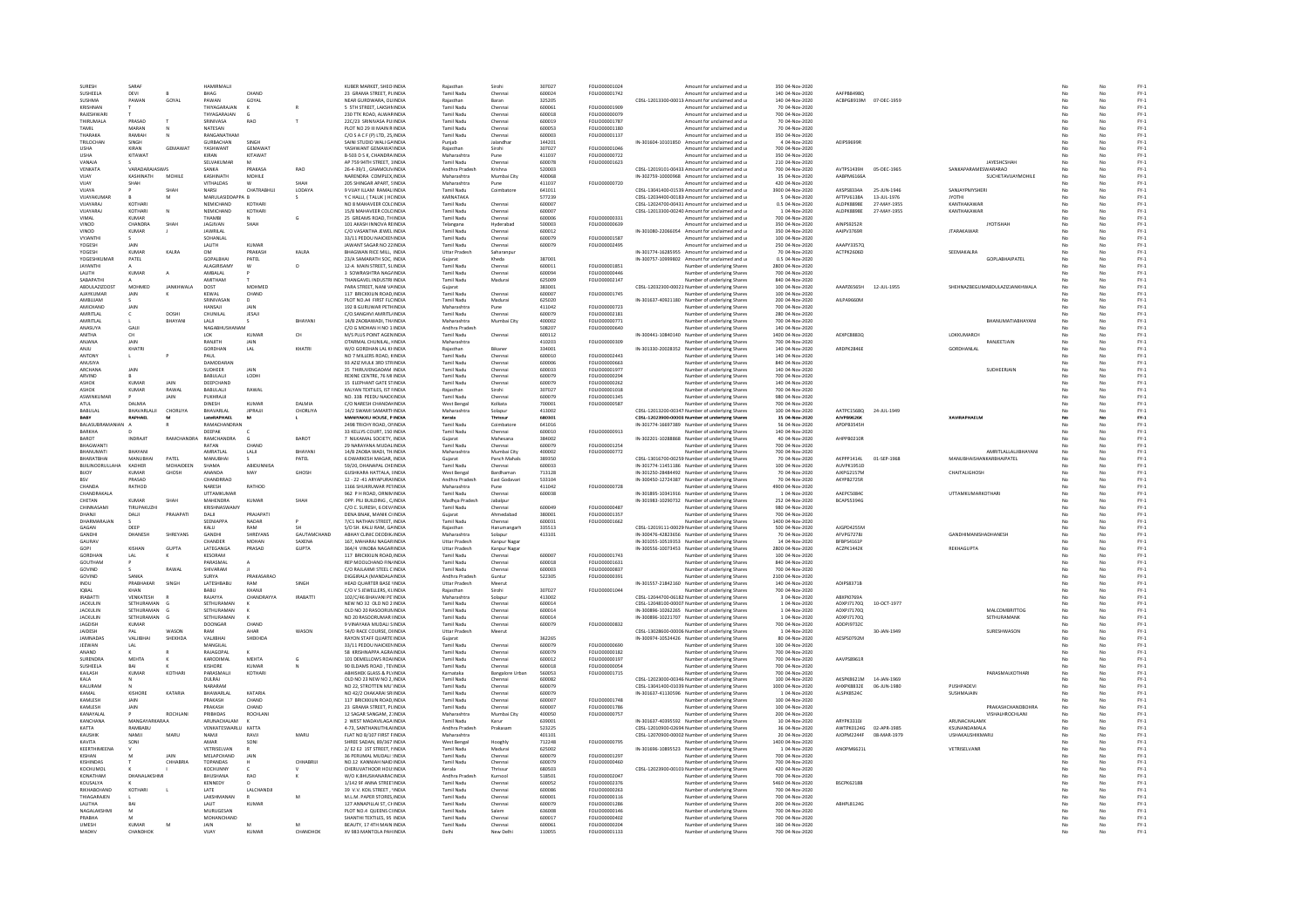| SURFSH<br>SUSHEELA      | SARAF            |                |                         |                |                    |                                                      | Raiastha                        |                  | 307027           | <b>FOLIO00001024</b>         |                                                           |                                    |                        |             |                                |          |          | $FY-1$           |
|-------------------------|------------------|----------------|-------------------------|----------------|--------------------|------------------------------------------------------|---------------------------------|------------------|------------------|------------------------------|-----------------------------------------------------------|------------------------------------|------------------------|-------------|--------------------------------|----------|----------|------------------|
|                         | DEVI             |                | HAMIRMALI<br>BHAG       | CHAND          |                    | KUBER MARKET, SHEO INDIA<br>23 GRAMA STREET, PLINDIA | <b>Tamil Nadu</b>               | Sirohi<br>Chenna | 600024           | FOLIO00001742                | Amount for unclaimed and u<br>Amount for unclaimed and u  | 350 04-Nov-2020<br>140 04-Nov-2020 | AAFPB8498Q             |             |                                |          |          | $FY-1$           |
|                         |                  |                |                         |                |                    |                                                      |                                 |                  |                  |                              |                                                           |                                    |                        |             |                                |          | No       |                  |
| SUSHMA                  | PAWAN            | GOYAL          | PAWAN                   | GOYAL          |                    | NEAR GURDWARA, OLIINDIA                              | Raiasthan                       | Baran            | 325205           |                              | CDSL-12013300-00013 Amount for unclaimed and u            | 140 04-Nov-2020                    | ACBPG8919M 07-DEC-1959 |             |                                | No       | No       | $FY-1$           |
| <b>KRISHNAM</b>         |                  |                | THIYAGARAJAN            |                |                    | 5 STH STREET, LAKSHMINDI                             | Tamil Nadu                      | Chenna           | 600061           | FOLIO00001909                | Amount for unclaimed and u                                | 70 04-Nov-2020                     |                        |             |                                |          | No       | $FY-1$           |
| RAIFSHWAR               |                  |                | THYAGARAJAN             |                |                    | 230 TTK ROAD, ALWARINDIA                             | Tamil Nadi                      | Chenna           | 600018           | FOLIO00000079                | Amount for unclaimed and u                                | 700 04-Nov-2020                    |                        |             |                                |          | No       | $FY-1$           |
| ΤΗΙΡΗΜΑΙ Α              | PRASAD           |                | SRINIVASA               | <b>RAO</b>     | T                  | 22C/23 SRINIVASA PHINDIA                             | Tamil Nadu                      | Chennai          | 600019           | EQUO00001787                 | Amount for unclaimed and u                                | 70.04-Nov-2020                     |                        |             |                                | No       | No.      | FY-1             |
| TAMIL                   | MARAN            |                | NATESAN                 |                |                    | PLOT NO 29 III MAIN R INDIA                          | Tamil Nadu                      | Chennai          | 600053           | FOLIO00001180                | Amount for unclaimed and u                                | 70 04-Nov-2020                     |                        |             |                                | No       | No       | $FY-1$           |
| THARAKA                 | RAMIAE           |                | RANGANATHAM             |                |                    | C/O S A C F (P) LTD, 25, INDIA                       | Tamil Nadu                      | Chenna           | 600003           | FOLIO00001137                | mount for unclaimed and u                                 | 350 04-Nov-2020                    |                        |             |                                |          | No       | $FY-1$           |
| TRILOCHAN               | <b>SINGH</b>     |                | <b>GURRACHAN</b>        | SINGH          |                    | SAINI STUDIO WALI GAINDIA                            | Punjab                          | lalandha         | 144201           |                              | IN-301604-10101850 Amount for unclaimed and u             | 4 04-Nov-2020                      | AFIPS9699R             |             |                                |          | No       | FY-1             |
| <b>USHA</b>             | KIRAN            | <b>GEMAWAT</b> | YASHWANT                | GEMAWAT        |                    | YASHWANT GEMAWATINDIA                                | Raiasthar                       | Sirohi           | 307027           | FOLIO00001046                | Amount for unclaimed and u                                | 700 04-Nov-2020                    |                        |             |                                | No       | No       | $FY-1$           |
| <b>USHA</b>             | KITAWAT          |                | KIRAN                   | KITAWAT        |                    | B-503 D S K, CHANDRA INDIA                           | Maharashtra                     | Pune             | 411037           | FOLIO00000722                | Amount for unclaimed and u                                | 350 04-Nov-2020                    |                        |             |                                | No       | No       | $FY-1$           |
| VANAJ.                  |                  |                | SELVAKUMAR              |                |                    | AP 759 94TH STREET, 1INDI                            | Tamil Nadu                      | Chenna           | 600078           | FOLIO00001623                | Amount for unclaimed and u                                | 210 04-Nov-2020                    |                        |             | <b>JAYESHCSHAF</b>             |          | No       | $FY-1$           |
| VENKATA                 | VARADARAIASWIS   |                | SANKA                   | PRAKASA        | <b>RAO</b>         | 26-4-39/1 GNAMOLIVINDIA                              | Andhra Pradesh                  | Krishna          | 520003           |                              | CDSL-12019101-00433 Amount for unclaimed and u            | 700.04-Nov-2020                    | AVTPS1439H             | 05-DEC-1965 | SANKAPARAMESWARARAO            | No       | No       | FY-1             |
| VUAY                    | KASHINATH        | MOHILE         | KASHINATH               | MOHILE         |                    | NARENDRA COMPLEX.INDIA                               | Maharashtra                     | Mumbai City      | 400068           |                              | IN-302759-10000968 Amount for unclaimed and u             | 35 04-Nov-2020                     | AABPM6166A             |             | SUCHETAVUAYMOHILE              | No       | No       | $FY-1$           |
| VUAY                    | SHAH             |                | VITHALDAS               |                |                    | 205 SHINGAR APART, SINDIA                            | Maharashtra                     | Pune             | 411037           | FOLIO00000720                | Amount for unclaimed and u                                | 420 04-Nov-2020                    |                        |             |                                |          | No       | $FY-1$           |
| VUAYA                   |                  | SHA            | NARSI                   | CHATRABHU.     | LODAYA             | 9 VIJAY ILLAM RAMALINDI/                             | <b>Tamil Nadu</b>               | Coimbator        | 641011           |                              | CDSL-13041400-01539 Amount for unclaimed and u            | 3900 04-Nov-2020                   | AXSPS8334A             | 25-JUN-1946 | SANJAYPMYSHER                  |          | No       | $FY-1$           |
| VIIAYAKUMAR             |                  | M              | MARULASIDDAPPA R        |                |                    | Y CHAILL (TALUK ) HONDIA                             | KARNATAKA                       |                  | 577239           |                              | CDSL-12034400-00183 Amount for unclaimed and u            | 5 04-Nov-2020                      | AFTPV6138A             | 13-111-1976 | <b>IYOTHI</b>                  | No       | No       | FY-1             |
|                         |                  |                |                         |                |                    |                                                      |                                 |                  |                  |                              |                                                           |                                    |                        |             |                                |          |          |                  |
| VUAYARAJ                | KOTHARI          |                | NEMICHAND               | KOTHARI        |                    | NO 8 MAHAVEER COLCINDIA                              | Tamil Nadu                      | Chennai          | 600007           |                              | CDSL-12024700-00431 Amount for unclaimed and u            | 0.5 04-Nov-2020                    | ALDPK8898E             | 27-MAY-1955 | KANTHAKAWAF                    | No       | No       | $FY-1$           |
| VUAYARAJ<br><b>UMAL</b> | KOTHARI<br>KUMAR | N              | NEMICHAND<br>THAMRI     | KOTHARI        | G                  | 15/8 MAHAVEER COLOINDIA<br>25 GREAMS ROAD, THINDIA   | <b>Tamil Nadu</b><br>Tamil Nadu | Chennai          | 600007<br>600006 | FOLIO00000331                | CDSL-12013300-00240. Amount for unclaimed and u           | 1 04-Nov-2020<br>700 04-Nov-2020   | ALDPK8898E             | 27-MAY-1955 | KANTHAKAWAF                    | No<br>No | No<br>No | $FY-1$           |
|                         |                  |                |                         |                |                    |                                                      |                                 | Chennai          |                  |                              | Amount for unclaimed and u                                |                                    |                        |             |                                |          |          | $FY-1$           |
| VINOD                   | CHANDRA          | SHAH           | JAGJIVAN                | SHAH           |                    | 101 AKASH INNOVA REINDIA                             | Telangana                       | Hyderabad        | 500003           | FOLIO00000639                | Amount for unclaimed and u                                | 350 04-Nov-2020                    | AINPS9252R             |             | <b>JYOTISHAH</b>               | No       | No       | $FY-1$           |
| VINOD                   | KUMAR            |                | <b>JAWRILAL</b>         |                |                    | C/O VASANTHA JEWEL INDIA                             | Tamil Nadu                      | Chennai          | 600012           |                              | IN-301080-22066054 Amount for unclaimed and u             | 350 04-Nov-2020                    | AAIPV3769R             |             | <b>JTARAKAWAR</b>              | No       | No       | $FY-1$           |
| VYJANTI                 |                  |                | SOHANLAL                |                |                    | 33/11 PEDDU NAICKENINDI                              | <b>Tamil Nadu</b>               | Chennai          | 600079           | FOLIO00001587                | Amount for unclaimed and u                                | 100 04-Nov-2020                    |                        |             |                                |          | No       | $FY-1$           |
| <b>YOGESH</b>           | <b>JAIN</b>      |                | <b>LAUTH</b>            | KIJMAR         |                    | JAWANT SAGAR NO 22 INDIA                             | Tamil Nadi                      | Chennai          | 600079           | FOLIO00002495                | Amount for unclaimed and u                                | 250 04-Nov-2020                    | AAAPY33570             |             |                                |          | No       | $FY-1$           |
| <b>YOGESH</b>           | KUMAR            | <b>KAIRA</b>   | <b>OM</b>               | PRAKASH        | <b>KAIRA</b>       | <b>RHAGWAN RICE MILL INDIA</b>                       | <b>Uttar Pradesh</b>            | Saharannur       |                  |                              | IN-301774-16285955 Amount for unclaimed and u             | 70.04-Nov-2020                     | ACTPK2606D             |             | <b>SEEMAKALRA</b>              | No       | No       | FY-1             |
| YOGESHKUMAI             | PATEL            |                | GOPALBHAI               | PATEL          |                    | 23/A SAMARATH SOC. INDIA                             | Gujarat                         | Kheda            | 387001           |                              | IN-300757-10999802 Amount for unclaimed and u             | 0.5 04-Nov-2020                    |                        |             | GOPLABHAIPATEL                 |          | No       | $FY-1$           |
| JAYANTHI                |                  |                | ALAGIRISAMY             |                | $\circ$            | 12-A MAIN STREET, SLINDIA                            | Tamil Nadı                      | Chenna           | 600011           | FOLIO00001851                | <b>Jumber of underlying Shares</b>                        | 2800 04-Nov-2020                   |                        |             |                                |          | No       | $FY-1$           |
| <b>I ALITH</b>          | KUMAR            | $\Delta$       | AMRAI AI                |                |                    | 3 SOWRASHTRA NAGAINDIA                               | Tamil Nadu                      | Chennai          | 600094           | FOI IO00000446               | Number of underlying Shares                               | 700 04-Nov-2020                    |                        |             |                                |          | No       | FY-1             |
| SABAPATH                |                  |                | AMITHAM                 |                |                    | THANGAVEL INDUSTRI INDIA                             | <b>Tamil Nadu</b>               | Madurai          | 625009           | FOLIO00002147                | Number of underlying Shares                               | 840 04-Nov-2020                    |                        |             |                                | No       | No       | $FY-1$           |
| <b>ABDULAZIZDOST</b>    | MOHMED           | JANKHWAL       | DOST                    | MOHMED         |                    | PARA STREET, NANI VAINDIA                            | Gujarat                         |                  | 383001           |                              | CDSL-12032300-00021 Number of underlying Shares           | 100 04-Nov-2020                    | AAAPZ6565H             | 12-JUL-1955 | SHEHNAZBEGUMABDULAZIZJANKHWALA |          | No       | $FY-1$           |
| AJAYKUMAF               | JAIN             |                | KEWAL                   | CHAND          |                    | 117 BRICKKILIN ROAD, INDI                            | <b>Tamil Nadi</b>               |                  | 600007           | FOLIO00001745                | Number of underlying Share:                               | 100 04-Nov-2020                    |                        |             |                                |          | No       | $FY-1$           |
| AMBUJAM                 |                  |                | SRINIVASAN              | $\mathsf{D}$   |                    | PLOT NO.A4 FIRST FLCINDIA                            | <b>Tamil Nadu</b>               | Madurai          | 625020           |                              | IN-301637-40921180 Number of underlying Shares            | 200 04-Nov-2020                    | AILPA9660M             |             |                                |          | No       | $FY-1$           |
| AMICHAND                | JAIN             |                | HANSAJI                 | JAIN           |                    | 192 B GURUWAR PETHINDIA                              | Maharashtra                     | Pune             | 411042           | FOLIO00000723                | Number of underlying Shares                               | 700 04-Nov-2020                    |                        |             |                                |          | No       | $FY-1$           |
| AMRITLAL                | c                | DOSHI          | CHUNILAL                | JESAJI         |                    | C/O.SANGHVI AMRITL/INDI                              | Tamil Nadu                      | Chenna           | 600079           | FOLIO00002181                | Number of underlying Shares                               | 280 04-Nov-2020                    |                        |             |                                |          | No       | $FY-1$           |
| AMRITLAL                |                  | RHAYAN         | LALI                    |                | RHAYANI            | 14/B ZAOBAWADI, THAINDIA                             | Maharashtra                     | Mumbai City      | 400002           | FOLIO00000771                | Number of underlying Share:                               | 700 04-Nov-2020                    |                        |             | <b>RHANI IMATIARHAYAN</b>      |          | No       | $FY-1$           |
| <b>ANASIIYA</b>         | <b>GAIL</b>      |                | <b>NAGARHUSHANAM</b>    |                |                    | C/O G MOHAN H NO 1:INDIA                             | Andhra Pradesh                  |                  | 508207           | FOI IO00000640               | Number of underlying Shares                               | 140.04-Nov-2020                    |                        |             |                                | No       | No.      | FY-1             |
|                         |                  |                |                         |                |                    |                                                      |                                 |                  |                  |                              |                                                           |                                    |                        |             |                                |          |          |                  |
| <b>ANITHA</b>           | CH               |                | LOK                     | KUMAR          | CH                 | M/S PLUS POINT AGENINDIA                             | Tamil Nadu                      | Chennai          | 600112           |                              | IN-300441-10840140 Number of underlying Shares            | 1400 04-Nov-2020                   | AEXPC8883Q             |             | LOKKUMARCH                     | No       | No       | $FY-1$           |
| ANJANA                  | JAIN             |                | RANJITH                 | JAIN           |                    | OTARMAL CHUNILAL, HNDIA                              | Maharashtra                     |                  | 410203           | FOLIO00000309                | <b>Jumber of underlying Shares</b>                        | 700 04-Nov-2020                    |                        |             | RANJEETJAIN                    | No       | No       | $FY-1$           |
| <b>ANILI</b>            | KHATRI           |                | GORDHAN                 | LAL            | KHATRI             | W/O GORDHAN LAL KHINDU                               | Raiasthan                       | Rikanes          | 334001           |                              | IN-301330-20028352 Number of underlying Shares            | 140 04-Nov-2020                    | ARDPK2846F             |             | <b>GORDHANLAL</b>              | No       | No       | FY-1             |
| ANTONY                  | $\mathbf{L}$     |                | PAUL                    |                |                    | NO 7 MILLERS ROAD, KINDIA                            | <b>Tamil Nadu</b>               | Chennai          | 600010           | FOLIO00002443                | Number of underlying Shares                               | 140 04-Nov-2020                    |                        |             |                                | No       | No       | $FY-1$           |
| ANUSIYA                 |                  |                | <b>DAMODARAM</b>        |                |                    | 93 AZIZ MULK 3RD STRINDIA                            | Tamil Nadu                      | Chennai          | 600006           | FOLIO00000663                | Number of underlying Shares                               | 840 04-Nov-2020                    |                        |             |                                | No       | No       | $FY-1$           |
| ARCHANA                 | JAIN             |                | SUDHEER                 |                |                    | 25 THIRUVENGADAM INDI                                | <b>Tamil Nadu</b>               | Chenna           | 600033           | FOLIO00001977                | Number of underlying Shares                               | 140 04-Nov-2020                    |                        |             | SUDHEERJAIN                    |          | No       | $FY-1$           |
| ARVIND                  |                  |                | BABULALII               | LODHI          |                    | REXINE CENTRE, 76 MI INDIA                           | Tamil Nadu                      | Chenna           | 600079           | FOLIO00000294                | Number of underlying Share:                               | 700 04-Nov-2020                    |                        |             |                                | No       | No       | $FY-1$           |
| <b>ASHOK</b>            | <b>KUMAR</b>     | JAIN           | DEEPCHAND               |                |                    | <b>15 ELEPHANT GATE STINDIA</b>                      | <b>Tamil Nadu</b>               | Chennai          | 600079           | FOLIO00000262                | Number of underlying Shares                               | 140 04-Nov-2020                    |                        |             |                                | No       | No       | $FY-1$           |
| ASHOK                   | KUMAR            | RAWAI          | BABULALII               | RAWAL          |                    | KALYAN TEXTILES. IST FINDIA                          | Raiasthan                       | Sirohi           | 307027           | FOLIO00001018                | Number of underlying Shares                               | 700 04-Nov-2020                    |                        |             |                                |          | No       | $FY-1$           |
| ASWINKUMA               |                  | JAIN           | PUKHRAJJI               |                |                    | NO. 33B PEEDU NAICKINDIA                             | <b>Tamil Nady</b>               | Chenna           | 600079           | FOLIO00001345                | Number of underlying Share:                               | 980 04-Nov-2020                    |                        |             |                                |          | No       | $FY-1$           |
| ATLIL                   | <b>DAIMIA</b>    |                | <b>DINESH</b>           | KUMAR          | DAIMIA             | C/O NARESH CHANDALINDIA                              | West Bengal                     | Kolkata          | 700001           | FOI IO00000587               | Number of underlying Shares                               | 700 04-Nov-2020                    |                        |             |                                | No       | No       | FY-1             |
| BABULAL                 | BHAVARLALII      | CHORLIYA       | BHAVARLAL               | <b>JIPRAUI</b> | CHORLIYA           | 14/2 SWAMI SAMARTHNDIA                               | Maharashtra                     | Solapur          | 413002           |                              | CDSL-12013200-00347 Number of underlying Shares           | 100 04-Nov-2020                    | AATPC1568Q             | 24-JUL-1949 |                                | No       | No       | $FY-1$           |
| BABY                    | RAPHAEL          | M              | LateRAPHAEL             | M              |                    | MANIYAKKU HOUSE. P INDIA                             | Kerala                          | Thrissur         | 680301           |                              | CDSL-12023900-00003. Number of underlying Shares          | 35 04-Nov-2020                     | AJVPB9626K             |             | <b>XAVIRAPHAELM</b>            | No       | No       | FY-1             |
| BALASUBRAMAN            |                  |                | RAMACHANDRAM            |                |                    | 2498 TRICHY ROAD, ONNDI                              | <b>Tamil Nadi</b>               | Coimbatore       | 641016           |                              | IN-301774-16697389 Number of underlying Share             | 56 04-Nov-2020                     | APDPB3545H             |             |                                |          |          | $FY-1$           |
| BARKHA                  |                  |                | DEEPAK                  |                |                    | 33 KELLYS COURT, 150 INDIA                           | <b>Tamil Nadu</b>               | Chennai          | 600010           | FOLIO00000913                | Number of underlying Shares                               | 140 04-Nov-2020                    |                        |             |                                |          | No       | $FY-1$           |
| BAROT                   | INDRAJIT         | RAMCHANDRA     | RAMCHANDRA              |                | BAROT              | 7 NILKAMAL SOCIETY, INDIA                            | Gujarat                         | Mahesana         | 384002           |                              | IN-302201-10288868 Number of underlying Shares            | 40 04-Nov-2020                     | AHPPB0210R             |             |                                |          | No       | $FY-1$           |
|                         |                  |                |                         | CHAND          |                    | 29 NARAYANA MUDALINDI                                | Tamil Nadu                      | Chennai          | 600079           | FOLIO0000125                 | Number of underlying Shares                               | 700 04-Nov-2020                    |                        |             |                                |          | No       | $FY-1$           |
| <b>BHANLIMATI</b>       | BHAYANI          |                | AMRATLAL                | LALI           | BHAYANI            | 14/B ZAOBA WADI, TH.INDI/                            | Maharashtra                     | Mumbai City      | 400002           | FOLIO00000772                | Number of underlying Share:                               | 700 04-Nov-2020                    |                        |             | AMPITI ALLAL IIRHAYANI         |          | No       | $FY-1$           |
| RHARATRHAI              | <b>MANURHAL</b>  | PATFI          | <b>MANURHAL</b>         |                | PATFI              | 6 DWARKESH MAGAR INDIA                               | Guiarat                         | Panch Mahals     | 389350           |                              | CDSL-13016700-00259 Number of underlying Shares           | 70.04-Nov-2020                     | AKPPP1414L             | 01-SEP-1968 | MANURHAISHANKARRHAIPATEI       | No       | No.      | FY-1             |
|                         |                  |                |                         |                |                    |                                                      |                                 |                  |                  |                              |                                                           |                                    |                        |             |                                |          |          |                  |
| <b>BUILINOORULLAH/</b>  | KADHER           | MOHAIDEEN      | SHAMA                   | ABIDUNNISA     |                    | 59/20, DHANAPAL CHEINDIA                             | Tamil Nadu                      | Chennai          | 600033           |                              | IN-301774-11451186 Number of underlying Shares            | 100 04-Nov-2020                    | AUVPK1951D             |             |                                | No       | No       | $FY-1$           |
| <b>BUOY</b>             | <b>KUMAR</b>     | GHOSH          | ANANDA                  | MA)            | GHOSH              | <b>GUSHKARA HATTALA, UNDIA</b>                       | <b>West Bengal</b>              | Bardhaman        | 713128           |                              | IN-301250-28484492 Number of underlying Shares            | 70 04-Nov-2020                     | AJKPG2157M             |             | CHAITALIGHOSH                  |          | No       | $FY-1$           |
| 051                     | PRASAD           |                | CHANDRRAD               |                |                    | 12 - 22 -41 ARYAPURAHNDH                             | Andhra Pradesh                  | East Godayar     | 533104           |                              | IN-300450-12724387 Number of underlying Share:            | 70 04-Nov-2020                     | AKYPB2725R             |             |                                | No       | No       | FY-1             |
| CHANDA                  | RATHOD           |                | NARESH                  | RATHOD         |                    | 1166 SHUKRUWAR PETINDIA                              | Maharashtra                     | Pune             | 411042           | FOLIO00000728                | Number of underlying Shares                               | 4900 04-Nov-2020                   |                        |             |                                | No       | No       | $FY-1$           |
| CHANDRAKALA             |                  |                | UTTAMKUMAR              |                |                    | 962 P H ROAD, ORNIMINDIA                             | Tamil Nadu                      | Chennai          | 600038           |                              | IN-301895-10341916 Number of underlying Shares            | 1 04-Nov-2020                      | AAEPC50840             |             | UTTAMKUMARKOTHAR               | No       | No       | $FY-1$           |
| CHETAN                  | <b>KUMAR</b>     | SHAH           | MAHENDRA                | KUMAF          | SHAH               | OPP. PILI BUILDING, C/INDI                           | Madhya Pradesh                  | Jabalpur         |                  |                              | IN-301983-10290732 Number of underlying Shares            | 252 04-Nov-2020                    | BCAPS5394G             |             |                                |          | No       | $FY-1$           |
| CHINNASAM               | TIRUPAKUZHI      |                | KRISHNASWAMY            |                |                    | C/O C. SURESH, 6 DEV/INDIA                           | <b>Tamil Nadu</b>               | Chennai          | 600049           | FOLIO00000487                | Number of underlying Share:                               | 980 04-Nov-2020                    |                        |             |                                |          | No       | $FY-1$           |
| DHANJI                  | DALI             | PRAJAPATI      | DALI                    | PRAJAPATI      |                    | DENA BNAK, MANIK CHNDIA                              | Guiarat                         | Ahmedabad        | 380001           | FOLIO00001357                | Number of underlying Shares                               | 700 04-Nov-2020                    |                        |             |                                | No       | No       | $FY-1$           |
| DHARMARAJA              |                  |                | SEENIAPPA               | NADAR          |                    | 7/C1 NATHAN STREET, INDIA                            | Tamil Nadu                      | Chennai          | 600031           | FOLIO00001662                | Number of underlying Shares                               | 1400 04-Nov-2020                   |                        |             |                                |          | No       | $FY-1$           |
| GAGAN                   | DEEP             |                | KALU                    | <b>DAM</b>     |                    | S/O SH, KALU RAM, GAINDI/                            | Raiasthar                       | Hanumanga        | 335513           |                              | CDSL-12019111-00029 Number of underlying Shares           | 500 04-Nov-2020                    | AIGPD4255N             |             |                                |          | No       | $FY-1$           |
| <b>GANDHI</b>           | DHANESH          | SHREYANS       | <b>GANDHI</b>           | SHREYANS       | <b>GAUTAMCHAND</b> | ABHAY CLINIC DEODIK INDIA                            | Maharashtra                     | Solanur          | 413101           |                              | IN-300476-42823656 Number of underlying Shares            | 70.04-Nov-2020                     | AFVPG72781             |             | <b>GANDHIMANISHADHANESE</b>    | No       | No       | FY-1             |
|                         |                  |                | CHANDER                 | <b>MOHAN</b>   | SAXENA             | 167. MAHARAJ NAGARINDIA                              | <b>Uttar Pradesh</b>            | Kanpur Naga      |                  |                              |                                                           |                                    |                        |             |                                | No       | No       | $FY-1$           |
|                         |                  |                |                         |                |                    |                                                      |                                 |                  |                  |                              |                                                           |                                    |                        |             |                                |          |          | $FY-1$           |
| GAURAV                  |                  |                |                         |                |                    |                                                      |                                 |                  |                  |                              | IN-301055-10519353 Number of underlying Shares            | 14 04-Nov-2020                     | BFBPS4161P             |             |                                |          |          |                  |
| GOPI                    | KISHAN           | GUPTA          | LATEGANGA               | PRASAD         | GUPTA              | 364/4 VINOBA NAGARINDIA                              | <b>Uttar Pradesh</b>            | Kanpur Nagar     |                  |                              | IN-300556-10073453 Number of underlying Shares            | 2800 04-Nov-2020                   | ACZPK1442K             |             | REKHAGUPTA                     | No       | No       |                  |
| <b>GORDHAM</b>          |                  |                | KESORAM                 |                |                    | 117 BRICKKILIN ROAD, INDIA                           | Tamil Nadu                      | Chennai          | 600007           | FOLIO00001743                | <b>Number of underlying Share:</b>                        | 100 04-Nov-2020                    |                        |             |                                |          |          | $FY-1$           |
| GOUTHAM                 |                  |                | PARASMAL                |                |                    | REP MOOLCHAND FIN/INDIA                              | <b>Tamil Nadu</b>               | Chennai          | 600018           | FOLIO00001631                | Number of underlying Shares                               | 840 04-Nov-2020                    |                        |             |                                | No       | No       | $FY-1$           |
| GOVIND                  |                  | RAWAL          | SHIVARAM                |                |                    | C/O RAJLAXMI STEEL C INDIA                           | Tamil Nadu                      | Chennai          | 600003           | FOLIO00000837                | Number of underlying Shares                               | 700 04-Nov-2020                    |                        |             |                                | No       | No       | $FY-1$           |
| GOVIND                  | SANKA            |                | SURYA                   | PRAKASARAO     |                    | DIGGIRALA (MANDALA INDI                              | Andhra Pradesh                  | Guntu            | 522305           | FOLIO00000391                | Number of underlying Shares                               | 2100 04-Nov-2020                   |                        |             |                                |          | No       | $FY-1$           |
| INDU.                   | PRARHAKAR        | SINGH          | LATESHBABL              | RAM            | SINGH              | HEAD QUARTER BASE VINDIA                             | Uttar Pradesh                   | Meerut           |                  |                              | IN-301557-21842160 Number of underlying Share:            | 140 04-Nov-2020                    | ADIPS8371B             |             |                                | No       | No       | $FY-1$           |
| <b>IOBAL</b>            | KHAN             |                | BABU                    | KHANJI         |                    | C/O V S JEWELLERS, KL INDIA                          | Raiasthan                       | Sirohi           | 307027           | FOLIO00001044                | Number of underlying Shares                               | 700 04-Nov-2020                    |                        |             |                                | No       | No       | $FY-1$           |
| <b>IRABATTI</b>         | VENKATESH        |                | RAJAYYA                 | CHANDRAYYA     | <b>IRABATTI</b>    | 102/C/46 BHAVANI PE'INDIA                            | Maharashtra                     | Solapur          | 413002           |                              | CDSL-12044700-06182 Number of underlying Shares           | 3 04-Nov-2020                      | ABXPI07694             |             |                                | No       | No       | $FY-1$           |
| <b>JACKULIN</b>         | SETHURAMAN       |                | SETHURAMAN              |                |                    | NEW NO 32 OLD NO 2 INDIA                             | <b>Tamil Nadu</b>               | Chenna           | 600014           |                              | CDSL-12048100-00007. Number of underlying Shares          | 1 04-Nov-2020                      | ADXPJ7170Q             | 10-OCT-1977 |                                |          | No       | $FY-1$           |
| <b>IACKULIN</b>         | SETHURAMAN       |                | SETHURAMAN              |                |                    | OLD NO 20 RASOORUN INDIA                             | Tamil Nadu                      | Chenna           | 600014           |                              | IN-300896-10262265 Number of underlying Shares            | 1 04-Nov-2020                      | ADXP171700             |             | MALCOMBRITTOG                  | No       | No       | FY-1             |
| <b>JACKULIN</b>         | SETHURAMAN       |                | SETHURAMAN              |                |                    | NO 20 RASOORUMAR IINDIA                              | Tamil Nadu                      | Chennai          | 600014           |                              | IN-300896-10221707 Number of underlying Shares            | 1 04-Nov-2020                      | ADXPJ7170Q             |             | SETHURAMANK                    | No       | No       | $FY-1$           |
| <b>JAGDISH</b>          | KUMAR            |                | DOONGAR                 | CHAND          |                    | 9 VINAYAKA MUDALI SINDIA                             | Tamil Nadu                      | Chenna           | 600079           | FOLIO00000832                | Number of underlying Shares                               | 700 04-Nov-2020                    | ADDPJ9732C             |             |                                | No       | No       | $FY-1$           |
| JAIDESH                 |                  | WASON          |                         | AHAR           | <b>WASO</b>        | 54/D RACE COURSE, DIINDIA                            | Uttar Pradesh                   | Meerut           |                  |                              | CDSL-13028600-00006 Number of underlying Share:           | 1 04-Nov-2020                      |                        | 30-JAN-1949 | SURESHWASON                    |          | No       | $FY-1$           |
| <b>IAMNADAS</b>         | VALURHA          | SHEKHDA        | VALIBHAI                | SHEKHDA        |                    | <b>RAYON STAFF QUARTE INDIA</b>                      | Guiarat                         |                  | 362265           |                              | IN-300974-10524426 Number of underlying Shares            | 80 04-Nov-2020                     | AFSPS0792M             |             |                                | No       | No       | $FY-1$           |
| JEEWAN                  | LAL              |                | MANGILAL                |                |                    | 33/11 PEDDU NAICKENINDIA                             | <b>Tamil Nadu</b>               | Chennai          | 600079           | FOLIO00000690                | Number of underlying Shares                               | 100 04-Nov-2020                    |                        |             |                                | No       | No       | $FY-1$           |
| ANAND                   |                  |                | RAJAGOPAL               |                |                    | 58 KRISHNAPPA AGRAINDI                               | <b>Tamil Nadu</b>               | Chennai          | 600079           | FOLIO00000182                | Number of underlying Shares                               | 700 04-Nov-2020                    |                        |             |                                |          | No       | $FY-1$           |
| <b>SURENDRA</b>         | MEHTA            |                | KARODIMAL               | MEHTA          | ċ.                 | 101 DEMELLOWS ROAHNDIA                               | Tamil Nadu                      | Chenna           | 600012           | FOLIO00000197                | Number of underlying Share:                               | 700 04-Nov-2020                    | AAVPS8961F             |             |                                |          | No       | $FY-1$           |
| <b>SUSHEELA</b>         | RAI              |                | KISHORE                 | KUMAR          |                    | 90 FLDAMS ROAD TEVINDIA                              | Tamil Nadu                      | Chennai          | 600018           | FOU IODDDDDDS4               | Number of underlying Shares                               | 700.04-Nov-2020                    |                        |             |                                | No       | No       | FY-1             |
| KAILASH                 | <b>KUMAR</b>     | KOTHAR         | PARASMALII              | KOTHARI        |                    | ABHISHEK GLASS & PLYINDIA                            | Karnataka                       | Bangalore Urbar  | 560053           | FOLIO00001715                | Number of underlying Shares                               | 700 04-Nov-2020                    |                        |             | PARASMALKOTHAR                 | No       | No       | $FY-1$           |
| KALA                    |                  |                | DULRAI                  |                |                    | OLD NO 23 NEW NO 2. INDIA                            | <b>Tamil Nadu</b>               | Chennai          | 600082           |                              | CDSL-12023000-00346 Number of underlying Shares           | 100 04-Nov-2020                    | AKSPK8621M             | 14-JAN-1969 |                                |          | No       | $FY-1$           |
|                         |                  |                | NARARAM                 |                |                    |                                                      |                                 |                  |                  |                              |                                                           |                                    | <b>AHXPKRR32F</b>      |             | ΡΙΙΝΗΡΑΠΕΥ                     |          |          |                  |
| KALURAM                 |                  |                |                         |                |                    | NO 22, STROTTEN MUTINDI                              | <b>Tamil Nady</b>               | Chenna           | 600079           |                              | CDSL-13041400-01039 Number of underlying Share:           | 1000 04-Nov-2020                   |                        | 06-JUN-1980 |                                | No       | No       | $FY-1$           |
| KAMAL                   | KISHORE          | KATARIA        | BHAWARLAL               | KATARIA        |                    | NO 42/2 CHAKARAI SRIINDIA                            | Tamil Nadu                      | Chennai          | 600079           |                              | IN-301637-41130596 Number of underlying Shares            | 1 04-Nov-2020                      | ALSPK8524C             |             | SUSHMAJAIN                     |          | No       | $FY-1$           |
| KAMLESH                 | JAIN             |                | PRAKASH                 | CHAND          |                    | 117 BRICKKILIN ROAD, INDIA                           | <b>Tamil Nadu</b>               | Chennai          | 600007           | FOLIO00001748                | Number of underlying Shares                               | 100 04-Nov-2020                    |                        |             |                                |          | No       | $FY-1$           |
| <b>KAMLESH</b>          | JAIN             |                | PRAKASH                 | CHAND          |                    | 23 GRAMA STREET, PLINDIA                             | Tamil Nadu                      | Chenna           | 600007           | FOLIO00001786                | <b>Number of underlying Shares</b>                        | 100 04-Nov-2020                    |                        |             | <b>PRAKASHCHANDBOHRA</b>       |          | No       | $FY-1$           |
| KANAYALAI               |                  | ROCHLANI       | PRIRHDAS                | ROCHLAN        |                    | 12 SAGAR SANGAM, 21 INDIA                            | Maharashtra                     | Mumbai City      | 400050           | FOLIO00000757                | Number of underlying Share:                               | 200 04-Nov-2020                    |                        |             | VISHALHROCHLANI                | No       | No       | FY-1             |
| KANCHANA                | MANGAYARKARAA    |                | ARUNACHALAM             |                |                    | 2 WEST MADAVILAGA INDIA                              | Tamil Nadu                      | Karur            | 639001           |                              | IN-301637-40395592 Number of underlying Shares            | 10 04-Nov-2020                     | ARYPK3310J             |             | ARUNACHALAMK                   | No       | No       | $FY-1$           |
| KATTA                   | RAMBABU          |                | VENKATESWARLU KATTA     |                |                    | 4-73, SANTHANUTHLAHNDI/                              | Andhra Pradesh                  | Prakasam         | 523225           |                              | CDSL-12010900-02694 Number of underlying Shares           | 36 04-Nov-2020                     | AWTPK0124G             | 02-APR-1985 | KSUNANDAMALA                   | No       | No       | $FY-1$           |
| KAUSHIK                 | NAMJI            | MARU           | NAMJI                   | RAVJI          | MARU               | FLAT NO B/107 FIRST FINDIA                           | Maharashtra                     |                  | 401101           |                              | CDSL-12070900-00002 Number of underlying Shares           | 20 04-Nov-2020                     | AJOPM2244              | 08-MAR-1979 | USHAKAUSHIKMARL                |          | No       | $FY-1$           |
| <b>KAVITA</b>           | SONI             |                | <b>AMAR</b>             | SONI           |                    | SHREE SADAN 89/367 INDIA                             | West Bengal                     | Hooghly          | 712248           | <b>EQLIO00000795</b>         | Number of underlying Shares                               | 1400.04-Nov-2020                   |                        |             |                                | No       | No       | FY-1             |
| <b>KEERTHIMEENA</b>     |                  |                | VETRISELVAN             | $\mathbb{R}$   |                    | 2/ E2 E2 1ST STREET, NINDIA                          | Tamil Nadu                      | Madurai          | 625002           |                              | IN-301696-10895523 Number of underlying Shares            | 1 04-Nov-2020                      | ANOPM6621L             |             | VETRISELVANR                   | No       | No       | $FY-1$           |
| KISHAN                  |                  | JAIN           | MELAPCHAND              | JAIN           |                    | 36 PERUMAL MUDALI : INDIA                            | <b>Tamil Nadu</b>               | Chenna           | 600079           | FOLIO00001297                | Number of underlying Shares                               | 700 04-Nov-2020                    |                        |             |                                |          | No       | $FY-1$           |
| KISHINDAS               |                  | CHHABRIA       | <b>TOPANDAS</b>         |                | CHHARRI            | NO.12 KANNIAH NAID INDIA                             | <b>Tamil Nadu</b>               | Chenna           | 600079           | FOLIO00000460                | Number of underlying Share                                | 700 04-Nov-2020                    |                        |             |                                |          | No       | $FY-1$           |
| KOCHLIMOL               |                  |                | KOCHUNNY                |                |                    | CHERUVATHOOR HOU: INDIA                              | Kerala                          | Thrissu          | 680503           |                              | CDSL-12023900-00101 Number of underlying Shares           | 420 04-Nov-2020                    |                        |             |                                | No       | No       | FY-1             |
| KONATHAM                | DHANALAKSHMI     |                | BHUSHANA                | RAO            |                    | W/O K.BHUSHANARACINDIA                               | Andhra Pradesh                  | Kurnoo           | 518501           | FOLIO00002047                | Number of underlying Shares                               | 700 04-Nov-2020                    |                        |             |                                | No       | No       | $FY-1$           |
| KOUSALYA                |                  |                | KENNEDY                 |                |                    | 1/142 9F ANNA STREETINDI                             | <b>Tamil Nadu</b>               | Chenna           | 600052           | FOLIO00002376                | Number of underlying Share:                               | 5460 04-Nov-2020                   | <b>BSCPK6218E</b>      |             |                                |          | No       | $FY-1$           |
| RIKHARCHAND             | KOTHARI          |                | LATE                    | LALCHAND.      |                    | 39 V.V. KOIL STREET, INDIA                           | <b>Tamil Nadu</b>               | Chenna           | 600086           | FOLIO00000263                |                                                           | 700 04-Nov-2020                    |                        |             |                                |          | No       | $FY-1$           |
| THIAGARAJEN             |                  |                | LAKSHMANAN              |                | M                  | M.L.M. PAPER STORES. INDIA                           | <b>Tamil Nadu</b>               | Chennai          | 600001           | FOLIO00000116                | Number of underlying Share:                               | 700 04-Nov-2020                    |                        |             |                                |          | No       | $FY-1$           |
|                         | BAI              |                |                         |                |                    |                                                      |                                 |                  |                  |                              | Number of underlying Shares                               |                                    |                        |             |                                |          |          |                  |
| LALITHA                 |                  |                | LALIT                   | KUMAR          |                    | 127 ANNAPILLAI ST, CHINDIA                           | Tamil Nadu                      | Chennai          | 600079           | FOLIO00001286                | Number of underlying Shares                               | 200 04-Nov-2020                    | ABHPL8124G             |             |                                |          | No       | $FY-1$           |
| NAGALAKSHN<br>PRARHA    |                  |                | MURUGESAN<br>MOHANCHAND |                |                    | PLOT NO.4 QUEENS CHNDIA<br>SHANTHLTEXTILES 95 INDIA  | Tamil Nadu<br>Tamil Nadi        | Salem<br>Chenna  | 636008<br>600017 | FOLIO00000146<br>CONDODORAGE | Number of underlying Shares                               | 700 04-Nov-2020<br>700 04-Nov-2020 |                        |             |                                |          | No       | $FY-1$<br>$FY-1$ |
| <b>UMESH</b>            | <b>KUMAR</b>     | M              | <b>JAIN</b>             | M              | M                  | BEAUTY, 17 4TH MAIN INDIA                            | Tamil Nadu                      | Chennai          | 600061           | FOLIO00000204                | Number of underlying Share<br>Number of underlying Shares | 160 04-Nov-2020                    |                        |             |                                | No       | No       | $FY-1$           |
| <b>MADH</b>             | CHANDHON         |                | VIJAY                   | KUMAR          | CHANDHOK           | XV 983 MANTOLA PAH INDIA                             | Delhi                           | New Delh         | 110055           | FOLIO00001133                | Number of underlying Shares                               | 700 04-Nov-2020                    |                        |             |                                |          |          | $FY-1$           |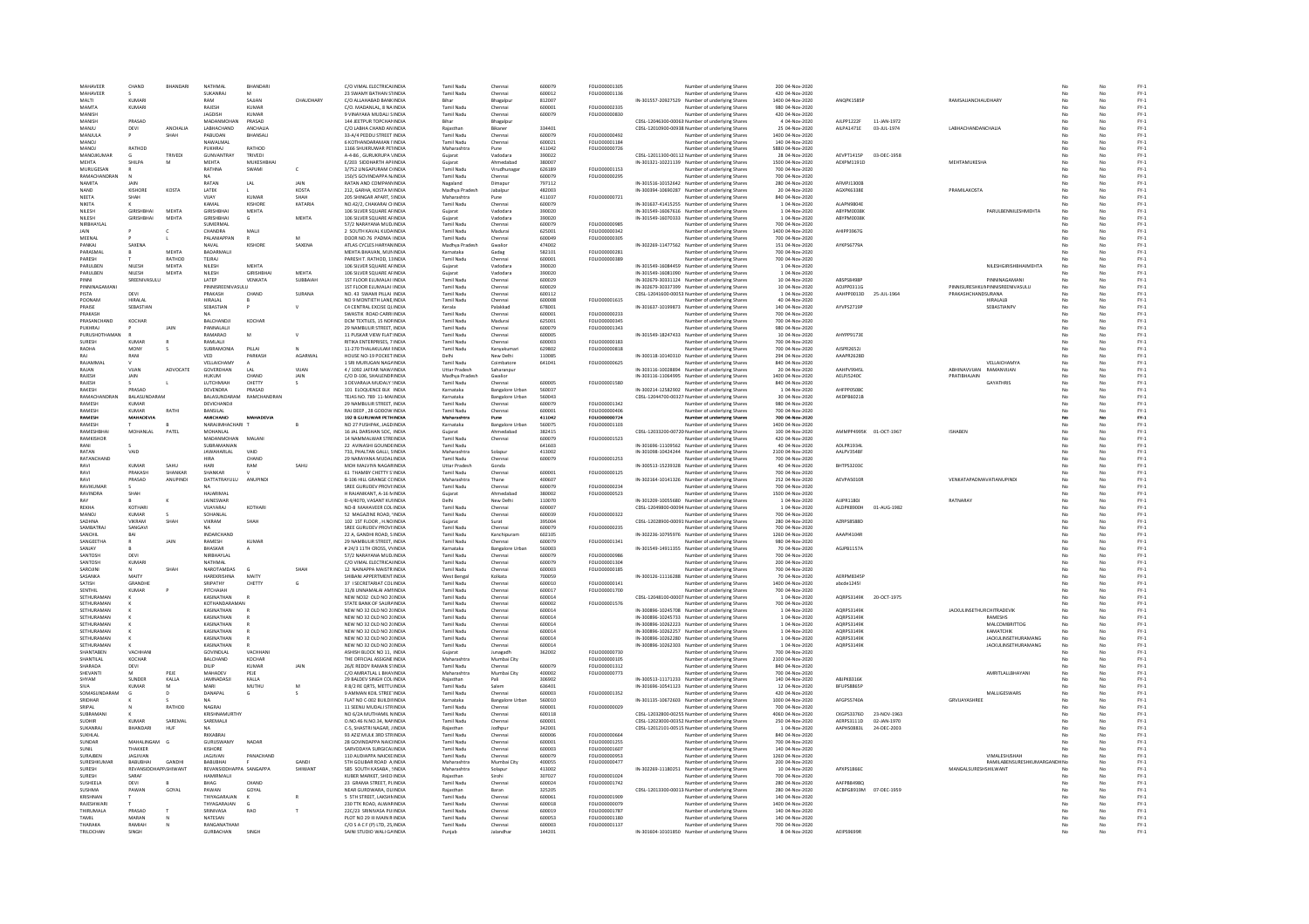| MAHAVEER<br>MAHAVEER<br>MALTI |                       |               |                          |                 |              |                                                             |                      |                        |                  |                      |                                                                               |                                  |                        |              |                                        |    |     |                  |
|-------------------------------|-----------------------|---------------|--------------------------|-----------------|--------------|-------------------------------------------------------------|----------------------|------------------------|------------------|----------------------|-------------------------------------------------------------------------------|----------------------------------|------------------------|--------------|----------------------------------------|----|-----|------------------|
|                               | CHAND                 | BHANDAR       | NATHMA                   | BHANDAR         |              | C/O VIMAL ELECTRICALINDI                                    | Tamil Nadu           | Chenna                 | 600079           | FOLIO00001305        | Number of underlying Shares                                                   | 200 04-Nov-2020                  |                        |              |                                        |    |     | $FY-1$           |
|                               |                       |               | SUKANRAJ                 |                 |              | 23 SWAMY BATHAN STINDIA                                     | Tamil Nadu           | Chenna                 | 600012           | FOLIO00001136        | Number of underlying Shares                                                   | 420 04-Nov-2020                  |                        |              |                                        |    |     | $FY-1$           |
|                               | KUMARI                |               | RAM                      | SAJJAN          | CHAUDHARY    | C/O ALLAHABAD BANK INDIA                                    | Bihar                | Bhagalpu               | 812007           |                      | IN-301557-20927529 Number of underlying Shares                                | 1400 04-Nov-2020                 | ANOPK1585F             |              | RAMSAJJANCHAUDHARY                     | No | No  | $FY-1$           |
| MAMTA                         | KUMARI                |               | RAJESH                   | <b>KUMAR</b>    |              | C/O. MADANLAL, 8 NA INDIA                                   | Tamil Nadu           | Chennai                | 600001           | FOLIO00002335        | Number of underlying Shares                                                   | 980 04-Nov-2020                  |                        |              |                                        |    | No  | $FY-1$           |
| MANISH                        |                       |               | <b>JAGDISH</b>           | KUMAR           |              | 9 VINAYAKA MUDALI SINDIA                                    | <b>Tamil Nadu</b>    | Chenna                 | 600079           | FOLIO00000830        | Number of underlying Shares                                                   | 420 04-Nov-2020                  |                        |              |                                        |    |     | $FY-1$           |
| <b>MANISH</b>                 | <b>DRASAD</b>         |               | <b>MADANMOHAN</b>        | <b>PRASAD</b>   |              | 144 JEETPUR TOPCHANINDIA                                    | Rihar                |                        |                  |                      | CDSL-12046300-00063: Number of underlying Share:                              | 4 04-Nov-2020                    | AU 0012220             | 11-JAN-1972  |                                        |    |     | $FY-1$           |
| MANJU                         | DEVI                  | ANCHALIA      | LABHACHAND               | ANCHAUA         |              | C/O LABHA CHAND AN INDIA                                    | Raiasthar            | Bhagalpu<br>Bikaner    | 334401           |                      | CDSL-12010900-00938 Number of underlying Shares                               | 25 04-Nov-2020                   | AILPA1471E             | 03-JUL-1974  | LABHACHANDANCHALIA                     |    | No  | $FY-1$           |
|                               |                       |               |                          |                 |              | 33-A/4 PEDDU STREET INDIA                                   |                      |                        |                  | FOLIO00000492        |                                                                               |                                  |                        |              |                                        |    |     |                  |
| MANJULA                       |                       | SHAH          | PABUDAN                  | BHANSALI        |              |                                                             | <b>Tamil Nadu</b>    | Chenna                 | 600079           |                      | Number of underlying Shares                                                   | 1400 04-Nov-2020                 |                        |              |                                        |    |     | $FY-1$           |
| <b>MANOJ</b>                  |                       |               | NAWALMAL                 |                 |              | 6 KOTHANDARAMAN I'INDIA                                     | Tamil Nadu           | Chenna                 | 600021           | FOLIO00001184        | Number of underlying Share:                                                   | 140 04-Nov-2020                  |                        |              |                                        |    |     | $FY-1$           |
| MANOL                         | RATHOD                |               | PUKHRAL                  | RATHOD          |              | 1166 SHUKRUWAR PETINDIA                                     | Maharashtra          | Pune                   | 411042           | <b>FOLIO00000726</b> | Number of underlying Shares                                                   | 5880.04-Nov-2020                 |                        |              |                                        |    | No  | $FY-1$           |
| MANOJKUMAR                    |                       | TRIVED        | <b>GUNVANTRAY</b>        | TRIVEDI         |              | A-4-86 . GURUKRUPA VINDIA                                   | Guiarat              | Vadodara               | 390022           |                      | CDSL-12011300-00112 Number of underlying Shares                               | 28 04-Nov-2020                   | AEVPT1415P             | 03-DEC-1958  |                                        |    | No  | $FY-1$           |
| MEHTA                         | SHILPA                |               | MEHTA                    | MUKESHBHAI      |              | E/203 SIDDHARTH APFINDIA                                    | Gujarat              | Ahmedabad              | 380007           |                      | IN-301321-10221139 Number of underlying Shares                                | 1500 04-Nov-2020                 | AEXPM1191D             |              | <b>MEHTAMUKESHA</b>                    |    | No  | $FY-1$           |
| MURUGESAN                     |                       |               | RATHNA                   | SWAMI           |              | 3/752 LINGAPURAM CHNDIA                                     | Tamil Nadu           | Virudhunag             | 626189           | FOLIO00001153        | Number of underlying Share:                                                   | 700 04-Nov-2020                  |                        |              |                                        |    | No  | $FY-1$           |
|                               |                       |               |                          |                 | $\mathsf{c}$ |                                                             |                      |                        |                  |                      |                                                                               |                                  |                        |              |                                        |    |     |                  |
| RAMACHANDRAN                  |                       |               | <b>NA</b>                |                 |              | 150/5 GOVINDAPPA N/INDIA                                    | <b>Tamil Nadu</b>    | Chennai                | 600079           | FOLIO00000295        | Number of underlying Shares                                                   | 700 04-Nov-2020                  |                        |              |                                        |    | No  | $FY-1$           |
| NAMITA                        | JAIN                  |               | RATAN                    | LAL             | JAIN         | RATAN AND COMPANYINDIA                                      | Nagaland             | Dimapur                | 797112           |                      | IN-301516-10152642 Number of underlying Shares                                | 280 04-Nov-2020                  | AFMPJ1300E             |              |                                        |    | No  | $FY-1$           |
| NAND                          | <b>KISHORE</b>        | KOSTA         | LATEK                    |                 | KOSTA        | 212, GARHA, KOSTA M INDIA                                   | Madhya Pradesh       | Jabalpur               | 482003           |                      | IN-300394-10690287 Number of underlying Shares                                | 20 04-Nov-2020                   | AGXPK6338E             |              | PRAMILAKOST/                           |    |     | $FY-1$           |
| <b>NFFTA</b>                  | SHAH                  |               | VIJAY                    | KUMAR           | <b>SHAH</b>  | 205 SHINGAR APART, SINDIA                                   | Maharashtra          |                        | 411037           | FOLIO00000721        |                                                                               |                                  |                        |              |                                        |    |     |                  |
|                               |                       |               |                          |                 |              |                                                             |                      |                        |                  |                      | Number of underlying Share                                                    | 840 04-Nov-2020                  |                        |              |                                        |    |     | $FY-1$           |
| <b>NIKITA</b>                 | v                     |               | KAMAI                    | KISHORE         | KATARIA      | NO 42/2 CHAKARALCHINDIA                                     | Tamil Nadu           | Chennai                | 600079           |                      | IN-301637-41415255 Number of underlying Shares                                | 1.04-Nov-2020                    | ALAPN9804F             |              |                                        |    | No  | $FY-1$           |
| NILESH                        | <b>GIRISHBHAI</b>     | MEHTA         | <b>GIRISHBHAI</b>        | MEHTA           |              | 106 SILVER SQUARE AFINDIA                                   | Guiarat              | Vadodara               | 390020           |                      | IN-301549-16067616 Number of underlying Shares                                | 1 04-Nov-2020                    | ABYPM0038H             |              | PARULBENNILESHMEHTA                    |    | No. | $FY-1$           |
| NILESH                        | <b>GIRISHBHA</b>      | MEHTA         | <b>GIRISHBHAI</b>        |                 | MEHTA        | 106 SILVER SQUARE AFINDIA                                   | Gujara               | Vadodar                | 390020           |                      | IN-301549-16070333 Number of underlying Share:                                | 1 04-Nov-2020                    | ABYPM0038              |              |                                        |    |     | $FY-1$           |
| NIRRHAYI AI                   |                       |               | SUMFRMAL                 |                 |              | 57/2 NARAYANA MUDJINDIA                                     | Tamil Nadu           | Chennai                | 600079           | FOU IO00000985       | Number of underlying Shares                                                   | 700.04-Nov-2020                  |                        |              |                                        |    | No  | $FY-1$           |
| <b>JAIN</b>                   |                       |               | CHANDRA                  | MALI            |              | 2 SOUTH KAVAL KUDAINDIA                                     | Tamil Nadu           | Madurai                | 625001           | FOLIO00000342        | Number of underlying Shares                                                   | 1400 04-Nov-2020                 | AHIPP3967G             |              |                                        |    | No  | $FY-1$           |
|                               |                       |               | PALANIAPPAN              |                 |              |                                                             | <b>Tamil Nadu</b>    |                        |                  | FOLIO00000305        |                                                                               | 700 04-Nov-2020                  |                        |              |                                        |    | No  | $FY-1$           |
| MEENAL                        |                       |               |                          |                 |              | DOOR NO.76 PADMA IINDIA                                     |                      | Chennai                | 600049           |                      | Number of underlying Shares                                                   |                                  |                        |              |                                        |    |     |                  |
| PANKAJ                        | SAXENA                |               | NAVAL                    | KISHORE         | SAXENA       | ATLAS CYCLES HARYANINDIA                                    | Madhya Prades        | Gwalior                | 474002           |                      | IN-302269-11477562 Number of underlying Shares                                | 151 04-Nov-2020                  | AYKPS6779A             |              |                                        |    |     | $FY-1$           |
| PARASMAL                      |                       | MEHTA         | <b>RADARMALIL</b>        |                 |              | MEHTA RHAVAN MUNINDIA                                       | Karnataka            | Gadag                  | 582101           | <b>FOLIO0000281</b>  | Number of underlying Share:                                                   | 700 04-Nov-2020                  |                        |              |                                        |    | No  | $FY-1$           |
| PARESH                        |                       | RATHOD        | TEJRAJ                   |                 |              | PARESH T. RATHOD, 11INDIA                                   | Tamil Nadu           | Chenna                 | 600001           | FOLIO00000389        | Number of underlying Shares                                                   | 700 04-Nov-2020                  |                        |              |                                        |    | No  | $FY-1$           |
| PARULBEN                      | NILESH                | MEHTA         | NILESH                   | MEHTA           |              | 106 SILVER SQUARE AFINDIA                                   | Gujarat              | Vadodari               | 390020           |                      | IN-301549-16084459 Number of underlying Shares                                | 1 04-Nov-2020                    |                        |              | NILESHGIRISHBHAIMEHTA                  |    |     | $FY-1$           |
| PARULBEN                      | NILESH                | MEHTA         | NILESH                   | GIRISHRHA       | MEHTA        | 106 SILVER SQUARE AFINDIA                                   | Gujarat              | Vadodar                | 390020           |                      | IN-301549-16081090 Number of underlying Share                                 | 1 04-Nov-2020                    |                        |              |                                        |    | No  | $FY-1$           |
|                               |                       |               |                          |                 |              |                                                             |                      |                        |                  |                      |                                                                               |                                  |                        |              |                                        |    |     |                  |
| PINNI                         | SREENIVASULU          |               | LATEP                    | VENKATA         | SUBBAIAH     | 1ST FLOOR ELUMALAI IINDIA                                   | <b>Tamil Nadu</b>    | Chennai                | 600029           |                      | IN-302679-30331124 Number of underlying Shares                                | 10 04-Nov-2020                   | ABSPS8498P             |              | PINNINAGAMAN                           |    | No  | $FY-1$           |
| PINNINAGAMANI                 |                       |               | PINNISREENIVASULU        |                 |              | 1ST FLOOR ELUMALAI IINDIA                                   | Tamil Nadu           | Chennai                | 600029           |                      | IN-302679-30337399 Number of underlying Shares                                | 10 04-Nov-2020                   | AOJPP0311G             |              | PINNISURESHKUNPINNISREENIVASULU        |    | No  | $FY-1$           |
| PISTA                         | DEVI                  |               | PRAKASH                  | CHAND           | SURANA       | NO. 43 SWAMI PILLAI: INDIA                                  | Tamil Nadu           | Chenna                 | 600112           |                      | CDSL-12041600-00053 Number of underlying Shares                               | 1 04-Nov-2020                    | AAHPP0013D             | 25-JUL-1964  | PRAKASHCHANDSURANA                     |    |     | $FY-1$           |
| POONAM                        | HIRALAI               |               | <b>HIRALAI</b>           |                 |              | NO 9 MONTIFTH LANE INDIA                                    | Tamil Nadu           | Chenna                 | 600008           | <b>FOLIO00001615</b> | Number of underlying Shares                                                   | 40.04-Nov-2020                   |                        |              | <b>HIRALALR</b>                        |    | No  | $FY-1$           |
| PRAISE                        | SEBASTIAN             |               | SEBASTIAN                |                 | $\vee$       | C4 CENTRAL EXCISE OLINDIA                                   | Kerala               | Palakkad               | 678001           |                      | IN-301637-10199873 Number of underlying Shares                                | 140 04-Nov-2020                  | AYVPS2719F             |              | <b>SEBASTIANPV</b>                     | No | No  | $FY-1$           |
| PRAKASH                       |                       |               |                          |                 |              | SWASTIK ROAD CARRI INDIA                                    | <b>Tamil Nadu</b>    | Chennai                | 600001           | FOLIO00000233        | Number of underlying Shares                                                   | 700 04-Nov-2020                  |                        |              |                                        |    | No  | $FY-1$           |
| PRASANCHAND                   |                       |               |                          |                 |              |                                                             |                      |                        |                  |                      |                                                                               |                                  |                        |              |                                        |    |     |                  |
|                               | KOCHAP                |               | BALCHANDJ                | KOCHAR          |              | DCM TEXTILES, 15 NORINDIA                                   | Tamil Nadu           | Madura                 | 625001           | FOLIO00000345        | Number of underlying Shares                                                   | 700 04-Nov-2020                  |                        |              |                                        |    |     | $FY-1$           |
| PUKHRAL                       |                       | <b>JAIN</b>   | PANNALALI                |                 |              | 29 NAMBLILIR STREET INDIA                                   | Tamil Nadu           | Chennai                | 600079           | FOLIO00001343        | Number of underlying Share:                                                   | 980 04-Nov-2020                  |                        |              |                                        |    | No  | $FY-1$           |
| PURUSHOTHAMAN                 |                       |               | RAMARAO                  | M               | $\mathsf{v}$ | 11 PUSKAR VIEW FLAT: INDIA                                  | <b>Tamil Nadu</b>    | Chennai                | 600005           |                      | IN-301549-18247433 Number of underlying Shares                                | 10 04-Nov-2020                   | AHYPP9173E             |              |                                        |    | No  | $FY-1$           |
| SURESH                        | KUMAF                 |               | RAMLALII                 |                 |              | RITIKA ENTERPRISES, 7 INDIA                                 | <b>Tamil Nadu</b>    | Chennai                | 600003           | FOLIO00000183        | Number of underlying Shares                                                   | 700 04-Nov-2020                  |                        |              |                                        |    | No  | $FY-1$           |
| RADHA                         | MONY                  |               | SURRAMONIA               | PILLAL          |              | 11-270 THALAKULAM FINDIA                                    | <b>Tamil Nadu</b>    | Kanyakuma              | 629802           | FOLIO00000818        | Number of underlying Share                                                    | 700 04-Nov-2020                  | AISPR26521             |              |                                        |    | No  | $FY-1$           |
| RAJ                           | RANI                  |               | VED                      | PARKASH         | AGARWAI      | HOUSE NO-19 POCKET INDIA                                    | Delhi                | New Delhi              | 110085           |                      | IN-300118-10140310 Number of underlying Shares                                | 294 04-Nov-2020                  | AAAPR2628D             |              |                                        |    | No  | $FY-1$           |
|                               |                       |               |                          |                 |              |                                                             |                      |                        |                  |                      |                                                                               |                                  |                        |              |                                        |    |     |                  |
| RAJAMMAI                      |                       |               | VELLAICHAMY              |                 |              | 1 SRI MURUGAN NAGAINDIA                                     | Tamil Nadu           | Coimbatore             | 641041           | FOLIO00000625        | Number of underlying Shares                                                   | 840 04-Nov-2020                  |                        |              | VELLAICHAMYA                           |    | No  | $FY-1$           |
| RAJAN                         | VIJAN                 | ADVOCATE      | GOVERDHAN                | LAL             | VIJAN        | 4 / 1092 JAFFAR NAW/INDIA                                   | <b>Uttar Pradesh</b> | Saharanpur             |                  |                      | IN-303116-10028894 Number of underlying Shares                                | 20 04-Nov-2020                   | AAHPV9945              |              | ABHINAVVUAN<br>RAMANVIJAN              |    |     | $FY-1$           |
| RAIFSH                        | <b>IAIN</b>           |               | <b>HUKUM</b>             | CHAND           | JAIN         | C/O D-106, SHAILENDRINDIA                                   | Madhya Pradesh       | Gwalion                |                  |                      | IN-303116-11064995 Number of underlying Share:                                | 1400 04-Nov-2020                 | AELPJ5240C             |              | PRATIBHAJAIN                           |    | No  | $FY-1$           |
| RAIFSH                        |                       |               | <b>I LITCHMIAH</b>       | CHETTY          | $\leq$       | 3 DEVARAIA MUDALY UNDIA                                     | Tamil Nadu           | Chennai                | 600005           | <b>FOLIO00001580</b> | Number of underlying Shares                                                   | 840.04-Nov-2020                  |                        |              | <b>GAYATHRIS</b>                       |    | No  | EY-1             |
| <b>RAKESH</b>                 | PRASAD                |               | DEVENDRA                 | PRASAD          |              | 101 ELOQUENCE BLK : INDIA                                   | Karnataka            | <b>Bangalore Urbar</b> | 560037           |                      | IN-300214-12582902 Number of underlying Shares                                | 1 04-Nov-2020                    | AHFPP05080             |              |                                        |    | No  | $FY-1$           |
| RAMACHANDRA                   | <b>BALASUNDARAN</b>   |               | BALASUNDARAN             | RAMCHANDRAI     |              | TEJAS NO. 789 11-MAIINDIA                                   | Karnataka            | <b>Bangalore Urba</b>  | 560043           |                      | CDSL-12044700-00327 Number of underlying Shares                               | 30 04-Nov-2020                   | AKDPB6021E             |              |                                        |    | No  | $FY-1$           |
|                               |                       |               |                          |                 |              |                                                             |                      |                        |                  |                      |                                                                               |                                  |                        |              |                                        |    |     |                  |
| RAMESH                        | KUMAR                 |               | DEVICHANDIL              |                 |              | 29 NAMBULIR STREET INDIA                                    | Tamil Nadu           | Chennai                | 600079           | FOLIO00001342        | Number of underlying Shares                                                   | 980 04-Nov-2020                  |                        |              |                                        |    | No. | $FV-1$           |
| RAMESH                        | <b>KUMAR</b>          | RATHI         | <b>BANSILAL</b>          |                 |              | RAJ DEEP . 28 GODOW INDIA                                   | <b>Tamil Nadu</b>    | Chennai                | 600001           | FOLIO00000406        | Number of underlying Shares                                                   | 700 04-Nov-2020                  |                        |              |                                        |    | No  | $FY-1$           |
| RAMESH                        | MAHADEVIA             |               | AMICHAND                 | MAHADEVIA       |              | 192 B GURUWAR PETHINDIA                                     | Maharashtra          | Pune                   | 411042           | FOLIO00000724        | Number of underlying Shares                                                   | 700 04-Nov-2020                  |                        |              |                                        |    | No  | $FY-1$           |
| RAMESH                        |                       |               | NARAJIMHACHARI           |                 |              | NO 27 PUSHPAK, JAGD INDI                                    | Karnataka            | <b>Bangalore Urbar</b> | 560075           | FOLIO00001103        | Number of underlying Share:                                                   | 1400 04-Nov-2020                 |                        |              |                                        |    |     | $FY-1$           |
| RAMESHBHA                     | MOHANLAL              | PATEL         | <b>MOHANLAL</b>          |                 |              | 16 JAL DARSHAN SOC. INDIA                                   | Guiarat              | Ahmedabad              | 382415           |                      | CDSL-12033200-00720 Number of underlying Shares                               | 100 04-Nov-2020                  | AMMPP4995K 01-OCT-1967 |              | <b>ISHABEN</b>                         |    | No  | $FY-1$           |
| RAMKISHOR                     |                       |               | MADANMOHAN               | MALANI          |              | 14 NAMMALWAR STREINDIA                                      | Tamil Nadu           | Chennai                | 600079           | FOLIO00001523        | Number of underlying Shares                                                   | 420 04-Nov-2020                  |                        |              |                                        |    | No  | $FY-1$           |
|                               |                       |               |                          |                 |              |                                                             |                      |                        |                  |                      |                                                                               |                                  |                        |              |                                        |    |     |                  |
|                               |                       |               | SUBRAMANIAM              |                 |              | 22 AVINASHI GOUNDEINDIA                                     | Tamil Nadu           |                        | 641603           |                      | IN-301696-11109562 Number of underlying Shares                                | 40 04-Nov-2020                   | ADLPR1934              |              |                                        |    |     | $FY-1$           |
| <b>DATAN</b>                  | VAID                  |               | <b>JAWAHARLAL</b>        | VAID            |              | 733, PHALTAN GALLI, SINDIA                                  | Maharashtra          | Solapu                 | 413002           |                      | IN-301098-10424244 Number of underlying Share:                                | 2100 04-Nov-2020                 | AALPV3548F             |              |                                        |    | No  | $FY-1$           |
| RATANCHAND                    |                       |               | <b>HIRA</b>              | CHAND           |              | 29 NARAYANA MUDALINDIA                                      | Tamil Nadu           | Chennai                | 600079           | FOU IO00001253       | Number of underlying Shares                                                   | 700.04-Nov-2020                  |                        |              |                                        |    | No  | $FY-1$           |
| RAVI                          | KUMAR                 | SAHU          | HARI                     | RAM             | SAHU         | MOH MALVIYA NAGARINDIA                                      | Uttar Pradesh        | Gonda                  |                  |                      | IN-300513-15239328 Number of underlying Shares                                | 40 04-Nov-2020                   | BHTPS3203C             |              |                                        |    | No  | $FY-1$           |
| RAVI                          | PRAKASH               | SHANKAR       | SHANKAR                  |                 |              | 61 THAMBY CHETTY S'INDIA                                    | <b>Tamil Nadu</b>    | Chenna                 | 600001           | FOLIO00000125        | Number of underlying Shares                                                   | 700 04-Nov-2020                  |                        |              |                                        |    |     | $FY-1$           |
| RAVI                          | PRASAD                | ANUPINDE      | DATTATRAYULU             | <b>ANUPINDI</b> |              | <b>B-106 HILL GRANGE CONDIA</b>                             | Maharashtra          | Thane                  | 400607           |                      | IN-302164-10141326 Number of underlying Shares                                | 252 04-Nov-2020                  | AFVPAS010F             |              | <b><i>VENKATAPADMAVATIANUPINDI</i></b> |    | No. | $FY-1$           |
| RAVIKUMAR                     |                       |               | <b>NA</b>                |                 |              | SREE GURUDEV PROVI:INDIA                                    | Tamil Nadu           | Chennai                | 600079           | FOLIO00000234        | Number of underlying Shares                                                   | 700 04-Nov-2020                  |                        |              |                                        |    | No  | $FY-1$           |
|                               |                       |               |                          |                 |              |                                                             |                      |                        |                  |                      |                                                                               |                                  |                        |              |                                        |    |     |                  |
| RAVINDRA                      | SHAH                  |               | HAJARIMAL                |                 |              | H RAJANIKANT, A-16 MINDIA                                   | Gujarat              | Ahmedabad              | 380002           | FOLIO00000523        | Number of underlying Shares                                                   | 1500 04-Nov-2020                 |                        |              |                                        |    | No  | $FY-1$           |
|                               |                       |               | JAINESWAR                |                 |              | D-4/4070, VASANT KUHNDIJ                                    | Delh                 | New Delhi              | 110070           |                      | IN-301209-10055680 Number of underlying Share:                                | 1 04-Nov-2020                    | AUPR1180               |              | <b>RATNARAY</b>                        |    |     | $FY-1$           |
|                               | KOTHAR                |               | VIIAYARAI                | KOTHAR          |              | NO-8 MAHAVEER COUINDIA                                      | Tamil Nadu           | Chennai                | 600007           |                      | CDSL-12049800-00094 Number of underlying Shares                               | 1 04-Nov-2020                    | ALDPK8900H             | 01-4106-1982 |                                        |    | No  | $FY-1$           |
| REKHA                         |                       |               |                          |                 |              |                                                             | <b>Tamil Nadu</b>    | Chennai                | 600039           | FOLIO00000322        | Number of underlying Shares                                                   | 700 04-Nov-2020                  |                        |              |                                        |    | No  |                  |
|                               |                       |               |                          |                 |              |                                                             |                      |                        | 395004           |                      |                                                                               |                                  | AZRPS8588D             |              |                                        |    |     |                  |
| <b>MANOJ</b>                  | <b>KUMAR</b>          |               | SOHANLAL                 |                 |              | 52 MAGAZINE ROAD, 'INDIA                                    |                      |                        |                  |                      |                                                                               |                                  |                        |              |                                        |    |     | $FY-1$           |
| SADHNA                        | VIKRAN                | SHAH          | VIKRAM                   | SHAH            |              | 102 1ST FLOOR, H.NOINDIA                                    | Gujarat              | Surat                  |                  |                      | CDSL-12028900-00091 Number of underlying Shares                               | 280 04-Nov-2020                  |                        |              |                                        |    |     | $FY-1$           |
| <b>SAMBATRA</b>               | SANGAVI               |               | NA                       |                 |              | SREE GURUDEV PROVI:INDIA                                    | Tamil Nadu           | Chennai                | 600079           | FOLIO00000239        | Number of underlying Share:                                                   | 700 04-Nov-2020                  |                        |              |                                        |    | No  | $FY-1$           |
| SANCHIL                       | BAI                   |               | INDARCHAND               |                 |              | 22 A. GANDHI ROAD, S INDIA                                  | <b>Tamil Nadu</b>    | Kanchipuram            | 602105           |                      | IN-302236-10795976 Number of underlying Shares                                | 1260 04-Nov-2020                 | AAAPI4104R             |              |                                        |    | No  | $FY-1$           |
| SANGEETHA                     | R                     | <b>JAIN</b>   | RAMESH                   | <b>KUMAR</b>    |              | 29 NAMBULIR STREET, INDIA                                   | Tamil Nadu           | Chennai                | 600079           | FOLIO00001341        | Number of underlying Shares                                                   | 980 04-Nov-2020                  |                        |              |                                        |    | No  | $FY-1$           |
| SANJAY                        |                       |               | <b>BHASKAR</b>           |                 |              | # 24/3 11TH CROSS, VYINDIA                                  | Karnataka            |                        | 560003           |                      | IN-301549-14911355 Number of underlying Shares                                | 70 04-Nov-2020                   | AGJPB1157A             |              |                                        |    | No  | $FY-1$           |
|                               |                       |               |                          |                 |              |                                                             |                      | <b>Bangalore Urba</b>  |                  | EQUOD000986          |                                                                               |                                  |                        |              |                                        |    |     |                  |
| SANTOSH                       | DFVI                  |               | NIRRHAYLAI               |                 |              | 57/2 NARAYANA MUD INDIA                                     | <b>Tamil Nady</b>    | Chenna                 | 600079           |                      | Number of underlying Share:                                                   | 700 04-Nov-2020                  |                        |              |                                        |    | No  | $FY-1$           |
| SANTOSH                       | KUMARI                |               | NATHMAL                  |                 |              | C/O VIMAL ELECTRICALINDIA                                   | Tamil Nadu           | Chennai                | 600079           | FOLIO00001304        | Number of underlying Shares                                                   | 200 04-Nov-2020                  |                        |              |                                        |    | No  | $FY-1$           |
| SAROJINI                      |                       | SHAH          | NAROTAMDAS               | G               | SHAH         | 12 NAINAPPA MAISTR INDIA                                    | <b>Tamil Nadu</b>    | Chenna                 | 600003           | FOLIO00000185        | Number of underlying Shares                                                   | 700 04-Nov-2020                  |                        |              |                                        |    | No  | $FY-1$           |
| SASANKA                       | MAITY                 |               | HAREKRISHNA              | MAITY           |              | SHIBANI APPERTMENT INDIA                                    | West Benga           | Kolkata                | 700059           |                      | IN-300126-11116288 Number of underlying Share:                                | 70 04-Nov-2020                   | <b>AFRPMR345</b>       |              |                                        |    |     | $FY-1$           |
| SATISH                        | GRANDHE               |               | SRIPATHY                 | CHETTY          | G            | 37 I SECRETARIAT COLINDIA                                   | Tamil Nadu           | Chenna                 | 600010           | FOLIO00000141        | Number of underlying Shares                                                   | 1400 04-Nov-2020                 | abcde12451             |              |                                        |    | No  | $FY-1$           |
| <b>SENTHIL</b>                | <b>KUMAR</b>          |               | PITCHAIAH                |                 |              | 31/8 UNNAMALAI AMI INDIA                                    | <b>Tamil Nadu</b>    | Chenna                 | 600017           | FOLIO00001700        | Number of underlying Shares                                                   | 700 04-Nov-2020                  |                        |              |                                        |    | No  | $FY-1$           |
|                               |                       |               |                          |                 |              |                                                             |                      |                        |                  |                      |                                                                               |                                  |                        | 20-OCT-1975  |                                        |    | No  |                  |
| SETHURAMAN                    |                       |               | KASINATHAN               |                 |              | NEW NO32 OLD NO 2(INDIA                                     | Tamil Nadu           | Chenna                 | 600014           |                      | CDSL-12048100-00007. Number of underlying Shares                              | 1 04-Nov-2020                    | AQRPS3149K             |              |                                        |    |     | $FY-1$           |
| <b>SETHURAMAN</b>             |                       |               | KOTHANDARAMAN            |                 |              | STATE BANK OF SAURAINDIA                                    | Tamil Nadu           | Chenna                 | 600002           | FOLIO00001576        | <b>Jumber of underlying Shares</b>                                            | 700 04-Nov-2020                  |                        |              |                                        |    |     | $FY-1$           |
| SETHURAMAN                    |                       |               | KASINATHAN               |                 |              | NEW NO 32 OLD NO 2(INDIA                                    | <b>Tamil Nadu</b>    | Chenna                 | 600014           |                      | IN-300896-10245708 Number of underlying Shares                                | 1 04-Nov-2020                    | AORPS3149K             |              | <b>JACKULINSETHURCHITRADEVIK</b>       |    | No  | $FY-1$           |
| SETHURAMAN                    |                       |               | KASINATHAN               |                 |              | NEW NO 32 OLD NO 2(INDIA                                    | Tamil Nadu           | Chenna                 | 600014           |                      | IN-300896-10245733 Number of underlying Shares                                | 1 04-Nov-2020                    | AQRPS3149K             |              | <b>RAMESHS</b>                         |    | No  | $FY-1$           |
| <b>SETHURAMAN</b>             |                       |               | KASINATHAN               |                 |              | NEW NO 32 OLD NO 2(INDIA                                    | Tamil Nadu           | Chenna                 | 600014           |                      | IN-300896-10262223 Number of underlying Shares                                | 1 04-Nov-2020                    | AQRPS3149K             |              | MALCOMBRITTOO                          |    |     | $FY-1$           |
| SETHURAMAN                    |                       |               | KASINATHAN               |                 |              | NEW NO 32 OLD NO 2(INDIA                                    | <b>Tamil Nadu</b>    | Chenna                 | 600014           |                      | IN-300896-10262257 Number of underlying Share                                 | 1 04-Nov-2020                    | AORPS3149K             |              | КАМАТСНІК                              |    |     | $FY-1$           |
| SETHURAMAN                    |                       |               | KASINATHAN               |                 |              | NEW NO 32 OLD NO 20NDM                                      | Tamil Nadu           | Chenna                 | 600014           |                      |                                                                               | 1.04-Nov-2020                    | AORPS3149K             |              | <b>JACKLILINSETHLIRAMANG</b>           |    | No  | $FY-1$           |
|                               |                       |               |                          |                 |              |                                                             |                      |                        |                  |                      | IN-300896-10262280 Number of underlying Shares                                |                                  |                        |              |                                        |    |     |                  |
| SETHURAMAN                    |                       |               | KASINATHAN               |                 |              | NEW NO 32 OLD NO 2(INDIA                                    | Tamil Nadu           | Chennai                | 600014           |                      | IN-300896-10262303 Number of underlying Shares                                | 1 04-Nov-2020                    | AORPS3149K             |              | <b>JACKULINSETHURAMANG</b>             |    | No  | $FY-1$           |
| HANTABEN                      | VACHHAN               |               | GOVINDLAL                | VACHHAN         |              | ASHISH BLOCK NO 11, INDIA                                   | Gujarat              | Junagadh               | 362002           | FOLIO00000730        | lumber of underlying Share:                                                   | 700 04-Nov-2020                  |                        |              |                                        |    |     | $FY-1$           |
| SHANTILAI                     | KOCHAR                |               | BALCHAND                 | KOCHAR          |              | THE OFFICIAL ASSIGNE INDIA                                  | Maharashtra          | Mumbai City            |                  | <b>FOLIO00000105</b> | Number of underlying Shares                                                   | 2100.04-Nov-2020                 |                        |              |                                        |    | No  | $FY-1$           |
| SHARADA                       | DEVI                  |               | DILIP                    | <b>KUMAR</b>    | <b>JAIN</b>  | 26/E REDDY RAMAN STINDIA                                    | <b>Tamil Nadu</b>    | Chennai                | 600079           | FOLIO00001312        | Number of underlying Shares                                                   | 840 04-Nov-2020                  |                        |              |                                        |    | No  | $FY-1$           |
| SHEVANTI                      | M                     | PEJE          | MAHADEV                  | PEJE            |              | C/O AMRATLAL L BHAYINDIA                                    | Maharashtra          | Mumbai City            | 400002           | FOLIO00000773        | Number of underlying Shares                                                   | 700 04-Nov-2020                  |                        |              | AMRITLALLBHAYAN                        |    | No  | $FY-1$           |
| SHYAM                         | SUNDER                | KALLA         | JAMNADASJ                | KALLA           |              | 29 BALDEV SINGH COLINDIA                                    | Rajasthar            |                        | 306902           |                      | IN-300513-11171233 Number of underlying Shares                                | 140 04-Nov-2020                  | ABJPK8316K             |              |                                        |    |     | $FY-1$           |
| <b>SIVA</b>                   | KUMAR                 | M             | MARI                     |                 | M            |                                                             | Tamil Nadu           |                        | 636401           |                      |                                                                               |                                  |                        |              |                                        |    |     |                  |
|                               |                       |               |                          | MUTHU           |              | R 8/2 RE QRTS, METTU INDIA                                  |                      | Salem                  |                  |                      | IN-301696-10541123 Number of underlying Shares                                | 12 04-Nov-2020                   | BFUPS8865P             |              |                                        |    | No  | $FY-1$           |
| SOMASUNDARAM                  |                       |               | DANAPAL                  | G               |              | 9 AMMAN KOIL STREETINDIA                                    | Tamil Nadu           | Chennai                | 600003           | FOLIO00001352        | Number of underlying Shares                                                   | 420 04-Nov-2020                  |                        |              | MALLIGESWARS                           |    | No  | $FY-1$           |
| SRIDHAR                       |                       |               |                          |                 |              | FLAT NO C-002 BUILDINNDIA                                   | Karnataka            | <b>Bangalore Urba</b>  | 560010           |                      | IN-301135-10672603 Number of underlying Shares                                | 1000 04-Nov-2020                 | AFGPS5740/             |              | GRVIJAYASHREE                          |    |     | $FY-1$           |
| <b>SPIDAL</b>                 |                       | RATHOD        | NAGRAI                   |                 |              | 11 SEENU MUDALI STRINDIA                                    | Tamil Nadu           | Chenna                 | 600001           | <b>EQUO0000029</b>   | Number of underlying Share                                                    | 700 04-Nov-2020                  |                        |              |                                        |    | No  | $FY-1$           |
| SURRAMANI                     |                       |               | <b>KRISHNAMURTHY</b>     |                 |              | NO 6/2A MUTHAMIL NINDIA                                     | Tamil Nadu           | Chennai                | 600118           |                      | CDSL-12032800-00255 Number of underlying Shares                               | 4060.04-Nov-2020                 | CKGPS3376D             | 23-NOV-1963  |                                        |    | No  | $FY-1$           |
| SUDHIR                        | KUMAR                 | SAREMAL       | SAREMALII                |                 |              | O.NO.46 N.NO.34, NAMINDIA                                   | Tamil Nadu           | Chennai                | 600001           |                      | CDSL-12023000-00352 Number of underlying Shares                               | 250 04-Nov-2020                  | AERPS3111D             | 02-JAN-1970  |                                        |    | No  | $FY-1$           |
|                               |                       |               |                          |                 |              |                                                             |                      |                        |                  |                      |                                                                               |                                  |                        |              |                                        |    |     |                  |
| <b>SUKANRA</b>                | BHANDAR               | HUF           |                          |                 |              | C-5, SHASTRI NAGAR, JINDIA                                  | Rajasthan            | Jodhpu                 | 342001           |                      | CDSL-12012101-00515 Number of underlying Shares                               | 1 04-Nov-2020                    | AAPHS0883L             | 24-DEC-2003  |                                        |    |     | $FY-1$           |
| SUKHLAL                       |                       |               | RKKARRAI                 |                 |              | 93 AZIZ MULK 3RD STRINDIA                                   | <b>Tamil Nadu</b>    | Chenna                 | 600006           | FOLIO00000664        | Number of underlying Shares                                                   | 840 04-Nov-2020                  |                        |              |                                        |    |     | $FY-1$           |
| SUNDAR                        | MAHALINGAM            | G             | GURUSWAMY                | NADAR           |              | 28 GOVINDAPPA NAICHNDIA                                     | Tamil Nadu           | Chennai                | 600001           | FOLIO00001255        | Number of underlying Shares                                                   | 700 04-Nov-2020                  |                        |              |                                        |    | No. | $FY-1$           |
| SUNIL                         | THAKKER               |               | KISHORE                  |                 |              | SARVODAYA SURGICALINDIA                                     | <b>Tamil Nadu</b>    | Chennai                | 600003           | FOLIO00001607        | Number of underlying Shares                                                   | 140 04-Nov-2020                  |                        |              |                                        |    | No  | $FY-1$           |
| <b>SURAJBEN</b>               | JAGJIVAN              |               | <b>JAGJIVAM</b>          | PANACHANI       |              | 110 AUDIAPPA NAICKE INDIA                                   | Tamil Nadu           | Chenna                 | 600079           | FOLIO00000953        | Number of underlying Shares                                                   | 1260 04-Nov-2020                 |                        |              | VIMALESHISHAF                          |    |     | $FY-1$           |
| SURFSHKUMAR                   | RABURHAL              | <b>GANDHI</b> | RABURHAL                 |                 | GANDI        | <b>STH GOLIBAR ROAD A INDIA</b>                             | Maharashtra          | Mumbai City            | 400055           | FOLIO00000477        | Number of underlying Shares                                                   | 200 04-Nov-2020                  |                        |              | RAMILABENSURESHKUMARGANDHNo            |    | No  | $FY-1$           |
|                               |                       |               |                          |                 |              |                                                             |                      |                        |                  |                      |                                                                               |                                  |                        |              |                                        | No |     |                  |
| SURESH                        | REVANSIDDHAPP.SHIWANT |               | REVANSIDDHAPPA SANGAPPA  |                 | SHIWANT      | 585 SOUTH KASABA .: INDIA                                   | Maharashtra          | Solapur                | 413002           |                      | IN-302269-11180251 Number of underlying Shares                                | 10 04-Nov-2020                   | APXPS1866C             |              | MANGALSURESHSHILWANT                   |    | No  | $FY-1$           |
| SURESH                        | SARAF                 |               | HAMIRMALII               |                 |              | KUBER MARKET, SHEO INDIA                                    | Raiasthar            | Sirohi                 | 307027           | FOLIO00001024        | Number of underlying Shares                                                   | 700 04-Nov-2020                  |                        |              |                                        |    | No  | $FY-1$           |
| SUSHEELA                      | DEVI                  |               | BHAG                     | CHAND           |              | 23 GRAMA STREET, PLINDIA                                    | Tamil Nadu           | Chenna                 | 600024           | FOLIO00001742        | Number of underlying Share                                                    | 280 04-Nov-2020                  | AAFPRR4980             |              |                                        |    |     | $FY-1$           |
| SUSHMA                        | PAWAN                 | GOYAL         | PAWAN                    | GOYAL           |              | NEAR GURDWARA, OLINDIA                                      | Raiasthan            | Baran                  | 325205           |                      | CDSL-12013300-00013 Number of underlying Shares                               | 280 04-Nov-2020                  | ACBPG8919M 07-DEC-1959 |              |                                        |    | No  | $FY-1$           |
| KRISHNAN                      |                       |               | THIYAGARAJAN             |                 |              | 5 STH STREET, LAKSHMINDIA                                   | Tamil Nadu           | Chenna                 | 600061           | FOLIO00001909        | Number of underlying Shares                                                   | 140 04-Nov-2020                  |                        |              |                                        |    | No. | $FY-1$           |
| RAJESHWAR                     |                       |               | THYAGARAJAN              |                 |              | 230 TTK ROAD, ALWARINDIA                                    | Tamil Nadu           | Chenna                 | 600018           | FOLIO00000079        |                                                                               | 1400 04-Nov-2020                 |                        |              |                                        |    |     | $FY-1$           |
| THIRUMALA                     | PRASAD                |               | SRINIVASA                | RAC             |              |                                                             | <b>Tamil Nadu</b>    |                        |                  | FOLIO00001787        | Number of underlying Shares                                                   | 140 04-Nov-2020                  |                        |              |                                        |    |     |                  |
| <b>TAMIL</b>                  | MARAN                 |               | <b>NATESAN</b>           |                 |              | 22C/23 SRINIVASA PUIINDIA<br>PLOT NO 29 III MAIN R INDIA    | Tamil Nadu           | Chenna<br>Chenna       | 600019<br>600053 | <b>FOLIO00001180</b> | Number of underlying Share:                                                   | 140.04-Nov-2020                  |                        |              |                                        |    | No. | $FY-1$<br>EY-1   |
|                               |                       |               |                          |                 |              |                                                             |                      |                        |                  |                      | Number of underlying Shares                                                   |                                  |                        |              |                                        |    |     |                  |
| THARAKA<br>TRILOCHAN          | RAMIAH<br>SINGH       |               | RANGANATHAM<br>GURBACHAN | SINGH           |              | C/O S A C F (P) LTD, 25, INDIA<br>SAINI STUDIO WALI GAINDIA | Tamil Nadu<br>Punjab | Chennai<br>Jalandha    | 600003<br>144201 | FOLIO00001137        | Number of underlying Shares<br>IN-301604-10101850 Number of underlying Shares | 700 04-Nov-2020<br>8 04-Nov-2020 | AEIPS9699              |              |                                        |    |     | $FY-1$<br>$FY-1$ |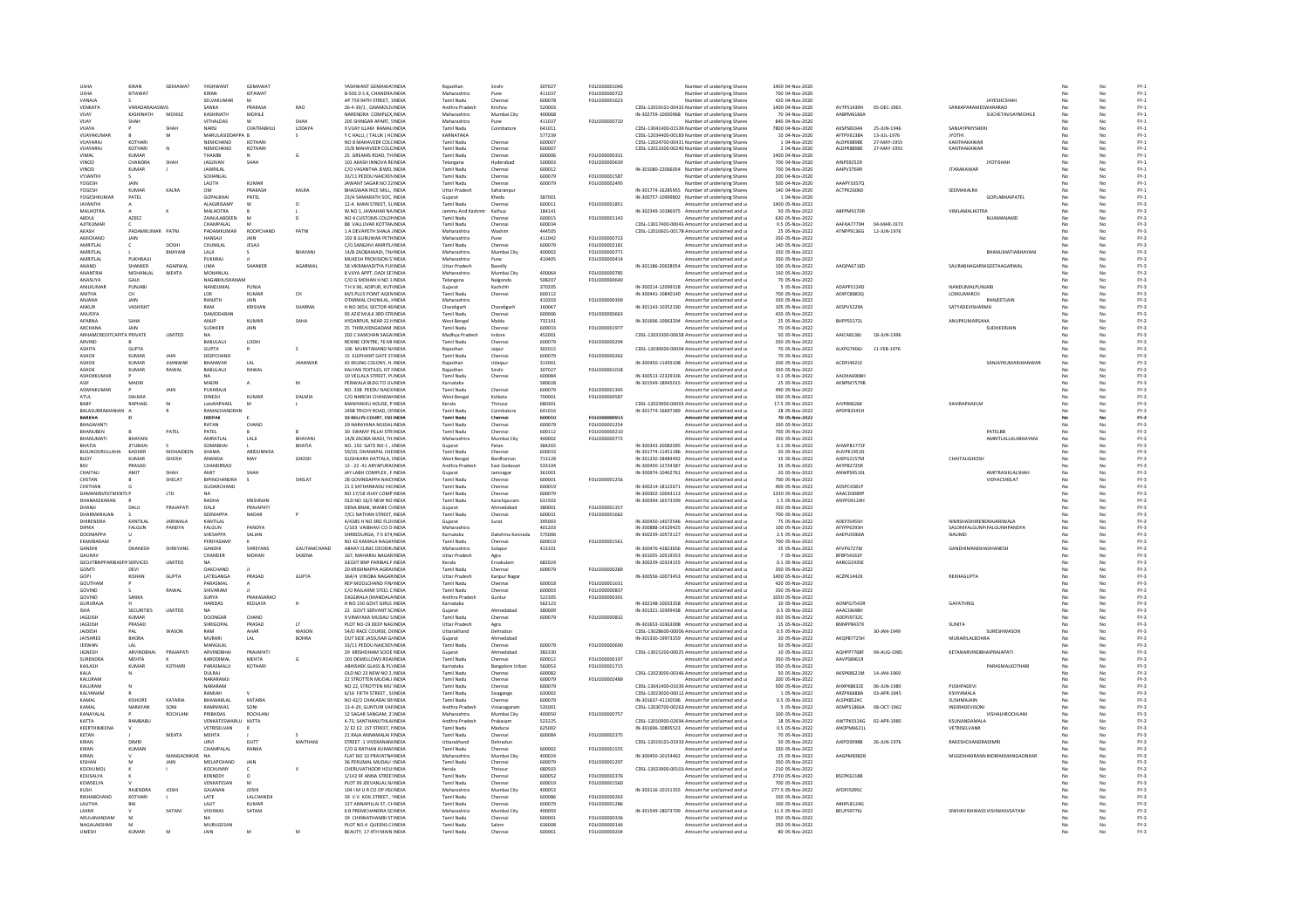| <b>USHA</b>                        | KIRAN             | GEMAWAT            | YASHWANT                  | GEMAWAT          |                     | YASHWANT GEMAWATINDIA                                       | Raiasthar                              | Sirohi                           | 307027           | FOLIO00001046                         | Number of underlying Shares                                                                        | 1400 04-Nov-2020                    |                          |                            |                                        |     |          | $FY-1$                          |
|------------------------------------|-------------------|--------------------|---------------------------|------------------|---------------------|-------------------------------------------------------------|----------------------------------------|----------------------------------|------------------|---------------------------------------|----------------------------------------------------------------------------------------------------|-------------------------------------|--------------------------|----------------------------|----------------------------------------|-----|----------|---------------------------------|
| <b>USHA</b>                        | KITAWAT           |                    | KIRAN                     | KITAWAT          |                     | B-503 D S K, CHANDRA INDIA                                  | Maharashtra                            | Pune                             | 411037           | FOLIO00000722                         | Number of underlying Shares                                                                        | 700 04-Nov-2020                     |                          |                            |                                        |     | No       | $FY-1$                          |
| VANAJA                             |                   |                    | SELVAKUMAR                |                  |                     | AP 759 94TH STREET, 1INDIA                                  | Tamil Nadu                             | Chenna                           | 600078           | FOLIO00001623                         | Number of underlying Shares                                                                        | 420 04-Nov-2020                     |                          |                            | <b>JAYESHCSHAP</b>                     |     | No       | $FY-1$                          |
| VENKATA                            | VARADARAIASWIS    |                    | SANKA                     | DRAVASA          | RAO                 | 26-4-39/1 . GNAMOLIVINDIA                                   | Andhra Pradesh                         | Krishna                          | 520003           |                                       | CDSL-12019101-00433: Number of underlying Share:                                                   | 1400 04-Nov-2020                    | AVTDC1/12QH              | 05-DEC-1965                | SANKAPARAMESWARARAO                    |     |          | $\mathsf{FY}\text{-}\mathbf{1}$ |
| VIIAY                              | KASHINATH         | MOHILE             | KASHINATH                 | MOHILE           |                     | NARENDRA COMPLEX INDIA                                      | Maharashtra                            | Mumbai City                      | 400068           |                                       | IN-302759-10000968 Number of underlying Share                                                      | 70.04-Nov-2020                      | AARPM6166A               |                            | <b>SLICHETAVILAYMOHILE</b>             | No. | No       | $FY-1$                          |
| VIIAY                              | SHAH              |                    | VITHALDAS                 | CHATRABHU.       | SHAH                | 205 SHINGAR APART, SINDIA                                   | Maharashtra                            | Pune                             | 411037           | FOLIO00000720                         | Number of underlying Shares                                                                        | 840 04-Nov-2020                     |                          |                            |                                        | No  | No       | $FY-1$                          |
| VUAYA<br>VIIAYAKUMAR               |                   | M                  | NARSI<br>MARULASIDDAPPA R |                  | LODAYA<br>s         | 9 VIJAY ILLAM RAMALINDI<br>Y C HALLI, (TALUK) HCINDIA       | Tamil Nadu<br>KARNATAKA                | Coimbator                        | 641011<br>577239 |                                       | CDSL-13041400-01539 Number of underlying Shares<br>CDSL-12034400-00183 Number of underlying Shares | 7800 04-Nov-2020<br>10.04-Nov-2020  | AXSPS8334A<br>AFTPV6138A | 25-JUN-1946<br>13-111-1976 | SANJAYPMYSHER<br><b>IYOTHI</b>         | No. | No       | $FY-1$<br>$FY-1$                |
| VUAYARAJ                           | KOTHARI           |                    | <b>NEMICHAND</b>          | KOTHARI          |                     | NO 8 MAHAVEER COLCINDIA                                     | Tamil Nadu                             | Chennai                          | 600007           |                                       | CDSL-12024700-00431 Number of underlying Shares                                                    | 1 04-Nov-2020                       | ALDPK8898E               | 27-MAY-1955                | KANTHAKAWAF                            | No  | No       | $FY-1$                          |
| VUAYARAJ                           | KOTHARI           |                    | NEMICHAND                 | KOTHARI          |                     | 15/8 MAHAVEER COLCINDIA                                     | Tamil Nadu                             | Chennai                          | 600007           |                                       | CDSL-12013300-00240. Number of underlying Shares                                                   | 2 04-Nov-2020                       | ALDPK8898E               | 27-MAY-1955                | KANTHAKAWAF                            |     | No       | $FY-1$                          |
| VIMAL                              | KUMAR             |                    |                           |                  | G                   | 25 GREAMS ROAD, THINDIA                                     | Tamil Nadu                             | Chenna                           | 600006           | FOLIO0000033:                         | Number of underlying Shares                                                                        | 1400 04-Nov-2020                    |                          |                            |                                        |     |          | $FY-1$                          |
| VINOD                              | CHANDRA           | SHAF               | <b>IAGIIVAN</b>           | SHAH             |                     | 101 AKASH INNOVA REINDIA                                    | Telangana                              | Hyderabac                        | 500003           | FOLIO00000639                         | Number of underlying Share                                                                         | 700 04-Nov-2020                     | AINPS9252R               |                            | <b>IYOTISHAI</b>                       | No  | No       | $FY-1$                          |
| VINOD                              | KUMAR             |                    | <b>JAWRILAL</b>           |                  |                     | C/O VASANTHA JEWEL INDIA                                    | Tamil Nadu                             | Chennai                          | 600012           |                                       | IN-301080-22066054 Number of underlying Shares                                                     | 700 04-Nov-2020                     | AAIPV3769R               |                            | <b>JTARAKAWAR</b>                      | No  | No       | $FY-1$                          |
| VYJANTH                            |                   |                    | SOHANLAL                  |                  |                     | 33/11 PEDDU NAICKENINDIA                                    | Tamil Nadu                             | Chennai                          | 600079           | FOLIO00001587                         | Number of underlying Shares                                                                        | 200 04-Nov-2020                     |                          |                            |                                        |     | No       | $FY-1$                          |
| <b>YOGESH</b>                      | <b>IAIN</b>       |                    | LALITH                    | KIJMAR           |                     | JAWANT SAGAR NO 22 INDIA                                    | Tamil Nadu                             | Chennai                          | 600079           | FOLIO00002495                         | Number of underlying Share                                                                         | 500 04-Nov-2020                     | AAAPY33570               |                            |                                        |     | No       | $\mathsf{FY}\text{-}\mathbf{1}$ |
| <b>YOGESH</b>                      | KUMAR             | KAIRA              | OM                        | PRAKASH          | <b>KAIRA</b>        | <b>RHAGWAN RICE MILL INDIA</b>                              | <b>Uttar Pradesh</b>                   | Sabarannu                        |                  |                                       | IN-301774-16285955 Number of underlying Shares                                                     | 140.04-Nov-2020                     | ACTPK2606D               |                            | <b>SEEMAKALRA</b>                      |     | No       | $FY-1$                          |
| YOGESHKUMAR                        | PATEL             |                    | GOPALBHAI                 | PATEL            |                     | 23/A SAMARATH SOC. INDIA                                    | Guiarat                                | Kheda                            | 387001           |                                       | IN-300757-10999802 Number of underlying Shares                                                     | 1 04-Nov-2020                       |                          |                            | <b>GOPLARHAIPATEL</b>                  | No  | No       | $FY-1$                          |
| JAYANTHI                           |                   |                    | ALAGIRISAMY               |                  |                     | 12-A MAIN STREET, SLINDIA                                   | Tamil Nadu                             | Chennai                          | 600011           | FOLIO00001851                         | Amount for unclaimed and u                                                                         | 1400 05-Nov-2022                    |                          |                            |                                        |     | No       | $FY-3$                          |
| <b>MALHOTRA</b>                    |                   |                    | <b>MALHOTRA</b>           |                  |                     | V.NO 1, JAWAHAR NA INDIA                                    | ammu And Kash                          | Kathua                           | 184141           |                                       | IN-302349-10186975 Amount for unclaimed and u                                                      | 50 05-Nov-2022                      | ABFPM9170F               |                            | <b>VIMLAMALHOTRA</b>                   |     |          | $FY-3$                          |
| ABDUL                              | AZEEZ             |                    | ZAINULABDEEN              |                  |                     | NO 4 CUSTOMS COLONINDIA                                     | Tamil Nadu                             | Chennai                          | 600015           | FOLIO00001143                         | Amount for unclaimed and u                                                                         | 630 05-Nov-2022                     | AAFHA7779H               |                            | NUAMANAMD                              | No  | No       | $FY-3$                          |
| AJITKUMAF<br>AKASH                 | PADAMKUMAR        | PATNI              | CHAMPALAL<br>PADAMKUMAR   | ROOPCHAND        | PATNI               | 88 VALLUVAR KOTTANINDIA<br>1 A DEVAPETH SHALA JINDIJ        | <b>Tamil Nadu</b>                      | Chennai<br>Washin                | 600034<br>444505 |                                       | CDSL-13017400-00043 Amount for unclaimed and u<br>CDSL-12010601-00178 Amount for unclaimed and u   | 0.5 05-Nov-2022<br>25 05-Nov-2022   | ATNPP9136G               | 04-MAR-1973<br>12-JUN-197  |                                        |     | No       | $FY-3$<br>FY-3                  |
| <b>AMICHAND</b>                    | <b>JAIN</b>       |                    | HANSAIL                   | <b>JAIN</b>      |                     | 192 B GURUWAR PETHINDIA                                     | Maharashtra<br>Maharashtra             | Pune                             | 411042           | FOLIO00000723                         | Amount for unclaimed and u                                                                         | 350 05-Nov-2022                     |                          |                            |                                        |     | No       | $FY-3$                          |
| AMRITLAL                           |                   | DOSHI              | CHUNILAL                  | JESAJI           |                     | C/O.SANGHVI AMRITL/INDIA                                    | Tamil Nadu                             | Chennai                          | 600079           | FOLIO00002181                         | Amount for unclaimed and u                                                                         | 140 05-Nov-2022                     |                          |                            |                                        | No  | No       | $FY-3$                          |
| AMRITLAL                           |                   | BHAYANI            | LALI                      |                  | BHAYANI             | 14/B ZAOBAWADI, TH/INDIA                                    | Maharashtra                            | Mumbai City                      | 400002           | FOLIO00000771                         | Amount for unclaimed and u                                                                         | 350 05-Nov-2022                     |                          |                            | BHANUMATIABHAYANI                      |     | No       | $FY-3$                          |
| AMRITLAL                           | <b>PUKHRAIII</b>  |                    | PUKHRAJ                   |                  |                     | MUKESH PROVISION S'INDIA                                    | Maharashtra                            |                                  | 410405           | FOLIO00000414                         | Amount for unclaimed and u                                                                         | 350 05-Nov-2022                     |                          |                            |                                        |     |          | $FY-3$                          |
| <b>ANAND</b>                       | SHANKER           | <b>AGARWAI</b>     | <b>LIMA</b>               | SHANKER          | <b>AGARWAI</b>      | 58 VIKRAMADITYA PLIFINDIA                                   | <b>Uttar Pradesh</b>                   | Bareilly                         |                  |                                       | IN-301186-20028054 Amount for unclaimed and u                                                      | 100.05-Nov-2022                     | AAOPA67180               |                            | SAURARHAGARWGFFTAAGARWAL               | No. | No       | FY-3                            |
| ANANTRA                            | MOHANLAL          | <b>MEHTA</b>       | MOHANLAL                  |                  |                     | 8 VIJYA APPT, DADI SETINDIA                                 | Maharashtra                            | Mumbai City                      | 400064           | FOLIO00000785                         | Amount for unclaimed and u                                                                         | 150 05-Nov-2022                     |                          |                            |                                        |     | No       | $FY-3$                          |
| ANASUYA                            | GAJJI             |                    | NAGABHUSHA                |                  |                     | C/O G MOHAN H NO 1/INDIA                                    | Telangana                              | Nalgonda                         | 508207           | FOLIO00000640                         | Amount for unclaimed and u                                                                         | 70 05-Nov-2022                      |                          |                            |                                        |     | No       | $FY-3$                          |
| ANILKUMAR                          | PUNJABI           |                    | NANDUMAL                  | PUNJA            |                     | T H X 96, ADIPUR, KUTIINDIA                                 |                                        | Kachchh                          | 370205           |                                       | IN-300214-12099318 Amount for unclaimed and u                                                      | 5 05-Nov-2022                       | ADAPP3124D               |                            | NANDUMALPUNJABI                        |     | No       | $FY-3$                          |
| <b>ANITHA</b>                      | CH.               |                    | 10K                       | KUMAR            | <b>CH</b>           | M/S PLUS POINT AGENINDIA                                    | Tamil Nadu                             | Chennai                          | 600112           |                                       | IN-300441-10840140 Amount for unclaimed and u                                                      | 700.05-Nov-2022                     | AFXPCRRR3O               |                            | LOKKUMARCH                             | No. | No       | EY-3                            |
| ANJANA                             | JAIN              |                    | RANJITH                   | JAIN             |                     | OTARMAL CHUNILAL, HNDIA                                     | Maharashtra                            |                                  | 410203           | FOLIO00000309                         | Amount for unclaimed and u                                                                         | 350 05-Nov-2022                     |                          |                            | RANJEETJAIN                            |     | No       | $FY-3$                          |
| ANKUR<br><b>ANLISIVA</b>           | VASHISH           |                    | RAM<br>DAMODARAN          | KRISHA           | <b>SHARM</b>        | NO 3654, SECTOR 46 INDIA                                    | Chandigar<br>Tamil Nadu                | Chandigar                        | 160047           |                                       | IN-301143-10352190 Amount for unclaimed and u                                                      | 105 05-Nov-2022                     | AESPV5229A               |                            | SATYADEVISHARMA                        |     |          | $FY-3$                          |
| APARNA                             | SAHA              |                    | ANUP                      | KUMAR            | SAHA                | 93 AZIZ MULK 3RD STRINDIA<br>HYDARPUR, NEAR 22 HINDIA       | West Bengal                            | Chennai<br>Malda                 | 600006<br>732101 | FOLIO00000663                         | Amount for unclaimed and u<br>IN-301696-10963204 Amount for unclaimed and u                        | 420 05-Nov-2022<br>25 05-Nov-2022   | BHPPS5172L               |                            | ANUPKUMARSAHA                          | No  | No<br>No | $FY-3$<br>$FY-3$                |
|                                    |                   |                    |                           |                  |                     |                                                             |                                        |                                  |                  | FOLIO00001977                         |                                                                                                    |                                     |                          |                            | SUDHEERJAIN                            |     |          | $FY-3$                          |
| ARCHANA<br>ARHAMCRE                | JAIN<br>A PRIVATE | LIMITED            | SUDHEER                   | JAIN             |                     | 25 THIRUVENGADAM INDIA<br>202 C KANCHAN SAGAIINDIA          | Tamil Nadu<br>Madhya Prades            | Chennai<br>Indore                | 600033<br>452001 |                                       | Amount for unclaimed and u<br>CDSL-12033300-00658 Amount for unclaimed and u                       | 70 05-Nov-2022<br>50 05-Nov-2022    | AAICA8138J               | 18-JUN-199                 |                                        | No  | No<br>No | $FY-3$                          |
| ARVIND                             |                   |                    | BABULALI                  | LODH             |                     | REXINE CENTRE, 76 MI INDIA                                  | <b>Tamil Nadu</b>                      | Chenna                           | 600079           | FOLIO0000029                          | Amount for unclaimed and u                                                                         | 350 05-Nov-2022                     |                          |                            |                                        |     | No       | $FY-3$                          |
| <b>ASHITA</b>                      | <b>GUPTA</b>      |                    | <b>GUPTA</b>              |                  | s                   | 106 MUKKTANAND N/INDIA                                      | Raiasthan                              | Jaipur                           | 302015           |                                       | CDSL-12030000-00004 Amount for unclaimed and u                                                     | 70 05-Nov-2022                      | ALXPG7406J               | 11-FEB-1976                |                                        |     | No       | $FY-3$                          |
| ASHOK                              | KUMAF             | JAIN               | DEEPCHAND                 |                  |                     | 15 ELEPHANT GATE STINDIA                                    | Tamil Nadu                             | Chenna                           | 600079           | FOLIO00000262                         | Amount for unclaimed and u                                                                         | 70 05-Nov-2022                      |                          |                            |                                        |     | No       | $FY-3$                          |
| ASHOK                              | KUMAR             | <b>IHANWAR</b>     | RHANWAR                   | A                | <b>JHANWAR</b>      | 42 EKLING COLONY, H. INDIA                                  | Rajasthar                              | Udaipu                           | 313001           |                                       | IN-300450-11459108 Amount for unclaimed and u                                                      | 200 05-Nov-2022                     | ACDPJ4921E               |                            | <b>SANJAYKUMARIHANWAE</b>              |     | No       | $FY-3$                          |
| ASHOK                              | KUMAR             | RAWAI              | <b>BABULAUL</b>           | RAWAL            |                     | KAI YAN TEXTILES IST FINDIA                                 | Raiasthan                              | Sirohi                           | 307027           | <b>FOLIO00001018</b>                  | Amount for unclaimed and u                                                                         | 350.05-Nov-2022                     |                          |                            |                                        |     | No       | FY-3                            |
| ASHOKKUMAR                         |                   |                    | <b>NA</b>                 |                  |                     | 10 VELLALA STREET. PUNDIA                                   | Tamil Nadu                             | Chennai                          | 600084           |                                       | IN-300513-22329336 Amount for unclaimed and u                                                      | 0.1 05-Nov-2022                     | AAOHA6908F               |                            |                                        | No  | No       | $FY-3$                          |
| ASIF                               | MADRI             |                    | MADRI                     | $\mathbf{A}$     | M                   | PENWALA BLDG TO UVINDIA                                     | Karnataka                              |                                  | 580028           |                                       | IN-301549-18945015 Amount for unclaimed and u                                                      | 25 05-Nov-2022                      | AKNPM7579B               |                            |                                        |     | No       | $FY-3$                          |
| <b>ASWINKLIMAR</b>                 |                   | JAIN               | PUKHRAUL                  |                  |                     | NO. 33B PEEDU NAICKINDIA                                    | Tamil Nadu                             | Chennai                          | 600079           | FOLIO00001345                         | Amount for unclaimed and u                                                                         | 490 05-Nov-2022                     |                          |                            |                                        |     | No       | $FY-3$                          |
| ATUL                               | DALMIA            |                    | DINESH                    | KUMAR            | DALMIA              | C/O NARESH CHANDANNDIA                                      | West Bengal                            | Kolkata                          | 700001           | FOLIO00000587                         | Amount for unclaimed and u                                                                         | 350 05-Nov-2022                     |                          |                            |                                        | No  | No       | $FY-3$                          |
| BAB)                               | RAPHAEL           | M                  | LateRAPHAEL               | M                |                     | MANIYAKKU HOUSE, P INDIA                                    | Kerala                                 | Thrissur                         | 680301           |                                       | CDSL-12023900-00003. Amount for unclaimed and u                                                    | 17.5 05-Nov-2022                    | AJVPB9626K               |                            | <b>XAVIRAPHAELM</b>                    |     | No       | $FY-3$                          |
| BALASUBRAMANIA                     |                   |                    | RAMACHANDRAI<br>DEEPAK    |                  |                     | 2498 TRICHY ROAD, ONNDIA                                    | Tamil Nad<br>Tamil Nadr                | Coimbator                        | 641016<br>600010 | FOI IO00000913                        | IN-301774-16697389 Amount for unclaimed and u                                                      | 28 05-Nov-2022                      | APDPB3545H               |                            |                                        |     |          | FY-3                            |
| RARKHA                             |                   |                    |                           |                  |                     | 33 KELLYS COURT, 150 INDIA                                  |                                        | Chennai                          |                  |                                       | Amount for unclaimed and u                                                                         | 70 05-Nov-2022                      |                          |                            |                                        |     | No       | $FY-3$                          |
| BHAGWANTI<br>BHANUBEN              |                   | PATEL              | RATAN<br>PATEL            | CHAND            |                     | 29 NARAYANA MUDALINDIA<br>30 SWAMY PILLAI STRINDIA          | <b>Tamil Nadu</b><br><b>Tamil Nadu</b> | Chennai                          | 600079<br>600112 | FOLIO00001254<br>FOLIO00000210        | Amount for unclaimed and u<br>Amount for unclaimed and u                                           | 350 05-Nov-2022<br>700 05-Nov-2022  |                          |                            | PATELBB                                |     | No<br>No | $FY-3$<br>$FY-3$                |
| RHANUMATI                          | <b>BHAVAN</b>     |                    | AMRATI AL                 | LALI             | RHAYAN              | 14/B ZAOBA WADI, TH.INDIA                                   | Maharashtra                            | Chennai<br>Mumbai City           | 400002           | FOLIO00000772                         | Amount for unclaimed and u                                                                         | 350 05-Nov-2022                     |                          |                            | AMRITLALLALJIBHAYAN                    |     | No       | $FY-3$                          |
| RHATIA                             | <b>IITURHAI</b>   |                    | SOMARHAL                  |                  | RHATIA              | NO. 150 GATE NO-1 UNDIA                                     | Guiarat                                | Patan                            | 384265           |                                       | IN-300343-20082095 Amount for unclaimed and u                                                      | 0.1.05-Nov-2022                     | AHWPR1772R               |                            |                                        |     | No       | FY-3                            |
| BUILINOORULLAHA                    | KADHER            | MOHAIDEEN          | SHAMA                     | ABIDUNNISA       |                     | 59/20, DHANAPAL CHEINDIA                                    | Tamil Nadu                             | Chennai                          | 600033           |                                       | IN-301774-11451186 Amount for unclaimed and u                                                      | 50 05-Nov-2022                      | AUVPK1951D               |                            |                                        |     | No       | $FY-3$                          |
| <b>BUOY</b>                        | KUMAF             | GHOSH              | ANANDA                    | MAY              | GHOSH               | <b>GUSHKARA HATTALA, UNDIA</b>                              | West Bengal                            | Bardhaman                        | 713128           |                                       | IN-301250-28484492 Amount for unclaimed and u                                                      | 35 05-Nov-2022                      | AJKPG2157M               |                            | CHAITALIGHOSH                          |     | No       | $FY-3$                          |
|                                    | PRASAD            |                    | CHANDRRAO                 |                  |                     | 12 - 22 -41 ARYAPURANNDIA                                   | Andhra Prades                          | East Godava                      | 533104           |                                       | IN-300450-12724387 Amount for unclaimed and u                                                      | 35 05-Nov-2022                      | AKYPB2725R               |                            |                                        |     |          | $FY-3$                          |
| CHAITALL                           | <b>AMIT</b>       | SHAH               | AMIT                      | SHAH             |                     | <b>JAY LARH COMPLEX FINDIA</b>                              | Guiarat                                | amnaga                           | 361001           |                                       | IN-300974-10462761 Amount for unclaimed and u                                                      | 20.05-Nov-2022                      | <b>ANWPS9510I</b>        |                            | <b>AMITRASIKI AI SHAH</b>              |     | No       | EY-3                            |
| CHETAN                             |                   | SHELAT             | BIPINCHANDRA              |                  | SHELA <sup>®</sup>  | 28 GOVINDAPPA NAICHNDIA                                     | Tamil Nadu                             | Chennai                          | 600001           | FOLIO00001256                         | Amount for unclaimed and u                                                                         | 700 05-Nov-2022                     |                          |                            | VIDYACSHELAT                           | No  | No       | $FY-3$                          |
| CHETHAN                            |                   |                    | GUDARCHAND                |                  |                     | 21 E SATHANKADU HIGINDI                                     | Tamil Nadu                             | Chennai                          | 600019           |                                       | IN-300214-18122671 Amount for unclaimed and u                                                      | 400 05-Nov-2022                     | ADSPC4381P               |                            |                                        |     |          | FY-3                            |
| <b>DAMANINVESTMENTS P</b>          |                   | LTD                | <b>NA</b>                 |                  |                     | NO 17/18 VIJAY COMP INDIA                                   | Tamil Nadu                             | Chennai                          | 600079           |                                       | IN-300302-10043113 Amount for unclaimed and u                                                      | 1330 05-Nov-2022                    | AAACD3089P               |                            |                                        | No. | No       | $FY-3$                          |
| DHANASEKARAN                       |                   |                    | RADHA                     | KRISHNAN         |                     | OLD NO 16/3 NEW NO INDIA                                    | Tamil Nadu                             | Kanchipuram                      | 631502           |                                       | IN-300394-16573399 Amount for unclaimed and u                                                      | 1.5 05-Nov-2022                     | ANYPD4124H               |                            |                                        | No  | No       | $FY-3$                          |
| DHANJI                             | DALI              | PRAJAPAT           | DALJI                     | PRAJAPATI        |                     | DENA BNAK, MANIK CHNDIA                                     | Gujarat                                | Ahmedabad                        | 380001           | FOLIO00001357                         | Amount for unclaimed and u                                                                         | 350 05-Nov-2022                     |                          |                            |                                        |     | No       | $FY-3$                          |
| DHARMARAJA                         |                   |                    | SEENIAPPA                 | NADAR            |                     | 7/C1 NATHAN STREET, INDIA                                   | Tamil Nadu                             | Chennai                          | 600031           | FOLIO00001662                         | Amount for unclaimed and u                                                                         | 700 05-Nov-2022                     |                          |                            |                                        |     |          | $FY-3$                          |
| DHIRENDRA                          | KANTILAL          | <b>JARIWALA</b>    | KANTILAL                  |                  |                     | 4/4385 H NO 3RD FLOUNDIA                                    | Guiarat                                | Surat                            | 395003           |                                       | IN-300450-14072546 Amount for unclaimed and u                                                      | 75 05-Nov-2022                      | ADEPIS455H               |                            | NIMISHADHIRENDRAJARIWALA               | No. | No       | $FY-3$                          |
| DIPIKA<br>DOOMAPP/                 | FALGUN            | PANDYA             | FALGUN<br>SHESAPPA        | PANDYA<br>SALIAN |                     | C/103 VAIBHAVI CO O INDIA<br>HREEDURGA, 7-5 674 INDIA       | Maharashtra                            | Dakshina Kannada                 | 401203<br>575006 |                                       | IN-300888-14529425 Amount for unclaimed and u<br>IN-300239-10572127 Amount for unclaimed and u     | 100 05-Nov-2022<br>2.5 05-Nov-2022  | AFYPP6293H<br>AAEPU0060A |                            | SALONIFALGUNP/FALGUNHPANDYA<br>NALINID | No  | No<br>No | $FY-3$                          |
| EKAMBARAM                          |                   |                    | PERIYASAMY                |                  |                     | NO 42 KAMALA NAGAFINDIA                                     | Karnataka<br><b>Tamil Nady</b>         | Chenna                           | 600019           | FOLIO00001561                         | mount for unclaimed and u                                                                          | 700 05-Nov-2022                     |                          |                            |                                        |     |          | $FY-3$<br>$FY-3$                |
| <b>GANDHI</b>                      | DHANESH           |                    |                           |                  |                     | ABHAY CUNIC DEODIK INDIA                                    | Maharashtra                            | Solanur                          | 413101           |                                       |                                                                                                    |                                     |                          |                            | <b>GANDHIMANISHADHANESH</b>            |     |          | FY-3                            |
| GAURAV                             |                   |                    |                           |                  |                     |                                                             |                                        |                                  |                  |                                       |                                                                                                    |                                     |                          |                            |                                        |     |          | $FY-3$                          |
| <b>GEOJITBNPPARIBASFINSERVICES</b> |                   | <b>SHREYAN</b>     | <b>GANDHI</b>             | SHREYANS         | <b>GALITAMCHAND</b> |                                                             |                                        |                                  |                  |                                       | IN-300476-42823656 Amount for unclaimed and u                                                      | 35 05-Nov-2022                      | AFVPG72781               |                            |                                        | No. | No       |                                 |
|                                    |                   | <b>LIMITED</b>     | CHANDER                   | <b>MOHAN</b>     | <b>SAXENA</b>       | 167. MAHARAJ NAGARINDIA                                     | Uttar Pradesh                          | Agra                             | 682024           |                                       | IN-301055-10519353 Amount for unclaimed and u                                                      | 7 05-Nov-2022                       | BFBPS4161P               |                            |                                        | No  | No       |                                 |
| <b>GOMTI</b>                       | DEVI              |                    | <b>OAKCHAND</b>           |                  |                     | <b>GEOJIT BNP PARIBAS FINDIA</b><br>20 KRISHNAPPA AGRAHNDIA | Kerala<br>Tamil Nadu                   | .<br>Ernakulan<br>Chennai        | 600079           | FOLIO00000289                         | IN-300239-10324155 Amount for unclaimed and u<br>Amount for unclaimed and u                        | 0.1 05-Nov-2022<br>350 05-Nov-2022  | AABCG19358               |                            |                                        |     | No       | $FY-3$<br>$FY-3$                |
| GOPI                               | KISHAN            | GUPTA              | LATEGANGA                 | PRASAD           | GUPTA               | 364/4 VINOBA NAGARINDIA                                     | <b>Uttar Pradesh</b>                   | Kanpur Nagar                     |                  |                                       | IN-300556-10073453 Amount for unclaimed and u                                                      | 1400 05-Nov-2022                    | ACZPK1442K               |                            | REKHAGUPTA                             | No  | No       | $FY-3$                          |
| GOUTHAM                            |                   |                    | PARASMAL                  |                  |                     | REP MOOLCHAND FIN/INDIA                                     | Tamil Nadu                             | Chennai                          | 600018           | FOLIO00001631                         | Amount for unclaimed and u                                                                         | 420 05-Nov-2022                     |                          |                            |                                        | No  | No       | $FY-3$                          |
| GOVIND                             |                   | RAWAL              | SHIVARAM                  |                  |                     | C/O RAJLAXMI STEEL C INDIA                                  | Tamil Nadu                             | Chenna                           | 600003           | FOLIO00000837                         | Amount for unclaimed and u                                                                         | 350 05-Nov-2022                     |                          |                            |                                        |     | No       | $FY-3$                          |
| GOVIND                             | SANKA             |                    | <b>SLIRVA</b>             | PRAKASARAO       |                     | DIGGIRALA (MANDALAINDIA                                     | Andhra Pradesh                         | Guntur                           | 522305           | FOLIO00000391                         | Amount for unclaimed and u                                                                         | 1050 05-Nov-2022                    |                          |                            |                                        |     | No       | $FY-3$                          |
| <b>GURURAJA</b>                    |                   |                    | <b>HARIDAS</b>            | KEDLAYA          |                     | H NO 150 GOVT GIRLS INDIA                                   | Karnataka                              |                                  | 562123           |                                       | IN-302148-10033358 Amount for unclaimed and u                                                      | 10 05-Nov-2022                      | AONPG7543F               |                            | GAYATHRIG                              | No  | No       | $FY-3$                          |
|                                    | <b>SECURITIES</b> | LIMITED            |                           |                  |                     | 22 GOVT.SERVANT SCINDIA                                     | Gujarat                                | Ahmedabad                        | 380009           |                                       | IN-301321-10399438 Amount for unclaimed and u                                                      | 0.5 05-Nov-2022                     | AAACI3648H               |                            |                                        |     | No       | $FY-3$                          |
| <b>JAGDISH</b>                     | KUMAR             |                    | <b>DOONGAR</b>            | CHAND            |                     | 9 VINAYAKA MUDALI SINDIA                                    | Tamil Nadu                             | Chennai                          | 600079           | FOLIO00000832                         | Amount for unclaimed and u                                                                         | 350 05-Nov-2022                     | <b>ADDPI9732C</b>        |                            |                                        |     | No       | $FY-3$                          |
| <b>JAGDISH</b>                     | PRASAD            |                    | SHRIGOPAL                 | PRASAD           | LT.                 | PLOT NO-19 DEEP NAGINDIA                                    | <b>Uttar Pradesh</b>                   | Agra                             |                  |                                       | IN-301653-10363008 Amount for unclaimed and u                                                      | 15.05-Nov-2022                      | BNNPP8437K               |                            | SUNITA                                 | No. | No       | FY-3                            |
| JAIDESH                            | PAI               | WASON              | RAM                       | AHAR             | WASON               | 54/D RACE COURSE, DHNDIA                                    | Uttarakhand                            | Dehradun                         |                  |                                       | CDSL-13028600-00006 Amount for unclaimed and u                                                     | 0.5 05-Nov-2022                     |                          | 30-JAN-1949                | SURESHWASON                            | No  | No       | $FY-3$                          |
| JAYSHREE                           | <b>BHORA</b>      |                    | MURARI                    | LAL              | <b>BOHRA</b>        | OUT SIDE JASSUSAR G/INDIA                                   | Gujarat                                | Ahmedabad                        | 600079           |                                       | IN-301330-19973259 Amount for unclaimed and u                                                      | 20 05-Nov-2022                      | AKOPB7725H               |                            | MURARILALBOHRA                         |     | No       | $FY-3$                          |
| JEEWAN<br>JIGNESH                  | <b>ARVINDBHA</b>  | PRAJAPATI          | MANGILAI<br>ARVINDBHA     | PRAJAPATI        |                     | 33/11 PEDDU NAICKENINDIA<br>29 KRISHDHAM SOCIE INDIA        | Tamil Nadu<br>Guiarat                  | Chenna<br>Ahmedabad              | 382330           | FOLIO00000690                         | Amount for unclaimed and u<br>CDSL-13015200-00025 Amount for unclaimed and u                       | 50 05-Nov-2022<br>10 05-Nov-2022    | AQHPP7768F               | 04-AUG-1985                | <b>KETANARVINDBHAIPRAJAPATI</b>        | No  | No       | $FY-3$<br>$FY-3$                |
|                                    | <b>MEHTA</b>      |                    | KARODIMAL                 | <b>MEHTA</b>     | Ġ                   | 101 DEMELLOWS ROAHNDIA                                      |                                        |                                  |                  | FOLIO00000197                         |                                                                                                    |                                     |                          |                            |                                        | No  | No       |                                 |
| SURENDRA<br>KAILASH                | KUMAF             | KOTHAR             | PARASMALI                 | KOTHAR           |                     | <b>ABHISHEK GLASS &amp; PLYINDIA</b>                        | <b>Tamil Nadu</b><br>Karnataka         | Chennai<br><b>Bangalore Urba</b> | 600012<br>560053 | FOLIO00001715                         | Amount for unclaimed and u<br>Amount for unclaimed and u                                           | 350 05-Nov-2022<br>350 05-Nov-2022  | AAVPS8961R               |                            | PARASMALKOTHAR                         |     |          | $FY-3$<br>FY-3                  |
| KALA                               |                   |                    | DUIRAL                    |                  |                     | OLD NO 23 NEW NO 2. INDIA                                   | <b>Tamil Nadu</b>                      | Chennai                          | 600082           |                                       | CDSL-12023000-00346 Amount for unclaimed and u                                                     | 50 05-Nov-2022                      | AKSPK8621M               | 14-JAN-1969                |                                        |     | No       | $FY-3$                          |
| KALURAM                            |                   |                    | NARARAMJI                 |                  |                     | 22 STROTTEN MUDALI INDIA                                    | <b>Tamil Nadu</b>                      | Chennai                          | 600079           | FOLIO00002489                         | Amount for unclaimed and u                                                                         | 200 05-Nov-2022                     |                          |                            |                                        | No  | No       | $FY-3$                          |
| KALURAM                            |                   |                    | NARARAM                   |                  |                     | NO 22, STROTTEN MUTINDIA                                    | Tamil Nadu                             | Chennai                          | 600079           |                                       | CDSL-13041400-01039 Amount for unclaimed and u                                                     | 500 05-Nov-2022                     | AHXPK8832E               | 06-JUN-1980                | PUSHPADEVI                             |     | No       | $FY-3$                          |
| KAIYANAM                           |                   |                    | <b>RAMAN</b>              |                  |                     | 6/16 FIFTH STREET, SUNDIA                                   | <b>Tamil Nadu</b>                      | Sivaganga                        | 630002           |                                       | CDSL-12023000-00012 Amount for unclaimed and u                                                     | 1 05-Nov-2022                       | ARZPK6688A               | 03-APR-1945                | KSHYAMA1 A                             |     | No       | $FY-3$                          |
| KAMAL                              | KISHORE           | KATARIA            | <b>RHAWARLAL</b>          | KATARIA          |                     | NO 42/2 CHAKARAI SRIINDIA                                   | Tamil Nadu                             | Chennai                          | 600079           |                                       | IN-301637-41130596 Amount for unclaimed and u                                                      | 0.5.05-Nov-2022                     | ALSPK8524C               |                            | SUSHMAIAIN                             | No. | No       | FY-3                            |
| KAMAL                              | NARAYAN           | SONI               | RAMNIWAS                  | SONI             |                     | 13-4-29, GUNTURI VARINDIA                                   | Andhra Pradesh                         | Vizianagaran                     | 535001           |                                       | CDSL-12030700-00262 Amount for unclaimed and u                                                     | 5 05-Nov-2022                       | AEMPS1866A               | 08-OCT-1962                | INDIRADEVISONI                         | No  | No       | $FY-3$                          |
| KANAYALAL                          |                   | ROCHLAN            | PRIBHDAS                  | ROCHLAN          |                     | 12 SAGAR SANGAM, 21 INDIA                                   | Maharashtra                            | Mumbai City                      | 400050           | FOLIO00000757                         | Amount for unclaimed and u                                                                         | 100 05-Nov-2022                     |                          |                            | VISHALHROCHLAN                         |     | No       | $FY-3$                          |
| KATTA                              | RAMBABI           |                    | VENKATESWARLU             | KATTA            |                     | 4-73, SANTHANUTHLAHNDIA                                     | Andhra Pradesh                         | Prakasan                         | 523225           |                                       | CDSL-12010900-02694 Amount for unclaimed and u                                                     | 18 05-Nov-2022                      | AWTPK0124G               | 02-APR-198                 | KSLINANDAMALA                          |     | No       | $FY-3$                          |
| KEERTHIMFENA                       |                   |                    | <b>VETRISEI VAN</b>       |                  |                     | 2/E2 E2 1ST STREET NINDIA                                   | Tamil Nadu                             | Madurai                          | 625002           |                                       | IN-301696-10895523 Amount for unclaimed and u                                                      | 0.5 05-Nov-2022                     | ANOPM6621L               |                            | <b>VETRISEI VANR</b>                   |     | No       | EY-3                            |
| <b>KETAN</b>                       |                   | MEHTA              | <b>MEHTA</b>              |                  |                     | 21 RAJA ANNAMALAI FINDIA                                    | Tamil Nadu                             | Chennai                          | 600084           | FOLIO00002375                         | Amount for unclaimed and u                                                                         | 70 05-Nov-2022                      |                          |                            |                                        |     | No       | $FY-3$                          |
| KIRAN                              | DIMR              |                    |                           | DUTT             | MAITHAN             | STREET -1 VIVEKANANIINDIA                                   | Uttarakhanc                            | Dehradur                         |                  |                                       | CDSL-12019101-01933 Amount for unclaimed and u                                                     | 50 05-Nov-2022                      | AJKPD3998B               | 26-JUN-197                 | RAKESHCHANDRADIMR                      |     |          | FY-3                            |
| KIRAN                              | KUMARI            |                    | CHAMPALAI                 | RANKA            |                     | C/O G RATHAN KUMAFINDIA                                     | Tamil Nadu                             | Chennai                          | 600002           | FOLIO00001555                         | Amount for unclaimed and u                                                                         | 320 05-Nov-2022                     |                          |                            |                                        |     | No       | $FY-3$                          |
| KIRAN<br>KISHAN                    |                   | MANGAONKAR<br>JAIN | <b>NA</b>                 | JAIN             |                     | FLAT NO 10 PRAYATNAINDIA                                    | Maharashtra                            | Mumbai City                      | 400024           |                                       | IN-300450-10154462 Amount for unclaimed and u                                                      | 25 05-Nov-2022                      | AAGPM83828               |                            | MUGDHAKIRANNINDIRAKMANGAONKAR          |     | No       | $FY-3$                          |
|                                    |                   |                    | MELAPCHAND                |                  |                     | 36 PERUMAL MUDALI : INDIA                                   | Tamil Nadu                             | Chennai                          | 600079           | FOLIO00001297                         | Amount for unclaimed and u                                                                         | 350 05-Nov-2022                     |                          |                            |                                        |     | No       | $FY-3$                          |
| KOCHUMOI<br>KOUSALYA               |                   |                    | KOCHUNNY<br>KENNEDY       |                  |                     | CHERUVATHOOR HOU: INDIA<br>1/142 9F ANNA STREETINDIA        | Kerala<br>Tamil Nadu                   | Thrissur<br>Chennai              | 680503<br>600052 | EQUO00002376                          | CDSL-12023900-00101 Amount for unclaimed and u<br>Amount for unclaimed and u                       | 210 05-Nov-2022<br>2730 05-Nov-2022 | BSCPK6218B               |                            |                                        |     | No       | $FY-3$                          |
| KOWSELYA                           |                   |                    | VENKATESAN                | M                |                     | PLOT 99 JEEVANLAL N/INDIA                                   | Tamil Nadu                             | Chennai                          | 600019           | FOLIO00001560                         | Amount for unclaimed and u                                                                         | 700 05-Nov-2022                     |                          |                            |                                        |     | No       | $FY-3$<br>$FY-3$                |
| KUSH                               | RAJENDRA          | JOSH               | GAJANAN                   | <b>JOSHI</b>     |                     | 104   M U R CO OP HSCINDIA                                  | Maharashtra                            | Mumbai City                      | 400053           |                                       | IN-303116-10151355 Amount for unclaimed and u                                                      | 277.5 05-Nov-2022                   | AFDPJ5095C               |                            |                                        |     | No       | FY-3                            |
| RIKHABCHAND                        | KOTHARI           |                    | LATE                      | LALCHANDJ        |                     | 39 V.V. KOIL STREET, INDIA                                  | Tamil Nadu                             | Chenna                           | 600086           | FOLIO00000263                         | Amount for unclaimed and u                                                                         | 350 05-Nov-2022                     |                          |                            |                                        |     |          | $FY-3$                          |
| <b>LALITHA</b>                     | RAI               |                    | <b>JAUT</b>               | KUMAR            |                     | 127 ANNAPILLALST CHINDIA                                    | Tamil Nadu                             | Chennai                          | 600079           | EQUO00001286                          | Amount for unclaimed and u                                                                         | 100.05-Nov-2022                     | <b>ARHPL8124G</b>        |                            |                                        |     | No       | FY-3                            |
| LAXMI                              |                   | SATAM              | VISHWAS                   | SATAM            |                     | 6 B PREMCHANDRA SCINDIA                                     | Maharashtra                            | Mumbai City                      | 400093           |                                       | IN-301549-18073709 Amount for unclaimed and u                                                      | 11.5 05-Nov-2022                    | BEUPS9776J               |                            | SNEHAVISHWASSVISHWASVSATAM             | No  | No       | $FY-3$                          |
| ARULANANDAM                        |                   |                    |                           |                  |                     | 39 CHINNATHAMBI STINDIA                                     | Tamil Nadu                             | Chennai                          | 600001           | FOLIO00000336                         | Amount for unclaimed and u                                                                         | 350 05-Nov-2022                     |                          |                            |                                        |     |          | $FY-3$                          |
| NAGALAKSHM<br><b>UMESH</b>         | <b>KUMAR</b>      | M                  | MURUGESAN<br><b>JAIN</b>  | M                | M                   | PLOT NO 4 OUFFNS CUNDIA<br>BEAUTY, 17 4TH MAIN INDIA        | Tamil Nadu<br><b>Tamil Nadu</b>        | Salem<br>Chennai                 | 636008<br>600061 | <b>FOLIO00000146</b><br>FOLIO00000204 | Amount for unclaimed and u<br>Amount for unclaimed and u                                           | 350.05-Nov-2022<br>80 05-Nov-2022   |                          |                            |                                        |     |          | $FY-3$<br>$FY-3$                |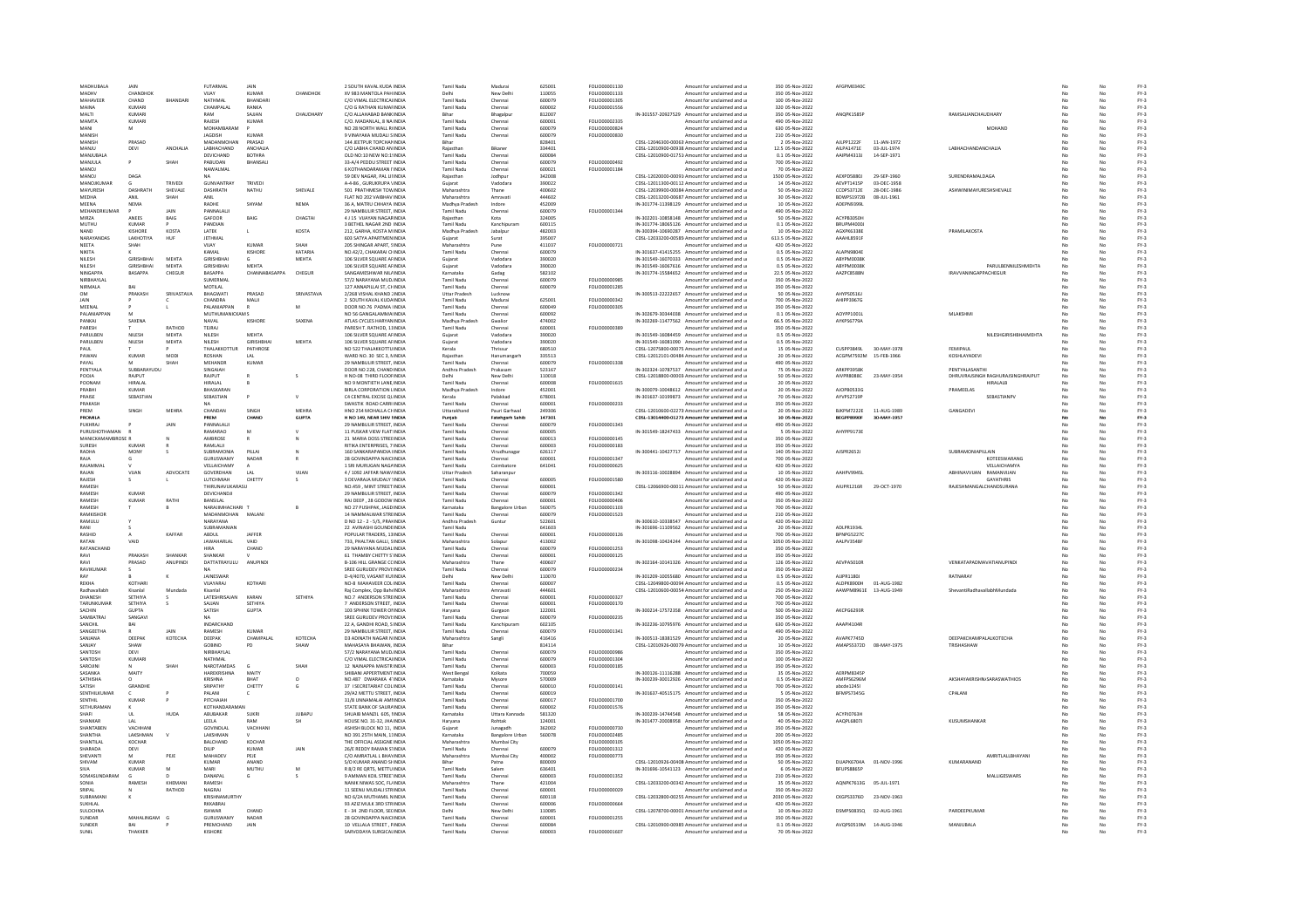| MADHUBALA                          | <b>JAIN</b>                 |                        | FUTARMAL                       | <b>JAIN</b>                   |               | 2 SOUTH KAVAL KUDA INDIA                                     | <b>Tamil Nady</b>                      | Madurai                               | 625001           | FOLIO00001130                         | Amount for unclaimed and u                                                                     | 350 05-Nov-2022                     | AFGPM0340C               |                        |                                                      |    |          | $FY-3$           |
|------------------------------------|-----------------------------|------------------------|--------------------------------|-------------------------------|---------------|--------------------------------------------------------------|----------------------------------------|---------------------------------------|------------------|---------------------------------------|------------------------------------------------------------------------------------------------|-------------------------------------|--------------------------|------------------------|------------------------------------------------------|----|----------|------------------|
| MADHV                              | CHANDHOK                    |                        | VIJAY                          | KUMAR                         | CHANDHOK      | XV 983 MANTOLA PAH INDIA                                     | Delhi                                  | New Delhi                             | 110055           | FOLIO00001133                         | Amount for unclaimed and u                                                                     | 350 05-Nov-2022                     |                          |                        |                                                      |    |          | $FY-3$           |
| MAHAVEER                           | CHAND                       | RHANDAR                | NATHMAL                        | BHANDAR                       |               | C/O VIMAL ELECTRICALINDIA                                    | Tamil Nadu                             | Chennai                               | 600079           | FOLIO00001305                         | Amount for unclaimed and u                                                                     | 100 05-Nov-2022                     |                          |                        |                                                      |    | No       | $FY-3$           |
|                                    | <b>KUMAR</b>                |                        | CHAMPALAL                      | RANKA                         |               | C/O G RATHAN KUMAFINDIA                                      | <b>Tamil Nadu</b>                      | Chennai                               | 600002           | FOLIO00001556                         | Amount for unclaimed and u                                                                     | 320 05-Nov-2022                     |                          |                        |                                                      |    |          | $FY-3$           |
| MAITI<br><b>MAMTA</b>              | KUMARI<br>KUMARI            |                        | RAM<br>RAIFSH                  | SAILAN<br>KUMAR               | CHAUDHARY     | C/O ALLAHABAD BANKINDIA<br>C/O MADANIAL SNAINDIA             | Bihar<br>Tamil Nadu                    | Bhagalpu                              | 812007<br>600001 | <b>FOLIO00002335</b>                  | IN-301557-20927529 Amount for unclaimed and u<br>Amount for unclaimed and u                    | 350 05-Nov-2022<br>490.05-Nov-2022  | ANOPK1585F               |                        | RAMSAJJANCHAUDHARY                                   |    | No.      | $FY-3$<br>EY-3   |
| MANI                               | м                           |                        | MOHAMBARAM                     |                               |               | NO 28 NORTH WALL RINDIA                                      | Tamil Nadu                             | Chennai<br>Chennai                    | 600079           | FOLIO00000824                         | Amount for unclaimed and u                                                                     | 630 05-Nov-2022                     |                          |                        | MOHAND                                               |    |          | $FY-3$           |
| MANISK                             |                             |                        | JAGDISH                        | KUMAF                         |               | 9 VINAYAKA MUDALI SINDIA                                     | Tamil Nadu                             | Chenna                                | 600079           | FOLIO00000830                         | Amount for unclaimed and u                                                                     | 210 05-Nov-2022                     |                          |                        |                                                      |    |          | FY-3             |
| MANISH                             | PRASAD                      |                        | MADANMOHAN                     | PRASAD                        |               | 144 JEETPUR TOPCHANINDIA                                     | Rihar                                  |                                       | 828401           |                                       | CDSL-12046300-00063 Amount for unclaimed and u                                                 | 2 05-Nov-2022                       | All PP1222F              | 11-JAN-1972            |                                                      |    |          | $FY-3$           |
| MANJU                              | DEVI                        | ANCHALIA               | LABHACHAND                     | ANCHAUA                       |               | C/O LABHA CHAND AN INDIA                                     | Raiasthan                              | Bikane                                | 334401           |                                       | CDSL-12010900-00938 Amount for unclaimed and u                                                 | 12.5 05-Nov-2022                    | AILPA1471E               | 03-JUL-1974            | LABHACHANDANCHALIA                                   |    | No       | $FY-3$           |
| MANJUBALA                          |                             |                        | DEVICHAND                      | <b>BOTHRA</b>                 |               | OLD NO:10 NEW NO:19NDIA                                      | Tamil Nadu                             | Chennai                               | 600084           |                                       | CDSL-12010900-01751 Amount for unclaimed and u                                                 | 0.1 05-Nov-2022                     | AAIPM4313J               | 14-SEP-1971            |                                                      |    | No       | $FY-3$           |
| MANJULA<br>MANOL                   |                             | SHAH                   | PABUDAN<br>NAWAI MAI           | BHANSAL                       |               | 33-A/4 PEDDU STREET INDI<br>6 KOTHANDARAMAN LINDU            | Tamil Nadu<br>Tamil Nadu               | Chenna<br>Chennai                     | 600079<br>600021 | FOLIO00000492<br><b>FOLIO00001184</b> | Amount for unclaimed and u<br>Amount for unclaimed and u                                       | 700 05-Nov-2022<br>70.05-Nov-2022   |                          |                        |                                                      |    |          | $FY-3$<br>EY-3   |
| MANOJ                              | DAGA                        |                        |                                |                               |               | 59 DEV NAGAR, PAL LINDIA                                     | Raiasthan                              | Jodhour                               | 342008           |                                       | CDSL-12020000-00091/Amount for unclaimed and u                                                 | 1500 05-Nov-2022                    | AEXPD5880J               | 29-SEP-1960            | SURENDRAMALDAGA                                      |    | No       | $FY-3$           |
| MANOJKUMA                          |                             | TRIVED                 | <b>GUNVANTRAY</b>              | TRIVED                        |               | A-4-86 . GURUKRUPA VINDIA                                    | Gujarat                                | Vadodara                              | 390022           |                                       | CDSL-12011300-00112 Amount for unclaimed and u                                                 | 14 05-Nov-2022                      | AEVPT1415F               | 03-DEC-1958            |                                                      |    |          | $FY-3$           |
| MAYURESH                           | <b>DASHRATE</b>             | SHEVALE                | DASHRATH                       | NATHU                         | SHEVALE       | 501 PRATHMESH TOWINDIA                                       | Maharashtra                            | Thane                                 | 400602           |                                       | CDSL-12039900-00084 Amount for unclaimed and u                                                 | 50 05-Nov-2022                      | CCDPS3712E               | 28-DEC-1986            | ASHWINIMAYURESHSHEVALE                               |    |          | $FY-3$           |
| <b>MEDHA</b>                       | ANII                        | SHAH                   | ANII                           |                               |               | FLAT NO 202 VAIRHAV INDIA                                    | Maharashtra                            | Amravat                               | 444602           |                                       | CDSL-12013200-00687 Amount for unclaimed and u                                                 | 30 05-Nov-2022                      | RDWPS1972R               | 08-JUL-1961            |                                                      |    |          | $FY-3$           |
| MEENA                              | <b>NEMA</b>                 |                        | RADHE                          | SHYAN                         | <b>NEMA</b>   | 36 A. MATRU CHHAYA INDIA                                     | Madhya Pradesh                         | Indore                                | 452009           |                                       | IN-301774-11398129 Amount for unclaimed and u                                                  | 10 05-Nov-2022                      | ADEPN9399L               |                        |                                                      |    | No       | FY-3             |
| MEHANDRKUMAI                       | <b>ANFFS</b>                | <b>JAIN</b>            | PANNALALI                      |                               |               | 29 NAMBULIR STREET, INDIA                                    | Tamil Nadu                             | Chennai                               | 600079           | FOLIO00001344                         | Amount for unclaimed and u                                                                     | 490 05-Nov-2022                     | <b>ACYPR3050H</b>        |                        |                                                      |    |          | $FY-3$           |
| MIR7A<br>MUTHU                     | <b>KUMAR</b>                | BAIG                   | GAFOOR<br>PANDIAN              | BAIG                          | CHAGTA        | <b>4 J 15 VIJAYAN NAGARINDIA</b><br>3 BETHEL NAGAR 2ND INDIA | Raiasthan<br><b>Tamil Nadu</b>         | Kota<br>Kanchipuran                   | 324005<br>600115 |                                       | IN-302201-10858148 Amount for unclaimed and u<br>IN-301774-18065126 Amount for unclaimed and u | 50 05-Nov-2022<br>0.1 05-Nov-2022   | BRUPM4000J               |                        |                                                      |    | No       | $FY-3$<br>$FY-3$ |
| NAND                               | KISHORE                     | KOSTA                  | LATEK                          | L.                            | KOSTA         | 212, GARHA, KOSTA M INDIA                                    | Madhya Pradesh                         | Jabalpur                              | 482003           |                                       | IN-300394-10690287 Amount for unclaimed and u                                                  | 10 05-Nov-2022                      | AGXPK6338E               |                        | PRAMILAKOSTA                                         |    | No       | $FY-3$           |
| <b>NARAYANDA</b>                   | LAKHOTIYA                   | HUF                    | JETHMAL                        |                               |               | 603 SATYA APARTMEN INDIA                                     | Gujarat                                | Surat                                 | 395007           |                                       | CDSL-12033200-00585 Amount for unclaimed and u                                                 | 613.5 05-Nov-2022                   | AAAHL8591F               |                        |                                                      |    |          | $FY-3$           |
| <b>NFFTA</b>                       | SHAH                        |                        | VIIAY                          | KUMAR                         | SHAH          | 205 SHINGAR APART, SINDIA                                    | Maharashtra                            | Pune                                  | 411037           | FOLIO00000721                         | Amount for unclaimed and u                                                                     | 420 05-Nov-2022                     |                          |                        |                                                      |    |          | $FY-3$           |
| NIKITA                             |                             |                        | KAMAI                          | KISHORE                       | KATARIA       | NO 42/2 CHAKARALCHINDIA                                      | Tamil Nadu                             | Chennai                               | 600079           |                                       | IN-301637-41415255 Amount for unclaimed and u                                                  | 0.5.05-Nov-2022                     | ΔΙ ΔΡΝΑΒΩΔΕ              |                        |                                                      |    |          | FY-3             |
| NILESH                             | <b>GIRISHBHA</b>            | MEHTA                  | <b>GIRISHBHA</b>               |                               | MEHTA         | 106 SILVER SQUARE AFINDIA                                    | Gujarat                                | Vadodara                              | 390020           |                                       | IN-301549-16070333 Amount for unclaimed and u                                                  | 0.5 05-Nov-2022                     | ABYPM0038K               |                        |                                                      |    |          | $FY-3$           |
| NILESH<br><b>NINGAPPA</b>          | <b>GIRISHBHA</b><br>RASAPPA | MEHTA<br>CHEGUR        | <b>GIRISHBHA</b><br>RASAPPA    | <b>MEHTA</b><br>CHANNARASAPPA | CHEGUR        | 106 SILVER SQUARE AFINDIA<br>SANGAMESHWAR NILLINDIA          | Sujarat<br>Karnataka                   | Vadodar                               | 390020<br>582102 |                                       | IN-301549-16067616 Amount for unclaimed and u<br>IN-301774-15584652 Amount for unclaimed and u | 0.5 05-Nov-2022<br>22.5 05-Nov-2022 | ABYPM0038<br>AAZPCR588N  |                        | PARULBENNILESHMEHTA<br><b>IRAVVANINGAPPACHEGUR</b>   |    |          | FY-3<br>$FY-3$   |
| NIRBHAYLAI                         |                             |                        | SUMERMAL                       |                               |               | 57/2 NARAYANA MUDINDIA                                       | <b>Tamil Nadu</b>                      | Gadag<br>Chennai                      | 600079           | FOLIO00000985                         | Amount for unclaimed and u                                                                     | 350 05-Nov-2022                     |                          |                        |                                                      |    | No       | $FY-3$           |
| NIRMALA                            | BAI                         |                        | MOTILAL                        |                               |               | 127 ANNAPILLAI ST, CHNDIA                                    | Tamil Nadu                             | Chenna                                | 600079           | FOLIO00001285                         | Amount for unclaimed and u                                                                     | 350 05-Nov-2022                     |                          |                        |                                                      |    | No       | $FY-3$           |
|                                    | PRAKASH                     | <b>SRIVASTAVA</b>      | BHAGWATI                       | PRASAD                        | SRIVASTAVA    | 2/268 VISHAL KHAND JINDI                                     | <b>Uttar Prades</b>                    | Lucknov                               |                  |                                       | IN-300513-22222657 Amount for unclaimed and u                                                  | 50 05-Nov-2022                      | AHYPS0516                |                        |                                                      |    |          | $FY-3$           |
| <b>IAIN</b>                        |                             |                        | CHANDRA                        | MALII                         |               | 2 SOUTH KAVAL KUDAINDIA                                      | <b>Tamil Nadu</b>                      | Madurai                               | 625001           | FOLIO00000342                         | Amount for unclaimed and u                                                                     | 700 05-Nov-2022                     | AHIPP3967G               |                        |                                                      |    |          | $FY-3$           |
| MEENAL                             |                             |                        | PALANIAPPAN                    |                               | M             | DOOR NO.76 PADMA IINDIA                                      | Tamil Nadu                             | Chennai                               | 600049           | FOLIO00000305                         | Amount for unclaimed and u                                                                     | 350 05-Nov-2022                     |                          |                        |                                                      |    | No       | $FY-3$           |
| PALANIAPPAI                        |                             |                        | MUTHUMANICKAM S                |                               |               | NO 56 GANGALAMMA INDIA                                       | Tamil Nadu                             | Chenna                                | 600092           |                                       | IN-302679-30344038 Amount for unclaimed and u                                                  | 0.1 05-Nov-2022                     | AOYPP1001                |                        | MLAKSHM                                              |    |          | $FY-3$           |
| ΡΔΝΚΑ<br>PARESH                    | SAXENA                      | RATHOD                 | NAVAL<br>TFIRAL                | KISHORE                       | <b>SAXEN/</b> | ATLAS CYCLES HARYANINDIA<br>PARESH T RATHOD 11INDIA          | Madhya Prades<br>Tamil Nadu            | Gwalio                                | 474002<br>600001 | <b>EQUIO0000389</b>                   | IN-302269-11477562 Amount for unclaimed and u                                                  | 66.5 05-Nov-2022<br>350.05-Nov-2022 | AYKPS6779A               |                        |                                                      |    |          | $FY-3$<br>EY-3   |
| PARULBEN                           | <b>NILESP</b>               | MEHTA                  | NILESH                         | <b>MEHTA</b>                  |               | 106 SILVER SQUARE AFINDIA                                    | Guiarat                                | Chennai<br>Vadodara                   | 390020           |                                       | Amount for unclaimed and u<br>IN-301549-16084459 Amount for unclaimed and u                    | 0.5 05-Nov-2022                     |                          |                        | NILESHGIRISHBHAIMEHTA                                | No | No       | $FY-3$           |
| PARULBEN                           | NILESH                      | MEHTA                  | NILESH                         | GIRISHBHA                     | MEHTA         | 106 SILVER SQUARE AFINDIA                                    | Gujarat                                | Vadodara                              | 390020           |                                       | IN-301549-16081090 Amount for unclaimed and u                                                  | 0.5 05-Nov-2022                     |                          |                        |                                                      |    |          | $FY-3$           |
| PAIL                               |                             |                        | THAI AKKOTTUR                  | PATHROSE                      |               | NO 522 THALAKKOTTU INDIA                                     | Kerala                                 | Thrissur                              | 680510           |                                       | CDSL-12075800-00075. Amount for unclaimed and u                                                | 15 05-Nov-2022                      | <b>IPARASIO</b>          | 30-MAY-1978            | FEMIPAUL                                             |    |          | $FY-3$           |
| PAWAN                              | <b>KUMAR</b>                | MODI                   | ROSHAN                         | LAL                           |               | WARD NO. 30 SEC 3, NINDIA                                    | Raiasthan                              | Hanumangar                            | 335513           |                                       | CDSL-12012101-00484 Amount for unclaimed and u                                                 | 20 05-Nov-2022                      | ACGPM7592M               | 15-FEB-1966            | KOSHLAYADEVI                                         |    | No       | $FY-3$           |
| PAYAL                              |                             | SHAH                   | MEHANDR                        | KUMAR                         |               | 29 NAMBULIR STREET. INDIA                                    | Tamil Nadu                             | Chennai                               | 600079           | FOLIO00001338                         | Amount for unclaimed and u                                                                     | 490 05-Nov-2022                     |                          |                        |                                                      |    | No       | $FY-3$           |
| PENTYALA                           | SUBBARAYUDL                 |                        | SINGAIAH                       |                               |               | DOOR NO 228, CHAND INDIA                                     | Andhra Pradesł                         | Prakasam                              | 523167           |                                       | IN-302324-10787537 Amount for unclaimed and u                                                  | 75 05-Nov-2022                      | ARKPP3958                |                        | PENTYALASANTH                                        |    |          | $FY-3$           |
| POOJA<br>POONAM                    | RAJPUT<br>HIRALAL           |                        | RAJPUT<br>HIRALAL              |                               |               | H NO-08 THIRD FLOOFINDIA<br>NO 9 MONTIETH LANE INDIA         | Delhi<br><b>Tamil Nadu</b>             | New Delhi                             | 110018<br>600008 | FOLIO00001615                         | CDSL-12018800-00003 Amount for unclaimed and u<br>Amount for unclaimed and u                   | 50 05-Nov-2022<br>20 05-Nov-2022    | AIVPR8088C               | 23-MAY-1954            | DHRUVRAJSINGH RAGHURAJSINGHRAJPUT<br><b>HIRALALB</b> |    | No.      | $FY-3$<br>$FY-3$ |
| PRABHI                             | <b>KUMAR</b>                |                        | BHASKARAI                      |                               |               | BIRLA CORPORATION LINDIA                                     | Madhya Pradesi                         | Chennai<br>Indore                     | 452001           |                                       | IN-300079-10048612 Amount for unclaimed and u                                                  | 20 05-Nov-2022                      | AJOPB05330               |                        | PRAMEELAS                                            |    |          | $FY-3$           |
| PRAISE                             | SEBASTIAN                   |                        | SEBASTIAN                      |                               |               | C4 CENTRAL EXCISE QUINDIA                                    | Kerala                                 | Palakkad                              | 678001           |                                       | IN-301637-10199873 Amount for unclaimed and u                                                  | 70 05-Nov-2022                      | AYVPS2719F               |                        | <b>SEBASTIANPV</b>                                   |    |          | $FY-3$           |
| PRAKASH                            |                             |                        |                                |                               |               | SWASTIK ROAD CARRI INDIA                                     | Tamil Nadu                             | Chennai                               | 600001           | <b>EQUO0000233</b>                    | Amount for unclaimed and u                                                                     | 350 05-Nov-2022                     |                          |                        |                                                      |    | No.      | EY-3             |
| PREM                               | SINGH                       | <b>MEHRA</b>           | CHANDAN                        | <b>SINGH</b>                  | <b>MEHRA</b>  | HNO 254 MOHALLA CHINDIA                                      | Uttarakhand                            | Pauri Garhwal                         | 249306           |                                       | CDSL-12010600-02273 Amount for unclaimed and u                                                 | 20 05-Nov-2022                      | BJKPM7222E               | 11-AUG-1989            | GANGADEVI                                            |    | No       | FY-3             |
| <b>PROMILA</b>                     |                             |                        | PREM                           | CHAND                         | GUPTA         | H NO 149, NEAR SHIV HNDM                                     | Punjab                                 | Fatehgarh Sahib                       | 147301           |                                       | CDSL-13014400-01273 Amount for unclaimed and u                                                 | 10 05-Nov-2022                      | BEGPP8990F               | 30-MAY-1957            |                                                      |    | No       | FY-3             |
| PUKHRA.                            |                             |                        | PANNALALI                      | M                             |               | 29 NAMBULIR STREET, INDIA                                    | Tamil Nadi                             | Chenna                                | 600079           | FOLIO00001343                         | Amount for unclaimed and u                                                                     | 490 05-Nov-2022                     |                          |                        |                                                      |    |          | FY-3             |
| PURUSHOTHAMAN<br>MANICKAMAMBROSE F |                             |                        | RAMARAO<br>AMBROSE             | $\mathsf{R}$                  |               | 11 PUSKAR VIEW FLAT: INDIA<br>21 MARIA DOSS STREEINDIA       | <b>Tamil Nadu</b><br>Tamil Nadu        | Chennai<br>Chennai                    | 600005<br>600013 | FOLIO00000145                         | IN-301549-18247433 Amount for unclaimed and u<br>Amount for unclaimed and u                    | 5 05-Nov-2022<br>350 05-Nov-2022    | AHYPP91738               |                        |                                                      |    | No       | $FY-3$<br>$FY-3$ |
| SURESH                             |                             |                        | RAMLALI                        |                               |               | RITIKA ENTERPRISES, 7 INDIA                                  | Tamil Nadu                             | Chennai                               | 600003           | FOLIO00000183                         | Amount for unclaimed and u                                                                     | 350 05-Nov-2022                     |                          |                        |                                                      |    |          | $FY-3$           |
| RADHA                              | MONY                        |                        | SUBRAMONIA                     | PILLAI                        |               | 160 SANKARAPANDIA HNDIA                                      | <b>Tamil Nadu</b>                      | Virudhunag                            | 626117           |                                       | IN-300441-10427717 Amount for unclaimed and u                                                  | 140 05-Nov-2022                     | AJSPR2652J               |                        | SUBRAMONIAPILLAIN                                    |    |          | $FY-3$           |
| <b>DAIA</b>                        |                             |                        | <b>GURUSWAMY</b>               | NADAR                         |               | 28 GOVINDAPPA NAICUNDIA                                      | Tamil Nadu                             | Chennai                               | 600001           | <b>EQUO00001347</b>                   | Amount for unclaimed and u                                                                     | 700.05-Nov-2022                     |                          |                        | KOTFFSWARANG                                         |    |          | EY-3             |
| RAJAMMA                            |                             |                        | VELLAICHAMY                    | $\Delta$                      |               | 1 SRI MURUGAN NAGAINDIA                                      | <b>Tamil Nadu</b>                      | Coimbatore                            | 641041           | FOLIO00000625                         | Amount for unclaimed and u                                                                     | 420 05-Nov-2022                     |                          |                        | VELLAICHAMYA                                         | No | No       | $FY-3$           |
| RAJAN                              | VIJAN                       | ADVOCATI               | GOVERDHAN                      | LAL                           | VIJAN         | 4 / 1092 JAFFAR NAW/INDIA                                    | <b>Uttar Pradesh</b>                   | Saharanpur                            |                  |                                       | IN-303116-10028894 Amount for unclaimed and u                                                  | 10 05-Nov-2022                      | AAHPV994SL               |                        | ABHINAVVUAN RAMANVUAN                                |    |          | $FY-3$           |
| RAIFSH                             |                             |                        | <b>ILITCHMIAH</b>              | CHETTY                        |               | 3 DEVARAJA MUDALY UNDU                                       | Tamil Nadu                             | Chennai                               | 600005           | FOLIO00001580                         | Amount for unclaimed and u                                                                     | 420 05-Nov-2022                     |                          |                        | <b>GAYATHRIS</b>                                     |    |          | $FY-3$           |
| RAMESH<br>RAMESH                   | KUMAR                       |                        | THIRUNAVUKARASU<br>DEVICHANDJI |                               |               | NO.459 . MINT STREET INDIA<br>29 NAMBULIR STREET, INDIA      | <b>Tamil Nadu</b><br>Tamil Nadu        | Chennai                               | 600001<br>600079 | FOLIO00001342                         | CDSL-12066900-00011 Amount for unclaimed and u                                                 | 50 05-Nov-2022<br>490 05-Nov-2022   | AIUPR1216R               | 29-OCT-1970            | RAJESHMANGALCHANDSURANA                              | No | No<br>No | $FY-3$<br>$FY-3$ |
| RAMESH                             | KUMAR                       | RATH                   | BANSILAL                       |                               |               | RAJ DEEP, 28 GODOW INDIA                                     | Tamil Nadu                             | Chennai<br>Chennai                    | 600001           | FOLIO00000406                         | Amount for unclaimed and u<br>Amount for unclaimed and u                                       | 350 05-Nov-2022                     |                          |                        |                                                      |    |          | FY-3             |
| RAMESH                             |                             |                        | NARAJIMHACHARI T               |                               |               | NO 27 PUSHPAK, JAGD INDIA                                    | Karnataka                              | <b>Bangalore Urba</b>                 | 560075           | FOLIO00001103                         | Amount for unclaimed and u                                                                     | 700 05-Nov-2022                     |                          |                        |                                                      |    |          | $FY-3$           |
| RAMKISHOR                          |                             |                        | MADANMOHAN MALANI              |                               |               | 14 NAMMALWAR STREINDIA                                       | <b>Tamil Nadu</b>                      | Chennai                               | 600079           | FOLIO00001523                         | Amount for unclaimed and u                                                                     | 210 05-Nov-2022                     |                          |                        |                                                      |    | No       | $FY-3$           |
| RAMULU                             |                             |                        | NARAYANA                       |                               |               | D NO 12 - 2 - 5/5, PRANINDIA                                 | Andhra Pradesh                         | Guntur                                | 522601           |                                       | IN-300610-10338547 Amount for unclaimed and u                                                  | 420 05-Nov-2022                     |                          |                        |                                                      |    |          | $FY-3$           |
| <b>DAMI</b>                        |                             |                        | SUBRAMANIAN                    |                               |               | 22 AVINASHI GOUNDEINDIA                                      | <b>Tamil Nadu</b>                      |                                       | 641603           |                                       | IN-301696-11109562 Amount for unclaimed and u                                                  | 20 05-Nov-2022                      | ADI PR1934L              |                        |                                                      |    |          | $FY-3$           |
| RASHID                             |                             | KAFFAR                 | ARDUI                          | <b>IAFFFR</b>                 |               | POPULAR TRADERS 13 INDIA                                     | Tamil Nadu                             | Chennai                               | 600001           | EQUO00000126                          | Amount for unclaimed and u                                                                     | 700 05-Nov-2022                     | RPNPGS227C               |                        |                                                      |    | No       | EY-3             |
| RATAN<br>RATANCHAND                | VAID                        |                        | <b>JAWAHARLAL</b>              | VAID<br>CHAND                 |               | 733, PHALTAN GALLI, SINDIA<br>29 NARAYANA MUDALINDIA         | Maharashtra<br>Tamil Nadu              | Solapur                               | 413002<br>600079 | FOLIO00001253                         | IN-301098-10424244 Amount for unclaimed and u                                                  | 1050 05-Nov-2022<br>350 05-Nov-2022 | AALPV3548F               |                        |                                                      |    | No       | $FY-3$<br>$FY-3$ |
| RAVI                               | <b>DRAKASH</b>              | SHANKAR                | <b>HIRA</b><br>SHANKAR         |                               |               | 61 THAMBY CHETTY S'INDIA                                     | Tamil Nadu                             | Chenna<br>Chenna                      | 600001           | FOLIO00000125                         | Amount for unclaimed and u<br>Amount for unclaimed and u                                       | 350 05-Nov-2022                     |                          |                        |                                                      |    |          | FY-3             |
| RAVI                               | PRASAD                      | ANUPINDI               | DATTATRAYULU                   | <b>ANUPIND</b>                |               | <b>B-106 HILL GRANGE CCINDIA</b>                             | Maharashtra                            | Thane                                 | 400607           |                                       | IN-302164-10141326 Amount for unclaimed and u                                                  | 126 05-Nov-2022                     | AEVPAS010R               |                        | VENKATAPADMAVATIANUPINDI                             |    | No       | $FY-3$           |
| RAVIKUMA                           |                             |                        |                                |                               |               | SREE GURUDEV PROVI:INDIA                                     | Tamil Nadu                             | Chenna                                | 600079           | FOLIO00000234                         | Amount for unclaimed and u                                                                     | 350 05-Nov-2022                     |                          |                        |                                                      |    | No       | $FY-3$           |
|                                    |                             |                        | JAINESWAI                      |                               |               | D-4/4070, VASANT KUHNDL                                      |                                        | New Delh                              | 110070           |                                       | IN-301209-10055680 Amount for unclaimed and u                                                  | 0.5 05-Nov-2022                     | AJJPR1180.               |                        | RATNARAY                                             |    |          | FY-3             |
| REKHA                              | KOTHAR                      |                        | VIJAYARAJ                      | KOTHAR                        |               | NO-8 MAHAVEER COUINDIA                                       | Tamil Nadu                             | Chenna                                | 600007           |                                       | CDSL-12049800-00094 Amount for unclaimed and u                                                 | 0.5 05-Nov-2022                     | ALDPK8900H               | 01-AUG-1982            |                                                      |    |          | $FY-3$           |
| Radhavallabh                       | Kisanlal                    | Mundad                 | Kisanlal<br>LATESHRISAJAN      |                               | SETHIVA       | Rai Complex, Opp Baht INDIA<br>NO.7 ANDERSON STREINDIA       | Maharashtra                            | Amravat                               | 444601<br>600001 | FOLIO00000327                         | CDSL-12010600-00054 Amount for unclaimed and u                                                 | 250 05-Nov-2022<br>700 05-Nov-2022  |                          | AAWPM8961E 13-AUG-1949 | ShevantiRadhavallabhMundada                          |    | No       | $FY-3$<br>$FY-3$ |
| DHANESH<br>TARUNKUMA               | SETHIYA<br>SETHIYA          |                        | SAJJAN                         | KARAN<br>SETHIYA              |               | 7 ANDERSON STREET. INDIA                                     | Tamil Nadu<br><b>Tamil Nadu</b>        | Chennai<br>Chenna                     | 600001           | FOLIO00000170                         | Amount for unclaimed and u<br>Amount for unclaimed and u                                       | 700 05-Nov-2022                     |                          |                        |                                                      |    |          | $FY-3$           |
| SACHIN                             | <b>GUPTA</b>                |                        | SATISH                         | <b>GUPTA</b>                  |               | 103 SPHINX TOWER ONNEIA                                      | Harvana                                | Gurgaor                               | 122001           |                                       | IN-300214-17572358 Amount for unclaimed and u                                                  | 500.05-Nov-2022                     | AKCPG6293R               |                        |                                                      |    |          | $FY-3$           |
| SAMBATRAJ                          | SANGAVI                     |                        | <b>NA</b>                      |                               |               | SREE GURUDEV PROVI:INDIA                                     | <b>Tamil Nadu</b>                      | Chennai                               | 600079           | FOLIO00000235                         | Amount for unclaimed and u                                                                     | 350 05-Nov-2022                     |                          |                        |                                                      |    | No       | $FY-3$           |
| SANCHIL                            | BAI                         |                        | INDARCHAND                     |                               |               | 22 A. GANDHI ROAD, SINDIA                                    | Tamil Nadu                             | Kanchipuram                           | 602105           |                                       | IN-302236-10795976 Amount for unclaimed and u                                                  | 630 05-Nov-2022                     | AAAPI41048               |                        |                                                      |    |          | $FY-3$           |
| <b>SANGEETHA</b><br>SANJANA        | DEEPAK                      | JAIN<br><b>КОТЕСНА</b> | RAMESH<br>DEEPAK               | KUMAR<br>CHAMPALAL            | KOTFCHA       | 29 NAMBULIR STREET, INDIA<br>DRADINATH NAGAR N INDIA         | Tamil Nadu<br>Maharashtra              | Chenna                                | 600079<br>416416 | FOLIO00001341                         | Amount for unclaimed and u<br>IN-300513-18381529 Amount for unclaimed and u                    | 490 05-Nov-2022<br>20 05-Nov-2022   | AVAPK7745D               |                        | ΠΕΕΡΑΚΟΗΔΜΡΑΙ ΑΙ ΚΩΤΕΟΗΔ                             |    |          | FY-3<br>$FY-3$   |
| SANJAY                             | SHAW                        |                        | GOBIND                         | PD                            | SHAW          | MAHASAYA BHAWAN, INDIA                                       | Bihar                                  | Sangli                                | 814114           |                                       | CDSL-12010926-00079 Amount for unclaimed and u                                                 | 10 05-Nov-2022                      | AMAPS5372D               | 08-MAY-1975            | TRISHASHAW                                           |    | No       | $FY-3$           |
| SANTOSI                            | DEVI                        |                        | NIRBHAYLAL                     |                               |               | 57/2 NARAYANA MUDJINDI                                       | Tamil Nadu                             | Chenna                                | 600079           | FOLIO0000098                          | Amount for unclaimed and u                                                                     | 350 05-Nov-2022                     |                          |                        |                                                      |    |          | $FY-3$           |
| <b>SANTOSH</b>                     | KUMAR                       |                        | <b>NATHMAL</b>                 |                               |               | C/O VIMAL ELECTRICALINDIA                                    | Tamil Nadu                             | Chennai                               | 600079           | FOLIO00001304                         | Amount for unclaimed and u                                                                     | 100 05-Nov-2022                     |                          |                        |                                                      |    |          | $FY-3$           |
| SAROJINI                           |                             | SHAH                   | NAROTAMOAS                     | $\epsilon$                    | SHAH          | 12 NAINAPPA MAISTRINDIA                                      | Tamil Nadu                             | Chennai                               | 600003           | <b>FOU IO00000185</b>                 | Amount for unclaimed and u                                                                     | 350.05-Nov-2022                     |                          |                        |                                                      |    |          | EY-3             |
| SASANKA                            | MAITY                       |                        | HAREKRISHNA                    | MAITY                         |               | SHIBANI APPERTMENT INDIA                                     | West Bengal                            | Kolkata                               | 700059           |                                       | IN-300126-11116288 Amount for unclaimed and u                                                  | 35 05-Nov-2022                      | AERPM8345P               |                        |                                                      |    | No       | $FY-3$           |
| SATHISHA<br><b>CATICH</b>          |                             |                        | KRISHNA<br>SRIPATHY            | BHAT                          |               | NO.487 DWARAKA 41INDIA                                       | Karnataka                              | Mysore                                | 570009           |                                       | IN-300239-30012926 Amount for unclaimed and u                                                  | 0.5 05-Nov-2022                     | AMFPS6296M               |                        | <b>AKSHAYAKRISHN/SARASWATHIOS</b>                    |    |          | $FY-3$           |
| SENTHILKUMAR                       | <b>GRANDHI</b>              |                        | PALANI                         | CHETTY                        |               | 37 I SECRETARIAT COLINDIA<br>29/A2 METTU STREET. INDIA       | <b>Tamil Nady</b><br><b>Tamil Nadu</b> | Chenna<br>Chennai                     | 600010<br>600019 | FOLIO00000141                         | Amount for unclaimed and u<br>IN-301637-40515175 Amount for unclaimed and u                    | 700 05-Nov-2022<br>5 05-Nov-2022    | abcde12451<br>BFMPS7345G |                        | CPALANI                                              |    | No       | FY-3<br>FY-3     |
| SENTHIL                            | KUMAR                       |                        | PITCHAIAH                      |                               |               | 31/8 UNNAMALAI AMHNDI/                                       | <b>Tamil Nadu</b>                      | Chennai                               | 600017           | FOLIO00001700                         | Amount for unclaimed and u                                                                     | 350 05-Nov-2022                     |                          |                        |                                                      |    | No       | $FY-3$           |
| SETHURAM                           |                             |                        | KOTHANDARAMAN                  |                               |               | STATE BANK OF SAURAINDI                                      | Tamil Nadu                             | Chenna                                | 600002           | FOLIO00001576                         | Amount for unclaimed and u                                                                     | 350 05-Nov-2022                     |                          |                        |                                                      |    |          | FY-3             |
| SHAFI                              |                             | HUD/                   | ABUBAKAR                       | SUKRI                         | <b>JUBAPL</b> | SHUAIB MANZIL 605, NNDIA                                     | Karnataka                              | Uttara Kannada                        | 581320           |                                       | IN-300239-14744548 Amount for unclaimed and u                                                  | 58 05-Nov-2022                      | ACYPIO763H               |                        |                                                      |    |          | $FY-3$           |
| SHANKAR                            | LAL                         |                        | LEELA                          | RAM                           | <b>SH</b>     | HOUSE NO. 31-32, JHA INDIA                                   | Harvana                                | Rohtak                                | 124001           |                                       | IN-301477-20008958 Amount for unclaimed and u                                                  | 40 05-Nov-2022                      | AAQPL6807J               |                        | KUSUMSHANKAR                                         |    | No       | $FY-3$           |
| SHANTABEN                          | VACHHANI                    |                        | GOVINDLAL                      | VACHHAN                       |               | ASHISH BLOCK NO 11, INDIA                                    | Gujarat                                | Junagadh                              | 362002           | FOLIO00000730                         | Amount for unclaimed and u                                                                     | 350 05-Nov-2022                     |                          |                        |                                                      |    | No       | $FY-3$           |
| <b>SHANTILAI</b>                   | LAKSHMAN<br>KOCHAR          |                        | LAKSHMAN<br><b>BALCHAND</b>    | KOCHAR                        |               | NO 391 25TH MAIN, 11INDIA<br>THE OFFICIAL ASSIGNE INDIA      | Karnataka<br>Maharashtra               | <b>Bangalore Urbar</b><br>Mumbai City | 560078           | FOLIO00002485<br><b>EQUIO00000105</b> | Amount for unclaimed and u<br>Amount for unclaimed and u                                       | 200 05-Nov-2022<br>1050.05-Nov-2022 |                          |                        |                                                      |    |          | $FY-3$<br>EY-3   |
| SHARADA                            | DEVI                        |                        | DILIP                          | <b>KUMAR</b>                  | JAIN          | 26/E REDDY RAMAN STINDIA                                     | Tamil Nadu                             | Chennai                               | 600079           | FOLIO00001312                         | Amount for unclaimed and u                                                                     | 420 05-Nov-2022                     |                          |                        |                                                      |    | No       | $FY-3$           |
| SHEVANTI                           |                             | PEJE                   | MAHADEV                        | PEJE                          |               | C/O AMRATLAL L BHAYINDIA                                     | Maharashtra                            | Mumbai City                           | 400002           | FOLIO00000773                         | Amount for unclaimed and u                                                                     | 350 05-Nov-2022                     |                          |                        | AMRITLALLBHAYANI                                     |    |          | $FY-3$           |
| SHIVAM                             | <b>KUMAR</b>                |                        | KUMAR                          | ANAND                         |               | S/O KUMAR ANAND SHINDI/                                      |                                        | Patna                                 | 800009           |                                       | CDSL-12010926-00408 Amount for unclaimed and u                                                 | 50 05-Nov-2022                      | DUAPK6704A               | 01-NOV-1996            | <b>KUMARANAND</b>                                    |    |          | FY-3             |
| <b>SIVA</b>                        | KUMAR                       | M                      | MARI                           | <b>MUTHU</b>                  |               | R 8/2 RE ORTS, METTU INDIA                                   | Tamil Nadu                             | Salem                                 | 636401           |                                       | IN-301696-10541123 Amount for unclaimed and u                                                  | 6 05-Nov-2022                       | RELIPSRRGSP              |                        |                                                      |    | No.      | $FY-3$           |
| SOMASUNDARAM                       |                             |                        | DANAPAL                        | G                             |               | 9 AMMAN KOIL STREETINDIA                                     | <b>Tamil Nadu</b>                      | Chennai                               | 600003           | FOLIO00001352                         | Amount for unclaimed and u                                                                     | 210 05-Nov-2022                     |                          |                        | MALLIGESWARS                                         |    | No       | $FY-3$           |
| SONIA                              | RAMESH                      | KHEMAN                 | RAMESH                         |                               |               | NANIK NIWAS SOC, FLAINDL                                     | Maharashtra                            | Thane                                 | 421004           |                                       | CDSL-12033200-00342 Amount for unclaimed and u                                                 | 35 05-Nov-2022                      | AQNPK7613G               | 05-JUL-1971            |                                                      |    |          | $FY-3$           |
| SRIPAL                             |                             | RATHOD                 | NAGRAJ                         |                               |               | 11 SEENU MUDALI STRINDI/                                     | <b>Tamil Nadu</b>                      | Chenna                                | 600001           | FOLIO00000029                         | Amount for unclaimed and u                                                                     | 350 05-Nov-2022                     |                          |                        |                                                      |    |          | $FY-3$           |
| SUBRAMANI<br>SUKHLAL               |                             |                        | KRISHNAMURTHY<br>RKKABRAJ      |                               |               | NO 6/2A MUTHAMIL NINDIA<br>93 AZIZ MULK 3RD STRINDIA         | <b>Tamil Nadu</b><br>Tamil Nadu        | Chennai<br>Chennai                    | 600118<br>600006 | FOLIO00000664                         | CDSL-12032800-00255 Amount for unclaimed and u<br>Amount for unclaimed and u                   | 2030 05-Nov-2022<br>420 05-Nov-2022 | CKGPS3376D               | 23-NOV-1963            |                                                      |    |          | $FY-3$<br>$FY-3$ |
| <b>SULOCHNA</b>                    |                             |                        | <b>ISHWAR</b>                  | CHAND                         |               | E - 34 2ND FLOOR, SECINDIA                                   | Delhi                                  | New Delh                              | 110085           |                                       | CDSL-12078700-00001 Amount for unclaimed and u                                                 | 10 05-Nov-2022                      |                          | DSMPS0835Q 02-AUG-1961 | PARDEEPKUMA                                          |    |          | $FY-3$           |
| SUNDAR                             | MAHALINGAM                  |                        | <b>GURUSWAMY</b>               | NADAR                         |               | 28 GOVINDAPPA NAICUNDIA                                      | <b>Tamil Nady</b>                      | Chenna                                | 600001           | FOLIO00001255                         | Amount for unclaimed and u                                                                     | 350 05-Nov-2022                     |                          |                        |                                                      |    |          | FY-3             |
| SUNDER                             | RAI<br>THAKKER              |                        | PREMCHAND                      | <b>JAIN</b>                   |               | 10 VELLALA STREET . PINDIA                                   | Tamil Nadu                             | Chennai                               | 600084           |                                       | CDSL-12010900-00985 Amount for unclaimed and u                                                 | 0.1 05-Nov-2022                     | AVOPS0519M 14-AUG-1946   |                        | MANJUBALA                                            |    |          | FY-3             |
| SUNIL                              |                             |                        | KISHORE                        |                               |               | SARVODAYA SURGICALINDIA                                      | Tamil Nadu                             | Chenna                                | 600003           | FOLIO00001607                         | Amount for unclaimed and u                                                                     | 70 05-Nov-2022                      |                          |                        |                                                      |    |          | $FY-3$           |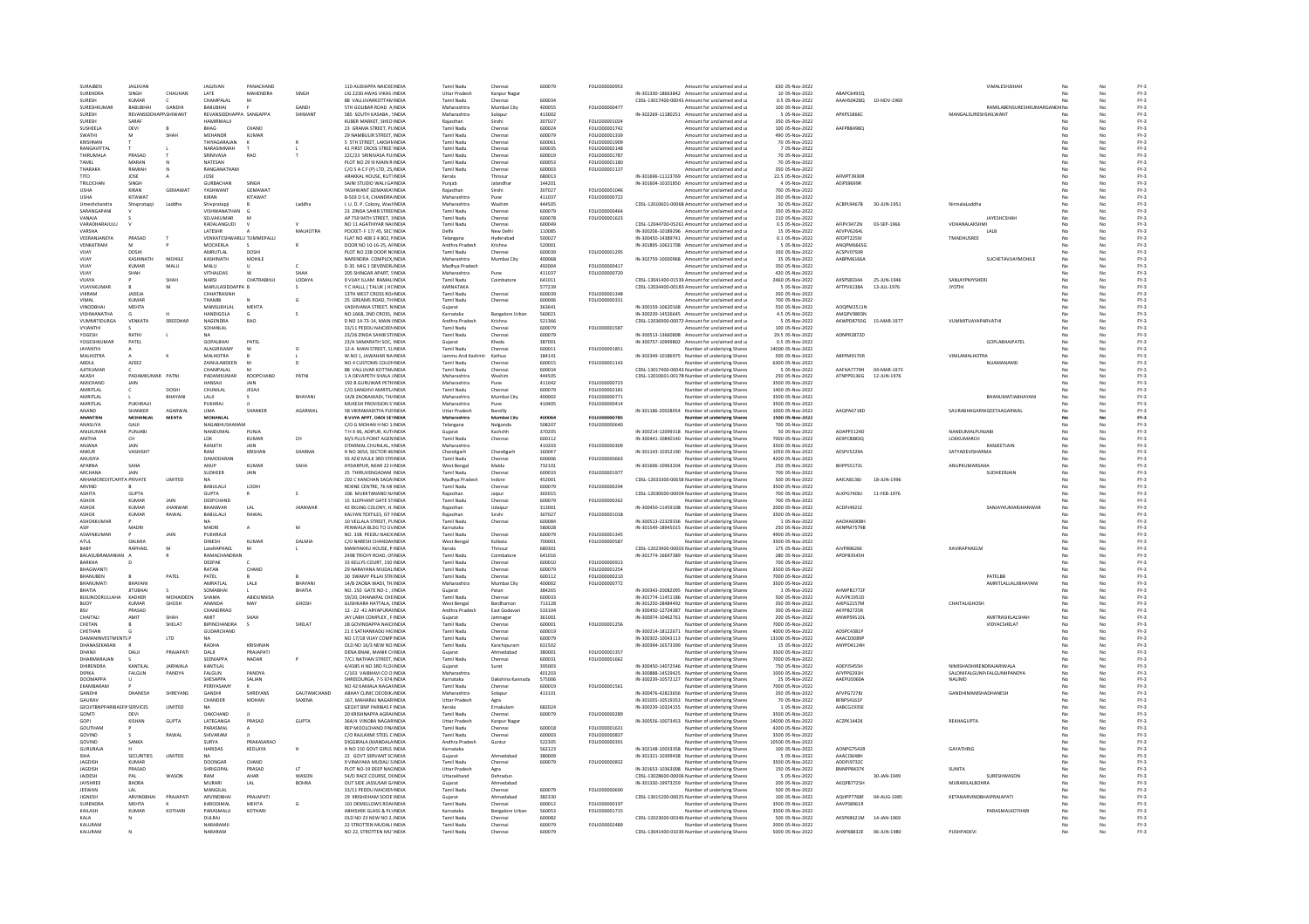| SURAIREN                                    | <b>JAGIIVAN</b>            |                 | <b>IAGJIVAN</b>                | PANACHAND               |                    | 110 AUDIAPPA NAICKE INDIA                                   | Tamil Nadu                          | Chenna                   | 600079           | FOLIO00000953                         | Amount for unclaimed and u                                                                         | 630 05-Nov-2022                       |                          |                            | VIMALESHISHAF                          |            |          | $FY-3$           |
|---------------------------------------------|----------------------------|-----------------|--------------------------------|-------------------------|--------------------|-------------------------------------------------------------|-------------------------------------|--------------------------|------------------|---------------------------------------|----------------------------------------------------------------------------------------------------|---------------------------------------|--------------------------|----------------------------|----------------------------------------|------------|----------|------------------|
| SURENDRA                                    | SINGH                      | CHAUHAN         | LATE                           | MAHENDRA                | SINGH              | LIG 2230 AWAS VIKAS IINDIA                                  | <b>Uttar Pradesh</b>                | Kanpur Naga              |                  |                                       | IN-301330-18663842 Amount for unclaimed and u                                                      | 10 05-Nov-2022                        | ABAPC6495Q               |                            |                                        |            | No       | $FY-3$           |
| SURESH<br>SURESHKUMA                        | KUMAR<br>BABUBHA           | GANDH           | CHAMPALAL<br>BABUBHAI          | M                       | GANDI              | 88 VALLUVARKOTTAMINDIA<br><b>STH GOLIBAR ROAD A INDIA</b>   | Tamil Nadu<br>Maharashtra           | Chennai<br>Mumbai City   | 600034<br>400055 | FOLIO0000047                          | CDSL-13017400-00043 Amount for unclaimed and u<br>Amount for unclaimed and u                       | 0.5 05-Nov-2022<br>100 05-Nov-2022    | AAAHS0428Q               | 10-NOV-1969                | RAMILABENSURESHKUMARG                  | No<br>DHNo | No<br>No | $FY-3$<br>$FY-3$ |
| SURFSH                                      | REVANSIDE                  | CHIM/ANT        | REVANSIDDHAPPA                 | SANGAPPA                | SHIMANT            | 585 SOUTH KASABA, !INDIA                                    | Maharashtra                         | Solapu                   | 413002           |                                       | IN-302269-11180251 Amount for unclaimed and u                                                      | 5 05-Nov-2022                         | APXPS1866C               |                            | MANGALSURESHSHILWANT                   | No         | No       | $FY-3$           |
| SURFSH                                      | SARAF                      |                 | HAMIRMALII                     |                         |                    | KURER MARKET, SHEOUNDIA                                     | Raiasthan                           | Sirohi                   | 307027           | <b>EQUO00001024</b>                   | Amount for unclaimed and u                                                                         | 350.05-Nov-2022<br>100 05-Nov-2022    | AAFPB8498Q               |                            |                                        | No.        | No       | EY-3             |
| SUSHEELA<br>SWATHI                          | DEVI                       | SHAH            | BHAG<br>MEHANDR                | CHAND<br>KUMAR          |                    | 23 GRAMA STREET, PLINDIA<br>29 NAMBULIR STREET, INDIA       | Tamil Nadu<br>Tamil Nadu            | Chennai<br>Chenna        | 600024<br>600079 | FOLIO00001742<br>FOLIO00001339        | Amount for unclaimed and u<br>Amount for unclaimed and u                                           | 490 05-Nov-2022                       |                          |                            |                                        |            | No       | $FY-3$<br>$FY-3$ |
| KRISHNAN                                    |                            |                 | THIYAGARAIAN                   |                         |                    | <b>S. STH STREET LAKSHMNDIA</b>                             | Tamil Nadu                          | Chennai                  | 600061           | EQUIQ00001909                         | Amount for unclaimed and u                                                                         | 70 05-Nov-2022                        |                          |                            |                                        |            | No       | $FY-2$           |
| RANGAVITTAL                                 |                            |                 | NARASIMMAH                     |                         |                    | 41 FIRST CROSS STREETINDIA                                  | Tamil Nadu                          | Chennai                  | 600035           | FOLIO00002148                         | Amount for unclaimed and u                                                                         | 7 05-Nov-2022                         |                          |                            |                                        |            | No       | $FY-3$           |
| THIRUMALA                                   | PRASAD<br>MARAN            |                 | SRINIVASA<br>NATESAN           | <b>RAO</b>              |                    | 22C/23 SRINIVASA PUIINDIA<br>PLOT NO 29 III MAIN R INDIA    | Tamil Nadu<br>Tamil Nadu            | Chennai<br>Chenna        | 600019<br>600053 | FOLIO00001787<br>FOLIO00001180        | Amount for unclaimed and u<br>Amount for unclaimed and u                                           | 70 05-Nov-2022<br>70 05-Nov-2022      |                          |                            |                                        |            | No<br>No | $FY-3$<br>$FY-3$ |
| THARAKA                                     | RAMIAH                     |                 | RANGANATHAM                    |                         |                    | C/O S A C F (P) LTD, 25 INDIA                               | <b>Tamil Nadu</b>                   | Chennai                  | 600003           | FOLIO00001137                         | Amount for unclaimed and u                                                                         | 350 05-Nov-2022                       |                          |                            |                                        | No         | No       | $FY-3$           |
|                                             | JOSE                       |                 | JOSE                           |                         |                    | ARAKKAL HOUSE, KUTIINDIA                                    | Kerala                              | Thrissur                 | 680013           |                                       | IN-301696-11123769 Amount for unclaimed and u                                                      | 22.5 05-Nov-2022                      | AFMPT3930F               |                            |                                        | No         | No       | $FY-3$           |
| TRILOCHAN<br><b>USHA</b>                    | SINGH<br>KIRAN             | <b>GEMAWAT</b>  | <b>GURBACHAM</b><br>YASHWANT   | GEMAWAT                 |                    | SAINI STUDIO WALI GAINDIA<br>YASHWANT GEMAWA1INDIA          | Punjab<br>Rajasthar                 | Jalandha<br>Sirohi       | 144201<br>307027 | FOLIO00001046                         | IN-301604-10101850 Amount for unclaimed and u                                                      | 4 05-Nov-2022<br>700 05-Nov-2022      | AEIPS9699F               |                            |                                        |            | No<br>No | $FY-3$           |
| <b>USHA</b>                                 | KITAWAT                    |                 | KIRAN                          | KITAWAT                 |                    | B-503 D S K, CHANDRA INDIA                                  | Maharashtra                         | Pune                     | 411037           | FOLIO00000722                         | Amount for unclaimed and u<br>Amount for unclaimed and u                                           | 350 05-Nov-2022                       |                          |                            |                                        |            | No       | $FY-3$<br>$FY-3$ |
| Umeshchandra                                | Shivpratapji               | Laddha          | Shivpratapji                   |                         | Laddha             | I. U. D. P. Colony, WashNDIA                                | Maharashtra                         | Washim                   | 444505           |                                       | CDSL-12010601-00068 Amount for unclaimed and u                                                     | 50 05-Nov-2022                        | ACBPL9467B               | 30-JUN-1951                | NirmalaLaddha                          | No         | No       | $FY-3$           |
| SARANGAPANI                                 |                            |                 | VISHWANATHAN                   |                         |                    | 23 ZINDA SAHIB STREEINDIJ                                   | <b>Tamil Nadu</b>                   | Chenna                   | 600079           | FOLIO0000046                          | Amount for unclaimed and u                                                                         | 350 05-Nov-2022                       |                          |                            |                                        |            | No       | $FY-3$           |
| VANAIA<br>VARADHARAJULU                     |                            |                 | SELVAKUMAR<br>KADALANGUDI      |                         |                    | AP 759 94TH STREET 1INDIA<br>NO 11 AGATHIYAR NA(INDIA       | Tamil Nadu<br>Tamil Nadu            | Chennai<br>Chennai       | 600078<br>600049 | <b>FOLIO00001623</b>                  | Amount for unclaimed and u<br>CDSL-12044700-05261 Amount for unclaimed and u                       | 210.05-Nov-2022<br>0.5 05-Nov-2022    | AFIPV3472N               | 03-SEP-1966                | <b>IAYESHCSHAP</b><br>VDHANALAKSHMI    | No         | No<br>No | EY-3<br>$FY-3$   |
| VARSHA                                      |                            |                 | LATESHR                        |                         | MALHOTRA           | POCKET- F 17/45, SECTINDIA                                  | Delhi                               | New Delh                 | 110085           |                                       | IN-300206-10189296 Amount for unclaimed and u                                                      | 15 05-Nov-2022                        | AEVPV6264L               |                            | LALB                                   |            | No       | $FY-3$           |
| VEERANJANEYA                                | PRASAD                     |                 | VENKATESHWARLU TUMMEPALL       |                         |                    | FLAT NO 408 3 4 802, NNDIA                                  | Telangan                            | Hyderaba                 | 500027           |                                       | IN-300450-14389741 Amount for unclaimed and u                                                      | 0.1 05-Nov-2022                       | AFDPT22591               |                            | <b>TMADHLISRFF</b>                     |            |          | $FY-3$           |
| VENKATRAM<br>VIIAY                          | DOSHI                      |                 | MOCHERLA<br>AMRUTLAL           | DOSHI                   |                    | DOOR NO 10-16-25 AFINDIA<br>PLOT NO 238 DOOR N(INDIA        | Andhra Pradesh<br>Tamil Nadu        | Krishna<br>Chennai       | 520001<br>600039 | FOLIO00001295                         | IN-301895-10631708 Amount for unclaimed and u<br>Amount for unclaimed and u                        | 5 05-Nov-2022<br>350 05-Nov-2022      | ANOPM6665G<br>ACSPV0793R |                            |                                        |            | No<br>No | $FY-3$<br>$FY-3$ |
| VUAY                                        | KASHINATH                  | MOHILI          | KASHINATH                      | MOHILE                  |                    | VARENDRA COMPLEX, INDI                                      | Maharashtra                         | Mumbai City              | 400068           |                                       | IN-302759-10000968 Amount for unclaimed and u                                                      | 35 05-Nov-2022                        | AABPM6166/               |                            | SUCHETAVIJAYMOHILI                     |            |          | $FY-3$           |
| VUAY                                        | KUMAR                      | MALU            | MALLI                          |                         | c.                 | D-35 MIG 1 DEVENDRINDIA                                     | Madhya Pradesh                      |                          | 492004           | EQUO00000417                          | Amount for unclaimed and u                                                                         | 350 05-Nov-2022                       |                          |                            |                                        |            | No       | $FY-3$           |
| VUAY                                        | SHAH                       | SHAH            | VITHALDAS                      | w<br>CHATRABHU.         | SHAH               | 205 SHINGAR APART, SINDIA                                   | Maharashtra                         | Pune                     | 411037           | FOLIO00000720                         | Amount for unclaimed and u                                                                         | 420 05-Nov-2022                       | AXSPS8334A               | 25-JUN-1946                | SANJAYPMYSHER                          | No         | No       | $FY-3$<br>$FY-3$ |
| VUAYA<br>VUAYAKUMA                          |                            |                 | NARSI<br>MARULASIDDAPPA B      |                         | LODAYA             | 9 VIJAY ILLAM RAMALINDIA<br>Y C HALLI, (TALUK) HCINDIA      | Tamil Nadu<br>KARNATAKA             | Coimbatore               | 641011<br>577239 |                                       | CDSL-13041400-01539 Amount for unclaimed and u<br>CDSL-12034400-00183 Amount for unclaimed and u   | 2460 05-Nov-2022<br>5 05-Nov-2022     | AFTPV6138A               | 13-JUL-1976                | <b>JYOTHI</b>                          | No         | No<br>No | $FY-3$           |
| VIKRAM                                      | <b>IADEIA</b>              |                 | CHHATRASINH                    |                         |                    | 13TH WEST CROSS ROJINDIA                                    | Tamil Nadu                          |                          | 600039           | EQUO0001249                           | Amount for unclaimed and u                                                                         | 350 05-Nov-2022                       |                          |                            |                                        |            | No       | $FY-3$           |
| VIMAL                                       | KUMAR                      |                 | THAMBI                         |                         | G                  | 25 GREAMS ROAD, THINDIA                                     | Tamil Nadu                          | Chennai                  | 600006           | FOLIO00000331                         | Amount for unclaimed and u                                                                         | 700 05-Nov-2022                       |                          |                            |                                        | No         | No       | $FY-3$           |
| <b>VINODBHA</b><br><b>VISHWANATHA</b>       | MEHTA                      |                 | MANSUKHLAL<br><b>HANDIGOLA</b> | <b>MEHTA</b>            |                    | VADHVANIA STREET, NINDIA<br>NO.1668, 2ND CROSS, INDIA       | Guiarat<br>Karnataka                | <b>Bangalore Urbar</b>   | 363641<br>560021 |                                       | IN-300159-10620168 Amount for unclaimed and u<br>IN-300239-14526645 Amount for unclaimed and u     | 550 05-Nov-2022<br>4.5 05-Nov-2022    | AOOPM2511N<br>AMQPV9803M |                            |                                        |            | No<br>No | $FY-3$<br>$FY-3$ |
| <b>VIIMMITIDURGA</b>                        | VENKATA                    | SREEDHAR        | NAGENDRA                       | <b>RAO</b>              |                    | D NO 14-73-14 MAIN UNDIA                                    | Andhra Pradesh                      | Krishna                  | 521366           |                                       | CDSL-12036900-00072 Amount for unclaimed and u                                                     | 5.05-Nov-2022                         | AKWPD8750G               | 15-MAR-1977                | <b>VIIMMITIIAYAPARVATHI</b>            |            | No       | $FY-3$           |
| VYJANTHI                                    |                            |                 | SOHANLAL                       |                         |                    | 33/11 PEDDU NAICKENINDIA                                    | Tamil Nadu                          | Chennai                  | 600079           | FOLIO00001587                         | Amount for unclaimed and u                                                                         | 100 05-Nov-2022                       |                          |                            |                                        |            | No       | $FY-3$           |
| YOGESH                                      | RATH                       |                 | GOPALBHA                       |                         |                    | 23/26 ZINDA SAHIB STIINDIA                                  | Tamil Nadu                          | Chennai                  | 600079           |                                       | IN-300513-13660808 Amount for unclaimed and u                                                      | 29.5 05-Nov-2022                      | ADNPR2872D               |                            |                                        |            | No       | $FY-3$           |
| YOGESHKUMA<br><b>JAYANTHI</b>               | PATEL                      |                 | ALAGIRISAMY                    | PATEL<br>w              | $\circ$            | 23/A SAMARATH SOC, INDIA<br>12-A MAIN STREET, SLINDIA       | Sujarat<br>Tamil Nadu               | Kheda<br>Chennai         | 387001<br>600011 | FOLIO00001851                         | IN-300757-10999802 Amount for unclaimed and u<br>Number of underlying Shares                       | 0.5 05-Nov-2022<br>14000 05-Nov-2022  |                          |                            | GOPLABHAIPATE                          | No         | No       | $FY-3$<br>$FY-3$ |
| MALHOTRA                                    |                            |                 | MALHOTRA                       |                         |                    | W.NO 1, JAWAHAR NA INDIA                                    | Jammu And Kashmir                   | Kathua                   | 184141           |                                       | IN-302349-10186975 Number of underlying Shares                                                     | 500 05-Nov-2022                       | ABFPM9170F               |                            | VIMLAMALHOTRA                          | No         | No       | $FY-3$           |
| ABDUL                                       | AZEEZ                      |                 | ZAINULABDEEN                   |                         |                    | NO 4 CUSTOMS COLONINDIA                                     | Tamil Nadu                          | Chenna                   | 600019           | FOLIO00001143                         | Number of underlying Shares                                                                        | 6300 05-Nov-2022                      |                          |                            | NUAMANAME                              |            |          | FY-3             |
| <b>AUTKUMAR</b><br>AKASH                    | PADAMKUMAR PATNI           |                 | CHAMPALAI<br>PADAMKUMAR        | M<br>ROOPCHAND          | PATNI              | 88 VALLUVAR KOTTANINDIA<br>1 A DEVAPETH SHALA JINDIA        | Tamil Nadu<br>Maharashtra           | Chenna<br>Washim         | 600034<br>444505 |                                       | CDSL-13017400-00043 Number of underlying Shares<br>CDSL-12010601-00178 Number of underlying Shares | 5 05-Nov-2022<br>250 05-Nov-2022      | ΔΔΕΗΔ7779Η<br>ATNPP9136G | 04-MAR-1973<br>12-JUN-1976 |                                        |            | No<br>No | $FY-3$<br>$FY-3$ |
| AMICHAND                                    | JAIN                       |                 | HANSAJI                        | JAIN                    |                    | 192 B GURUWAR PETHINDIA                                     | Maharashtra                         | Pune                     | 411042           | FOLIO00000723                         | Number of underlying Shares                                                                        | 3500 05-Nov-2022                      |                          |                            |                                        |            | No       | $FY-3$           |
| AMPITI AL                                   |                            | DOSHI           | CHUNILAL                       | JESAJI                  |                    | C/O.SANGHVI AMRITL/INDI/                                    | Tamil Nadu                          | Chenna                   | 600079           | FOLIO00002181                         | Number of underlying Share                                                                         | 1400 05-Nov-2022                      |                          |                            |                                        |            |          | $FY-3$           |
| AMRITI AL<br>AMRITLAL                       | PUKHRAJI                   | RHAYANI         | <b>LALIL</b><br>PUKHRAJ        |                         | RHAYANI            | 14/R ZAORAWADI TH/INDIA<br>MUKESH PROVISION S'INDIA         | Maharashtra<br>Maharashtra          | Mumbai City<br>Pune      | 400002<br>410405 | <b>FOLIO00000771</b><br>FOLIO00000414 | Number of underlying Shares<br>Number of underlying Shares                                         | 3500.05-Nov-2022<br>3500 05-Nov-2022  |                          |                            | <b><i>RHANI IMATIARHAYANI</i></b>      |            | No<br>No | FY-3<br>$FY-3$   |
| ANAND                                       | SHANKER                    | AGARWAL         | <b>UMA</b>                     | SHANKER                 | AGARWAL            | 58 VIKRAMADITYA PUFINDIA                                    | <b>Uttar Pradesh</b>                | Bareilly                 |                  |                                       | IN-301186-20028054 Number of underlying Shares                                                     | 1000 05-Nov-2022                      | AAQPA6718D               |                            | SAURABHAGARWGEETAAGARWA                |            | No       | $FY-3$           |
| <b>ANANTRAL</b>                             | <b>MOHANLAI</b>            | <b>MEHTA</b>    | <b>MOHANLAL</b>                |                         |                    | 8 VUYA APPT, DADI SETINDIA                                  | Maharashtr                          | Mumbai City              | 400064           | FOLIO00000789                         | Number of underlying Share                                                                         | 1500 05-Nov-2022                      |                          |                            |                                        |            | No       | $FY-3$           |
| <b>ANASIIYA</b>                             | <b>GAIL</b>                |                 | <b>NAGARHUSHANAM</b>           |                         |                    | C/O G MOHAN H NO 1: INDIA                                   | Telangana                           | Nalgonda                 | 508207           | FOLIO00000640                         | Number of underlying Share:                                                                        | 700.05-Nov-2022                       | ADAPP3124D               |                            | NANDUMALPUNJAB                         |            | No       | EY-3             |
| ANILKUMAI<br>ANITHA                         | PUNJABI<br>CH              |                 | NANDUMAL<br>LOK                | PUNJA<br>KUMAR          | CH                 | TH X 96, ADIPUR, KUTIINDI<br>M/S PLUS POINT AGENINDIA       | Gujarat<br>Tamil Nadu               | Kachchh<br>Chennai       | 370205<br>600112 |                                       | IN-300214-12099318 Number of underlying Shares<br>IN-300441-10840140 Number of underlying Share:   | 50 05-Nov-2022<br>7000 05-Nov-2022    | AEXPC8883Q               |                            | LOKKUMARCH                             |            | No       | $FY-3$<br>$FY-3$ |
| <b>ANIANA</b>                               | <b>JAIN</b>                |                 | RANIITH                        | <b>JAIN</b>             |                    | OTARMAL CHUNILAL, HNDIA                                     | Maharashtra                         |                          | 410203           | FOLIO00000309                         | Number of underlying Share:                                                                        | 3500 05-Nov-2022                      |                          |                            | <b>RANIFFTIAIN</b>                     |            | No       | $FY-3$           |
| ANKUR                                       | VASHISHT                   |                 | RAM                            | KRISHAN                 | SHARMA             | H NO 3654, SECTOR 46 INDIA                                  | Chandigarh                          | Chandigart               | 160047           |                                       | IN-301143-10352190 Number of underlying Shares                                                     | 1050 05-Nov-2022                      | AESPV5229A               |                            | SATYADEVISHARMA                        | No         | No       | $FY-3$           |
| ANUSIYA<br>APARNA                           | SAHA                       |                 | <b>DAMODARAM</b><br>ANUP       | KUMAR                   |                    | 93 AZIZ MULK 3RD STRINDIA<br>HYDARPUR, NEAR 22 HINDI        | Tamil Nadu<br>West Benga            | Chennai<br>Malda         | 600006<br>732101 | FOLIO00000663                         | Number of underlying Shares<br>IN-301696-10963204 Number of underlying Share:                      | 4200 05-Nov-2022<br>250 05-Nov-2022   | BHPPS5172L               |                            | <b>ANUPKUMARSAH</b>                    | No         | No<br>No | $FY-3$<br>FY-3   |
| <b>ARCHANA</b>                              | <b>JAIN</b>                |                 | SUDHEER                        | JAIN                    |                    | 25 THIRLIVENGADAM INDIA                                     | Tamil Nadu                          | Chenna                   | 600033           | FOLIO00001977                         | Number of underlying Share                                                                         | 700 05-Nov-2022                       |                          |                            | SUDHEERJAIN                            |            | No       |                  |
| ARHAMCREDITCAPITA PRIVATE                   |                            | LIMITED         |                                |                         |                    | 202 C KANCHAN SAGAIINDIA                                    | Madhya Pradesh                      | Indore                   | 452001           |                                       | CDSL-12033300-00658 Number of underlying Shares                                                    | 500 05-Nov-2022                       | AAICA8138J               | 18-JUN-1996                |                                        | No         | No       | FY-3<br>FY-3     |
| ARVIND                                      | <b>GUPTA</b>               |                 | BABULALI<br><b>GUPTA</b>       | LODHI                   |                    | REXINE CENTRE, 76 MI INDIA                                  | Tamil Nadu                          | Chenna                   | 600079           | FOLIO00000294                         | Number of underlying Shares                                                                        | 3500 05-Nov-2022                      |                          |                            |                                        |            | No       | $FY-3$           |
| <b>ASHITA</b><br>ASHOK                      | KUMAR                      | <b>JAIN</b>     | DEEPCHAND                      |                         |                    | 106 MUKKTANAND N/INDI/<br>15 FLEPHANT GATE STINDIA          | Rajasthar<br>Tamil Nadu             | Jaipur<br>Chennai        | 302015<br>600079 | EQUIO00000262                         | CDSL-12030000-00004 Number of underlying Share:<br>Number of underlying Share:                     | 700 05-Nov-2022<br>700.05-Nov-2022    | ALXPG7406J               | 11-FFB-1976                |                                        |            | No<br>No | $FY-3$<br>FY-3   |
| <b>ASHOK</b>                                | <b>KUMAR</b>               | <b>JHANWAR</b>  | BHANWAR                        | A                       | <b>JHANWAR</b>     | 42 EKLING COLONY, H. INDIA                                  | Raiasthan                           | Udaipur                  | 313001           |                                       | IN-300450-11459108 Number of underlying Shares                                                     | 2000 05-Nov-2022                      | ACDPJ4921E               |                            | SANJAYKUMARJHANWAR                     | No         | No       | $FY-3$           |
| <b>ASHOK</b>                                | KUMAR                      | RAWAL           | BABULALII                      | RAWAL                   |                    | KALYAN TEXTILES, IST FINDIA                                 | Raiasthar                           | Sirohi                   | 307027           | FOLIO00001018                         | Number of underlying Shares                                                                        | 3500 05-Nov-2022                      |                          |                            |                                        |            | No       | $FY-3$           |
| <b>ASHOKKLIMAR</b><br>ASIF                  | MADRI                      |                 | <b>MADRI</b>                   | $\mathbf{A}$            | M                  | 10 VEH ALA STREET PLINDIA<br>PENWALA BLDG TO UVINDIA        | Tamil Nadu<br>Karnataka             | Chennai                  | 600084<br>580028 |                                       | IN-300513-22329336 Number of underlying Shares<br>IN-301549-18945015 Number of underlying Shares   | 1 05-Nov-2022<br>250 05-Nov-2022      | AAOHA6908K<br>AKNPM7579B |                            |                                        |            | No<br>No | $FY-3$<br>$FY-3$ |
| ASWINKUMAR                                  |                            | JAIN            | PUKHRAJJI                      |                         |                    | NO. 33B PEEDU NAICKINDIA                                    | Tamil Nadu                          | Chennai                  | 600079           | FOLIO00001345                         | Number of underlying Shares                                                                        | 4900 05-Nov-2022                      |                          |                            |                                        |            | No       | $FY-3$           |
| <b>ATUL</b>                                 | <b>DAIMIA</b>              |                 | DINESH                         | KUMAR                   | DALMI              | C/O NARESH CHANDANNDI                                       | West Bengal                         | Kolkata                  | 700001           | FOLIO00000587                         | Number of underlying Share:                                                                        | 3500 05-Nov-2022                      |                          |                            |                                        |            |          | $FY-3$           |
| <b>BARY</b>                                 | RAPHAEL                    | м               | <b>LateRAPHAEL</b>             | M                       |                    | MANIYAKKU HOUSE, P INDIA                                    | Kerala                              | Thrissur                 | 680301           |                                       | CDSL-12023900-00003. Number of underlying Shares                                                   | 175 05-Nov-2022                       | AIVPR9626K               |                            | <b>ΧΑ</b> ΜΡΑΡΗΔΕΙΜ                    | No.        | No       | $FY-3$           |
| BALASUBRAMANIAN A<br>BARKHA                 |                            |                 | RAMACHANDRAN<br>DEEPAK         |                         |                    | 2498 TRICHY ROAD, ONNDIA<br>33 KELLYS COURT, 150 INDI       | <b>Tamil Nadu</b><br>Tamil Nadu     | Coimbatore<br>Chennai    | 641016<br>600010 | FOLIO00000913                         | IN-301774-16697389 Number of underlying Shares<br>Number of underlying Share:                      | 280 05-Nov-2022<br>700 05-Nov-2022    | APDPB3545H               |                            |                                        |            | No       | $FY-3$<br>$FY-3$ |
| RHAGWANT                                    |                            |                 | RATAN                          | CHAND                   |                    | 29 NARAYANA MUDAL INDIA                                     | Tamil Nadu                          | Chennai                  | 600079           | FOLIO00001254                         | Number of underlying Share:                                                                        | 3500 05-Nov-2022                      |                          |                            |                                        |            | No       | $FY-3$           |
| BHANUBEN                                    |                            | PATEL           | PATEL                          |                         |                    | 30 SWAMY PILLAI STRINDIA                                    | <b>Tamil Nadu</b>                   | Chennai                  | 600112           | FOLIO00000210                         | Number of underlying Shares                                                                        | 7000 05-Nov-2022                      |                          |                            | PATELBB                                | No.        | No       | $FY-3$           |
| BHANUMATI<br>BHATIA                         | BHAYANI<br><b>JITUBHAI</b> |                 | AMRATLAL<br>SOMABHA            | LALI                    | BHAYANI<br>BHATIA  | 14/B ZAOBA WADI, TH.INDIA<br>NO. 150 GATE NO-1, JINDIA      | Maharashtra                         | Mumbai City<br>Patan     | 400002<br>384265 | FOLIO00000772                         | Number of underlying Shares<br>IN-300343-20082095 Number of underlying Shares                      | 3500 05-Nov-2022<br>1 05-Nov-2022     | AHWPB1772                |                            | AMRITLALLALJIBHAYANI                   | No         | No<br>No | $FY-3$<br>$FY-3$ |
| <b>BUILINOORULLAHA</b>                      | KADHER                     | MOHAIDEEN       | SHAMA                          | <b>ARIDUNNISA</b>       |                    | 59/20, DHANAPAL CHEINDI/                                    | Gujarat<br>Tamil Nadu               | Chennai                  | 600033           |                                       | IN-301774-11451186 Number of underlying Share                                                      | 500 05-Nov-2022                       | AUVPK1951D               |                            |                                        |            | No       | $FY-3$           |
| <b>RIIOY</b>                                | KUMAR                      | GHOSH           | <b>ANANDA</b>                  | MAY                     | GHOSH              | GUSHKARA HATTALA JINDIA                                     | West Bengal                         | Bardhaman                | 713128           |                                       | IN-301250-28484492 Number of underlying Share:                                                     | 350.05-Nov-2022                       | AIKPG2157M               |                            | CHAITALIGHOSH                          |            | No       | EY-3             |
| CHAITALI                                    | PRASAD<br>AMIT             | <b>SHAF</b>     | CHANDRRAO<br>AMIT              |                         |                    | 12 - 22 -41 ARYAPURAHNDI/<br>JAY LABH COMPLEX, FINDIA       | Andhra Pradesh                      | East Godavar             | 533104<br>361001 |                                       | IN-300450-12724387 Number of underlying Shares<br>IN-300974-10462761 Number of underlying Share:   | 350 05-Nov-2022<br>200 05-Nov-2022    | AKYPB2725R<br>ANWPS9510  |                            | AMITRASIKLALSHAH                       | No         | No<br>No | $FY-3$<br>$FY-3$ |
| CHETAN                                      |                            | SHELAT          | RIPINCHANDRA                   | s                       | SHELAT             | 28 GOVINDAPPA NAICUNDIA                                     | Gujarat<br>Tamil Nadu               | Jamnagar<br>Chennai      | 600001           | FOLIO00001256                         | Number of underlying Share:                                                                        | 7000 05-Nov-2022                      |                          |                            | VIDYACSHELAT                           | No         | No       | $FY-3$           |
| CHETHAN                                     |                            |                 | GUDARCHAND                     |                         |                    | 21 E SATHANKADU HIGINDIA                                    | Tamil Nadu                          | Chennai                  | 600019           |                                       | IN-300214-18122671 Number of underlying Shares                                                     | 4000 05-Nov-2022                      | ADSPC4381P               |                            |                                        | No         | No       | $FY-3$           |
| <b>DAMANINVESTMENTS P</b>                   |                            | LTD             | <b>NA</b>                      |                         |                    | NO 17/18 VIJAY COMP INDIA                                   | Tamil Nadu                          | Chennai                  | 600079           |                                       | IN-300302-10043113 Number of underlying Shares                                                     | 13300 05-Nov-2022                     | AAACD3089P               |                            |                                        |            | No       | $FY-3$           |
| DHANASEKARAN<br>DHANJI                      | DALI                       | PRAJAPATI       | RADHA<br>DALI                  | KRISHNA<br>PRAJAPATI    |                    | OLD NO 16/3 NEW NO INDIA<br>DENA BNAK, MANIK CHNDIA         | Tamil Nadu<br>Guiarat               | Kanchipuran<br>Ahmedabad | 631502<br>380001 | FOLIO00001357                         | IN-300394-16573399 Number of underlying Share:<br>Number of underlying Shares                      | 15 05-Nov-2022<br>3500 05-Nov-2022    | ANYPD4124F               |                            |                                        |            | No       | $FY-3$<br>$FY-3$ |
| DHARMARAJAM                                 |                            |                 | SEENIAPPA                      | NADAR                   |                    | 7/C1 NATHAN STREET, INDIA                                   | <b>Tamil Nadu</b>                   | Chennai                  | 600031           | FOLIO00001662                         | Number of underlying Shares                                                                        | 7000 05-Nov-2022                      |                          |                            |                                        | No         | No       | $FY-3$           |
| DHIRENDRA                                   | KANTILAI                   | <b>JARIWALA</b> | KANTILAL                       |                         |                    | 4/4385 H NO 3RD FLO(INDIA                                   | Gujarat                             | Surat                    | 395003           |                                       | IN-300450-14072546 Number of underlying Shares                                                     | 750 05-Nov-2022                       | ADEPIS455H               |                            | MISHADHIRENDRAJARIWALA                 |            | No       | $FY-3$           |
| <b>DIRIKA</b><br><b>DOOMAPPA</b>            | FALGUN<br>11.              | PANDYA          | FALGUN<br>SHESAPPA             | <b>DANDVA</b><br>SALIAN |                    | C/103 VAIBHAVI CO O INDIA<br>SHREEDURGA, 7-5 674 INDIA      | Maharashtra<br>Karnataka            | Dakshina Kannada         | 401203<br>575006 |                                       | IN-300888-14529425 Number of underlying Share                                                      | 1000 05-Nov-2022<br>25 05-Nov-2022    | AFYPP6293H<br>AAEPU0060A |                            | SALONIFALGUNP/FALGUNHPANDYA<br>NALINID | No.        | No<br>No | $FY-3$<br>$FY-3$ |
| EKAMBARAM                                   |                            |                 | PERIYASAMY                     |                         |                    | NO 42 KAMALA NAGAHNDIA                                      | Tamil Nadu                          | Chennai                  | 600019           | FOLIO00001561                         | IN-300239-10572127 Number of underlying Share:<br>Number of underlying Shares                      | 7000 05-Nov-2022                      |                          |                            |                                        | No         | No       | $FY-3$           |
| <b>GANDHI</b>                               | <b>DHANESH</b>             | SHREYANS        | <b>GANDHI</b>                  | SHREYANS                | <b>GAUTAMCHAND</b> | ABHAY CLINIC DEODIK INDIA                                   | Maharashtra                         | Solapur                  | 413101           |                                       | IN-300476-42823656 Number of underlying Shares                                                     | 350 05-Nov-2022                       | AFVPG72781               |                            | <b>GANDHIMANISHADHANESI</b>            |            |          | $FY-3$           |
| <b>GAURAV</b>                               |                            |                 | CHANDER                        | MOHAN                   | SAXENA             | 167 MAHARAI NAGARINDIA                                      | <b>Uttar Pradesh</b>                | Agra                     |                  |                                       | IN-301055-10519353 Number of underlying Share:                                                     | 70.05-Nov-2022                        | RERPS4161P               |                            |                                        | No.        | No       | FY-3             |
| <b>GEOJITBNPPARIBASFINSERVICES</b><br>GOMTI | DEVI                       | LIMITED         | <b>NA</b><br>OAKCHAND          |                         |                    | <b>GEOJIT BNP PARIBAS FINDIA</b><br>20 KRISHNAPPA AGRAHNDIA | Kerala<br>Tamil Nadu                | Ernakulan<br>Chennai     | 682024<br>600079 | FOLIO00000289                         | IN-300239-10324155 Number of underlying Shares<br>Number of underlying Shares                      | 1 05-Nov-2022<br>3500 05-Nov-2022     | AABCG1935E               |                            |                                        |            | No<br>No | $FY-3$<br>$FY-3$ |
|                                             | KISHAN                     | <b>GUPTA</b>    | LATEGANGA                      | PRASAD                  | GUPTA              | 64/4 VINOBA NAGARINDIA                                      | <b>Uttar Prades</b>                 | Kanpur Naga              |                  |                                       | IN-300556-10073453 Number of underlying Shares                                                     | 14000 05-Nov-2022                     | ACZPK14428               |                            | <b>REKHAGUPTA</b>                      |            |          | $FY-3$           |
| GOLITHAM                                    |                            |                 | PARASMAL                       |                         |                    | REP MOOLCHAND FINANDIA                                      | Tamil Nadu                          | Chennai                  | 600018           | <b>EQUOR0001631</b>                   | Number of underlying Shares                                                                        | 4200 05-Nov-2022                      |                          |                            |                                        | No.        | No       | $FY-2$           |
| GOVIND<br>GOVIND                            | SANKA                      | RAWAL           | SHIVARAM<br>SURYA              | PRAKASARAC              |                    | C/O RAJLAXMI STEEL C INDIA<br>DIGGIRALA (MANDALAINDI        | <b>Tamil Nadu</b><br>Andhra Prades  | Chennai<br>Guntur        | 600003<br>522305 | FOLIO00000837<br>FOLIO00000391        | Number of underlying Shares<br>Number of underlying Share:                                         | 3500 05-Nov-2022<br>10500 05-Nov-2022 |                          |                            |                                        |            | No       | $FY-3$<br>FY-3   |
| <b>GURURAJA</b>                             |                            |                 | HARIDAS                        | <b>KEDLAYA</b>          |                    | H NO 150 GOVT GIRLS INDIA                                   | Karnataka                           |                          | 562123           |                                       | IN-302148-10033358 Number of underlying Shares                                                     | 100 05-Nov-2022                       | AONPG7543R               |                            | GAYATHRIG                              |            | No       | $FY-3$           |
| <b>ISHA</b>                                 | SECURITIES                 | <b>LIMITED</b>  | NA                             |                         |                    | 22 GOVT.SERVANT SCINDIA                                     | Guiarat                             | Ahmedabad                | 380009           |                                       | IN-301321-10399438 Number of underlying Shares                                                     | 5 05-Nov-2022                         | AAACI3648H               |                            |                                        |            | No       | $FY-3$           |
| JAGDISH                                     | KUMAR                      |                 | DOONGAR                        | CHAND                   |                    | 9 VINAYAKA MUDALI SINDIA                                    | Tamil Nadu                          | Chennai                  | 600079           | FOLIO00000832                         | Number of underlying Shares                                                                        | 3500 05-Nov-2022                      | ADDPJ9732C               |                            |                                        |            | No       | $FY-3$           |
| JAGDISH<br>JAIDESH                          | PRASAD<br>PAL              | WASON           | SHRIGOPAL<br><b>PAM</b>        | PRASAD<br>AHAR          | LT<br>WASON        | PLOT NO-19 DEEP NAGINDIA<br>54/D RACE COURSE, DHNDIA        | <b>Uttar Pradesh</b><br>Uttarakhand | Agra<br>Dehradun         |                  |                                       | IN-301653-10363008 Number of underlying Share:<br>CDSL-13028600-00006 Number of underlying Share   | 150 05-Nov-2022<br>5 05-Nov-2022      | <b>BNNPP8437K</b>        | 30-JAN-1949                | SUNITA<br>SURESHWASO                   |            | No<br>No | $FY-3$<br>$FY-3$ |
| JAYSHREE                                    | <b>BHORA</b>               |                 | <b>MURARI</b>                  | LAL                     | <b>BOHRA</b>       | OUT SIDE JASSUSAR G/INDIA                                   | Guiarat                             | Ahmedabad                |                  |                                       | IN-301330-19973259 Number of underlying Shares                                                     | 200 05-Nov-2022                       | AKOPB7725H               |                            | <b>MURARILALBOHRA</b>                  | No         | No       | $FY-3$           |
| JEEWAN                                      | LAL                        |                 | MANGILAL                       |                         |                    | 33/11 PEDDU NAICKENINDIA                                    | <b>Tamil Nadu</b>                   | Chennai                  | 600079           | FOLIO00000690                         | Number of underlying Shares                                                                        | 500 05-Nov-2022                       |                          |                            |                                        |            | No       | $FY-3$           |
| JIGNESH<br>SURFNDRA                         | <b>ARVINDRHA</b><br>MEHTA  | PRAJAPAT        | <b>ARVINDRHA</b><br>KARODIMAL  | PRAJAPAT<br>MEHTA       | G.                 | 29 KRISHDHAM SOCIE INDIA<br>101 DEMELLOWS ROALINDIA         | Gujarat<br>Tamil Nadu               | Ahmedabad<br>Chennai     | 382330<br>600012 | EQUIO00000197                         | CDSL-13015200-00025 Number of underlying Share:<br>Number of underlying Share:                     | 100 05-Nov-2022<br>3500 05-Nov-2022   | AOHPP7768F<br>AAVPS8961R | 04-AUG-1985                | KETANARVINDBHAIPRAJAPATI               |            | No       | $FY-3$<br>FY-3   |
| KAILASH                                     | <b>KUMAR</b>               | <b>KOTHARI</b>  | PARASMALII                     | KOTHARI                 |                    | ABHISHEK GLASS & PLYINDIA                                   | Karnataka                           | Bangalore Urban          | 560053           | FOLIO00001715                         | Number of underlying Shares                                                                        | 3500 05-Nov-2022                      |                          |                            | PARASMALKOTHARI                        | No         | No       | $FY-3$           |
| KALA                                        |                            |                 | DULRAI                         |                         |                    | OLD NO 23 NEW NO 2. INDIA                                   | Tamil Nadu                          | Chennai                  | 600082           |                                       | CDSL-12023000-00346 Number of underlying Shares                                                    | 500 05-Nov-2022                       | AKSPK8621M               | 14-JAN-1969                |                                        |            |          | $FY-3$           |
| KALURAM<br>KALURAM                          | N                          |                 | NARARAMI<br>NARARAM            |                         |                    | 22 STROTTEN MUDALLINDIA<br>NO 22. STROTTEN MUTINDIA         | Tamil Nadu<br><b>Tamil Nadu</b>     | Chennai<br>Chennai       | 600079<br>600079 | FOLIO00002489                         | Number of underlying Share:<br>CDSL-13041400-01039 Number of underlying Shares                     | 2000 05-Nov-2022<br>5000 05-Nov-2022  | AHXPK8832E               | 06-JUN-1980                | PUSHPADEVI                             | No         |          | $FY-3$<br>$FY-3$ |
|                                             |                            |                 |                                |                         |                    |                                                             |                                     |                          |                  |                                       |                                                                                                    |                                       |                          |                            |                                        |            |          |                  |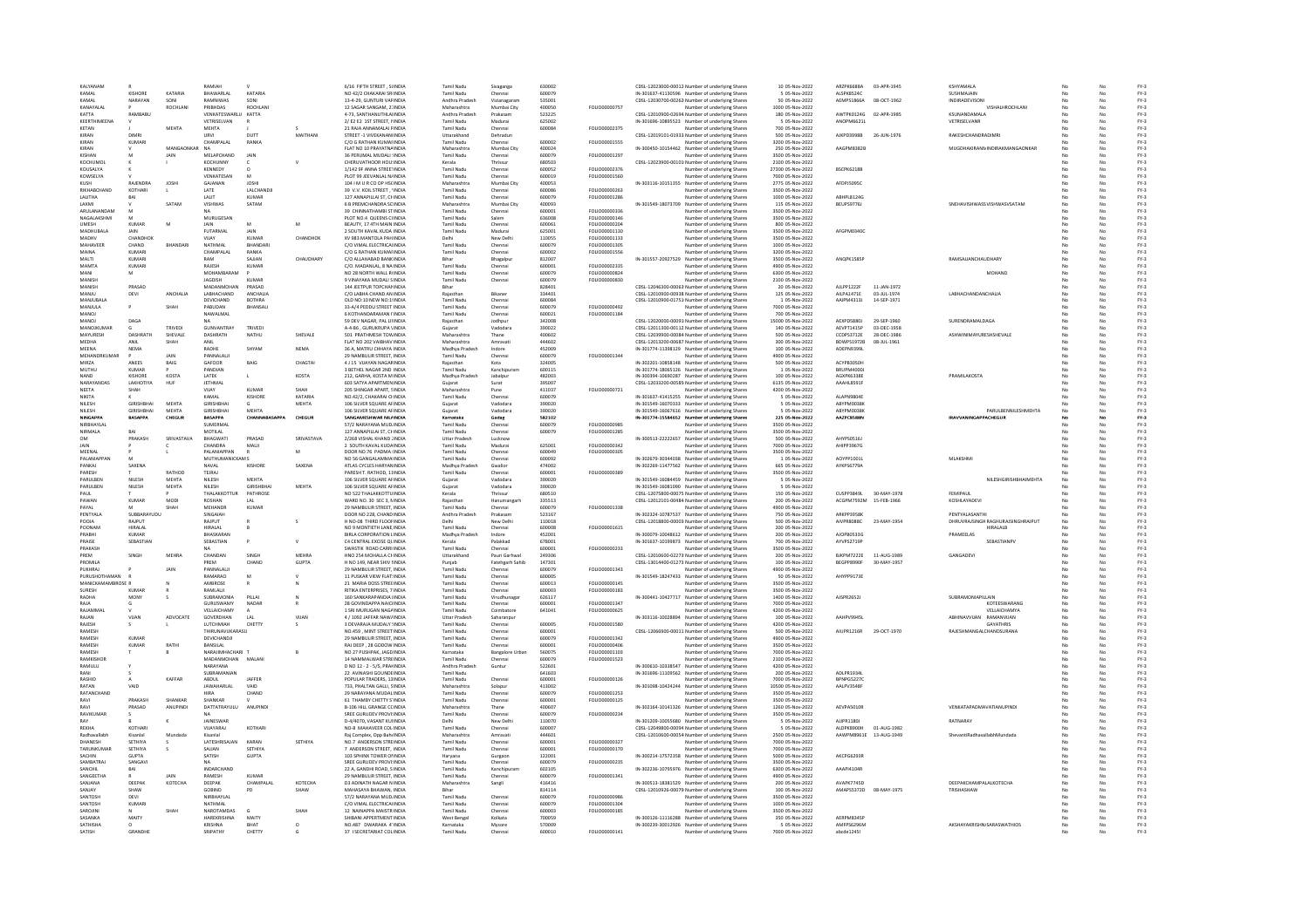| KAIYANAM                  |                              |                | RAMIAH                             |                             |                  | 6/16 FIFTH STREET . SUNDIA                                | Tamil Nadu                      | Sivaganga                | 630002           |                                | CDSL-12023000-00012 Number of underlying Share:                                                    | 10 05-Nov-2022                       | <b>ARZPK6688A</b>                      | 03-APR-1945  | <b>KSHYAMALA</b>                            |    |          | $FY-3$           |
|---------------------------|------------------------------|----------------|------------------------------------|-----------------------------|------------------|-----------------------------------------------------------|---------------------------------|--------------------------|------------------|--------------------------------|----------------------------------------------------------------------------------------------------|--------------------------------------|----------------------------------------|--------------|---------------------------------------------|----|----------|------------------|
| KAMAL                     | KISHORE                      | KATARIA        | BHAWARLAL                          | KATARIA                     |                  | NO 42/2 CHAKARAI SRIINDIA                                 | <b>Tamil Nadu</b>               | Chennai                  | 600079           |                                | IN-301637-41130596 Number of underlying Share:                                                     | 5 05-Nov-2022                        | ALSPK8524C                             |              | SUSHMAJAIN                                  |    | No       | $FY-3$           |
| KAMAL                     | NARAYAN                      | SONI           | RAMNIWAS                           | SONI                        |                  | 13-4-29, GUNTURI VARINDIA                                 | Andhra Pradesh                  | Vizianagaram             | 535001           |                                | CDSL-12030700-00262 Number of underlying Shares                                                    | 50 05-Nov-2022                       | AEMPS1866A                             | 08-OCT-1962  | INDIRADEVISONI                              | No | No       | FY-3             |
| KANAYALAL<br>KATTA        |                              | <b>ROCHLAN</b> | PRIBHDAS<br>VENKATESWARLU          | ROCHLAN                     |                  | 12 SAGAR SANGAM, 21 INDIA                                 | Maharashtra                     | Mumbai City              | 400050           | FOLIO00000757                  | Number of underlying Share:                                                                        | 1000 05-Nov-2022                     |                                        |              | VISHALHROCHLANI<br>KSUNANDAMALA             |    |          | $FY-3$           |
| KEERTHIMFENA              | RAMBABI                      |                | <b>VETRISEI VAN</b>                | KATTA                       |                  | 4-73. SANTHANUTHLAHNDIA<br>2/E2 E2 1ST STREET NINDIA      | Andhra Pradesh<br>Tamil Nadu    | Prakasa<br>Madurai       | 523225<br>625002 |                                | CDSL-12010900-02694 Number of underlying Shares<br>IN-301696-10895523 Number of underlying Share:  | 180 05-Nov-2022<br>5.05-Nov-2022     | AWTPK0124G 02-APR-1985<br>ANOPM6621L   |              | <b>VETRISEI VANR</b>                        |    | No       | $FY-3$<br>FY-3   |
| <b>KETAN</b>              |                              | MEHTA          | <b>MEHTA</b>                       |                             |                  | 21 RAJA ANNAMALAI FINDIA                                  | Tamil Nadu                      | Chennai                  | 600084           | FOLIO00002375                  | Number of underlying Shares                                                                        | 700 05-Nov-2022                      |                                        |              |                                             |    |          | $FY-3$           |
| KIRAN                     | <b>DIMR</b>                  |                | URVI                               | DUTT                        | MAITHAN          | STREET -1 VIVEKANANIINDIA                                 | Uttarakhand                     | Dehradur                 |                  |                                | CDSL-12019101-01933 Number of underlying Share:                                                    | 500 05-Nov-2022                      | AJKPD3998B                             | 26-JUN-1976  | RAKESHCHANDRADIMR                           |    |          | $FY-3$           |
| KIRAN                     | KUMARI                       |                | CHAMPALAI                          | RANKA                       |                  | C/O G RATHAN KUMAFINDIA                                   | Tamil Nadu                      | Chennai                  | 600002           | FOLIO00001555                  | Number of underlying Share:                                                                        | 3200 05-Nov-2022                     |                                        |              |                                             |    | No       | $FY-3$           |
| KIRAN                     |                              | MANGAONKAR     | <b>NA</b>                          |                             |                  | FLAT NO 10 PRAYATNAINDIA                                  | Maharashtra                     | Mumbai City              | 400024           |                                | IN-300450-10154462 Number of underlying Shares                                                     | 250 05-Nov-2022                      | AAGPM8382B                             |              | MUGDHAKIRANNINDIRAKMANGAONKAR               |    | No       | $FY-3$           |
| KISHAN<br>KOCHUMOL        |                              | JAIN           | MELAPCHAND<br>KOCHUNNY             | JAIN                        |                  | 36 PERUMAL MUDALI : INDIA<br>CHERUVATHOOR HOU: INDIA      | Tamil Nadu                      | Chennai                  | 600079<br>680503 | FOLIO00001297                  | Number of underlying Shares                                                                        | 3500 05-Nov-2022<br>2100 05-Nov-2022 |                                        |              |                                             |    | No       | $FY-3$           |
| KOUSALYA                  |                              |                | KENNEDY                            |                             |                  | 1/142 9F ANNA STREETINDIA                                 | Kerala<br><b>Tamil Nadu</b>     | Thrissur<br>Chennai      | 600052           | FOLIO00002376                  | CDSL-12023900-00101/Number of underlying Shares<br>Number of underlying Shares                     | 27300 05-Nov-2022                    | <b>BSCPK6218B</b>                      |              |                                             |    | No       | $FY-3$<br>$FY-3$ |
| KOWSELYA                  |                              |                | VENKATESAN                         | M                           |                  | PLOT 99 JEEVANLAL N/INDIA                                 | Tamil Nadu                      | Chennai                  | 600019           | FOLIO00001560                  | Number of underlying Shares                                                                        | 7000 05-Nov-2022                     |                                        |              |                                             |    | No       | $FY-3$           |
| KUSH                      | <b>RAJENDRA</b>              | JOSH           | GAJANAN                            | JOSH                        |                  | 104   M U R CO OP HSCINDIA                                | Maharashtra                     | Mumbai City              | 400053           |                                | IN-303116-10151355 Number of underlying Shares                                                     | 2775 05-Nov-2022                     | AFDPJ5095C                             |              |                                             |    |          | $FY-3$           |
| RIKHARCHAND               | KOTHARI                      |                | LATE                               | LALCHANDJI                  |                  | 39 V.V. KOIL STREET, 'INDIA                               | <b>Tamil Nadu</b>               | Chenna                   | 600086           | FOLIO00000263                  | Number of underlying Share:                                                                        | 3500 05-Nov-2022                     |                                        |              |                                             |    |          | $FY-3$           |
| <b>I AI ITHA</b>          | RAI                          |                | <b>JAUT</b>                        | KUMAR                       |                  | 127 ANNAPILLALST CHINDIA                                  | Tamil Nadu                      | Chennai                  | 600079           | FOLIO00001286                  | Number of underlying Share:                                                                        | 1000 05-Nov-2022                     | ARHPLR124G                             |              |                                             |    | No       | FY-3             |
| LAXMI                     |                              | SATAM          | VISHWAS                            | SATAM                       |                  | 6 B PREMCHANDRA SCINDIA                                   | Maharashtra                     | Mumbai City              | 400093           |                                | IN-301549-18073709 Number of underlying Shares                                                     | 115 05-Nov-2022                      | BEUPS9776J                             |              | SNEHAVISHWASSVISHWASVSATAM                  | No | No       | $FY-3$           |
| ARULANANDAM               |                              |                |                                    |                             |                  | 39 CHINNATHAMBI STINDIA                                   | Tamil Nadu                      | Chennai                  | 600001           | FOLIO00000336                  | Number of underlying Shares                                                                        | 3500 05-Nov-2022                     |                                        |              |                                             |    |          | $FY-3$           |
| NAGALAKSHMI               |                              |                | MURUGESAN                          |                             |                  | PLOT NO 4 OUFFNS CUNDIA                                   | Tamil Nadu                      | Salem                    | 800353           | <b>FOLIO00000146</b>           | Number of underlying Share:                                                                        | 3500 05-Nov-2022                     |                                        |              |                                             |    | No       | $FY-3$           |
| <b>UMESH</b><br>MADHUBALA | <b>KUMAR</b><br>JAIN         |                | <b>JAIN</b><br>FUTARMAL            | JAIN                        |                  | BEAUTY, 17 4TH MAIN INDIA<br>2 SOUTH KAVAL KUDA INDIA     | Tamil Nadu<br>Tamil Nadu        | Chennai<br>Madurai       | 600061<br>625001 | FOLIO00000204<br>FOLIO00001130 | Number of underlying Shares<br>Number of underlying Shares                                         | 800 05-Nov-2022<br>3500 05-Nov-2022  | AFGPM0340C                             |              |                                             |    | No<br>No | $FY-3$<br>$FY-3$ |
|                           | CHANDHOI                     |                |                                    | KUMAI                       | CHANDHOI         | XV 983 MANTOLA PAH INDIA                                  |                                 | New Dell                 | 110055           | FOLIO00001133                  | Number of underlying Shares                                                                        | 3500 05-Nov-2022                     |                                        |              |                                             |    |          | $FY-3$           |
| <b>MAHAVEER</b>           | CHAND                        | RHANDAR        | NATHMAL                            | RHANDAR                     |                  | C/O VIMAL ELECTRICALINDIA                                 | Tamil Nadu                      | Chennai                  | 600079           | FOLIO00001305                  | Number of underlying Share:                                                                        | 1000 05-Nov-2022                     |                                        |              |                                             |    | No       | $FY-3$           |
| MAINA                     | KUMARI                       |                | CHAMPALAL                          | RANKA                       |                  | C/O G RATHAN KUMAFINDIA                                   | <b>Tamil Nadu</b>               | Chennai                  | 600002           | FOLIO00001556                  | Number of underlying Share:                                                                        | 3200 05-Nov-2022                     |                                        |              |                                             |    | No       | $FY-3$           |
| MALT                      | KUMAR                        |                | RAM                                | SAJJAN                      | <b>CHAUDHARY</b> | C/O ALLAHABAD BANKINDIA                                   | Bihar                           | Bhagalpur                | 812007           |                                | IN-301557-20927529 Number of underlying Shares                                                     | 3500 05-Nov-2022                     | ANQPK1585F                             |              | RAMSAJJANCHAUDHARY                          |    |          | $FY-3$           |
| MAMTA                     | KUMARI                       |                | RAJESH                             | KUMAR                       |                  | C/O, MADANLAL, 8 NA INDIA                                 | <b>Tamil Nady</b>               |                          | 600001           | FOLIO00002335                  | Number of underlying Share:                                                                        | 4900 05-Nov-2022                     |                                        |              |                                             |    |          | $FY-3$           |
| MANI                      | M                            |                | MOHAMRARAM                         |                             |                  | NO 28 NORTH WALL RUNDLE                                   | Tamil Nadu                      | Chennai                  | 600079           | <b>FOLIO00000824</b>           | Number of underlying Share:                                                                        | 6300.05-Nov-2022                     |                                        |              | MOHAND                                      | No | No       | FY-3             |
| MANISH<br>MANISH          | PRASAD                       |                | <b>JAGDISH</b><br>MADANMOHAN       | KUMAR<br>PRASAD             |                  | 9 VINAYAKA MUDALI SINDIA<br>144 JEETPUR TOPCHANINDIA      | Tamil Nadu                      | Chennai                  | 600079<br>828401 | FOLIO00000830                  | Number of underlying Shares                                                                        | 2100 05-Nov-2022<br>20 05-Nov-2022   | AJLPP1222F                             | 11-JAN-1972  |                                             | No | No       | $FY-3$<br>$FY-3$ |
| MANJU                     | DEVI                         | ANCHALIA       | LABHACHAND                         | <b>ANCHALIA</b>             |                  | C/O LABHA CHAND AN INDIA                                  | Bihar<br>Rajastha               |                          | 334401           |                                | CDSL-12046300-00063 Number of underlying Shares<br>CDSL-12010900-00938 Number of underlying Share  | 125 05-Nov-2022                      | AILPA1471E                             | 03-JUL-1974  | <b>LABHACHANDANCHALIA</b>                   |    |          | $FY-3$           |
| <b>MANJUBAL/</b>          |                              |                | DEVICHAND                          | <b>BOTHRA</b>               |                  | OLD NO:10 NEW NO:19NDIA                                   | <b>Tamil Nadu</b>               | Chennai                  | 600084           |                                | CDSL-12010900-01751/Number of underlying Shares                                                    | 1 05-Nov-2022                        | AAIPM4313J                             | 14-SEP-1971  |                                             | No | No       | $FY-3$           |
| MANJULA                   |                              | SHAH           | PABUDAN                            | BHANSALI                    |                  | 33-A/4 PEDDU STREET INDIA                                 | Tamil Nadu                      | Chennai                  | 600079           | FOLIO00000492                  | Number of underlying Shares                                                                        | 7000 05-Nov-2022                     |                                        |              |                                             |    | No       | $FY-3$           |
| MANOJ                     |                              |                | NAWALMAL                           |                             |                  | 6 KOTHANDARAMAN I'INDIJ                                   | Tamil Nadu                      | Chennai                  | 600021           | FOLIO0000118                   | Number of underlying Share:                                                                        | 700 05-Nov-2022                      |                                        |              |                                             |    |          | $FY-3$           |
| MANOJ                     | DAGA                         |                | <b>NA</b>                          |                             |                  | 59 DEV NAGAR, PAL LINDIA                                  | Rajasthan                       | Jodhpu                   | 342008           |                                | CDSL-12020000-00091 Number of underlying Shares                                                    | 15000 05-Nov-2022                    | AFXPDS8801                             | 29-SEP-1960  | SURENDRAMALDAGA                             |    |          | $FY-3$           |
| MANOJKUMAR                |                              | TRIVEDI        | GUNVANTRAY                         | TRIVEDI                     |                  | A-4-86 . GURUKRUPA \INDIA                                 | Guiarat                         | Vadodara                 | 390022           |                                | CDSL-12011300-00112 Number of underlying Share:                                                    | 140 05-Nov-2022                      | AEVPT1415P                             | 03-DEC-1958  |                                             | M  | No       | $FY-3$           |
| MAYURESH                  | DASHRATH                     | SHEVALE        | DASHRATH                           | NATHU                       | SHEVALE          | 501 PRATHMESH TOWINDIA                                    | Maharashtra                     | Thane                    | 400602           |                                | CDSL-12039900-00084 Number of underlying Shares                                                    | 500 05-Nov-2022                      | CCDPS3712E                             | 28-DEC-1986  | ASHWINIMAYURESHSHEVALE                      | No | No       | FY-3             |
| MEDHA<br>MEENA            | ANIL<br><b>NFMA</b>          | SHAH           | ANIL<br>RADHE                      | SHYAM                       | <b>NFMA</b>      | FLAT NO 202 VAIBHAV INDIA<br>36 A MATRU CHHAYA INDIA      | Maharashtra<br>Madhya Pradesh   | Amravat<br>Indore        | 444602<br>452009 |                                | CDSL-12013200-00687. Number of underlying Shares<br>IN-301774-11398129 Number of underlying Share: | 300 05-Nov-2022<br>100.05-Nov-2022   | <b>BDWPS1972B</b><br><b>ADFPN93991</b> | 08-JUL-1961  |                                             |    | No       | $FY-3$<br>FY-3   |
| MEHANDRKUMAR              |                              | <b>IAIN</b>    | PANNALALI                          |                             |                  | 29 NAMBULIR STREET. INDIA                                 | Tamil Nadu                      | Chennai                  | 600079           | FOLIO00001344                  | Number of underlying Shares                                                                        | 4900 05-Nov-2022                     |                                        |              |                                             |    | No       | $FY-3$           |
| MIRZA                     | ANEES                        | BAIG           | GAFOOF                             | BAIG                        | CHAGTAI          | 4 J 15 VUAYAN NAGARINDIA                                  | Raiasthan                       | Kota                     | 324005           |                                | IN-302201-10858148 Number of underlying Shares                                                     | 500 05-Nov-2022                      | ACYPB3050H                             |              |                                             |    |          | $FY-3$           |
| <b>MUTHL</b>              | <b>KUMAR</b>                 |                | PANDIAN                            |                             |                  | 3 BETHEL NAGAR 2ND INDIA                                  | <b>Tamil Nady</b>               | Kanchipura               | 600115           |                                | IN-301774-18065126 Number of underlying Share:                                                     | 1 05-Nov-2022                        | <b>BRUPM4000</b>                       |              |                                             |    |          | $FY-3$           |
| <b>NAND</b>               | KISHORE                      | KOSTA          | <b>LATEK</b>                       | L.                          | KOSTA            | 212 GARHA KOSTA MINDIA                                    | Madhya Pradesh                  | lahalnu                  | 482003           |                                | IN-300394-10690287 Number of underlying Shares                                                     | 100 05-Nov-2022                      | <b>AGXPK6338F</b>                      |              | PRAMILAKOSTA                                | No | No       | $FY-3$           |
| NARAYANDAS                | LAKHOTIYA                    | HUF            | <b>JETHMAL</b>                     |                             |                  | 603 SATYA APARTMEN INDIA                                  | Guiarat                         | Surat                    | 395007           |                                | CDSL-12033200-00585 Number of underlying Shares                                                    | 6135 05-Nov-2022                     | AAAHL8591F                             |              |                                             |    | No       | $FY-3$           |
| NEETA                     | SHAH                         |                | VIJAY                              | KUMAF                       |                  | 205 SHINGAR APART, SINDIA                                 | Maharashtra                     | Pune                     | 411037           | FOLIO0000072:                  | Number of underlying Shares                                                                        | 4200 05-Nov-2022                     |                                        |              |                                             |    |          | $FY-3$           |
| NIKITA                    |                              |                | KAMAL                              | KISHORE                     | KATARIA          | NO.42/2, CHAKARAI CHNDIA                                  | Tamil Nadu                      | Chenna                   | 600079           |                                | IN-301637-41415255 Number of underlying Shares                                                     | 5 05-Nov-2022                        | <b>ALAPN98048</b>                      |              |                                             |    |          | $FY-3$           |
| NILESH                    | GIRISHBHAI                   | MEHTA<br>MEHTA | <b>GIRISHBHA</b>                   |                             | MEHTA            | 106 SILVER SQUARE AFINDIA                                 | Guiarat                         | Vadodara                 | 390020           |                                | IN-301549-16070333 Number of underlying Share:                                                     | 5 05-Nov-2022<br>5 05-Nov-2022       | ABYPM0038K                             |              | PARULBENNILESHMEHTA                         |    | No<br>No | $FY-3$<br>FY-3   |
| NILESH<br>NINGAPP/        | GIRISHBHAI<br><b>BASAPPA</b> | CHEGUR         | <b>GIRISHBHA</b><br><b>BASAPPA</b> | <b>MEHTA</b><br>CHANNABASAF | CHEGUR           | 106 SILVER SQUARE AFINDIA<br>SANGAMESHWAR NIL/INDIA       | Gujarat<br>Karnataka            | Vadodara<br>Gadag        | 390020<br>582102 |                                | IN-301549-16067616 Number of underlying Shares<br>IN-301774-15584652 Number of underlying Shares   | 225 05-Nov-2022                      | ABYPM0038K<br>AAZPC8588N               |              | <b>IRAVVANINGAPPACHEGUR</b>                 |    |          | $FY-3$           |
| NIDDHAVI A                |                              |                | SUMERMAL                           |                             |                  | 57/2 NARAYANA MUDJINDIA                                   | <b>Tamil Nady</b>               | Chenna                   | 600079           | EQUO0000985                    | Number of underlying Share:                                                                        | 3500 05-Nov-2022                     |                                        |              |                                             |    |          | $FY-3$           |
| <b>NIRMALA</b>            | RAI                          |                | MOTILAL                            |                             |                  | 127 ANNAPILLAI ST. CHINDIA                                | Tamil Nadu                      | Chennai                  | 600079           | FOLIO00001285                  | Number of underlying Shares                                                                        | 3500 05-Nov-2022                     |                                        |              |                                             |    | No       | $FY-3$           |
| OM                        | PRAKASH                      | SRIVASTAV      | BHAGWATI                           | PRASAD                      | SRIVASTAVA       | 2/268 VISHAL KHAND JINDIA                                 | <b>Uttar Pradesh</b>            | Lucknov                  |                  |                                | IN-300513-22222657 Number of underlying Shares                                                     | 500 05-Nov-2022                      | AHYPS0516J                             |              |                                             |    | No       | $FY-3$           |
|                           |                              |                | CHANDRA                            | MALII                       |                  | 2 SOUTH KAVAL KUDAINDIA                                   | Tamil Nadu                      | Madura                   | 625001           | FOLIO00000342                  | Number of underlying Share:                                                                        | 7000 05-Nov-2022                     | AHIPP3967G                             |              |                                             |    |          | $FY-3$           |
| <b>MEENAL</b>             |                              |                | ΡΑΙ ΑΝΙΑΡΡΑΝ                       | $\overline{a}$              | M                | DOOR NO.76 PADMA IINDIA                                   | Tamil Nadu                      | Chennai                  | 600049           | FOLIO00000305                  | Number of underlying Share:                                                                        | 3500 05-Nov-2022                     |                                        |              |                                             |    | No       | $FY-3$           |
| PALANIAPPAN               | M                            |                | <b>MUTHUMANICKAMS</b>              |                             |                  | NO 56 GANGALAMMA INDIA                                    | Tamil Nadu                      | Chennai                  | 600092           |                                | IN-302679-30344038 Number of underlying Shares<br>IN-302269-11477562 Number of underlying Shares   | 1 05-Nov-2022<br>665 05-Nov-2022     | AOYPP1001L                             |              | MLAKSHMI                                    | No | No       | $FY-3$<br>$FY-3$ |
|                           |                              |                | NAVAL                              | <b>KISHORE</b>              | SAXENA           | ATLAS CYCLES HARYANINDIA                                  | Madhya Pradesh                  | Gwalion                  | 474002           |                                |                                                                                                    |                                      | AYKPS6779A                             |              |                                             |    | No       |                  |
| PANKAJ                    | SAXENA                       |                |                                    |                             |                  |                                                           |                                 |                          |                  |                                |                                                                                                    |                                      |                                        |              |                                             |    |          |                  |
| PARESH                    |                              | RATHOD         | <b>TEJRAJ</b>                      |                             |                  | PARESH T. RATHOD, 11INDIA                                 | Tamil Nadu                      | Chennai                  | 600001           | FOLIO00000389                  | <b>Jumber of underlying Share:</b>                                                                 | 3500 05-Nov-202                      |                                        |              |                                             |    |          | $FY-3$           |
| PARULBEN                  | NILESH                       | MEHTA          | NILESH                             | <b>MEHTA</b>                |                  | 106 SILVER SQUARE AFINDIA                                 | Guiarat                         | Vadodara                 | 390020           |                                | IN-301549-16084459 Number of underlying Share:                                                     | 5 05-Nov-2022                        |                                        |              | NILESHGIRISHBHAIMEHTA                       | No | No       | $FY-3$           |
| PARULBEN                  | NILESH                       | MEHTA          | NILESH                             | GIRISHBHA                   | MEHTA            | 106 SILVER SQUARE AFINDIA                                 | Gujarat                         | Vadodara                 | 390020           |                                | IN-301549-16081090 Number of underlying Share:                                                     | 5 05-Nov-2022                        |                                        |              |                                             |    | No       | $FY-3$           |
| PAUL<br>PAWAN             | <b>KUMAR</b>                 | MODI           | THALAKKOTTUR<br>ROSHAN             | PATHROSE                    |                  | NO 522 THALAKKOTTU INDIA<br>WARD NO. 30 SEC 3, NINDIA     | Kerala                          | Thrissur                 | 680510           |                                | CDSL-12075800-00075. Number of underlying Shares                                                   | 150 05-Nov-2022                      | <b>CUSPP3849L</b>                      | 30-MAY-1978  | FEMIPAU<br>KOSHLAYADEV                      |    |          | $FY-3$           |
| PAYAL                     |                              | SHAH           | MEHANDR                            | KUMAR                       |                  | 29 NAMBULIR STREET INDIA                                  | Rajastha<br>Tamil Nadu          | Chennai                  | 335513<br>600079 | <b>FOLIO00001338</b>           | CDSL-12012101-00484 Number of underlying Share:<br>Number of underlying Shares                     | 200 05-Nov-2022<br>4900.05-Nov-2022  | ACGPM7592M 15-FEB-1966                 |              |                                             |    | No       | $FY-3$<br>FY-3   |
| PENTYALA                  | SUBBARAYUDL                  |                | SINGAIAH                           |                             |                  | DOOR NO 228, CHAND INDIA                                  | Andhra Pradesh                  | Prakasam                 | 523167           |                                | IN-302324-10787537 Number of underlying Shares                                                     | 750 05-Nov-2022                      | ARKPP3958K                             |              | PENTYALASANTHI                              |    | No       | FY-3             |
| POOJA                     | RAJPUT                       |                | RAJPUT                             |                             |                  | H NO-08 THIRD FLOOFINDIA                                  |                                 | New Delh                 | 110018           |                                | CDSL-12018800-00003 Number of underlying Share:                                                    | 500 05-Nov-2022                      | AIVPR8088C                             | 23-MAY-1954  | DHRUVRAJSINGH RAGHURAJSINGHRAJPUT           |    |          | $FY-3$           |
| POONAM                    | <b>HIRALAI</b>               |                | <b>HIRALAI</b>                     |                             |                  | NO 9 MONTIFTH LANE INDIA                                  | Tamil Nadu                      | Chennai                  | 600008           | FOLIO00001615                  | Number of underlying Share                                                                         | 200 05-Nov-2022                      |                                        |              | <b>HIRALALR</b>                             | No | No       | $FY-3$           |
| PRABHI                    | <b>KUMAR</b>                 |                | BHASKARAN                          |                             |                  | BIRLA CORPORATION LINDIA                                  | Madhya Pradesh                  | Indore                   | 452001           |                                | IN-300079-10048612 Number of underlying Shares                                                     | 200 05-Nov-2022                      | AJOPB0533G                             |              | PRAMEELAS                                   | No | No       | $FY-3$           |
| PRAISE                    | SEBASTIAN                    |                | SEBASTIAN                          |                             |                  | C4 CENTRAL EXCISE QUINDIA                                 | Kerala                          | Palakkad                 | 678001           |                                | IN-301637-10199873 Number of underlying Shares                                                     | 700 05-Nov-2022                      | AYVPS2719P                             |              | SEBASTIANPV                                 |    | No       | $FY-3$           |
| PRAKASH<br>PREM           | SINGH                        | <b>MEHRA</b>   | CHANDAN                            | SINGH                       | <b>MEHRA</b>     | SWASTIK ROAD CARRI INDIA<br>HNO 254 MOHALLA CHINDIA       | Tamil Nadu<br>Uttarakhand       | Chennai<br>Pauri Garhwal | 600001<br>249306 | FOLIO00000233                  | Number of underlying Shares                                                                        | 3500 05-Nov-2022                     | RIKPM7222F                             | 11-4106-1989 | GANGADEVI                                   |    | No       | $FY-3$<br>$FY-3$ |
| PROMILA                   |                              |                | PREM                               | CHAND                       | <b>GUPTA</b>     | H NO 149, NEAR SHIV IINDIA                                | Punjab                          | Fatehgarh Sahib          | 147301           |                                | CDSL-12010600-02273 Number of underlying Share<br>CDSL-13014400-01273 Number of underlying Shares  | 200 05-Nov-2022<br>100 05-Nov-2022   | BEGPP8990F                             | 30-MAY-1957  |                                             |    | No       | $FY-3$           |
| PUKHRAJ                   |                              | <b>JAIN</b>    | PANNALALI                          |                             |                  | 29 NAMBULIR STREET. INDIA                                 | <b>Tamil Nadu</b>               | Chennai                  | 600079           | FOLIO00001343                  | Number of underlying Share:                                                                        | 4900 05-Nov-2022                     |                                        |              |                                             |    |          | $FY-3$           |
| PURUSHOTHAMAN             |                              |                | <b>PAMARAO</b>                     | M                           |                  | 11 PUSKAR VIEW FLAT: INDIA                                | <b>Tamil Nadu</b>               | Chennai                  | 600005           |                                | IN-301549-18247433 Number of underlying Share:                                                     | 50 05-Nov-2022                       | AHYPP91738                             |              |                                             |    |          | $FY-3$           |
| MANICKAMAMRROSE R         |                              |                | <b>AMRROSE</b>                     |                             |                  | 21 MARIA DOSS STREEINDIA                                  | Tamil Nadu                      | Chennai                  | 600013           | <b>FOU IO00000145</b>          | Number of underlying Share:                                                                        | 3500.05-Nov-2022                     |                                        |              |                                             |    | No       | FY-3             |
| SURESH                    | <b>KUMAR</b>                 |                | RAMLALI                            |                             |                  | RITIKA ENTERPRISES, 7 INDIA                               | Tamil Nadu                      | Chennai                  | 600003           | FOLIO00000183                  | Number of underlying Shares                                                                        | 3500 05-Nov-2022                     |                                        |              |                                             |    | No       | $FY-3$           |
| RADHA                     | <b>MONY</b>                  |                | SUBRAMONIA                         | PILLAI                      |                  | 160 SANKARAPANDIA HNDIA                                   | Tamil Nadu                      | Virudhunaga              | 626117           |                                | IN-300441-10427717 Number of underlying Shares                                                     | 1400 05-Nov-2022                     | <b>AJSPR2652J</b>                      |              | SUBRAMONIAPILLAIN                           |    | No       | $FY-3$           |
| RAJA<br>RAJAMMA           |                              |                | GURUSWAMY<br>VELLAICHAMY           | NADAR                       |                  | 28 GOVINDAPPA NAICHNDIA<br>1 SRI MURUGAN NAGAINDIA        | Tamil Nadu<br><b>Tamil Nadu</b> | Chennai<br>Coimbatore    | 600001<br>641041 | FOLIO0000134<br>FOLIO00000625  | Number of underlying Share:<br>Number of underlying Shares                                         | 7000 05-Nov-2022<br>4200 05-Nov-2022 |                                        |              | KOTEESWARANG<br>VELLAICHAMYA                | No | No       | $FY-3$<br>$FY-3$ |
| RAJAN                     | VIJAN                        | ADVOCATI       | GOVERDHAN                          | LAL                         | VIJAN            | 4 / 1092 JAFFAR NAW/INDIA                                 | <b>Uttar Pradesh</b>            | Saharanpur               |                  |                                | IN-303116-10028894 Number of underlying Shares                                                     | 100 05-Nov-2022                      | AAHPV994SI                             |              | ABHINAVVUAN RAMANVUAN                       | No | No       | $FY-3$           |
| RAJESH                    |                              |                | LUTCHMIAH                          | CHETTY                      |                  | 3 DEVARAJA MUDALY (INDIA                                  | Tamil Nadu                      | Chennai                  | 600005           | FOLIO00001580                  | <b>Jumber of underlying Shares</b>                                                                 | 4200 05-Nov-2022                     |                                        |              | <b>GAYATHRIS</b>                            |    |          | $FY-3$           |
| RAMESH                    |                              |                | THIRUNAVUKARASU                    |                             |                  | NO.459 . MINT STREET INDIA                                | Tamil Nadu                      | Chennai                  | 600001           |                                | CDSL-12066900-00011 Number of underlying Shares                                                    | 500 05-Nov-2022                      | AIUPR1216R                             | 29-OCT-1970  | RAJESHMANGALCHANDSURANA                     |    | No       | $FY-3$           |
| RAMESH                    | <b>KUMAR</b>                 |                | DEVICHANDJI                        |                             |                  | 29 NAMBULIR STREET, INDIA                                 | Tamil Nadu                      | Chennai                  | 600079           | FOLIO00001342                  | Number of underlying Shares                                                                        | 4900 05-Nov-2022                     |                                        |              |                                             | M  | No       | $FY-3$           |
| RAMESH                    | <b>KUMAR</b>                 | RATHI          | BANSILAL                           |                             |                  | RAJ DEEP, 28 GODOW INDIA                                  | Tamil Nadu                      | Chennai                  | 600001           | FOLIO00000406                  | Number of underlying Shares                                                                        | 3500 05-Nov-2022                     |                                        |              |                                             |    | No       | FY-3             |
| RAMESH                    |                              |                | NARAIIMHACHARI                     |                             |                  | NO 27 PUSHPAK, JAGD INDIA                                 | Karnataka                       | <b>Bangalore Urbar</b>   | 560075           | FOLIO00001103                  | Number of underlying Share:                                                                        | 7000 05-Nov-2022                     |                                        |              |                                             |    |          | $FY-3$           |
| RAMKISHOR<br>RAMULU       |                              |                | ΜΑΠΑΝΜΟΗΔΝ<br>NARAYANA             | MALANI                      |                  | 14 NAMMAI WAR STREINDIA<br>D NO 12 - 2 - 5/5, PRANNDIA    | Tamil Nadu<br>Andhra Pradesh    | Chennai<br>Guntur        | 600079<br>522601 | <b>FOLIO00001523</b>           | Number of underlying Share:<br>IN-300610-10338547 Number of underlying Shares                      | 2100.05-Nov-2022<br>4200 05-Nov-2022 |                                        |              |                                             |    | No<br>No | FY-3<br>$FY-3$   |
| RANI                      |                              |                | SUBRAMANIAN                        |                             |                  | 22 AVINASHI GOUNDEINDIA                                   | Tamil Nadu                      |                          | 641603           |                                | IN-301696-11109562 Number of underlying Shares                                                     |                                      | ADLPR1934                              |              |                                             |    |          |                  |
| RASHID                    |                              | KAFFAF         | ABDUL                              | JAFFER                      |                  | POPULAR TRADERS, 13 INDIA                                 | Tamil Nadu                      | Chenna                   | 600001           | FOLIO0000012                   | Number of underlying Share:                                                                        | 200 05-Nov-2022<br>7000 05-Nov-2022  | BPNPG5227C                             |              |                                             |    |          | $FY-3$<br>$FY-3$ |
| RATAN                     | VAID                         |                | <b>JAWAHARLAL</b>                  | VAID                        |                  | <b>733 PHAITAN GALLI SINDIA</b>                           | Maharashtra                     | Solapur                  | 413002           |                                | IN-301098-10424244 Number of underlying Shares                                                     | 10500 05-Nov-2022                    | AALPV3548F                             |              |                                             |    | No       | EY-3             |
| RATANCHAND                |                              |                | HIRA                               | CHAND                       |                  | 29 NARAYANA MUDALINDIA                                    | Tamil Nadu                      | Chennai                  | 600079           | FOLIO00001253                  | Number of underlying Shares                                                                        | 3500 05-Nov-2022                     |                                        |              |                                             |    | No       | $FY-3$           |
| RAV                       | PRAKASH                      | SHANKAP        | SHANKAR                            |                             |                  | 61 THAMBY CHETTY S'INDIA                                  | Tamil Nadu                      | Chenna                   | 600001           | FOLIO00000125                  | Number of underlying Shares                                                                        | 3500 05-Nov-2022                     |                                        |              |                                             |    |          | $FY-3$           |
| RAVI                      | PRASAD                       | ANUPINDI       | DATTATRAYULU                       | ANUPINDI                    |                  | <b>B-106 HILL GRANGE CCINDIA</b>                          | Maharashtra                     | Thane                    | 400607           |                                | IN-302164-10141326 Number of underlying Share                                                      | 1260 05-Nov-2022                     | AEVPAS010F                             |              | VENKATAPADMAVATIANUPIND                     |    | No       | $FY-3$           |
| RAVIKUMAR                 |                              |                | <b>NA</b>                          |                             |                  | SREE GURUDEV PROVI:INDIA                                  | Tamil Nadu                      | Chennai                  | 600079           | FOLIO00000234                  | Number of underlying Share:                                                                        | 3500 05-Nov-2022                     |                                        |              |                                             | No | No       | $FY-3$           |
| RAY<br>REKHA              | KOTHAR                       |                | JAINESWAR<br>VIJAYARAJ             | KOTHAR                      |                  | D-4/4070, VASANT KUHNDIA<br>NO-8 MAHAVEER COLINDIA        | Delhi<br>Tamil Nadu             | New Delh<br>Chennai      | 110070<br>600007 |                                | IN-301209-10055680 Number of underlying Shares                                                     | 5 05-Nov-2022                        | AJJPR1180J<br>ALDPK8900H               | 01-AUG-198   | RATNARAY                                    |    | No       | FY-3<br>$FY-3$   |
| Radhavallahh              | Kisanlal                     | Mundac         | Kisanlal                           |                             |                  | Raj Complex, Opp Baht INDIA                               | Maharashtra                     | Amravat                  | 444601           |                                | CDSL-12049800-00094 Number of underlying Shares<br>CDSL-12010600-00054 Number of underlying Share: | 5 05-Nov-2022                        | AAWPM8961E                             | 13-AUG-1949  | ShevantiRadhavallabhMundada                 |    |          |                  |
| DHANESH                   | SETHIYA                      |                | LATESHRISAJAN                      | KARAN                       | SETHIYA          | NO.7 ANDERSON STREINDIA                                   | Tamil Nadu                      | Chennai                  | 600001           | FOLIO00000327                  | Number of underlying Shares                                                                        | 2500 05-Nov-2022<br>7000 05-Nov-2022 |                                        |              |                                             |    | No       | $FN-3$<br>$FY-3$ |
| TARUNKUMA                 | SETHIYA                      |                | SAJJAN                             | SETHIYA                     |                  | 7 ANDERSON STREET. INDIA                                  | Tamil Nadu                      | Chennai                  | 600001           | FOLIO00000170                  | Number of underlying Shares                                                                        | 7000 05-Nov-2022                     |                                        |              |                                             |    |          | $FY-3$           |
| SACHIN                    | <b>GUPTA</b>                 |                | SATISH                             | <b>GUPTA</b>                |                  | 103 SPHINX TOWER OF INDIA                                 | Haryana                         | Gurgaor                  | 122001           |                                | IN-300214-17572358 Number of underlying Share:                                                     | 5000 05-Nov-2022                     | AKCPG6293F                             |              |                                             |    |          | $FY-3$           |
| SAMRATRAL                 | SANGAVI                      |                | <b>NA</b>                          |                             |                  | SREE GURUDEV PROVISIONS                                   | Tamil Nadu                      | Chennai                  | 600079           | FOLIO00000235                  | Number of underlying Share:                                                                        | 3500 05-Nov-2022                     |                                        |              |                                             |    | No       | $FY-3$           |
| SANCHIL                   | BAI                          |                | INDARCHAND                         |                             |                  | 22 A. GANDHI ROAD, S INDIA                                | Tamil Nadu                      | Kanchipuram              | 602105           |                                | IN-302236-10795976 Number of underlying Shares                                                     | 6300 05-Nov-2022                     | AAAPI4104R                             |              |                                             |    | No       | $FY-3$           |
| SANGEETHA                 |                              |                | RAMESH                             | KUMAR                       |                  | 29 NAMBULIR STREET, INDIA                                 | Tamil Nadu                      | Chennai                  | 600079           | FOLIO00001341                  | Number of underlying Shares                                                                        | 4900 05-Nov-2022                     | AVAPK7745D                             |              |                                             |    |          | $FY-3$           |
| SANJANA<br>SANJAY         | DEEPAK<br>SHAW               | КОТЕСНА        | DEEPAK<br>GOBIND                   | CHAMPALAI<br>PD             | KOTECHA<br>SHAW  | <b>D3 ADINATH NAGAR N INDIA</b><br>MAHASAYA BHAWAN, INDIA | Maharashtra<br>Bihar            | Sangli                   | 416416<br>814114 |                                | IN-300513-18381529 Number of underlying Share                                                      | 200 05-Nov-2022<br>100 05-Nov-2022   | AMAPS5372D 08-MAY-1975                 |              | <b>DEEPAKCHAMPALALKOTECHA</b><br>TRISHASHAW |    | No       | $FY-3$<br>$FY-3$ |
| <b>SANTOSH</b>            | DEVI                         |                | NIRBHAYLAL                         |                             |                  | 57/2 NARAYANA MUD INDIA                                   | Tamil Nadu                      | Chennai                  | 600079           | FOLIO0000098                   | CDSL-12010926-00079 Number of underlying Share:<br>Number of underlying Shares                     | 3500 05-Nov-2022                     |                                        |              |                                             |    | No       | FY-3             |
| SANTOSI                   | KUMAR                        |                | NATHMAL                            |                             |                  | C/O VIMAL ELECTRICALINDIA                                 | Tamil Nadu                      | Chennai                  | 600079           | FOLIO00001304                  | Number of underlying Shares                                                                        | 1000 05-Nov-2022                     |                                        |              |                                             |    |          | $FY-3$           |
| SAROJINI                  |                              | SHA            | NAROTAMOAS                         |                             |                  | 12 NAINAPPA MAISTR INDIA                                  | <b>Tamil Nadu</b>               | Chenna                   | 600003           | FOLIO0000018                   | Number of underlying Share:                                                                        | 3500 05-Nov-2022                     |                                        |              |                                             |    |          | $FY-3$           |
| SASANKA                   | MAITY                        |                | HARFKRISHNA                        | MAITY                       |                  | SHIRANI APPERTMENT INDIA                                  | West Bengal                     | Kolkata                  | 700059           |                                | IN-300126-11116288 Number of underlying Shares                                                     | 350.05-Nov-2022                      | AFRPMR34SP                             |              |                                             |    |          | FY-3             |
| SATHISHA<br>SATISH        | GRANDHE                      |                | KRISHNA<br>SRIPATHY                | <b>BHAT</b><br>CHETT        |                  | NO.487 DWARAKA 41INDIA<br>37 I SECRETARIAT COL INDIA      | Karnataka<br>Tamil Nadu         | Mysore<br>Chenna         | 570009<br>600010 | FOLIO00000141                  | IN-300239-30012926 Number of underlying Shares<br>Number of underlying Shares                      | 5 05-Nov-2022<br>7000 05-Nov-2022    | AMFPS6296M<br>abcde12451               |              | <b>AKSHAYAKRISHN/SARASWATHIOS</b>           |    |          | $FY-3$<br>$FY-3$ |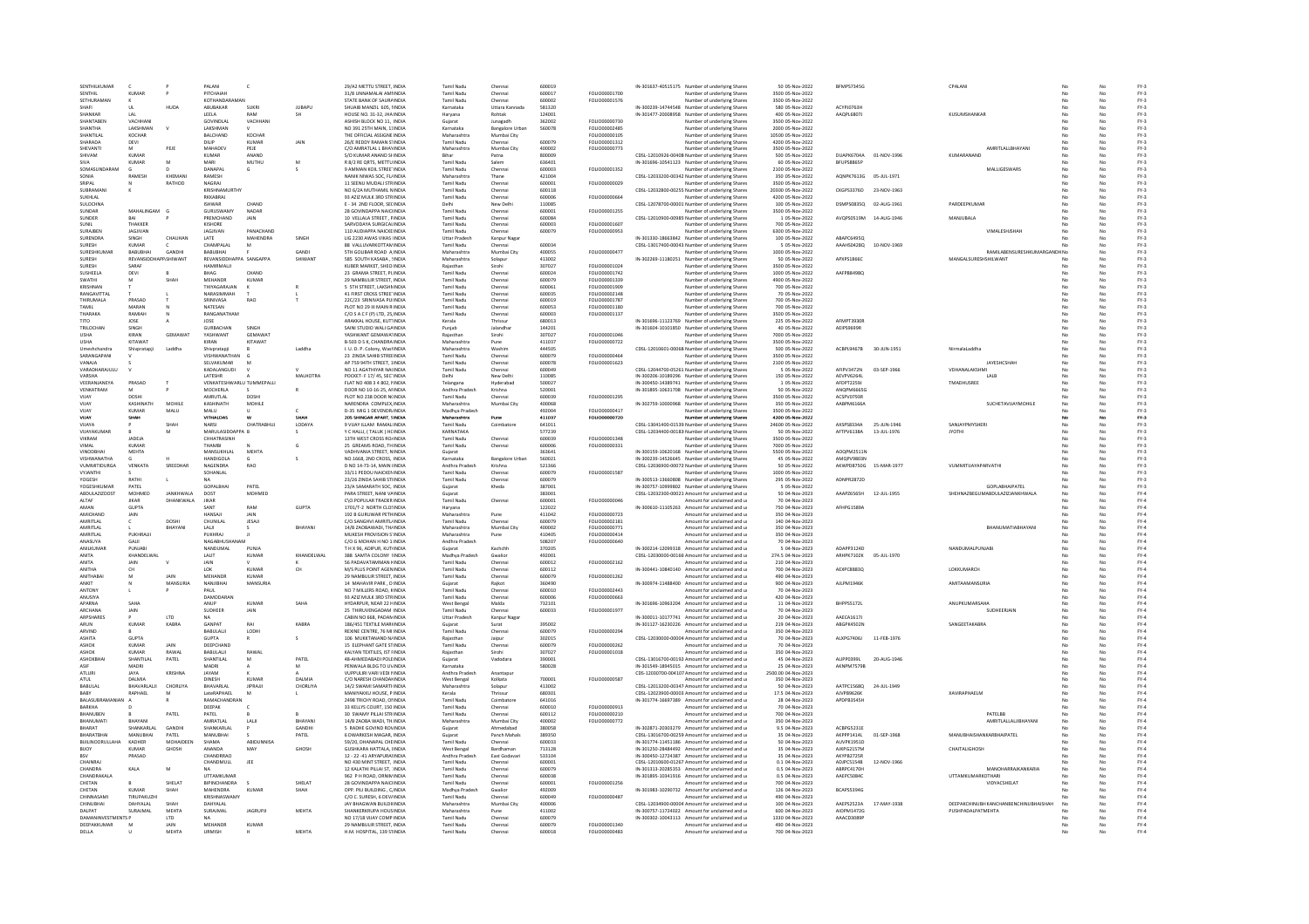| SENTHILKUMAR<br>SENTHIL   |                    |                |                            |                   |               |                                                         |                          |                        |                  |                                |                                                                                                  |                                    |                        |              |                                              |     |                  |
|---------------------------|--------------------|----------------|----------------------------|-------------------|---------------|---------------------------------------------------------|--------------------------|------------------------|------------------|--------------------------------|--------------------------------------------------------------------------------------------------|------------------------------------|------------------------|--------------|----------------------------------------------|-----|------------------|
|                           |                    |                | PALANI                     |                   |               | 29/A2 METTU STREET, INDIA                               | Tamil Nadu               | Chenna                 | 600019           |                                | IN-301637-40515175 Number of underlying Shares                                                   | 50 05-Nov-2022                     | <b>BFMPS73450</b>      |              | CPALAN                                       |     | $FY-3$           |
|                           | KUMAR              |                | PITCHAIAH                  |                   |               | 31/8 UNNAMALAI AMI INDIA                                | Tamil Nadu               | Chenna                 | 600017           | <b>FOU IO00001700</b>          | Number of underlying Shares                                                                      | 3500 05-Nov-2022                   |                        |              |                                              |     | $FY-3$           |
| SETHURAMAN                | ĸ                  |                | KOTHANDARAMAN              |                   |               | STATE BANK OF SAURAINDIA                                | <b>Tamil Nadu</b>        | Chennai                | 600002           | FOLIO00001576                  | Number of underlying Shares                                                                      | 3500 05-Nov-2022                   |                        |              |                                              | No  | $FY-3$           |
| SHAFI                     | UL.                | HUDA           | ABUBAKAR                   | SUKRI             | <b>JUBAPU</b> | SHUAIB MANZIL 605, IINDIA                               | Karnataka                | Uttara Kannada         | 581320           |                                | IN-300239-14744548 Number of underlying Shares                                                   | 580 05-Nov-2022                    | ACYPJ0763H             |              |                                              | No  | $FY-3$           |
| SHANKAF                   | LAL                |                | LEELA                      |                   |               | HOUSE NO. 31-32, JHA INDIA                              | Haryana                  | Rohtak                 | 124001           |                                | IN-301477-20008958 Number of underlying Shares                                                   | 400 05-Nov-2022                    | AAQPL6807J             |              | KUSUMSHANKAR                                 |     | $FY-3$           |
| CHANTAREN                 | VACHHAN            |                | GOVINDI AI                 | VACHHAN           |               | ASHISH BLOCK NO 11. INDIA                               | Gujara                   | lunagadh               | 262002           | EQUOD000720                    | Number of underlying Share                                                                       | 3500 05-Nov-2022                   |                        |              |                                              |     | $FY-3$           |
| SHANTHA                   | LAKSHMAN           |                | LAKSHMAN                   |                   |               | NO 391 25TH MAIN, 11INDIA                               | Karnataka                | <b>Bangalore Urbar</b> | 560078           | FOLIO00002485                  | Number of underlying Shares                                                                      | 2000 05-Nov-2022                   |                        |              |                                              | No  | $FY-3$           |
| SHANTILAL                 | KOCHAR             |                | <b>BALCHAND</b>            | KOCHAR            |               | THE OFFICIAL ASSIGNE INDIA                              | Maharashtra              | Mumbai City            |                  | FOLIO00000105                  | Number of underlying Shares                                                                      | 10500 05-Nov-2022                  |                        |              |                                              |     | $FY-3$           |
| <b>SHARADA</b>            | DEVI               |                | DILIP                      | KUMAR             | <b>JAIN</b>   | 26/E REDDY RAMAN STINDIA                                | Tamil Nadu               | Chennai                | 600079           | FOLIO00001312                  | Number of underlying Share:                                                                      | 4200 05-Nov-2022                   |                        |              |                                              |     | $FY-3$           |
| SHEVANTI                  | M                  | PEIF           | MAHADEV                    | PEJE              |               | C/O AMRATLAL L BHAYINDIA                                | Maharashtra              | Mumbai City            | 400002           | FOLIO00000773                  | Number of underlying Shares                                                                      | 3500 05-Nov-2022                   |                        |              | AMRITLALLBHAYAN                              | No. | $FY-3$           |
| SHIVAM                    | KUMAR              |                | <b>KUMAR</b>               | ANAND             |               | S/O KUMAR ANAND SHINDIA                                 | Rihar                    | Patna                  | 800009           |                                | CDSL-12010926-00408 Number of underlying Shares                                                  | 500 05-Nov-2022                    | DUAPK6704A             | 01-NOV-1996  | KUMARANAND                                   | No  | $FY-3$           |
| SIVA                      | KUMAR              |                | MARI                       | MUTHU             |               | R 8/2 RE QRTS, METTU INDIA                              | <b>Tamil Nadu</b>        | Salem                  | 636401           |                                | IN-301696-10541123 Number of underlying Shares                                                   | 60 05-Nov-2022                     | BFUPS8865P             |              |                                              | No  | $FY-3$           |
| SOMASHNDARAM              |                    |                | DANAPAL                    | G                 |               | 9 AMMAN KOIL STREETINDIA                                | <b>Tamil Nadu</b>        | Chenna                 | 600003           | FOLIO00001352                  | Number of underlying Share:                                                                      | 2100 05-Nov-2022                   |                        |              | <b>MALLIGESWARS</b>                          | No  | $FY-3$           |
| SONIA                     | RAMESH             | KHEMANI        | RAMESH                     |                   |               | NANIK NIWAS SOC. FL/INDIA                               | Maharashtra              | Thane                  | 421004           |                                | CDSL-12033200-00342 Number of underlying Shares                                                  | 350 05-Nov-2022                    | AQNPK7613G 05-JUL-1971 |              |                                              | No  | $FY-3$           |
|                           |                    |                |                            |                   |               |                                                         |                          |                        |                  |                                |                                                                                                  |                                    |                        |              |                                              |     |                  |
| SRIPAL                    |                    | RATHOD         | NAGRAJ                     |                   |               | 11 SEENU MUDALI STRINDIA                                | Tamil Nadu               | Chennai                | 600001           | FOLIO00000029                  | Number of underlying Shares                                                                      | 3500 05-Nov-2022                   |                        |              |                                              | No  | $FY-3$           |
| SUBRAMAN                  |                    |                | <b>KRISHNAMURTH</b>        |                   |               | NO 6/2A MUTHAMIL NINDIA                                 | Tamil Nadu               | Chenna                 | 600118           |                                | CDSL-12032800-00255: Number of underlying Shares                                                 | 20300 05-Nov-2022                  | CKGPS3376D             | 23-NOV-1963  |                                              |     | $FY-3$           |
| SUKHLAL                   |                    |                | RKKARRAI                   |                   |               | 93 AZIZ MULK 3RD STRINDIA                               | Tamil Nadu               | Chenna                 | 600006           | FOLIO00000664                  | Number of underlying Share:                                                                      | 4200 05-Nov-2022                   |                        |              |                                              |     | $FY-3$           |
| SULOCHNA                  |                    |                | <b>ISHWAR</b>              | CHAND             |               | <b>E-34 2ND FLOOR SECINDIA</b>                          | Delhi                    | New Delhi              | 110085           |                                | CDSL-12078700-00001 Number of underlying Shares                                                  | 100.05-Nov-2022                    | DSMPS08350             | 02-4116-1961 | PARDEFPKUMAR                                 | No  | FY-3             |
| SUNDAR                    | MAHALINGAM         |                | GURUSWAMY                  | NADAR             |               | 28 GOVINDAPPA NAICHNDIA                                 | <b>Tamil Nadu</b>        | Chennai                | 600001           | FOLIO00001255                  | Number of underlying Shares                                                                      | 3500 05-Nov-2022                   |                        |              |                                              | No. | $FY-3$           |
| SUNDER                    |                    |                | PREMCHAND                  | JAIN              |               | 10 VELLALA STREET, PINDIA                               | Tamil Nadu               | Chenna                 | 600084           |                                | CDSL-12010900-00985 Number of underlying Shares                                                  | 1 05-Nov-2022                      | AVOPS0519M             | 14-AUG-1946  | MANJUBALA                                    |     | $FY-3$           |
| SUNIL                     | THAKKER            |                | KISHORE                    |                   |               | SARVODAYA SURGICALINDIA                                 | Tamil Nadu               | Chennai                | 600003           | <b>FOU IO00001607</b>          | Number of underlying Shares                                                                      | 700.05-Nov-2022                    |                        |              |                                              | No  | FY-3             |
| SURAJBEN                  | JAGJIVAN           |                | JAGJIVAN                   | PANACHAND         |               | 110 AUDIAPPA NAICKEINDIA                                | Tamil Nadu               | Chennai                | 600079           | FOLIO00000953                  | Number of underlying Shares                                                                      | 6300 05-Nov-2022                   |                        |              | <b>VIMALESHISHAF</b>                         | No  | $FY-3$           |
| SURENDRA                  | SINGH              | CHAUHAI        | LATE                       | MAHENDRA          | SINGH         | LIG 2230 AWAS VIKAS IINDIA                              | Uttar Pradesh            | Kanpur Naga            |                  |                                | IN-301330-18663842 Number of underlying Shares                                                   | 100 05-Nov-2022                    | ABAPC6495Q             |              |                                              | No  | $FY-3$           |
| SURESH                    | KUMAR              |                | CHAMPALAL                  | $\overline{M}$    |               | 88 VALLUVARKOTTAMINDIA                                  | Tamil Nadu               | Chenna                 | 600034           |                                | CDSL-13017400-00043 Number of underlying Shares                                                  | 5 05-Nov-2022                      | AAAHS0428Q             | 10-NOV-1969  |                                              |     | $FY-3$           |
| SURFSHKUMAR               | RABURHAL           | <b>GANDHI</b>  | RABURHAL                   |                   | GANDI         | STH GOLIBAR ROAD A INDIA                                | Maharashtra              | Mumbai City            | 400055           | FOLIO00000477                  | Number of underlying Share:                                                                      | 1000 05-Nov-2022                   |                        |              | RAMILABENSURESHKUMARGANDHNo                  | No  | $FV-2$           |
| SURESH                    | <b>REVANSIDDHA</b> | P.SHIWANT      | REVANSIDDHAPPA SANGAPPA    |                   | SHIWANT       | 585 SOUTH KASABA, SINDIA                                | Maharashtra              | Solapur                | 413002           |                                | IN-302269-11180251 Number of underlying Shares                                                   | 50 05-Nov-2022                     | APXPS1866C             |              | MANGALSURESHSHILWANT                         | No  | $FY-3$           |
| <b>SURES</b>              | SARAF              |                | HAMIRMALI                  |                   |               | KUBER MARKET, SHEO INDIA                                |                          | Sirohi                 | 307027           | FOLIO00001024                  | Number of underlying Shares                                                                      | 3500 05-Nov-2022                   |                        |              |                                              |     | $FY-3$           |
| SUSHEELA                  | DEVI               |                | BHAG                       | CHAND             |               | 23 GRAMA STREET, PLINDIA                                | <b>Tamil Nadu</b>        | Chenna                 | 600024           | FOLIO00001742                  | Number of underlying Share:                                                                      | 1000 05-Nov-2022                   | AAFPB84980             |              |                                              |     | $FY-3$           |
| SWATHI                    | M                  | SHAH           | MEHANDR                    | KUMAR             |               | 29 NAMBULIR STREET. INDIA                               | <b>Tamil Nadu</b>        | Chennai                | 600079           | FOLIO00001339                  | Number of underlying Shares                                                                      | 4900 05-Nov-2022                   |                        |              |                                              | No  | $FY-3$           |
| KRISHNAN                  |                    |                | THIYAGARAJAN               |                   |               | 5 STH STREET, LAKSHMINDIA                               | Tamil Nadu               | Chenna                 | 600061           | FOLIO00001909                  | Number of underlying Shares                                                                      | 700 05-Nov-2022                    |                        |              |                                              | No  | $FY-3$           |
| <b>RANGAVITTA</b>         |                    |                | NARASIMMAH                 |                   |               | 41 FIRST CROSS STREETINDIA                              | Tamil Nadu               | Chenna                 | 600035           | FOLIO00002148                  | Number of underlying Shares                                                                      | 70 05-Nov-2022                     |                        |              |                                              |     | $FY-3$           |
| ΤΗΙΒΗΜΑΙΑ                 | PRASAD             |                | SRINIVASA                  | RAO               |               | 220/23 SRINIVASA PUUNDIA                                | Tamil Nadu               | Chenna                 | 600019           | FOU 000001787                  | Number of underlying Shares                                                                      | 700.05-Nov-2022                    |                        |              |                                              | No  | FY-3             |
| TAMIL                     | MARAN              |                | NATESAN                    |                   |               | PLOT NO 29 III MAIN R INDIA                             | Tamil Nadu               | Chennai                | 600053           | FOLIO00001180                  | Number of underlying Shares                                                                      | 700 05-Nov-2022                    |                        |              |                                              | No  | $FY-3$           |
| THARAKA                   | RAMIAH             |                | RANGANATHAM                |                   |               | C/O S A C F (P) LTD, 25, INDIA                          | <b>Tamil Nadu</b>        | Chennai                | 600003           | FOLIO00001137                  | Number of underlying Shares                                                                      | 3500 05-Nov-2022                   |                        |              |                                              | No  | $FY-3$           |
| TITO                      | JOSE               |                | JOSE                       |                   |               | ARAKKAL HOUSE, KUTIINDIA                                | Kerala                   | Thrissu                | 680013           |                                | IN-301696-11123769 Number of underlying Shares                                                   | 225 05-Nov-2022                    | <b>AFMPT39301</b>      |              |                                              | No  | $FY-3$           |
| <b>TRILOCHAN</b>          | <b>SINGH</b>       |                | <b>GURRACHAN</b>           | SINGH             |               | SAINI STUDIO WALLGAINDIA                                | Punjab                   | lalandha               | 144201           |                                | IN-301604-10101850 Number of underlying Share:                                                   | 40 05-Nov-2022                     | AFIPS9699R             |              |                                              | No  | $FY-3$           |
| <b>USHA</b>               | KIRAN              | <b>GEMAWAT</b> | YASHWANT                   | GEMAWAT           |               | YASHWANT GEMAWATINDIA                                   | Raiasthan                | Sirohi                 | 307027           | FOLIO00001046                  | Number of underlying Shares                                                                      | 7000 05-Nov-2022                   |                        |              |                                              | No  | $FY-3$           |
| <b>USHA</b>               | <b>KITAWAT</b>     |                | KIRAN                      | KITAWAT           |               | B-503 D S K, CHANDRA INDIA                              | Maharashtra              | Pune                   | 411037           | FOLIO00000722                  | Number of underlying Shares                                                                      | 3500 05-Nov-2022                   |                        |              |                                              | No  | $FY-3$           |
| Umeshchandra              | Shivpratapj        | Laddha         | Shivpratapji               |                   | Laddha        | I. U. D. P. Colony, WashINDIA                           | Maharashtra              | Washin                 | 444505           |                                | CDSL-12010601-00068 Number of underlying Shares                                                  | 500 05-Nov-2022                    | ACBPL9467B             | 30-JUN-1951  | Nirmalal addha                               | No  | $FY-3$           |
| SARANGAPANI               |                    |                | VISHWANATHAN               |                   |               | 23 ZINDA SAHIB STREEINDIA                               | <b>Tamil Nadu</b>        | Chennai                | 600079           | FOLIO00000464                  | Number of underlying Shares                                                                      | 3500 05-Nov-2022                   |                        |              |                                              | No  | $FY-3$           |
|                           |                    |                |                            |                   |               |                                                         |                          |                        |                  | FOLIO00001623                  |                                                                                                  |                                    |                        |              |                                              | No  | $FY-3$           |
| VANAJA<br>VARADHARAJULL   |                    |                | SELVAKUMAR<br>KADALANGUDI  |                   |               | AP 759 94TH STREET, 1INDIA<br>NO 11 AGATHIYAR NA(INDIA  | Tamil Nadu<br>Tamil Nadu | Chennai                | 600078<br>600049 |                                | Number of underlying Shares<br>CDSL-12044700-05261 Number of underlying Shares                   | 2100 05-Nov-2022<br>5 05-Nov-2022  | AFIPV3472N             | 03-SEP-1966  | JAYESHCSHAH<br>VDHANALAKSHM                  |     | $FY-3$           |
| VARSHA                    |                    |                | LATESHR                    |                   | MAI HOTRA     | POCKET- F 17/45, SECTINDIA                              | Delhi                    | Chenna<br>New Delhi    | 110085           |                                |                                                                                                  | 150 05-Nov-2022                    | AFVPV6264L             |              | LALB                                         | No  |                  |
| VEERANIANEYA              | PRASAD             |                | VENKATESHWARLLI TUMMEPALLI |                   |               | FLAT NO 408 3 4 802 NINDIA                              | Telangana                | Hyderabad              | 500027           |                                | IN-300206-10189296 Number of underlying Share:<br>IN-300450-14389741 Number of underlying Shares | 1.05-Nov-2022                      | AFDPT22591             |              | <b>TMADHLISREE</b>                           | No. | $FN-3$<br>FY-3   |
| VENKATRAM                 |                    |                | <b>MOCHERLA</b>            |                   |               | DOOR NO 10-16-25, AFINDIA                               | Andhra Pradesh           | Krishna                | 520001           |                                | IN-301895-10631708 Number of underlying Shares                                                   | 50 05-Nov-2022                     | ANOPM66650             |              |                                              | No  | $FY-3$           |
| VUAY                      | DOSHI              |                | AMRUTLAL                   | DOSH              |               | PLOT NO 238 DOOR N(INDIA                                | Tamil Nadu               | Chenna                 | 600039           | FOLIO00001295                  | Number of underlying Shares                                                                      | 3500 05-Nov-2022                   | ACSPV0793R             |              |                                              | No  | $FY-3$           |
| VIIAY                     | KASHINATH          | MOHILE         | KASHINATH                  | MOHILE            |               | NARENDRA COMPLEX INDIA                                  | Maharashtra              | Mumbai City            | 400068           |                                | IN-302759-10000968 Number of underlying Shares                                                   | 350 05-Nov-2022                    | AARPM6166A             |              | SUCHETAVILAYMOHILE                           | No. | $FV-2$           |
| VUAY                      | <b>KUMAR</b>       | MALU           | MALU                       |                   |               | <b>D-35 MIG 1 DEVENDR/INDIA</b>                         | Madhya Pradesh           |                        | 492004           | FOLIO00000417                  | Number of underlying Shares                                                                      | 3500 05-Nov-2022                   |                        |              |                                              | No  | $FY-3$           |
| VUAY                      | SHAH               |                | VITHALDAS                  |                   | SHAH          | 205 SHINGAR APART, SINDIA                               | Maharashtra              | Pune                   | 411037           | FOLIO00000720                  | Number of underlying Shares                                                                      | 4200 05-Nov-2022                   |                        |              |                                              | No  | $FY-3$           |
| VUAYA                     |                    |                | NARSI                      | CHATRABHU.        | LODAYA        | 9 VIJAY ILLAM RAMALINDI                                 | Tamil Nadu               | Coimbatore             | 641011           |                                | CDSL-13041400-01539 Number of underlying Shares                                                  | 24600 05-Nov-2022                  | AXSPS8334A             | 25-JUN-1946  | SANJAYPMYSHER                                |     | $FY-3$           |
| VUAYAKUMAR                | $\mathbb{R}$       | M              | MARULASIDDAPPA B           |                   |               | Y C HALLI, (TALUK) HCINDIA                              | KARNATAKA                |                        | 577239           |                                | CDSL-12034400-00183 Number of underlying Shares                                                  | 50 05-Nov-2022                     | AFTPV6138A             | 13-JUL-1976  | <b>INTOYL</b>                                | No  | $FY-3$           |
| VIKRAM                    | JADEJA             |                | CHHATRASINH                |                   |               | 13TH WEST CROSS ROJINDIA                                | Tamil Nadu               | Chennai                | 600039           | FOLIO00001348                  | Number of underlying Shares                                                                      | 3500 05-Nov-2022                   |                        |              |                                              | No  | $FY-3$           |
| VIMAL                     | KUMAF              |                | HAMBI                      |                   |               | 25 GREAMS ROAD, THINDIA                                 | Tamil Nadu               | Chennai                | 600006           | FOLIO00000331                  | Number of underlying Shares                                                                      | 7000 05-Nov-2022                   |                        |              |                                              |     | $FY-3$           |
| VINODRHAL                 | MEHTA              |                | MANSUKHLAL                 | MEHTA             |               | VADHVANIA STREET, NINDIA                                | Gujarat                  |                        | 363641           |                                | IN-300159-10620168 Number of underlying Shares                                                   | 5500 05-Nov-2022                   | AOQPM2511N             |              |                                              | No  | $FN-3$           |
| VISHWANATHA               | c                  |                | <b>HANDIGOLA</b>           |                   | $\leq$        | NO 1668 2ND CROSS INDIA                                 | Karnataka                | <b>Bangalore Urbar</b> | 560021           |                                | IN-300239-14526645 Number of underlying Shares                                                   | 45.05-Nov-2022                     | <b>AMOPV9803N</b>      |              |                                              | No  | FY-3             |
| VUMMITIDURGA              | VENKATA            | SREEDHAR       | NAGENDRA                   | RAO               |               | D NO 14-73-14, MAIN IINDIA                              | Andhra Pradesh           | Krishna                | 521366           |                                | CDSL-12036900-00072 Number of underlying Shares                                                  | 50 05-Nov-2022                     | AKWPD8750G             | 15-MAR-1977  | VUMMITUAYAPARVATHI                           | No  | $FY-3$           |
| VYJANTHI                  |                    |                | SOHANLAL                   |                   |               | 33/11 PEDDU NAICKENINDIA                                | <b>Tamil Nadu</b>        | Chenna                 | 600079           | FOLIO00001587                  | Number of underlying Shares                                                                      | 1000 05-Nov-2022                   |                        |              |                                              |     | $FY-3$           |
| <b>YOGESH</b>             | RATHI              |                | <b>NA</b>                  |                   |               | 23/26 ZINDA SAHIR STUNDIA                               | Tamil Nadu               | Chenna                 | 600079           |                                | IN-300513-13660808 Number of underlying Shares                                                   | 295 05-Nov-2022                    | ADNPR2872D             |              |                                              | No  | FY-3             |
| YOGESHKUMAR               | PATEL              |                | <b>GOPALBHAI</b>           | PATEL             |               | 23/A SAMARATH SOC. INDIA                                | Guiarat                  | Kheda                  | 387001           |                                | IN-300757-10999802 Number of underlying Shares                                                   | 5 05-Nov-2022                      |                        |              | GOPLABHAIPATEL                               | No  | $FY-3$           |
|                           |                    | JANKHWALA      | DOST                       | MOHMED            |               | PARA STREET, NANI VAINDIA                               | Guiarat                  |                        | 383001           |                                | CDSL-12032300-00021 Amount for unclaimed and u                                                   | 50 04-Nov-2023                     | AAAPZ6565H             | 12-JUL-1955  | SHEHNAZBEGUMABDULAZIZJANKHWALA               | No  | FY-4             |
|                           |                    |                |                            |                   |               |                                                         |                          | Chenna                 | 600001           | FOLIO0000004                   | Amount for unclaimed and u                                                                       | 70 04-Nov-2023                     |                        |              |                                              |     | $FY-4$           |
| ABDULAZIZDOST             | MOHMED             |                |                            |                   |               |                                                         |                          |                        |                  |                                | IN-300610-11105263 Amount for unclaimed and u                                                    |                                    | AFHPG1589A             |              |                                              | No  | $FY-4$           |
| ALTAF                     |                    | DHANKWALA      | JIKAR                      |                   |               | C\O.POPULAR TRADER INDIA                                | Tamil Nadu               |                        |                  |                                |                                                                                                  |                                    |                        |              |                                              |     |                  |
| AMAN                      | <b>GLIPTA</b>      |                | SANT                       | RAM               | GUPTA         | 1701/T-2 NORTH CLOSINDIA                                | Haryana                  |                        | 122022           |                                |                                                                                                  | 750 04-Nov-2023                    |                        |              |                                              |     |                  |
| AMICHAND                  | JAIN               |                | HANSAJI                    | <b>JAIN</b>       |               | 192 B GURUWAR PETHINDIA                                 | Maharashtra              | Pune                   | 411042           | FOLIO00000723                  | Amount for unclaimed and u                                                                       | 350 04-Nov-2023                    |                        |              | BHANUMATIABHAYAN                             | No  | $FY-4$           |
| AMRITLAL                  |                    | DOSH           | CHUNILAL                   | JESAJI            |               | C/O.SANGHVI AMRITL/INDIA                                | Tamil Nadu               | Chenna                 | 600079           | FOLIO00002181                  | Amount for unclaimed and u                                                                       | 140 04-Nov-2023                    |                        |              |                                              |     | $FY-4$           |
| AMRITLAI                  |                    | RHAYANI        | LALII                      |                   | BHAYANI       | 14/B ZAOBAWADI, TH/INDIA                                | Maharashtra              | Mumbai City            | 400002           | FOLIO00000771                  | Amount for unclaimed and u                                                                       | 350 04-Nov-2023                    |                        |              |                                              | No  | $FY-4$           |
| AMRITLAL                  | PUKHRAJI           |                | PUKHRAJ                    |                   |               | MUKESH PROVISION S'INDIA                                | Maharashtra              | Pune                   | 410405           | FOLIO00000414                  | Amount for unclaimed and u                                                                       | 350 04-Nov-2023                    |                        |              |                                              | No  | $FY-4$           |
| ANASUYA                   | GAJJI              |                | NAGABHUSHANAM              |                   |               | C/O G MOHAN H NO 1/INDIA                                | Andhra Pradesh           |                        | 508207           | FOLIO00000640                  | Amount for unclaimed and u                                                                       | 70 04-Nov-2023                     |                        |              |                                              | No  | $FY-4$           |
| ANILKUMAR                 | PUNJABI            |                | NANDUMAL                   | PUNJA             |               | T H X 96, ADIPUR, KUTIINDIA                             | Guiarat                  | Kachchh                | 370205           |                                | IN-300214-12099318 Amount for unclaimed and u                                                    | 5 04-Nov-2023                      | ADAPP3124D             |              | NANDUMALPUNJAB                               |     | FY-4             |
| <b>ANITA</b>              | KHANDELWAI         |                | LALIT                      | KUMAF             | KHANDELWAL    | 388 SAMTA COLONY IINDIA                                 | Madhya Pradesh           | Gwalio                 | 492001           |                                | CDSL-12030000-00160 Amount for unclaimed and u                                                   | 274.5 04-Nov-2023                  | ARHPK7102K             | 05-JUL-1970  |                                              |     | $FY-4$           |
| ANITA                     | JAIN               |                | JAIN                       |                   |               | 56 PADAVATAMMAN HINDIA                                  | Tamil Nadu               | Chennai                | 600012           | FOLIO00002162                  | Amount for unclaimed and u                                                                       | 210 04-Nov-2023                    |                        |              |                                              | No  | $FY-4$           |
| ANITHA                    | CH                 |                | LOK                        | KUMAF             | CH            | M/S PLUS POINT AGENINDIA                                | Tamil Nadu               | Chenna                 | 600112           |                                | IN-300441-10840140 Amount for unclaimed and u                                                    | 700 04-Nov-2023                    | AEXPC8883Q             |              | LOKKUMARCH                                   | No  | FY-4             |
| ANITHABA                  |                    | <b>JAIN</b>    | MEHANDR                    | KUMAR             |               | 29 NAMBULIR STREET, INDIA                               | Tamil Nadu               | Chenna                 | 600079           | FOLIO00001262                  | Amount for unclaimed and u                                                                       | 490 04-Nov-2023                    |                        |              |                                              |     | $FY-4$           |
| ANKIT                     |                    | MANSURIA       | NANJIRHAI                  | MANSURU           |               | 14 MAHAVIR PARK, D INDIA                                | Guiarat                  | Raikot                 | 360490           |                                | IN-300974-11488400 Amount for unclaimed and u                                                    | 900 04-Nov-2023                    | All PM1946K            |              | <b>AMITAAMANSURIA</b>                        | No  | $FY-4$           |
| ANTONY                    |                    |                | PAUL                       |                   |               | NO 7 MILLERS ROAD, KINDIA                               | <b>Tamil Nadu</b>        | Chennai                | 600010           | FOLIO00002443                  | Amount for unclaimed and u                                                                       | 70 04-Nov-2023                     |                        |              |                                              | No  | $FY-4$           |
| ANUSIYA                   |                    |                | <b>DAMODARAM</b>           |                   |               | 93 AZIZ MULK 3RD STRINDIA                               | <b>Tamil Nadu</b>        | Chennai                | 600006           | FOLIO00000663                  | Amount for unclaimed and u                                                                       | 420 04-Nov-2023                    |                        |              |                                              | No  | $FY-4$           |
| APARNA                    | SAHA               |                | ANUP                       | KUMAR             | SAHA          | HYDARPUR, NEAR 22 HINDIA                                | West Benga               | Malda                  | 732101           |                                | IN-301696-10963204 Amount for unclaimed and u                                                    | 11 04-Nov-2023                     | BHPPS5172L             |              | ANUPKUMARSAHA                                |     | $FY-4$           |
| <b>ARCHANA</b>            | JAIN               |                | <b>SUDHEER</b>             | JAIN              |               | 25 THIRUVENGADAM INDIA                                  | <b>Tamil Nadu</b>        | Chennai                | 600033           | FOLIO00001977                  | Amount for unclaimed and u                                                                       | 70 04-Nov-2023                     |                        |              | SUDHEERJAIN                                  | No  | $FY-4$           |
| ARPSHARES                 |                    | LTD            | <b>NA</b>                  |                   |               | CABIN NO 668, PADAMINDIA                                | Uttar Pradesh            | Kanpur Naga            |                  |                                | IN-300011-10177741 Amount for unclaimed and u                                                    | 20 04-Nov-2023                     | AAECA1617J             |              |                                              | No  | $FY-4$           |
| ARUN                      | KUMAF              | <b>KABRA</b>   | GANPAT                     | RAI               | KABRA         | 186/451 TEXTILE MARHNDIA                                | Gujarat                  | Surat                  | 395002           |                                | IN-301127-16230226 Amount for unclaimed and u                                                    | 219 04-Nov-2023                    | ABGPK4502N             |              | SANGEETAKABRA                                |     | $FY-4$           |
| ARVIND                    |                    |                | BABULALII                  | LODH              |               | REXINE CENTRE, 76 MI INDIA                              | Tamil Nadu               | Chenna                 | 600079           | FOLIO00000294                  | Amount for unclaimed and u                                                                       | 350 04-Nov-2023                    |                        |              |                                              |     | $FY-4$           |
| <b>ASHITA</b>             | <b>GUPTA</b>       |                | <b>GUPTA</b>               |                   | $\epsilon$    | 106 MUKKTANAND N/INDIA                                  | Raiasthan                | Jaipur                 | 302015           |                                | CDSL-12030000-00004 Amount for unclaimed and u                                                   | 70.04-Nov-2023                     | ALXPG74061             | 11-FFR-1976  |                                              | No  | FY-4             |
| ASHOK                     | KUMAR              | JAIN           | DEEPCHAND                  |                   |               | 15 ELEPHANT GATE STINDIA                                | Tamil Nadu               | Chennai                | 600079           | FOLIO00000262                  | Amount for unclaimed and u                                                                       | 70 04-Nov-2023                     |                        |              |                                              | No  | $FY-4$           |
| <b>ASHOI</b>              | KUMAR              | RAWAL          | BABULALJI                  | RAWA              |               | KALYAN TEXTILES, IST FINDIA                             | Rajasthar                | Sirohi                 | 307027           | FOLIO00001018                  | Amount for unclaimed and u                                                                       | 350 04-Nov-2023                    |                        |              |                                              |     | $FY-4$           |
| <b>ASHOKRHA</b>           | <b>SHANTILAL</b>   | PATEL          | SHANTILAL                  | M                 | PATEL         | 48-AHMEDABADI POLEINDIA                                 | Gujarat                  | Vadodara               | 390001           |                                | CDSL-13016700-00192 Amount for unclaimed and u                                                   | 45 04-Nov-2023                     | ALIPPO399L             | 20-AUG-1946  |                                              | No  | $FY-4$           |
| ASIF                      | MADRI              |                | MADRI                      |                   | M             | PENWALA BLDG TO UVINDIA                                 | Karnataka                |                        | 580028           |                                | IN-301549-18945015 Amount for unclaimed and u                                                    | 25 04-Nov-2023                     | AKNPM7579B             |              |                                              | No  | $FY-4$           |
| ATLURI                    | <b>JAYA</b>        | <b>KRISHNA</b> | JAYAM                      |                   |               | <b>VUPPULIRI VARI VEDI NINDIA</b>                       | Andhra Pradesh           | Anantapur              |                  |                                | CDS-12030700-004107 Amount for unclaimed and u                                                   | 2500.00 04-Nov-2023                |                        |              |                                              | No  | $FY-4$           |
| ATUL                      | DALMIA             |                | DINESH                     | KUMAR             | <b>DALMIA</b> | C/O NARESH CHANDANINDIA                                 | West Benga               | Kolkata                | 700001           | FOLIO00000587                  | Amount for unclaimed and u                                                                       | 350 04-Nov-2023                    |                        |              |                                              |     | $FY-4$           |
| BABULAL                   | BHAVARLALII        | CHORLIYA       | <b>RHAVARI AI</b>          | <b>IIPRAJJI</b>   | CHORLIYA      | 14/2 SWAMI SAMARTHNDIA                                  | Maharashtra              | Solapur                | 413002           |                                | CDSL-12013200-00347 Amount for unclaimed and u                                                   | 50 04-Nov-2023                     | AATPC15680             | 24-JUL-1949  |                                              | No  | $FY-4$           |
| BABY                      | RAPHAEL            |                | LateRAPHAEL                | M                 |               | MANIYAKKU HOUSE, P INDIA                                | Kerala                   | Thrissur               | 680301           |                                | CDSL-12023900-00003. Amount for unclaimed and u                                                  | 17.5 04-Nov-2023                   | AJVPB9626K             |              | <b>XAVIRAPHAELM</b>                          | No  | $FY-4$           |
| BALASUBRA                 |                    |                | RAMACHANDRA                |                   |               | 2498 TRICHY ROAD, ONNDIA                                | Tamil Nadu               | Coimbatore             | 641016           |                                | IN-301774-16697389 Amount for unclaimed and u                                                    | 28 04-Nov-2023                     | APDPB3545H             |              |                                              |     | $FY-4$           |
| <b>BARKHA</b>             |                    |                | DEEPAK                     |                   |               | 33 KELLYS COURT, 150 INDIA                              | Tamil Nadu               | Chennai                | 600010           | 501100000013                   | Amount for unclaimed and u                                                                       | 70 04-Nov-2023                     |                        |              |                                              | No  | $FY-4$           |
| RHANUREN                  |                    | PATFI          | PATFI                      |                   |               | 30 SWAMY PILLALSTRUNDIA                                 | Tamil Nadu               | Chennai                | 600112           | EQUO00000210                   | Amount for unclaimed and u                                                                       | 700.04-Nov-2023                    |                        |              | <b>PATFIRR</b>                               | No  | FY-4             |
| BHANUMATI                 | BHAYANI            |                | AMRATLAL                   | LALI              | BHAYANI       | 14/B ZAOBA WADI, TH INDIA                               | Maharashtra              | Mumbai City            | 400002           | FOLIO00000772                  | Amount for unclaimed and u                                                                       | 350 04-Nov-2023                    |                        |              | <b>AMRITLALLALJIBHAYANI</b>                  | No. | $FY-4$           |
| BHARAT                    | SHANKARLAL         | GANDH          | SHANKARLAL                 |                   | GANDHI        | 5 RADHE GOVIND ROVINDIA                                 | Gujarat                  | Ahmedabad              | 380058           |                                | IN-302871-20303279 Amount for unclaimed and u                                                    | 9.5 04-Nov-2023                    | ACBPG5231E             |              |                                              | No  | $FY-4$           |
| <b>BHARATBHA</b>          | <b>MANURHAL</b>    | PATEL          | MANUBHAI                   |                   | PATEL         | 6 DWARKESH MAGAR, INDIA                                 |                          | Panch Mahals           | 389350           |                                | CDSL-13016700-00259 Amount for unclaimed and u                                                   | 35 04-Nov-2023                     | AKPPP1414L             | 01-SEP-1968  | MANUBHAISHANKARBHAIPATEI                     |     | $FY-4$           |
| BUILINOORULLAHA           | KADHER             | MOHAIDEEN      | SHAMA                      | <b>ABIDUNNISA</b> |               | 59/20, DHANAPAL CHEINDIA                                | Tamil Nadu               | Chennai                | 600033           |                                | IN-301774-11451186 Amount for unclaimed and u                                                    | 50 04-Nov-2023                     | AUVPK1951D             |              |                                              | No. | $FY-4$           |
| BIJOY                     | KUMAR              | GHOSH          | ANANDA                     | MAY               | GHOSH         | <b>GUSHKARA HATTALA, LINDIA</b>                         | West Bengal              | Bardhaman              | 713128           |                                | IN-301250-28484492 Amount for unclaimed and u                                                    | 35 04-Nov-2023                     | AJKPG2157M             |              | CHAITALIGHOSH                                | No  | $FY-4$           |
| <b>BSV</b>                | PRASAD             |                | CHANDRRAO                  |                   |               | 12 - 22 -41 ARYAPURAIINDIA                              | Andhra Prades            | East Godavar           | 533104           |                                | IN-300450-12724387 Amount for unclaimed and u                                                    | 35 04-Nov-2023                     | AKYPB2725R             |              |                                              |     | $FY-4$           |
| CHAINRA                   |                    |                | CHANDMULL                  | JEE               |               | NO 430 MINT STREET. INDIA                               | Tamil Nadu               | Chennai                | 600001           |                                | CDSL-12010600-01267 Amount for unclaimed and u                                                   | 0.1 04-Nov-2023                    | ADIPC5154R             | 12-NOV-1966  |                                              |     | $FY-4$           |
| CHANDRA                   | KALA               | M              | <b>NA</b>                  |                   |               | 12 KALATHI PILLAI ST. : INDIA                           | <b>Tamil Nadu</b>        | Chennai                | 600079           |                                | IN-301313-20285353 Amount for unclaimed and u                                                    | 0.5 04-Nov-2023                    | ABRPC4170H             |              | MANOHARRAJKANKARIA                           | No  | $FY-4$           |
| CHANDRAKALA               |                    |                | UTTAMKUMAR                 |                   |               | 962 P H ROAD, ORNIMINDIA                                | <b>Tamil Nadu</b>        | Chennai                | 600038           |                                | IN-301895-10341916 Amount for unclaimed and u                                                    | 0.5 04-Nov-2023                    | AAEPC50840             |              | <b>UTTAMKUMARKOTHARI</b>                     |     | $FY-4$           |
| CHETAN                    |                    | SHELAT         | <b>BIPINCHANDRA</b>        |                   | SHELAT        | 28 GOVINDAPPA NAICHNDIA                                 | Tamil Nadu               | Chenna                 | 600001           | FOLIO00001256                  | Amount for unclaimed and u                                                                       | 700 04-Nov-2023                    |                        |              | VIDYACSHELAT                                 |     | $FY-4$           |
| CHETAN                    | KUMAR              | SHAH           | <b>MAHENDRA</b>            | KUMAF             | SHAH          | OPP. PILI BUILDING . CINDIA                             | Madhya Pradesh           | Gwalion                | 492009           |                                | IN-301983-10290732 Amount for unclaimed and u                                                    | 126 04-Nov-2023                    | BCAPS5394G             |              |                                              | No  | $FY-4$           |
| CHINNASAMI                | TIRUPAKUZHI        |                | KRISHNASWAMY               |                   |               | C/O C. SURESH, 6 DEV/INDIA                              | Tamil Nadu               | Chenna                 | 600049           | FOLIO00000487                  | Amount for unclaimed and u                                                                       | 490 04-Nov-2023                    |                        |              |                                              | No. | $FY-4$           |
| CHINUBHAI                 | DAHYALAL           |                | DAHYALAL                   |                   |               | JAY BHAGWAN BUILDIIINDIA                                | Maharashtra              | Mumbai City            | 400006           |                                | CDSL-12034900-00004 Amount for unclaimed and u                                                   | 100 04-Nov-2023                    | AAEPS2523A             | 17-MAY-1938  | <b>DEEPAKCHINUBH KANCHANBENCHINUBHAISHAH</b> |     | $FY-4$           |
| <b>DAIPAT</b>             | SURAJMA            | <b>MEHTA</b>   | SURAJMAL                   | <b>JAGRUPJ</b>    | <b>MEHTA</b>  | SHANKERKRUPA HOUS INDIA                                 | Maharashtra              | Pune                   | 411002           |                                | IN-300757-11724022 Amount for unclaimed and u                                                    | 600 04-Nov-2023                    | AIOPM14720             |              | PUSHPADALPATMEHTA                            |     | $FY-4$           |
| <b>DAMANINVESTMENTS P</b> |                    | ITD.           | <b>NA</b>                  |                   |               | NO 17/18 VIIAY COMP INDIA                               | Tamil Nadu               | Chennai                | 600079           |                                | IN-300302-10043113 Amount for unclaimed and u                                                    | 1330.04-Nov-2023                   | AAACD3089P             |              |                                              |     | FY-4             |
| DEEPAKKUMAR<br>DELLA      | M                  | JAIN<br>MEHTA  | MEHANDE<br>URMISH          | KUMAF             | <b>MEHTA</b>  | 29 NAMBULIR STREET. INDIA<br>H.M. HOSPITAL, 139 STINDIA | Tamil Nadu<br>Tamil Nadu | Chennai<br>Chenna      | 600079<br>600018 | FOLIO00001340<br>FOLIO00000483 | Amount for unclaimed and u<br>Amount for unclaimed and u                                         | 490 04-Nov-2023<br>700 04-Nov-2023 |                        |              |                                              |     | $FY-4$<br>$FY-4$ |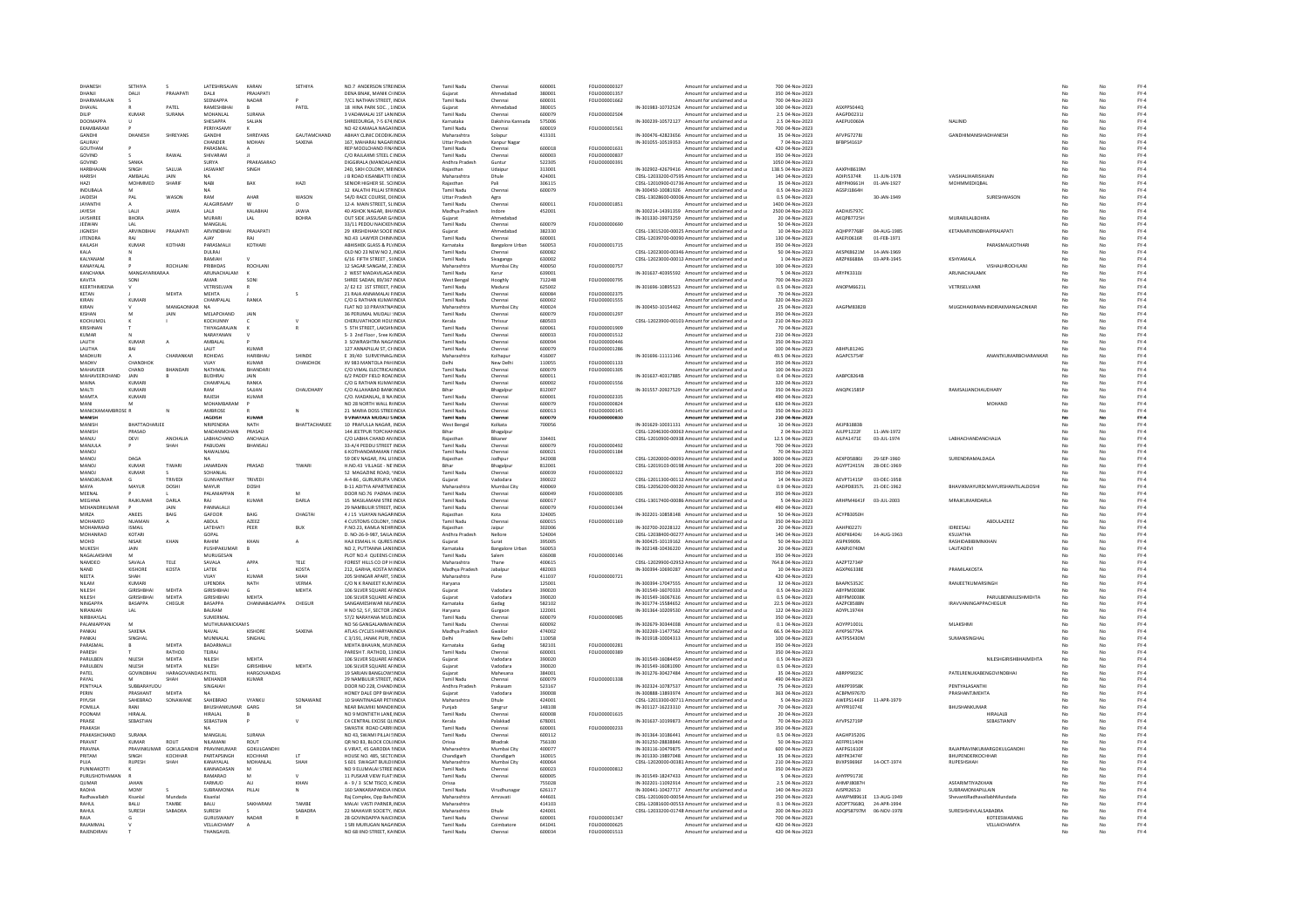| DHANESH                         | SETHIYA                 | $\epsilon$        | LATESHRISAJAN                                | KARAN                 | SETHIYA       | NO.7 ANDERSON STREINDIA                                                          | Tamil Nadu                      | Chennai                           | 600001           | FOLIO00000327                  | Amount for unclaimed and u                                                                       | 700 04-Nov-2023                                       |                          |             |                                                    |          | No       | $FY-4$                                    |
|---------------------------------|-------------------------|-------------------|----------------------------------------------|-----------------------|---------------|----------------------------------------------------------------------------------|---------------------------------|-----------------------------------|------------------|--------------------------------|--------------------------------------------------------------------------------------------------|-------------------------------------------------------|--------------------------|-------------|----------------------------------------------------|----------|----------|-------------------------------------------|
| DHANJI                          | DALII                   | PRAJAPATI         | DALII                                        | PRAJAPATI             |               | DENA BNAK, MANIK CHNDIA                                                          | Gujarat                         | Ahmedabad                         | 380001           | FOLIO00001357                  | Amount for unclaimed and u                                                                       | 350 04-Nov-2023                                       |                          |             |                                                    |          | No       | $FY-4$                                    |
|                                 |                         |                   | SEENIAPPA                                    | NADAR                 |               | 7/C1 NATHAN STREET, INDIA                                                        | <b>Tamil Nadu</b>               | Chennai                           | 600031           | FOLIO00001662                  | Amount for unclaimed and u                                                                       | 700 04-Nov-2023                                       |                          |             |                                                    |          |          | $FY-4$                                    |
| DHAVAL                          |                         | PATEL             | RAMESHBHAI                                   |                       | PATEL         | 18 HINA PARK SOC., 1 INDIA                                                       |                                 | Ahmedabad                         | 380019           |                                | IN-301983-10732524 Amount for unclaimed and u                                                    | 100 04-Nov-2023                                       | ASYDDSOAAO               |             |                                                    |          | No       | $FY-4$                                    |
| <b>DILIP</b><br><b>DOOMAPPA</b> | KUMAR                   | SURANA            | <b>MOHANI AL</b><br>SHESAPPA                 | SURANA<br>SALIAN      |               | 3 VADAMALAL 1ST LANINDIA<br>SHREEDURGA, 7-5 674 INDIA                            | Tamil Nadu<br>Karnataka         | Chennai<br>Dakshina Kannada       | 600079<br>575006 | <b>FOLIO00002504</b>           | Amount for unclaimed and u<br>IN-300239-10572127 Amount for unclaimed and u                      | 2.5.04-Nov-2023<br>2.5 04-Nov-2023                    | AAGPD02311<br>AAEPU0060A |             | NALINID                                            |          | No<br>No | FY-4<br>$FY-4$                            |
| EKAMBARAM                       |                         |                   | PERIYASAM                                    |                       |               | NO 42 KAMALA NAGAFINDI                                                           | Tamil Nadu                      | Chenna                            | 600019           | FOLIO00001561                  | Amount for unclaimed and u                                                                       | 700 04-Nov-2023                                       |                          |             |                                                    |          |          | $FY-4$                                    |
| <b>GANDHI</b>                   | <b>DHANESH</b>          | SHREYANS          | <b>GANDHI</b>                                | SHREYANS              | GAUTAMCHAND   | ABHAY CLINIC DEODIK INDIA                                                        | Maharashtra                     | Solapur                           | 413101           |                                | IN-300476-42823656 Amount for unclaimed and u                                                    | 35 04-Nov-2023                                        | AFVPG72781               |             | <b>GANDHIMANISHADHANESE</b>                        |          | No       | $FY-4$                                    |
| GAURAV                          |                         |                   | CHANDER                                      | <b>MOHAN</b>          | SAXENA        | 167. MAHARAJ NAGARINDIA                                                          | <b>Uttar Pradesh</b>            | Kanpur Nagar                      |                  |                                | IN-301055-10519353 Amount for unclaimed and u                                                    | 7 04-Nov-2023                                         | BFBPS4161P               |             |                                                    | No       | No       | $FY-4$                                    |
| GOUTHAM                         |                         |                   | PARASMAL                                     |                       |               | REP MOOLCHAND FIN/INDIA                                                          | Tamil Nadu                      | Chennai                           | 600018           | FOLIO00001631                  | Amount for unclaimed and u                                                                       | 420 04-Nov-2023                                       |                          |             |                                                    |          | No       | $FY-4$                                    |
| GOVINE<br>GOVINE                | SANKA                   | RAWAI             | SHIVARAM<br>SLIRVA                           | PRAKASARAO            |               | C/O RAJLAXMI STEEL C INDIA<br>DIGGIRALA (MANDALAINDIA                            | Tamil Nadu<br>Andhra Pradesh    | Chenna<br>Guntur                  | 600003<br>522305 | FOLIO00000837<br>FOLIO00000391 | Amount for unclaimed and u<br>Amount for unclaimed and u                                         | 350 04-Nov-2023<br>1050 04-Nov-2023                   |                          |             |                                                    |          |          | $FY-4$                                    |
| HARBHAJAN                       | SINGH                   | SALUJA            | <b>JASWANT</b>                               | SINGH                 |               | 240, SIKH COLONY, MEINDIA                                                        | Raiasthan                       | Udajpur                           | 313001           |                                | IN-302902-42679416 Amount for unclaimed and u                                                    | 138.5 04-Nov-2023                                     | AAXPH8619M               |             |                                                    |          | No       | $\mathsf{FY}\text{-}\mathsf{4}$<br>$FY-4$ |
| <b>HARISH</b>                   | AMBALAL                 | JAIN              |                                              |                       |               | J B ROAD KISANBATTI (INDIA                                                       | Maharashtra                     | Dhule                             | 424001           |                                | CDSL-12033200-07595 Amount for unclaimed and u                                                   | 140 04-Nov-2023                                       | ADIPJ5374R               | 11-JUN-1978 | VAISHALIHARISHJAIN                                 |          |          | $FY-4$                                    |
| HAZI                            | MOHMMED                 | SHARIF            | <b>NARI</b>                                  | BAX                   | HAZI          | SENIOR HIGHER SE. SCIINDIA                                                       |                                 | Pali                              | 306115           |                                | CDSL-12010900-01736 Amount for unclaimed and u                                                   | 35 04-Nov-2023                                        | <b>ABYPH0661H</b>        | 01-JAN-1927 | MOHMMEDIOBAL                                       |          |          | $FY-4$                                    |
| INDURALA                        | M                       |                   | <b>NA</b>                                    |                       |               | 12 KALATHI PILLAI STRINDIA                                                       | Tamil Nadu                      | Chenna                            | 600079           |                                | IN-300450-10081926 Amount for unclaimed and u                                                    | 0.5.04-Nov-2023                                       | AGSP11864H               |             |                                                    | No       | No       | $FY-4$                                    |
| JAIDESH                         | PAL                     | WASON             | RAM                                          | AHAR                  | WASON         | 54/D RACE COURSE, DHNDIA                                                         | <b>Uttar Pradesh</b>            | Agra                              | 600011           |                                | CDSL-13028600-00006 Amount for unclaimed and u                                                   | 0.5 04-Nov-2023                                       |                          | 30-JAN-1949 | SURESHWASON                                        | No       | No       | $FY-4$<br>$FY-4$                          |
| JAYANTH<br>JAYESH               | LALI                    |                   | <b>ALAGIRISAMY</b><br>LALII                  | KALABHA               | JAWIA         | 12-A MAIN STREET, SLINDIA<br><b>40 ASHOK NAGAR, BHAINDL</b>                      | Tamil Nadu<br>Madhya Pradesh    | Chenna<br>Indore                  | 452001           | FOLIO00001851                  | Amount for unclaimed and u<br>IN-300214-14391359 Amount for unclaimed and u                      | 1400 04-Nov-2023<br>2500 04-Nov-2023                  | AADHJ57970               |             |                                                    |          | No       | $\mathsf{FY}\text{-4}$                    |
| <b>JAYSHREE</b>                 | <b>BHORA</b>            |                   | MURARI                                       | LAL                   | <b>BOHRA</b>  | OUT SIDE JASSUSAR G/INDIA                                                        | Guiarat                         | Ahmedabad                         |                  |                                | IN-301330-19973259 Amount for unclaimed and u                                                    | 20 04-Nov-2023                                        | AKOPB7725H               |             | <b>MURARILALBOHRA</b>                              |          | No.      | $FY-4$                                    |
| JEEWAN                          | LAL                     |                   | MANGILAL                                     |                       |               | 33/11 PEDDU NAICKENINDIA                                                         | Tamil Nadu                      | Chennai                           | 600079           | FOLIO00000690                  | Amount for unclaimed and u                                                                       | 50 04-Nov-2023                                        |                          |             |                                                    |          | No       | $FY-4$                                    |
| <b>JIGNESH</b>                  | ARVINDBHAI              | PRAJAPAT          | ARVINDBHAI                                   | PRAJAPATI             |               | 29 KRISHDHAM SOCIE INDIA                                                         | Guiarat                         | Ahmedabad                         | 382330           |                                | CDSL-13015200-00025 Amount for unclaimed and u                                                   | 10 04-Nov-2023                                        | AQHPP7768                | 04-AUG-1985 | KETANARVINDBHAIPRAJAPAT                            |          |          | $FY-4$                                    |
| <b>JITENDRA</b>                 | RAI                     |                   |                                              |                       |               | NO.43 LAWYER CHINNINDIA                                                          | <b>Tamil Nadu</b>               |                                   | 600001           |                                | CDSL-12039700-00090 Amount for unclaimed and u                                                   | 130 04-Nov-2023                                       | AAEPJ0616R               | 01-FEB-1971 |                                                    |          |          | $FY-4$                                    |
| KAILASH<br>KALA                 | KUMAR                   | KOTHARI           | PARASMALII<br><b>DULRAI</b>                  | KOTHARI               |               | ARHISHEK GLASS & PLYINDIA<br>OLD NO 23 NEW NO 2. INDIA                           | Karnataka<br>Tamil Nadu         | <b>Bangalore Urbar</b><br>Chennai | 560053<br>600082 | FOLIO00001715                  | Amount for unclaimed and u<br>CDSL-12023000-00346 Amount for unclaimed and u                     | 350.04-Nov-2023<br>50 04-Nov-2023                     | AKSPK8621M               | 14-JAN-1969 | PARASMALKOTHAR                                     |          | No<br>No | FY-4<br>$FY-4$                            |
| KALYANAN                        |                         |                   | RAMIAH                                       |                       |               | 6/16 FIFTH STREET, SUNDIA                                                        | Tamil Nadu                      | Sivaganga                         | 630002           |                                | CDSL-12023000-00012 Amount for unclaimed and u                                                   | 1 04-Nov-2023                                         | ARZPK6688A               | 03-APR-1945 | KSHYAMAL                                           |          |          | $FY-4$                                    |
| KANAYALAI                       |                         | ROCHLAN           | PRIRHDAS                                     | ROCHLANI              |               | 12 SAGAR SANGAM, 21 INDIA                                                        | Maharashtra                     | Mumbai City                       | 400050           | FOLIO00000757                  | Amount for unclaimed and u                                                                       | 100 04-Nov-2023                                       |                          |             | <b>VISHALHROCHLANI</b>                             | No       | No       | $FY-4$                                    |
| KANCHANA                        | MANGAYARKARAA           |                   | ARUNACHALAM                                  |                       |               | 2 WEST MADAVILAGA INDIA                                                          | Tamil Nadu                      | Karur                             | 639001           |                                | IN-301637-40395592 Amount for unclaimed and u                                                    | 5 04-Nov-2023                                         | ARYPK3310J               |             | ARUNACHALAMK                                       | No       | No       | $FY-4$                                    |
| KAVITA                          | SONI                    |                   | AMAR                                         | SONI                  |               | SHREE SADAN, 89/367 INDIA                                                        | West Bengal                     | Hooghly                           | 712248           | FOLIO00000795                  | Amount for unclaimed and u                                                                       | 700 04-Nov-2023                                       |                          |             |                                                    |          | No       | $FY-4$                                    |
| KEERTHIMEENA                    |                         |                   | VETRISELVAN<br><b>MENTA</b>                  |                       |               | 2/E2 E2 1ST STREET, MNDIA                                                        | Tamil Nadu                      | Madura                            | 625002           | 5011000002275                  | IN-301696-10895523 Amount for unclaimed and u                                                    | 0.5 04-Nov-2023                                       | ANOPM6621L               |             | VETRISELVANE                                       |          |          | $FY-4$                                    |
| KETAN<br>KIRAN                  | KUMARI                  | <b>MEHTA</b>      | CHAMPALAL                                    | RANKA                 |               | 21 RAJA ANNAMALAI FINDIA<br>C/O G RATHAN KUMAFINDIA                              | Tamil Nadi<br>Tamil Nadu        | Chenna<br>Chennai                 | 600084<br>600002 | FOLIO00001555                  | Amount for unclaimed and u<br>Amount for unclaimed and u                                         | 70 04-Nov-2023<br>320 04-Nov-2023                     |                          |             |                                                    |          | No       | $\mathsf{FY}\text{-}\mathsf{4}$<br>$FY-4$ |
| KIRAN                           |                         | MANGAONKA         |                                              |                       |               | FLAT NO 10 PRAYATNAINDIA                                                         | Maharashtra                     | Mumbai City                       | 400024           |                                | IN-300450-10154462 Amount for unclaimed and u                                                    | 25 04-Nov-2023                                        | AAGPM8382B               |             | MUGDHAKIRANNINDIRAKMANGAONKAR                      |          |          | $FY-4$                                    |
|                                 |                         |                   | MELAPCHAND                                   | <b>IAIN</b>           |               | 36 PERUMAL MUDALI : INDIA                                                        | Tamil Nadu                      |                                   | 600079           | FOLIO00001297                  | Amount for unclaimed and u                                                                       | 350 04-Nov-2023                                       |                          |             |                                                    |          |          | $FY-4$                                    |
| KOCHUMOL                        |                         |                   | KOCHLINNY                                    |                       |               | CHERLIVATHOOR HOLLINDIA                                                          | Kerala                          | Thrissur                          | 680503           |                                | CDSL-12023900-00101 Amount for unclaimed and u                                                   | 210 04-Nov-2023                                       |                          |             |                                                    |          |          | $FY-4$                                    |
| KRISHNAN                        |                         |                   | THIYAGARAJAN                                 |                       |               | 5 STH STREET, LAKSHMINDIA                                                        | Tamil Nadu                      | Chennai                           | 600061           | FOLIO00001909                  | Amount for unclaimed and u                                                                       | 70 04-Nov-2023                                        |                          |             |                                                    |          | No       | $FY-4$                                    |
| KUMAR<br>LALITH                 | KUMAI                   |                   | NARAYANAN                                    |                       |               | S-3 2nd Floor, Sree KrINDIA<br>3 SOWRASHTRA NAGAINDI                             | Tamil Nadu<br><b>Tamil Nadu</b> | Chenna                            | 600033<br>600094 | FOLIO00001512<br>FOLIO0000044  | Amount for unclaimed and u<br>Amount for unclaimed and u                                         | 210 04-Nov-2023<br>350 04-Nov-2023                    |                          |             |                                                    |          | No       | $FY-4$                                    |
| LALITHA                         | BAI                     |                   | AMBALAL<br>LALIT                             | KUMAR                 |               | 127 ANNAPILLAI ST. CHINDIA                                                       | Tamil Nadu                      | Chenna<br>Chennai                 | 600079           | FOLIO00001286                  | Amount for unclaimed and u                                                                       | 100 04-Nov-2023                                       | ABHPL8124G               |             |                                                    |          | No.      | $\mathsf{FY}\text{-4}$<br>$FY-4$          |
| MADHURI                         |                         | CHARANKAR         | ROHIDAS                                      | HARIBHAU              | SHINDE        | E 39/40 SURVEYNAG INDIA                                                          | Maharashtra                     | Kolhapu                           | 416007           |                                | IN-301696-11111146 Amount for unclaimed and u                                                    | 49.5 04-Nov-2023                                      | AGAPCS754F               |             | ANANTKUMARBCHARANKAR                               | No       | No       | $FY-4$                                    |
| MADHV                           | CHANDHON                |                   | VIJAY                                        | KUMAF                 | CHANDHON      | XV 983 MANTOLA PAH INDIA                                                         |                                 | New Delh                          | 110055           | FOLIO00001133                  | Amount for unclaimed and u                                                                       | 350 04-Nov-2023                                       |                          |             |                                                    |          |          | $FY-4$                                    |
| MAHAVEER                        | CHAND                   | BHANDAR           | NATHMAL                                      | RHANDAR               |               | C/O VIMAL ELECTRICALINDIA                                                        | <b>Tamil Nady</b>               | Chenna                            | 600079           | FOLIO00001305                  | Amount for unclaimed and u                                                                       | 100 04-Nov-2023                                       |                          |             |                                                    |          |          | $FY-4$                                    |
| MAHAVEERCHAND                   | <b>JAIN</b>             |                   | <b>BUDHRAL</b>                               | <b>IAIN</b>           |               | 6/2 PADDY FIFLD ROAFINDIA                                                        | Tamil Nadu                      | Chennai                           | 600011           |                                | IN-301637-40317885 Amount for unclaimed and u                                                    | 0.4.04-Nov-2023                                       | AARPC8264R               |             |                                                    |          | No       | $FY-4$                                    |
| MAINA<br>MALT                   | KUMARI<br>KUMARI        |                   | CHAMPALAL                                    | RANKA<br>AJJAN        | CHAUDHARY     | C/O G RATHAN KUMAFINDIA<br>C/O ALLAHABAD BANK INDI                               | Tamil Nadu                      | Chennai<br>Bhagalpu               | 600002<br>812007 | FOLIO00001556                  | Amount for unclaimed and u<br>IN-301557-20927529 Amount for unclaimed and u                      | 320 04-Nov-2023<br>350 04-Nov-2023                    | ANQPK1585P               |             | RAMSAJJANCHAUDHAR1                                 |          | No       | $FY-4$<br>$FY-4$                          |
| MAMTA                           | KUMARI                  |                   | RAJESH                                       | KUMAR                 |               | C/O. MADANLAL, 8 NA INDIA                                                        | Tamil Nadu                      | Chennai                           | 600001           | <b>EQUO0002335</b>             | Amount for unclaimed and u                                                                       | 490 04-Nov-2023                                       |                          |             |                                                    |          | No       | $FY-4$                                    |
| MANI                            | M                       |                   | MOHAMBARAM                                   |                       |               | NO 28 NORTH WALL RINDIA                                                          | Tamil Nadu                      | Chennai                           | 600079           | FOLIO00000824                  | Amount for unclaimed and u                                                                       | 630 04-Nov-2023                                       |                          |             | MOHAND                                             | No       | No       | $FY-4$                                    |
| MANICKAN<br>BROSE R             |                         |                   | AMBROSE                                      |                       |               | 21 MARIA DOSS STREEINDIA                                                         | Tamil Nadu                      | Chenna                            | 600013           | FOLIO00000145                  | Amount for unclaimed and u                                                                       | 350 04-Nov-2023                                       |                          |             |                                                    |          | No       | $FY-4$                                    |
| <b>MANISH</b>                   |                         |                   | <b>JAGDISH</b>                               | KUMAF                 |               | 9 VINAYAKA MUDALI SINDIA                                                         | Tamil Nadu                      | Chenna                            | 600079           | FOLIO00000830                  | Amount for unclaimed and u                                                                       | 210 04-Nov-2023                                       |                          |             |                                                    |          |          | $FY-4$                                    |
| <b>MANISH</b><br>MANISH         | RHATTACHARJEE<br>PRASAD |                   | <b>NDIDENDRA</b><br>MADANMOHAN               | <b>NATH</b><br>PRASAD | BHATTACHARJEE | 10 PRAFULLA NAGAR, INDIA<br>144 JEETPUR TOPCHANINDIA                             | West Benga<br>Bihar             | Kolkata<br>Bhagalpu               | 700056           |                                | IN-301629-10031131 Amount for unclaimed and u<br>CDSL-12046300-00063 Amount for unclaimed and u  | 10 04-Nov-2023<br>2 04-Nov-2023                       | AV10019920<br>AJLPP1222F | 11-JAN-1972 |                                                    |          | Nr<br>No | $\mathsf{FY}\text{-4}$<br>$FY-4$          |
| MANJU                           | DEVI                    | <b>ANCHALIA</b>   | LABHACHAND                                   | ANCHAUA               |               | C/O LABHA CHAND AN INDIA                                                         | Raiasthar                       | Bikaner                           | 334401           |                                | CDSL-12010900-00938 Amount for unclaimed and u                                                   | 12.5 04-Nov-2023                                      | AILPA1471E               | 03-JUL-1974 | LABHACHANDANCHALIA                                 |          |          | $FY-4$                                    |
| MANJULA                         |                         |                   | PABUDAN                                      | BHANSAL               |               | 33-A/4 PEDDU STREET INDIA                                                        | Tamil Nadi                      | Chenna                            | 600079           | FOLIO00000492                  | Amount for unclaimed and u                                                                       | 700 04-Nov-2023                                       |                          |             |                                                    |          |          | $FY-4$                                    |
| MANOL                           |                         |                   | NAWALMAL                                     |                       |               | 6 KOTHANDARAMAN LINDIA                                                           | <b>Tamil Nadu</b>               | Chennai                           | 600021           | FOLIO00001184                  | Amount for unclaimed and u                                                                       | 70 04-Nov-2023                                        |                          |             |                                                    |          |          | $FY-4$                                    |
| <b>MANOJ</b>                    | DAGA                    |                   |                                              |                       |               | 59 DEV NAGAR, PAL LINDIA                                                         | Raiasthan                       | Jodhpur                           | 342008           |                                | CDSL-12020000-00091/Amount for unclaimed and u                                                   | 3000 04-Nov-2023                                      | AEXPD5880J               | 29-SEP-1960 | SURENDRAMALDAGA                                    | No       | No       | $FY-4$                                    |
| MANOJ                           | KUMAF                   | TIWARI            | JANARDAN                                     | PRASAD                | TIWAR         | H.NO.43 VILLAGE - NE INDIA                                                       | Bihar                           | Bhagalpu                          | 812001           |                                | CDSL-12019103-00198 Amount for unclaimed and u                                                   | 200 04-Nov-2023                                       | AGYPT2415N               | 28-DEC-1969 |                                                    |          | No       | $FY-4$                                    |
|                                 |                         |                   | SOHANLAL                                     |                       |               | 52 MAGAZINE ROAD, INDIA                                                          | Tamil Nadu                      | Chenna                            | 600039           | FOLIO00000322                  | Amount for unclaimed and u                                                                       | 350 04-Nov-2023<br>14 04-Nov-2023                     |                          | 03-DEC-1958 |                                                    |          |          | $\mathsf{FY}\text{-4}$                    |
| MANO.                           | KUMAF                   |                   |                                              |                       |               |                                                                                  |                                 |                                   |                  |                                |                                                                                                  |                                                       |                          |             |                                                    |          |          |                                           |
| MANOJKUMAR                      |                         | TRIVEDI           | <b>GUNVANTRAY</b>                            | TRIVED                |               | A-4-86 . GURUKRUPA VINDIA                                                        | Guiarat                         | Vadodara                          | 390022           |                                | CDSL-12011300-00112 Amount for unclaimed and u                                                   |                                                       | AEVPT1415P               |             |                                                    |          | No.      | $FY-4$                                    |
| MAYA                            | MAYUR                   | DOSHI             | MAYUR                                        | DOSHI                 |               | <b>B-11 ADITYA APARTMEINDIA</b>                                                  | Maharashtra                     | Mumbai City                       | 400069           |                                | CDSL-12056200-00020 Amount for unclaimed and u                                                   | 0.9 04-Nov-2023                                       | AADPD8357L               | 21-DEC-1962 | BHAVIKMAYURD(MAYURSHANTILALDOSHI                   |          | No       | $FY-4$                                    |
| MEENAL<br>MEGHNA                | RAJKUMAI                | DARL              | PALANIAPPAN                                  | KUMAF                 | DARLA         | DOOR NO.76 PADMA IINDIA<br>15 MASILAMANI STREINDIA                               | Tamil Nadu<br><b>Tamil Nady</b> | Chenna<br>Chenna                  | 600049<br>600017 | FOLIO00000305                  | Amount for unclaimed and u<br>CDSL-13017400-00086 Amount for unclaimed and u                     | 350 04-Nov-2023<br>5 04-Nov-2023                      | ARHPM4641F               | 03-JUL-2003 | <b>MRAJKUMARDARLA</b>                              |          |          | $FY-4$                                    |
| <b>MEHANDRKUMAR</b>             |                         | <b>JAIN</b>       | PANNALALII                                   |                       |               | 29 NAMBLILIR STREET INDIA                                                        | Tamil Nadu                      | Chennai                           | 600079           | FOU IO00001344                 | Amount for unclaimed and u                                                                       | 490.04-Nov-2023                                       |                          |             |                                                    |          | No       | $FY-4$<br>$FY-4$                          |
| MIRZA                           | ANEES                   | BAIG              | GAFOOR                                       | <b>BAIG</b>           | CHAGTAI       | 4 J 15 VIJAYAN NAGARINDIA                                                        | Raiasthan                       | Kota                              | 324005           |                                | IN-302201-10858148 Amount for unclaimed and u                                                    | 50 04-Nov-2023                                        | ACYPB3050H               |             |                                                    | No       | No       | $FY-4$                                    |
| MOHAMED                         | NUAMA                   | А                 | ABDUL                                        | AZEEZ                 |               | 4 CUSTOMS COLONY, SINDI                                                          | Tamil Nadu                      | Chenna                            | 600019           | FOLIO00001169                  | Amount for unclaimed and u                                                                       | 350 04-Nov-2023                                       |                          |             | ABDULAZEE                                          |          |          | $FY-4$                                    |
| MOHAMMAD                        | <b>ISMAIL</b>           |                   | <b>LATFHATI</b>                              | PEER                  | BUX           | P.NO.23, KAMLA NEHRINDIA                                                         | Raiasthan                       | Jaipur                            | 302006           |                                | IN-302700-20228122 Amount for unclaimed and u                                                    | 20 04-Nov-2023                                        | <b>AAHPI02271</b>        |             | <b>IDREESALL</b>                                   |          |          | $FY-4$                                    |
| MOHANRAO<br>MOHD                | KOTARI<br>NISAR         | KHAN              | GOPAL<br>RAHIM                               | KHAN                  |               | D. NO-26-9-987, SAILA INDIA<br>HAJI ESMAIL H. QURES INDIA                        | Andhra Pradesh<br>Gujarat       | Nellore<br>Surat                  | 524004<br>395005 |                                | CDSL-12038400-00277. Amount for unclaimed and u<br>IN-300425-10119162 Amount for unclaimed and u | 140 04-Nov-2023<br>50 04-Nov-2023                     | AEKPK6404J<br>ASIPK9909L | 14-AUG-1963 | KSUJATHA<br>RASHIDABIBIMNKHAN                      | No       | No<br>No | $FY-4$<br>$FY-4$                          |
| MUKESH                          | JAIN                    |                   | PUSHPAKUMAR                                  |                       |               | NO 2, PUTTANNA LANEINDIA                                                         | Karnataka                       | <b>Bangalore Urbar</b>            | 560053           |                                | IN-302148-10436220 Amount for unclaimed and u                                                    | 20 04-Nov-2023                                        | AANPJ0740M               |             | LALITADEVI                                         |          |          | $FY-4$                                    |
| <b>NAGALAKSHM</b>               | M                       |                   | MURUGESAN                                    |                       |               | PLOT NO.4 QUEENS CHNDIA                                                          | <b>Tamil Nadu</b>               |                                   | 636008           | FOLIO00000146                  | Amount for unclaimed and u                                                                       | 350 04-Nov-2023                                       |                          |             |                                                    |          |          | $\mathsf{FY}\text{-4}$                    |
| <b>NAMDEO</b>                   | SAVALA                  | TELE              | SAVALA                                       | APPA                  | TELE          | FOREST HILLS CO OP H INDIA                                                       | Maharashtra                     | Thane                             | 400615           |                                | CDSL-12029900-02952 Amount for unclaimed and u                                                   | 764.8 04-Nov-2023                                     | AAZPT2734F               |             |                                                    |          | Nr       | $FY-4$                                    |
| NAND                            | <b>KISHORE</b>          | KOSTA             | LATEK                                        |                       | KOSTA         | 212. GARHA, KOSTA M INDIA                                                        | Madhya Pradesh                  | Jabalpu                           | 482003           |                                | IN-300394-10690287 Amount for unclaimed and u                                                    | 10 04-Nov-2023                                        | AGXPK6338E               |             | PRAMILAKOSTA                                       |          |          | $FY-4$                                    |
| NEETA<br>NII AM                 | SHAH<br>KUMARI          |                   | VIJAY<br><b>UPENDRA</b>                      | KUMAF                 | SHAH<br>VERMA | 205 SHINGAR APART, SINDIA                                                        | Maharashtra                     | Pune                              | 411037<br>125001 | FOLIO00000721                  | Amount for unclaimed and u                                                                       | 420 04-Nov-2023                                       | RAAPK5352C               |             | <b>RANIFFTKUMARSINGE</b>                           |          |          | $FY-4$                                    |
| NILESH                          | <b>GIRISHBHAI</b>       | MEHTA             | <b>GIRISHBHAI</b>                            | NATH                  | MEHTA         | C/O N K RANJEET KUM INDIA<br>106 SILVER SQUARE AFINDIA                           | Haryana<br>Guiarat              | Vadodara                          | 390020           |                                | IN-300394-17047555 Amount for unclaimed and u<br>IN-301549-16070333 Amount for unclaimed and u   | 32 04-Nov-2023<br>0.5 04-Nov-2023                     | ABYPM0038K               |             |                                                    |          | No       | $FY-4$<br>$FY-4$                          |
| NILESH                          | <b>GIRISHBHAI</b>       | MEHTA             | <b>GIRISHBHAI</b>                            | MEHTA                 |               | 106 SILVER SQUARE AFINDIA                                                        | Gujarat                         | Vadodara                          | 390020           |                                | IN-301549-16067616 Amount for unclaimed and u                                                    | 0.5 04-Nov-2023                                       | ABYPM0038K               |             | PARULBENNILESHMEHTA                                |          | No       | $FY-4$                                    |
| <b>NINGAPPA</b>                 | BASAPPA                 | CHEGUR            | BASAPPA                                      | CHANNABASAPPA         | CHEGUR        | SANGAMESHWAR NILLINDIA                                                           | Karnataka                       | Gadag                             | 582102           |                                | IN-301774-15584652 Amount for unclaimed and u                                                    | 22.5 04-Nov-2023                                      | AAZPC8588M               |             | IRAVVANINGAPPACHEGUR                               |          |          | $\mathsf{FY}\text{-4}$                    |
| NIRANJAN                        | LAL                     |                   | BALRAM                                       |                       |               | H NO 52, S F, SECTOR 2 INDIA                                                     | Harvana                         | Gurgaor                           | 122001           |                                | IN-301364-10209530 Amount for unclaimed and u                                                    | 122 04-Nov-2023                                       | ADYPL1974H               |             |                                                    |          | No       | $FY-4$                                    |
| NIRBHAYLAL<br>PALANIAPPAN       |                         |                   | SUMERMAL<br>MUTHUMANICKAM S                  |                       |               | 57/2 NARAYANA MUDJINDIA<br>NO 56 GANGALAMMA INDIA                                | Tamil Nadu<br>Tamil Nadu        | Chennai<br>Chenna                 | 600079<br>600092 | FOLIO00000985                  | Amount for unclaimed and u<br>IN-302679-30344038 Amount for unclaimed and u                      | 350 04-Nov-2023<br>0.1 04-Nov-2023                    | AOYPP1001L               |             | MLAKSHMI                                           |          | No       | $FY-4$<br>$FY-4$                          |
| PANKAL                          | SAXENA                  |                   | NAVAL                                        | KISHORE               | SAXENA        | ATLAS CYCLES HARYANINDIA                                                         | Madhya Prades                   | Gwalio                            | 474002           |                                | IN-302269-11477562 Amount for unclaimed and u                                                    | 66.5 04-Nov-2023                                      | <b>AYKPS6779A</b>        |             |                                                    |          |          | $FY-4$                                    |
| PANKAL                          | SINGHAL                 |                   | MUNNALAL                                     | SINGHAL               |               | C 3/191 JANAK PURL HNDIA                                                         | Delhi                           | New Delhi                         | 110058           |                                | IN-301918-10004313 Amount for unclaimed and u                                                    | 100.04-Nov-2023                                       | AATPS5430M               |             | SUMANSINGHAL                                       |          | No       | FY-4                                      |
| PARASMAL                        |                         | MEHTA             | BADARMALII                                   |                       |               | MEHTA BHAVAN, MUNINDIA                                                           | Karnataka                       | Gadag                             | 582101           | FOLIO00000281                  | Amount for unclaimed and u                                                                       | 350 04-Nov-2023                                       |                          |             |                                                    |          | No       | $FY-4$                                    |
|                                 |                         | RATHOD            | TEJRAJ                                       |                       |               | PARESH T. RATHOD, 11INDIA                                                        | Tamil Nadu                      | Chenna                            | 600001           | FOLIO00000389                  | Amount for unclaimed and u                                                                       | 350 04-Nov-2023                                       |                          |             |                                                    |          |          | $FY-4$                                    |
| <b>PARLILREN</b>                | NIL FSH                 | <b>MEHTA</b>      | NILESH                                       | MEHTA                 |               | 106 SILVER SQUARE AFINDIA                                                        | Gujarat                         | Vadodara                          | 390020           |                                | IN-301549-16084459 Amount for unclaimed and u                                                    | 0.5 04-Nov-2023                                       |                          |             | NILESHGIRISHBHAIMEHTA                              |          |          | $FY-4$                                    |
| PARULBEN                        | NILESH                  | MEHTA             | NILESH                                       | GIRISHBHAI            | MEHTA         | 106 SILVER SQUARE AFINDIA                                                        | Guiarat                         | Vadodara                          | 390020           |                                | IN-301549-16081090 Amount for unclaimed and u                                                    | 0.5 04-Nov-2023                                       |                          |             |                                                    | No       | No       | $FY-4$                                    |
| PATEL<br>PAYAL                  | <b>GOVINDBHAI</b>       | HARAGOVAN<br>SHAH | DAS PATEL<br>MEHANDI                         | HARGOVANDAS<br>KUMAF  |               | 19 SARJAN BANGLOWSINDIA<br>29 NAMBULIR STREET, INDIA                             | Gujarat<br>Tamil Nadu           | Mahesana<br>Chenna                | 384001<br>600079 | FOLIO00001338                  | IN-301276-30427484 Amount for unclaimed and u<br>Amount for unclaimed and u                      | 35 04-Nov-2023<br>490 04-Nov-2023                     | ABRPP9023C               |             | PATELRENUKABENGOVINDBHA                            |          | No       | $FY-4$<br>$FY-4$                          |
| PENTYALA                        | SUBBARAYUDU             |                   | SINGAIAH                                     |                       |               | DOOR NO 228, CHAND INDIA                                                         | Andhra Pradesh                  | Prakasar                          | 523167           |                                |                                                                                                  | 75 04-Nov-2023                                        | ADVDD3QCQV               |             | <b>DENTVALASANTH</b>                               |          |          |                                           |
| PERIN                           | PRASHANT                | MEHTA             | NA.                                          |                       |               | HONEY DALE OPP BHA'INDIA                                                         | Guiarat                         | Vadodara                          | 390008           |                                | IN-302324-10787537 Amount for unclaimed and u<br>IN-300888-13893974 Amount for unclaimed and u   | 363 04-Nov-2023                                       | ACBPM9767D               |             | PRASHANTJMEHTA                                     | No       | No       | $\mathsf{FY}\text{-}\mathsf{4}$<br>$FY-4$ |
| PIYUSH                          | SAHEBRAO                | SONAWANE          | SAHEBRAO                                     | VYANKU                | SONAWANI      | 10 SHANTINAGAR PETHNDIA                                                          | Maharashtra                     | Dhule                             | 424001           |                                | CDSL-12013300-00711 Amount for unclaimed and u                                                   | 5 04-Nov-2023                                         | AWEPS1443F               | 11-APR-1979 |                                                    |          | No       | $FY-4$                                    |
| POMILLA                         | RANI                    |                   | <b>HUSHANKUMAF</b>                           | GARG                  |               | NEAR BALMIKI MANDIHNDI                                                           | Punjab                          | Sangrur                           | 148108           |                                | IN-301127-16223310 Amount for unclaimed and u                                                    | 70 04-Nov-2023                                        | AFYPR1074E               |             | BHUSHANKUMAR                                       |          |          | $FY-4$                                    |
| POONAM<br>PRAISE                | HIRAI AI<br>SEBASTIAN   |                   | HIRALAI<br>SEBASTIAN                         |                       | $\vee$        | NO 9 MONTIFTH LANE INDIA<br>C4 CENTRAL EXCISE OLINDIA                            | <b>Tamil Nadu</b><br>Kerala     | Chennai<br>Palakkad               | 600008<br>678001 | <b>FOUO00001615</b>            | Amount for unclaimed and u<br>IN-301637-10199873 Amount for unclaimed and u                      | 20 04-Nov-2023<br>70 04-Nov-2023                      | AYVPS2719P               |             | <b>HIRALALR</b><br>SEBASTIANPV                     | No<br>No | No<br>No | $FY-4$<br>$FY-4$                          |
| PRAKASH                         |                         |                   |                                              |                       |               | SWASTIK ROAD CARRI INDIA                                                         | Tamil Nadu                      | Chennai                           | 600001           | FOLIO00000233                  | Amount for unclaimed and u                                                                       | 350 04-Nov-2023                                       |                          |             |                                                    |          | No       |                                           |
| PRAKASHCHAND                    | SURANA                  |                   | MANGILAL                                     | SURANA                |               | NO 43, SWAMI PILLAI SINDI                                                        | <b>Tamil Nadu</b>               | Chenna                            | 600112           |                                | IN-301364-10186441 Amount for unclaimed and u                                                    | 0.5 04-Nov-2023                                       | AAGHP3520G               |             |                                                    |          |          | $FY-4$<br>$\mathsf{FY}\text{-4}$          |
| PRAVAT                          | KUMAR                   | ROUT              | NII AMANI                                    | ROUT                  |               | OR NO 83 BLOCK COLUNDIA                                                          | Orissa                          | <b>Bhadrak</b>                    | 756100           |                                | IN-301250-28838846 Amount for unclaimed and u                                                    | 50.04-Nov-2023                                        | AFFPR1140H               |             |                                                    |          | No       | FY-4                                      |
| PRAVINA                         | PRAVINKUMAR             | GOKULGANDH        | PRAVINKUMAR                                  | GOKULGANDHI           |               | 6 VIRAT, 45 GARODIA NNDIA                                                        | Maharashtra                     | Mumbai City                       | 400077           |                                | IN-303116-10479875 Amount for unclaimed and u                                                    | 600 04-Nov-2023                                       | AAFPG1610F               |             | RAJAPRAVINKUMARGOKULGANDH                          | No       | No       | $FY-4$                                    |
| PRITAM                          | SINGH                   | KOCHHAR           | PARTAPSINGH                                  | KOCHHAR               |               | HOUSE NO. 485, SECTCINDIA                                                        | Chandigarh                      | Chandigarh                        | 160015           |                                | IN-301330-19897048 Amount for unclaimed and u                                                    | 35 04-Nov-2023                                        | ABYPK3474F               |             | BHUPENDERKOCHHAP                                   |          |          | $FY-4$                                    |
| PUNNIAKOTTI                     | <b>RUPESH</b>           |                   | KANAYALAL<br>KANNADASAN                      | MOHANLAI<br>M         | SHAI          | S 601 SWAGAT BUILDI INDIA<br>NO 9 FLUMALAI STREE INDIA                           | Maharashtra<br>Tamil Nadu       | Mumbai City                       | 400064<br>600023 | FOLIO00000812                  | CDSL-12020000-00381 Amount for unclaimed and u                                                   | 210 04-Nov-2023<br>350.04-Nov-2023                    | BVXPS9696F               | 14-OCT-1974 | RUPESHSHAF                                         |          | Nr       | $FY-4$<br>FY-4                            |
| PURUSHOTHAMAN                   |                         |                   | RAMARAO                                      |                       |               | 11 PUSKAR VIEW FLAT: INDIA                                                       | Tamil Nadu                      | Chennai<br>Chennai                | 600005           |                                | Amount for unclaimed and u<br>IN-301549-18247433 Amount for unclaimed and u                      | 5 04-Nov-2023                                         | AHYPP9173E               |             |                                                    |          | No       | $FY-4$                                    |
| QUMAR                           |                         |                   | FARMUD                                       |                       | KHAN          | A - 9 / 3 SCM TISCO, KINDIA                                                      | Orissa                          |                                   | 755028           |                                | IN-302201-11092914 Amount for unclaimed and u                                                    | 2.5 04-Nov-2023                                       | <b>AHMPJ8087H</b>        |             | ASFARIMTIYAZKHAN                                   |          |          | $FY-4$                                    |
| RADHA                           | MONY                    |                   | SURRAMONIA                                   | PILLAI                |               | 160 SANKARAPANDIA HNDIA                                                          | <b>Tamil Nadu</b>               | Virudhunaga                       | 626117           |                                | IN-300441-10427717 Amount for unclaimed and u                                                    | 140 04-Nov-2023                                       | AJSPR2652J               |             | SURRAMONIAPILLAIN                                  |          |          | $FY-4$                                    |
| Radhavallabl                    | Kisanlal                | Mundada           | Kisanlal                                     |                       |               | Rai Complex, Opp BahelNDIA                                                       | Maharashtra                     | Amravati                          | 444601           |                                | CDSL-12010600-00054 Amount for unclaimed and u                                                   | 250 04-Nov-2023                                       | AAWPM8961E               | 13-AUG-1949 | ShevantiRadhavallabhMundada                        | No       | No       | $FY-4$                                    |
| RAHUL                           | BALU                    | TAMBE             | BALU                                         | SAKHARAN              | TAMBE         | MALAI VASTI PARNER, INDIA                                                        | Maharashtra                     |                                   | 414103           |                                | CDSL-12081600-00553 Amount for unclaimed and u                                                   | 0.1 04-Nov-2023                                       | AZOPT7668Q               | 24-APR-1994 |                                                    |          |          | $FY-4$                                    |
| RAHUL<br><b>PAIA</b>            | <b>SURESH</b>           | SABADRA           | SURESH                                       | NADAR                 | SABADRA       | 22 MAHAVIR SOCIETY, INDIA                                                        | Maharashtra<br>Tamil Nadu       | Dhule                             | 424001<br>600001 | EQUO0001247                    | CDSL-12033200-01748 Amount for unclaimed and u                                                   | 200 04-Nov-2023                                       | ADQPS8797M               | 06-NOV-1978 | <b>SURESHSHIVLALSABADRA</b><br><b>KOTEESWARANG</b> |          |          | $FY-4$                                    |
| RAJAMMA<br>RAJENDIRAN           |                         |                   | <b>GURUSWAMY</b><br>VELLAICHAMY<br>THANGAVEL |                       |               | 28 GOVINDAPPA NAICHNDIA<br>1 SRI MURUGAN NAGAINDIA<br>NO 68 IIND STREET, KAINDIA | Tamil Nadu                      | Chenna<br>Coimbatore              | 641041<br>600034 | FOLIO00000625<br>FOLIO00001513 | Amount for unclaimed and u<br>Amount for unclaimed and u                                         | 700 04-Nov-2023<br>420 04-Nov-2023<br>420 04-Nov-2023 |                          |             | VELLAICHAMYA                                       | No       |          | $FY-4$<br>$FY-4$<br>$FY-4$                |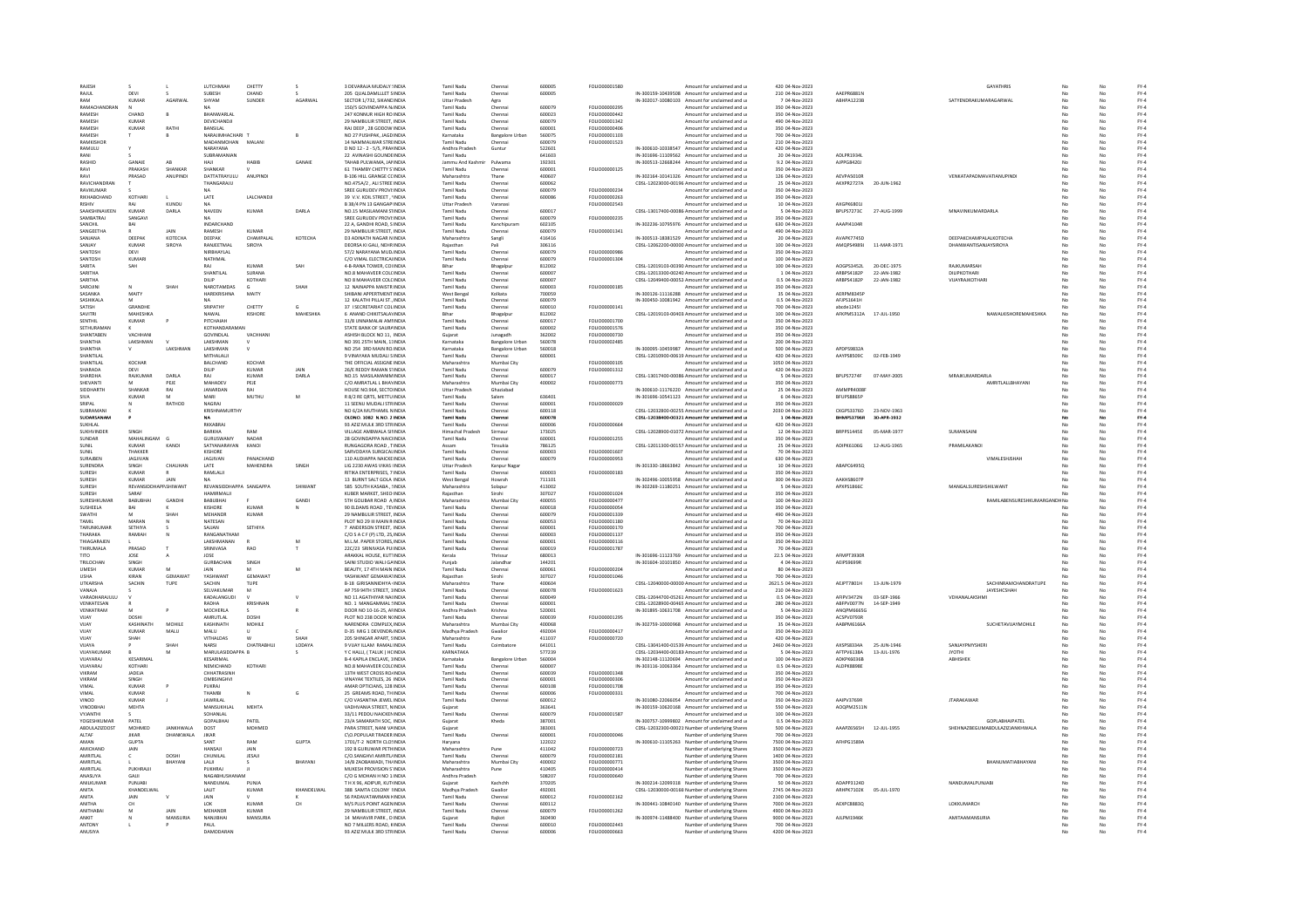| RAJESH                                   |                       |                      | <b>ILITCHMIAH</b>                     | CHETTY                       |                 | 3 DEVARAJA MUDALY !INDIA                                                         | Tamil Nadu                                        | Chenna                                           | 600005                     | FOLIO00001580                  | Amount for unclaimed and u                                                                                   | 420 04-Nov-2023                                         |                                 |             | <b>GAYATHRIS</b>                            |         |          | $FY-4$                   |
|------------------------------------------|-----------------------|----------------------|---------------------------------------|------------------------------|-----------------|----------------------------------------------------------------------------------|---------------------------------------------------|--------------------------------------------------|----------------------------|--------------------------------|--------------------------------------------------------------------------------------------------------------|---------------------------------------------------------|---------------------------------|-------------|---------------------------------------------|---------|----------|--------------------------|
| RAJUL                                    | DEVI                  |                      | SUBESH                                | CHAND                        |                 | 205 QUALDAMILLET SINDIA                                                          | Tamil Nadu                                        | Chennai                                          | 600005                     |                                | IN-300159-10439508 Amount for unclaimed and u                                                                | 210 04-Nov-2023                                         | AAEPR6881N                      |             |                                             |         |          | $FY-4$                   |
| RAM<br>RAMACHANDRAN                      | <b>KUMAR</b>          | AGARWAI              | SHYAM                                 | SUNDER                       | AGARWAL         | SECTOR 1/732, SIKANDINDIA<br>150/5 GOVINDAPPA NJINDIA                            | Uttar Pradesh<br>Tamil Nadu                       | Agra                                             | 600079                     | FOLIO0000029                   | IN-302017-10080103 Amount for unclaimed and u<br>Amount for unclaimed and u                                  | 7 04-Nov-2023<br>350 04-Nov-2023                        | ABHPA1223B                      |             | SATYENDRAKUMARAGARWAI                       |         | No       | $FY-4$                   |
| <b>RAMESH</b>                            | CHAND                 |                      | BHANWARLAI                            |                              |                 | 247 KONNUR HIGH ROINDIA                                                          | Tamil Nadu                                        | Chenna<br>Chenna                                 | 600023                     | FOU IO00000442                 | Amount for unclaimed and u                                                                                   | 350 04-Nov-2023                                         |                                 |             |                                             |         |          | $FY-4$<br>$FY-4$         |
| RAMESH                                   | KUMAR                 |                      | DEVICHANDIL                           |                              |                 | 29 NAMBLILIR STREET INDIA                                                        | Tamil Nadu                                        | Chennai                                          | 600079                     | FOLIO00001342                  | Amount for unclaimed and u                                                                                   | 490.04-Nov-2023                                         |                                 |             |                                             |         |          | FY-4                     |
| RAMESH                                   | <b>KUMAR</b>          | RATHI                | BANSILAL                              |                              |                 | RAJ DEEP, 28 GODOW INDIA                                                         | Tamil Nadu                                        | Chennai                                          | 600001                     | FOLIO00000406                  | Amount for unclaimed and u                                                                                   | 350 04-Nov-2023                                         |                                 |             |                                             |         |          | $FY-4$                   |
| RAMESH                                   |                       |                      | NARAJIMHACHARI 1                      |                              |                 | NO 27 PUSHPAK, JAGD INDIA                                                        | Karnataka                                         | <b>Bangalore Urba</b>                            | 560075                     | FOLIO00001103                  | Amount for unclaimed and u                                                                                   | 700 04-Nov-2023                                         |                                 |             |                                             |         |          | $FY-4$                   |
| RAMKISHOR<br><b>RAMULU</b>               |                       |                      | ΜΑΓΙΑΝΜΟΗΑΝ<br>NARAYANA               | MALANI                       |                 | 14 NAMMAI WAR STREINDIA<br>D NO 12 - 2 - 5/5, PRANNDIA                           | Tamil Nadu<br>Andhra Pradesh                      | Chennai<br>Guntur                                | 600079<br>522601           | FOLIO00001523                  | Amount for unclaimed and u<br>IN-300610-10338547 Amount for unclaimed and u                                  | 210 04-Nov-2023<br>420 04-Nov-2023                      |                                 |             |                                             |         | No       | FY-4<br>$FY-4$           |
| RANI                                     |                       |                      | SUBRAMANIAN                           |                              |                 | 22 AVINASHI GOUNDEINDIA                                                          | Tamil Nadu                                        |                                                  | 641603                     |                                | IN-301696-11109562 Amount for unclaimed and u                                                                | 20 04-Nov-2023                                          | ADLPR1934                       |             |                                             |         | No       | $FY-4$                   |
| RASHID                                   | GANAIE                | AB                   |                                       | HABIB                        | GANAII          | TAHAB PULWAMA, JANNDI                                                            | lammu And Kashmi                                  | Pulwama                                          | 192301                     |                                | IN-300513-12668244 Amount for unclaimed and u                                                                | 9.2 04-Nov-2023                                         | AJPPG8420J                      |             |                                             |         |          | $FY-4$                   |
| RAVI                                     | PRAKASH               | SHANKAR              | SHANKAR                               |                              |                 | 61 THAMBY CHETTY S'INDIA                                                         | Tamil Nadu                                        | Chennai                                          | 600001                     | FOLIO00000125                  | Amount for unclaimed and u                                                                                   | 350 04-Nov-2023                                         |                                 |             |                                             |         |          | $FY-4$                   |
| RAVI                                     | PRASAD                | ANUPIND              | DATTATRAYULU                          | ANUPINDI                     |                 | <b>B-106 HILL GRANGE CCINDIA</b>                                                 | Maharashtra                                       | Thane                                            | 400607                     |                                | IN-302164-10141326 Amount for unclaimed and u                                                                | 126 04-Nov-2023                                         | AEVPAS010R                      |             | VENKATAPADMAVATIANUPINDI                    | No      | No       | $FY-4$                   |
| RAVICHANDRAN<br>RAVIKUMAR                |                       |                      | THANGARAJU<br>N <sub>4</sub>          |                              |                 | NO.475A/2 . ALI STREE INDIA<br>SREE GURUDEV PROVI: INDIA                         | Tamil Nadu<br><b>Tamil Nadu</b>                   | Chenna<br>Chenna                                 | 600062<br>600079           | FOLIO00000234                  | CDSL-12023000-00196 Amount for unclaimed and u<br>Amount for unclaimed and u                                 | 25 04-Nov-2023<br>350 04-Nov-2023                       | AKXPR2727A                      | 20-JUN-1962 |                                             |         |          | $FY-4$<br>$FY-4$         |
| RIKHARCHAND                              | KOTHARI               |                      | <b>LATE</b>                           | <b>JAICHANDE</b>             |                 | 39 V.V. KOIL STREET UNDIA                                                        | Tamil Nadu                                        | Chennai                                          | 600086                     | <b>EQUIO0000263</b>            | Amount for unclaimed and u                                                                                   | 350.04-Nov-2023                                         |                                 |             |                                             |         |          | $FY-4$                   |
| <b>RISHIV</b>                            | RAJ                   | KUNDU                | <b>NA</b>                             |                              |                 | B 38/4 PN 13 GANGAPIINDIA                                                        | <b>Uttar Pradesh</b>                              | Varanasi                                         |                            | FOLIO00002543                  | Amount for unclaimed and u                                                                                   | 10 04-Nov-2023                                          | AXGPK6801                       |             |                                             |         | No       | $FY-4$                   |
| SAAKSHINAVEEN                            | KUMAF                 | DARLA                | NAVEEN                                | <b>KUMAR</b>                 | DARLA           | NO.15 MASILAMANI STINDIA                                                         | Tamil Nadu                                        | Chenna                                           | 600017                     |                                | CDSL-13017400-00086 Amount for unclaimed and u                                                               | 5 04-Nov-2023                                           | BPLPS7273C                      | 27-AUG-1999 | MNAVINKUMARDARLA                            |         |          | $FY-4$                   |
| SAMRATRAL<br>SANCHIL                     | SANGAVI<br>BAI        |                      | NA<br>INDARCHAND                      |                              |                 | SREE GURUDEV PROVI:INDIA<br>22 A. GANDHI ROAD, S INDIA                           | Tamil Nadu<br>Tamil Nadu                          | Chennai<br>Kanchipuran                           | 600079<br>602105           | FOLIO00000235                  | Amount for unclaimed and u<br>IN-302236-10795976 Amount for unclaimed and u                                  | 350 04-Nov-2023<br>630 04-Nov-2023                      | AAAPI41048                      |             |                                             |         | No       | FY-4<br>FY-4             |
| SANGEETHA                                |                       | JAIN                 | RAMESH                                | KUMAR                        |                 | 29 NAMBULIR STREET, INDIA                                                        | Tamil Nadu                                        | Chennai                                          | 600079                     | FOLIO00001341                  | Amount for unclaimed and u                                                                                   | 490 04-Nov-2023                                         |                                 |             |                                             |         | No       | $FY-4$                   |
| SANJANA                                  | DEEPA                 | <b>КОТЕСНА</b>       | DEEPAK                                | CHAMPALAL                    | КОТЕСНА         | <b>D3 ADINATH NAGAR N INDIA</b>                                                  | Maharashtra                                       | Sangli                                           | 416416                     |                                | IN-300513-18381529 Amount for unclaimed and u                                                                | 20 04-Nov-2023                                          | AVAPK774SD                      |             | <b>DEEPAKCHAMPALALKOTECHA</b>               |         |          | FY-4                     |
| SANJAY                                   | <b>KUMAR</b>          | SIROYA               | RANJEETMAL                            | <b>SIROVA</b>                |                 | DEORSA KI GALI, NEHR INDIA                                                       | Raiasthan                                         | Pali                                             | 306116                     |                                | CDSL-12062200-00000 Amount for unclaimed and u                                                               | 100 04-Nov-2023                                         | AMQPS4989J                      | 11-MAR-1971 | <b>DHANWANTISANJAYSIROYA</b>                |         |          | $FY-4$                   |
| SANTOSH                                  | DEVI                  |                      | NIRBHAYLAL                            |                              |                 | 57/2 NARAYANA MUDINDIA                                                           | <b>Tamil Nadu</b>                                 | Chennai                                          | 600079                     | FOLIO00000986                  | Amount for unclaimed and u                                                                                   | 350 04-Nov-2023                                         |                                 |             |                                             |         | No       | $FY-4$                   |
| SANTOSH<br>SARITA                        | KUMAR<br>SAH          |                      | NATHMAL<br>RAI                        | KUMAR                        | SAH             | C/O VIMAL ELECTRICALINDI<br>4-B-RANA TOWER, COUNDIA                              | Tamil Nadu<br>Rihar                               | Chenna<br>Bhagalp                                | 600079<br>812002           | FOLIO00001304                  | Amount for unclaimed and u<br>CDSL-12019103-00390 Amount for unclaimed and u                                 | 100 04-Nov-2023<br>100 04-Nov-2023                      | AOGPS3452L                      | 20-DEC-1975 | RAJKUMARSAH                                 |         |          | $FY-4$<br>$FY-4$         |
| SARITHA                                  |                       |                      | SHANTILAL                             | SURANA                       |                 | NO 8 MAHAVEER COLCINDIA                                                          | Tamil Nadu                                        | Chennai                                          | 600007                     |                                | CDSL-12013300-00240 Amount for unclaimed and u                                                               | 1 04-Nov-2023                                           | ARRPS4182P                      | 22-JAN-1982 | <b>DILIPKOTHARL</b>                         | M       | No       | FY-4                     |
| SARITHA                                  |                       |                      | DILIP                                 | KOTHARI                      |                 | NO 8 MAHAVEER COLCINDIA                                                          | Tamil Nadu                                        | Chennai                                          | 600007                     |                                | CDSL-12049400-00052 Amount for unclaimed and u                                                               | 0.5 04-Nov-2023                                         | ARBPS4182P                      | 22-JAN-1982 | VIJAYRAJKOTHAR                              |         | No       | $FY-4$                   |
| SAROJIN                                  |                       | SHAH                 | NAROTAMDAS                            |                              | <b>SHA</b>      | 12 NAINAPPA MAISTR INDIA                                                         | <b>Tamil Nadu</b>                                 | Chenna                                           | 600003                     | FOLIO00000185                  | Amount for unclaimed and u                                                                                   | 350 04-Nov-2023                                         |                                 |             |                                             |         |          | $FY-4$                   |
| SASANKA<br>SASHIKALA                     | MAITY<br>M            |                      | HAREKRISHNA<br><b>NA</b>              | MAITY                        |                 | SHIBANI APPERTMENT, INDI<br>12 KALATHI PILLAI ST., INDIA                         | West Benga<br><b>Tamil Nadu</b>                   | Kolkata<br>Chennai                               | 700059<br>600079           |                                | IN-300126-11116288 Amount for unclaimed and u<br>IN-300450-10081942 Amount for unclaimed and u               | 35 04-Nov-2023<br>0.5 04-Nov-2023                       | AFRPMR345P<br>AFJPS1641H        |             |                                             |         | No       | $FY-4$<br>$FY-4$         |
| SATISH                                   | GRANDHE               |                      | SRIPATHY                              | CHETTY                       |                 | 37 I SECRETARIAT COLINDIA                                                        | Tamil Nadu                                        | Chennai                                          | 600010                     | FOLIO00000141                  | Amount for unclaimed and u                                                                                   | 700 04-Nov-2023                                         | abcde12451                      |             |                                             |         | No       | $FY-4$                   |
| SAVITRI                                  | <b>MAHESHKA</b>       |                      | NAWAL                                 | KISHORE                      | <b>MAHESHKA</b> | 6 ANAND CHIKITSALAYINDI                                                          | Bihar                                             | Bhagalpu                                         | 812002                     |                                | CDSL-12019103-00403 Amount for unclaimed and u                                                               | 100 04-Nov-2023                                         | AFKPM5312A                      | 17-JUL-1950 | <b>NAWALKISHOREMAHESHK/</b>                 |         |          | FY-4                     |
| SENTHIL                                  | KUMAR                 |                      | PITCHAIAH                             |                              |                 | 31/8 UNNAMALAI AMINDIA                                                           | Tamil Nad                                         | Chenna                                           | 600017                     | FOLIO00001700                  | Amount for unclaimed and u                                                                                   | 350 04-Nov-2023                                         |                                 |             |                                             |         |          | $FY-4$                   |
| SETHURAMAN                               |                       |                      | KOTHANDARAMAN                         |                              |                 | STATE BANK OF SAURAINDIA                                                         | Tamil Nadu                                        | Chennai                                          | 600002                     | FOLIO00001576                  | Amount for unclaimed and u                                                                                   | 350 04-Nov-2023                                         |                                 |             |                                             |         | No       | $FY-4$                   |
| SHANTABEN<br>SHANTHA                     | VACHHAN<br>LAKSHMAN   |                      | GOVINDLAL<br>LAKSHMAN                 | VACHHANI                     |                 | ASHISH BLOCK NO 11, INDIA<br>NO 391 25TH MAIN, 11INDIA                           | Gujarat<br>Karnataka                              | Junagadh                                         | 362002<br>560078           | FOLIO00000730<br>FOLIO00002485 | Amount for unclaimed and u<br>Amount for unclaimed and u                                                     | 350 04-Nov-2023<br>200 04-Nov-2023                      |                                 |             |                                             |         | No       | $FY-4$                   |
| SHANTHA                                  |                       | <b>LAKSHMAN</b>      | <b>LAKSHMAN</b>                       |                              |                 | NO 254, 3RD MAIN RO INDIA                                                        | Karnataka                                         | <b>Bangalore Urbar</b><br><b>Bangalore Urbar</b> | 560018                     |                                | IN-300095-10459987 Amount for unclaimed and u                                                                | 500.04-Nov-2023                                         | APDPS9832A                      |             |                                             |         |          | $FY-4$<br>$FY-4$         |
| SHANTILAL                                |                       |                      | MITHALAUI                             |                              |                 | 9 VINAYAKA MUDALI SINDIA                                                         | <b>Tamil Nadu</b>                                 | Chennai                                          | 600001                     |                                | CDSL-12010900-00619 Amount for unclaimed and u                                                               | 420 04-Nov-2023                                         | AAYPS8509C                      | 02-FEB-1949 |                                             |         | No       | $FY-4$                   |
| SHANTILAL                                | KOCHAR                |                      | BALCHAND                              | KOCHAR                       |                 | THE OFFICIAL ASSIGNE INDIA                                                       | Maharashtra                                       | Mumbai City                                      |                            | FOLIO00000105                  | Amount for unclaimed and u                                                                                   | 1050 04-Nov-2023                                        |                                 |             |                                             |         |          | $FY-4$                   |
| SHARADA                                  |                       |                      |                                       | KUMAR                        | JAIN            | 26/E REDDY RAMAN STINDIA                                                         | Tamil Nadi                                        |                                                  | 600079                     | FOLIO00001312                  | Amount for unclaimed and u                                                                                   | 420 04-Nov-2023                                         |                                 |             |                                             |         |          | FY-4                     |
| SHARDHA<br>SHEVANTI                      | RAIKUMAR              | <b>DARLA</b><br>PEJE | RAI<br>MAHADEV                        | KUMAR<br>PEJE                | DARLA           | NO 15 MASILAMANIMINDIA<br>C/O AMRATLAL L BHAYINDIA                               | Tamil Nadu<br>Maharashtra                         | Chennai<br>Mumbai City                           | 600017<br>400002           | FOLIO00000773                  | CDSL-13017400-00086 Amount for unclaimed and u<br>Amount for unclaimed and u                                 | 5 04-Nov-2023<br>350 04-Nov-2023                        | RPI PS7274F                     | 07-MAY-2005 | MRAIKLIMARDARLA<br>AMRITLALLBHAYANI         | No      | No<br>No | $FY-4$<br>$FY-4$         |
| SIDDHARTH                                | SHANKAR               | RAI                  | <b>JANARDAM</b>                       | RA                           |                 | HOUSE NO.964, SECTO INDIA                                                        | Uttar Pradesh                                     | Ghaziabao                                        |                            |                                | IN-300610-11176220 Amount for unclaimed and u                                                                | 25 04-Nov-2023                                          | AMMPR4008                       |             |                                             |         |          | $FY-4$                   |
| SIVA                                     | <b>KUMAR</b>          | M                    | MARI                                  | MUTHU                        | M               | R 8/2 RE QRTS, METTU INDIA                                                       | Tamil Nadu                                        | Salem                                            | 636401                     |                                | IN-301696-10541123 Amount for unclaimed and u                                                                | 6 04-Nov-2023                                           | BFUPS8865P                      |             |                                             |         |          | $FY-4$                   |
| SRIPAL                                   |                       | RATHOD               | NAGRAJ                                |                              |                 | 11 SEENU MUDALI STRINDIA                                                         | Tamil Nadu                                        | Chennai                                          | 600001                     | FOLIO00000029                  | Amount for unclaimed and u                                                                                   | 350 04-Nov-2023                                         |                                 |             |                                             |         | No       | $FY-4$                   |
| SUBRAMAN                                 |                       |                      | KRISHNAMURTHY                         |                              |                 | NO 6/2A MUTHAMIL NINDIA                                                          | Tamil Nadu                                        | Chenna                                           | 600118                     |                                | CDSL-12032800-00255. Amount for unclaimed and u                                                              | 2030 04-Nov-2023                                        | CKGPS3376D                      | 23-NOV-1963 |                                             |         | No       | $FY-4$                   |
| SUDARSANAN<br>SUKHLAI                    |                       |                      | NA<br>RKKARRAL                        |                              |                 | OLDNO. 1082 N.NO. 2 INDIA<br>93 AZIZ MULK 3RD STRINDI                            | Tamil Nadu<br>Tamil Nadu                          | Chenna                                           | 600078<br>600006           | FOLIO00000664                  | CDSL-12038400-00321 Amount for unclaimed and u<br>Amount for unclaimed and u                                 | 1 04-Nov-2023<br>420 04-Nov-2023                        | <b>BHMPS3796R</b>               | 30-APR-1932 |                                             |         |          | FY-4<br>$FY-4$           |
| SUKHVINDER                               | SINGH                 |                      | BARKHA                                | RAM                          |                 | VILLAGE AMBWALA SINNDIA                                                          | Himachal Pradesh                                  | Sirmaur                                          | 173025                     |                                | CDSL-12028900-01072 Amount for unclaimed and u                                                               | 12 04-Nov-2023                                          | BRPPS1445E                      | 05-MAR-1977 | SUMANSAIN                                   |         | No       | $FY-4$                   |
| SUNDAR                                   | MAHALINGAM            |                      | GURUSWAMY                             | NADAR                        |                 | 28 GOVINDAPPA NAICHNDIA                                                          | Tamil Nadu                                        | Chenna                                           | 600001                     | FOLIO00001255                  | Amount for unclaimed and u                                                                                   | 350 04-Nov-2023                                         |                                 |             |                                             |         |          | $FY-4$                   |
| SUNIL                                    | KUMAF                 | KANOI                | SATYANARAYAN                          | <b>KANO</b>                  |                 | RUNGAGORA ROAD, TINDI                                                            | Assam                                             | Tinsukia                                         | 786125                     |                                | CDSL-12011300-00157 Amount for unclaimed and u                                                               | 25 04-Nov-2023                                          | ADIPK6106G                      | 12-AUG-1965 | PRAMILAKANO                                 |         |          | FY-4                     |
| SUNIL                                    | THAKKER               |                      | KISHORE                               |                              |                 | SARVODAYA SURGICALINDIA                                                          | Tamil Nadu                                        | Chennai                                          | 600003                     | EQUO00001607                   | Amount for unclaimed and u                                                                                   | 70 04-Nov-2023                                          |                                 |             |                                             |         |          | $FY-4$                   |
| SURAJBEN<br>SURENDRA                     | JAGJIVAN<br>SINGH     | CHAUHAN              | JAGJIVAN<br>LATE                      | PANACHAND<br><b>MAHENDRA</b> | SINGH           | 110 AUDIAPPA NAICKE INDIA<br>LIG 2230 AWAS VIKAS IINDIA                          | Tamil Nadu<br>Uttar Pradesh                       | Chennai<br>Kanpur Naga                           | 600079                     | FOLIO00000953                  | Amount for unclaimed and u<br>IN-301330-18663842 Amount for unclaimed and u                                  | 630 04-Nov-2023<br>10 04-Nov-2023                       | ABAPC6495Q                      |             | VIMALESHISHAH                               | No      | No       | $FY-4$<br>$FY-4$         |
|                                          |                       |                      | RAMLALJI                              |                              |                 | RITIKA ENTERPRISES, 7 INDI                                                       | <b>Tamil Nadu</b>                                 | Chenna                                           | 600003                     | FOLIO00000183                  | Amount for unclaimed and u                                                                                   | 350 04-Nov-2023                                         |                                 |             |                                             |         |          | $FY-4$                   |
|                                          |                       |                      |                                       |                              |                 |                                                                                  |                                                   |                                                  |                            |                                |                                                                                                              |                                                         |                                 |             |                                             |         |          |                          |
| SURESH<br>SURESH                         | KUMAF<br><b>KUMAR</b> | JAIN                 |                                       |                              |                 | 13 BURNT SALT GOLA INDIA                                                         | West Bengal                                       | Howrah                                           | 711101                     |                                | IN-302496-10055958 Amount for unclaimed and u                                                                | 300 04-Nov-2023                                         | AAKHS8607F                      |             |                                             |         |          | $FY-4$                   |
| SURESH                                   | REVANSIDDHAPP.SHIWANT |                      | REVANSIDDHAPPA SANGAPPA               |                              | SHIWANT         | 585 SOUTH KASABA, SINDIA                                                         | Maharashtra                                       | Solapur                                          | 413002                     |                                | IN-302269-11180251 Amount for unclaimed and u                                                                | 5 04-Nov-2023                                           | APXPS1866C                      |             | MANGALSURESHSHILWANT                        |         | No       | $FY-4$                   |
| SURESH                                   | SARA                  |                      | HAMIRMALJI                            |                              |                 | KUBER MARKET, SHEO INDIA                                                         | Rajasthan                                         | Sirohi                                           | 307027                     | FOLIO00001024                  | Amount for unclaimed and u                                                                                   | 350 04-Nov-2023                                         |                                 |             |                                             |         |          | $FY-4$                   |
| SURESHKUMAR                              | BABUBHA               | GANDHI               | BABUBHAI                              |                              | GANDI           | <b>STH GOLIBAR ROAD A INDIA</b>                                                  | Maharashtra                                       | Mumbai City                                      | 400055                     | FOLIO00000477                  | Amount for unclaimed and u                                                                                   | 100 04-Nov-2023                                         |                                 |             | RAMILABENSURESHKUMARGANDHNG                 |         |          | $FY-4$                   |
| <b>SUSHEELA</b>                          | RAI                   | SHAH                 | KISHORE                               | KUMAR                        | N               | 90 FLDAMS ROAD TEVINDIA                                                          | Tamil Nadu                                        | Chennai                                          | 600018                     | EQUIO00000054                  | Amount for unclaimed and u                                                                                   | 350.04-Nov-2023                                         |                                 |             |                                             | M       | No       | $FY-4$                   |
| SWATHI<br>TAMIL                          | MARAN                 |                      | <b>MEHANDR</b><br>NATESAN             | KUMAR                        |                 | 29 NAMBULIR STREET. INDIA<br>PLOT NO 29 III MAIN R INDI                          | Tamil Nadu<br>Tamil Nadi                          | Chennai<br>Chenna                                | 600079<br>600053           | FOLIO00001339<br>FOLIO00001180 | Amount for unclaimed and u<br>Amount for unclaimed and u                                                     | 490 04-Nov-2023<br>70 04-Nov-2023                       |                                 |             |                                             |         |          | $FY-4$<br>$FY-4$         |
| TARUNKUMAR                               | SETHIVA               |                      | SAIIAN                                | SETHIVA                      |                 | 7 ANDERSON STREET. INDIA                                                         | Tamil Nadu                                        | Chennai                                          | 600001                     | EQUO0000170                    | Amount for unclaimed and u                                                                                   | 700.04-Nov-2023                                         |                                 |             |                                             |         | No       | FY-4                     |
| THARAKA                                  | RAMIAH                | N                    | RANGANATHAM                           |                              |                 | C/O S A C F (P) LTD, 25 INDIA                                                    | Tamil Nadu                                        | Chennai                                          | 600003                     | FOLIO00001137                  | Amount for unclaimed and u                                                                                   | 350 04-Nov-2023                                         |                                 |             |                                             |         | No       | $FY-4$                   |
| THIAGARAJEN                              |                       |                      | LAKSHMANAN                            |                              | M               | M.L.M. PAPER STORES, INDIA                                                       | Tamil Nadu                                        | Chenna                                           | 600001                     | FOLIO00000116                  | Amount for unclaimed and u                                                                                   | 350 04-Nov-2023                                         |                                 |             |                                             |         | No       | $FY-4$                   |
| THIRUMALA<br>TITO                        | PRASAD<br><b>IOSE</b> |                      | SRINIVASA<br><b>IOSE</b>              | RAO                          |                 | 22C/23 SRINIVASA PUIINDI<br>ARAKKAL HOUSE, KUTTINDIA                             | Tamil Nadu                                        | Chenna<br>Thrissur                               | 600019<br>680013           | FOLIO00001787                  | Amount for unclaimed and u                                                                                   | 70 04-Nov-2023                                          | <b>AFMPT3930R</b>               |             |                                             |         |          | $FY-4$                   |
| TRILOCHAN                                | SINGH                 |                      | GURBACHAN                             | SINGH                        |                 | SAINI STUDIO WALI GAINDIA                                                        | Kerala<br>Punjab                                  | Jalandhar                                        | 144201                     |                                | IN-301696-11123769 Amount for unclaimed and u<br>IN-301604-10101850 Amount for unclaimed and u               | 22.5 04-Nov-2023<br>4 04-Nov-2023                       | AEIPS9699R                      |             |                                             |         | No       | FY-4<br>FY-4             |
| <b>UMESH</b>                             | KUMAR                 |                      |                                       |                              | M               | BEAUTY, 17 4TH MAIN INDIA                                                        | <b>Tamil Nadu</b>                                 | Chennai                                          | 600061                     | FOLIO00000204                  | Amount for unclaimed and u                                                                                   | 80 04-Nov-2023                                          |                                 |             |                                             |         |          | $FY-4$                   |
| <b>USHA</b>                              | KIRAN                 | <b>GEMAWAT</b>       | YASHWANT                              | GEMAWAT                      |                 | YASHWANT GEMAWA1INDIA                                                            | Raiasthan                                         | Sirohi                                           | 307027                     | FOLIO00001046                  | Amount for unclaimed and u                                                                                   | 700 04-Nov-2023                                         |                                 |             |                                             |         |          | $FY-4$                   |
| <b>LITKARSHA</b><br>VANAJA               | <b>SACHIN</b>         | TUPE                 | SACHIN<br>SELVAKUMAR                  | TUPE<br>M                    |                 | <b>B-18 GIRISANNIDHYA (INDIA</b><br>AP 759 94TH STREET, 1INDIA                   | Maharashtra<br>Tamil Nadu                         | Thane<br>Chennai                                 | 400604<br>600078           | FOLIO00001623                  | CDSL-12040000-00000 Amount for unclaimed and u<br>Amount for unclaimed and u                                 | 2621 S.04-Nov-2023<br>210 04-Nov-2023                   | AFIPT7801H                      | 13-JUN-1979 | <b>SACHINRAMCHANDRATLIPE</b><br>JAYESHCSHAH |         | No       | $FY-4$<br>$FY-4$         |
| VARADHARAJULU                            |                       |                      | KADALANGUDI                           |                              |                 | NO 11 AGATHIYAR NA(INDIA                                                         | Tamil Nadu                                        | Chenna                                           | 600049                     |                                |                                                                                                              | 0.5 04-Nov-2023                                         | AFIPV3472N                      | 03-SEP-1966 | VDHANALAKSHM                                |         |          | $FY-4$                   |
| VENKATESAN                               |                       |                      | RADHA                                 | KRISHNA                      |                 | NO. 1 MANGAMMAL SINDI                                                            | Tamil Nadu                                        |                                                  | 600001                     |                                | CDSL-12044700-05261 Amount for unclaimed and u<br>CDSL-12028900-00465 Amount for unclaimed and u             | 280 04-Nov-2023                                         | ABFPV0077N                      | 14-SEP-1949 |                                             |         |          | $FY-4$                   |
| VENKATRAM                                | M                     |                      | <b>MOCHERLA</b>                       |                              | R               | DOOR NO 10-16-25. AFINDIA                                                        | Andhra Pradesh                                    | Krishna                                          | 520001                     |                                | IN-301895-10631708 Amount for unclaimed and u                                                                | 5 04-Nov-2023                                           | ANQPM6665G                      |             |                                             |         | No       | $FY-4$                   |
| VUAY                                     | DOSHI                 |                      | AMRUTLAL                              | DOSHI                        |                 | PLOT NO 238 DOOR N(INDIA                                                         | Tamil Nadu                                        | Chennai                                          | 600039                     | FOLIO00001295                  | Amount for unclaimed and u                                                                                   | 350 04-Nov-2023                                         | ACSPV0793R                      |             |                                             |         | No       | $FY-4$                   |
| VUAY<br>VIIAY                            | KASHINATI<br>KUMAR    | MOHILE<br>MALU       | KASHINATH<br>MAILL                    | MOHILE                       | c.              | VARENDRA COMPLEX, INDI<br>D-35 MIG 1 DEVENDR/INDIA                               | Maharashtra<br>Madhya Pradesh                     | Mumbai City<br>Gwalion                           | 400068<br>492004           | <b>FOLIO00000417</b>           | IN-302759-10000968 Amount for unclaimed and u<br>Amount for unclaimed and u                                  | 35 04-Nov-2023<br>350 04-Nov-2023                       | AABPM6166/                      |             | SUCHETAVUAYMOHILI                           |         |          | FY-4<br>$FY-4$           |
| VUAY                                     | SHAH                  |                      | VITHALDAS                             | W                            | SHAH            | 205 SHINGAR APART, SINDIA                                                        | Maharashtra                                       | Pune                                             | 411037                     | FOLIO00000720                  | Amount for unclaimed and u                                                                                   | 420 04-Nov-2023                                         |                                 |             |                                             |         | No       | $FY-4$                   |
| VUAYA                                    |                       | SHAH                 | NARSI                                 | CHATRABHUJ                   | LODAYA          | 9 VIJAY ILLAM RAMALINDIA                                                         | Tamil Nadu                                        | Coimbatore                                       | 641011                     |                                | CDSL-13041400-01539 Amount for unclaimed and u                                                               | 2460 04-Nov-2023                                        | AXSPS8334A                      | 25-JUN-1946 | SANJAYPMYSHER                               |         | No       | $FY-4$                   |
| VUAYAKUMAR                               |                       |                      | MARULASIDDAPPA B                      |                              |                 | Y C HALLI, (TALUK) HCINDI                                                        | KARNATAKA                                         |                                                  | 577239                     |                                | CDSL-12034400-00183 Amount for unclaimed and u                                                               | 5 04-Nov-2023                                           | AFTPV6138A                      | 13-JUL-1976 |                                             |         |          | $FY-4$                   |
| VIIAYARAI<br>VUAYARA                     | KESARIMAL<br>KOTHARI  |                      | KESARIMAL<br>NEMICHAND                | KOTHARI                      |                 | <b>B-4 KAPILA ENCLAVE, 1INDIA</b><br>NO.8 MAHAVEER COLCINDIA                     | Karnataka<br><b>Tamil Nadu</b>                    | <b>Bangalore Urbar</b><br>Chennai                | 560004<br>600007           |                                | IN-302148-11120694 Amount for unclaimed and u<br>IN-303116-10063364 Amount for unclaimed and u               | 100.04-Nov-2023<br>0.5 04-Nov-2023                      | <b>ADKPK6036B</b><br>ALDPK8898E |             | <b>ARHISHEK</b>                             | M<br>No | No<br>No | $FY-4$<br>$FY-4$         |
| <b>VIKRAM</b>                            | JADEJA                |                      | CHHATRASINH                           |                              |                 | 13TH WEST CROSS ROJINDIA                                                         | Tamil Nadu                                        | Chenna                                           | 600039                     | FOLIO00001348                  | Amount for unclaimed and u                                                                                   | 350 04-Nov-2023                                         |                                 |             |                                             |         |          | $FY-4$                   |
| VIKRAM                                   | SINGH                 |                      | OMBSINGHV                             |                              |                 | VINAYAK TEXTILES, 26 INDIA                                                       | Tamil Nadu                                        | Chenna                                           | 600001                     | FOLIO00000306                  | Amount for unclaimed and u                                                                                   | 350 04-Nov-2023                                         |                                 |             |                                             |         |          | $FY-4$                   |
| VIMAL                                    | KUMAR                 |                      | PUKRAL                                |                              |                 | AMAR OPTICIANS 128 INDIA                                                         | Tamil Nadu                                        | Chennai                                          | 600108                     | <b>EQUO00001708</b>            | Amount for unclaimed and u                                                                                   | 350 04-Nov-2023                                         |                                 |             |                                             |         |          | FY-4                     |
| VIMAL                                    | KUMAF                 |                      | THAMBI                                | N                            | G               | 25 GREAMS ROAD, THINDIA                                                          | Tamil Nadu                                        | Chenna                                           | 600006                     | FOLIO00000331                  | Amount for unclaimed and u                                                                                   | 700 04-Nov-2023                                         |                                 |             |                                             |         | No       | $FY-4$                   |
| VINOD<br>VINODRHA                        | KUMAF<br>MEHTA        |                      | <b>JAWRILAL</b><br>MANSUKHLAL         | MEHTA                        |                 | C/O VASANTHA JEWELINDI<br>VADHVANIA STREET, NINDIA                               | Tamil Nadu                                        | Chenna                                           | 600012<br>363641           |                                | IN-301080-22066054 Amount for unclaimed and u                                                                | 350 04-Nov-2023<br>550 04-Nov-2023                      | AAIPV3769R<br>AOQPM2511N        |             | <b>JTARAKAWA</b>                            |         |          | FY-4<br>$FY-4$           |
| VYJANTHI                                 |                       |                      | SOHANLAL                              |                              |                 | 33/11 PEDDU NAICKENINDIA                                                         | Gujarat<br><b>Tamil Nadu</b>                      | Chennai                                          | 600079                     | FOLIO00001587                  | IN-300159-10620168 Amount for unclaimed and u<br>Amount for unclaimed and u                                  | 100 04-Nov-2023                                         |                                 |             |                                             |         | No       | $FY-4$                   |
| YOGESHKUMAF                              | PATEL                 |                      | GOPALBHAI                             | PATEL                        |                 | 23/A SAMARATH SOC, INDIA                                                         | Gujarat                                           | Kheda                                            | 387001                     |                                | IN-300757-10999802 Amount for unclaimed and u                                                                | 0.5 04-Nov-2023                                         |                                 |             | <b>GOPLABHAIPATEL</b>                       | No      | No       | $FY-4$                   |
| ABDULAZIZDOST                            | MOHMED                | <b>JANKHWALA</b>     | DOST                                  | MOHMED                       |                 | PARA STREET, NANI VAINDI                                                         | Gujarat                                           |                                                  | 383001                     |                                | CDSL-12032300-00021 Number of underlying Shares                                                              | 500 04-Nov-2023                                         | AAAPZ6565H                      | 12-JUL-1955 | SHEHNAZBEGUMABDULAZIZJANKHWALA              |         |          | $FY-4$                   |
| <b>ALTAF</b>                             | <b>IIKAR</b>          | DHANKWALA            | <b>IKAR</b><br><b>SANT</b>            |                              |                 | C\O.POPULAR TRADER INDIA                                                         | Tamil Nadu                                        | Chenna                                           | 600001                     | FOLIO00000046                  | Number of underlying Share                                                                                   | 700 04-Nov-2023                                         |                                 |             |                                             |         |          | $FY-4$                   |
| AMAN<br>AMICHAND                         | GUPTA<br>JAIN         |                      | HANSAJ                                | RAM<br>JAIN                  | <b>GUPTA</b>    | 1701/T-2 NORTH CLOSINDIA<br>192 B GURUWAR PETHINDI                               | Harvana<br>Maharashtra                            | Pune                                             | 122022<br>411042           | FOLIO00000723                  | IN-300610-11105263 Number of underlying Shares<br>Number of underlying Shares                                | 7500 04-Nov-2023<br>3500 04-Nov-2023                    | AFHPG1589A                      |             |                                             |         |          | $FY-4$<br>$FY-4$         |
| AMRITLAL                                 |                       | DOSH                 | CHUNILAL                              | JESAJI                       |                 | C/O.SANGHVI AMRITL/INDI                                                          | <b>Tamil Nadu</b>                                 | Chenna                                           | 600079                     | FOLIO00002181                  | Number of underlying Share                                                                                   | 1400 04-Nov-2023                                        |                                 |             |                                             |         |          | $FY-4$                   |
| AMRITI AL                                |                       | RHAYANI              | <b>LALIL</b>                          |                              | RHAYANI         | 14/B ZAOBAWADI, THAINDIA                                                         | Maharashtra                                       | Mumbai City                                      | 400002                     | <b>EQLIQ00000771</b>           | Number of underlying Shares                                                                                  | 3500 04-Nov-2023                                        |                                 |             | <b>RHANI IMATIARHAYANI</b>                  |         |          | FY-4                     |
| AMRITLAL                                 | PUKHRAJJI             |                      | PUKHRAJ                               |                              |                 | MUKESH PROVISION S'INDIA                                                         | Maharashtra                                       | Pune                                             | 410405                     | FOLIO00000414                  | Number of underlying Shares                                                                                  | 3500 04-Nov-2023                                        |                                 |             |                                             |         | No       | $FY-4$                   |
| ANASUYA                                  | GAJJI                 |                      | NAGABHUSHANAM                         | PUNIA                        |                 | C/O G MOHAN H NO 1: INDIA                                                        | Andhra Pradesh                                    |                                                  | 508207                     | FOLIO00000640                  | Number of underlying Shares                                                                                  | 700 04-Nov-2023                                         | ADAPP3124D                      |             |                                             |         |          | $FY-4$                   |
| ANILKUMAR<br>ANITA                       | PUNJABI<br>KHANDELWAL |                      | NANDUMAL<br>LALIT                     | KUMAR                        | KHANDELWAL      | TH X 96, ADIPUR, KUTIINDIA<br>388 SAMTA COLONY IINDIA                            | Madhya Pradesh                                    | Kachchl<br>Gwalion                               | 370205<br>492001           |                                | IN-300214-12099318 Number of underlying Share<br>CDSL-12030000-00166 Number of underlying Shares             | 50 04-Nov-2023<br>2745 04-Nov-2023                      | ARHPK7102K                      | 05-JUL-1970 | NANDUMALPUNJAB                              |         | No       | $FY-4$<br>$FY-4$         |
| ANITA                                    | JAIN                  |                      | JAIN                                  |                              |                 | 56 PADAVATAMMAN HINDIA                                                           | Tamil Nadu                                        | Chennai                                          | 600012                     | FOLIO00002162                  | Number of underlying Shares                                                                                  | 2100 04-Nov-2023                                        |                                 |             |                                             |         |          | $FY-4$                   |
| ANITHA                                   | CH                    |                      | LOK                                   | KUMAR                        | CH              | M/S PLUS POINT AGENINDI                                                          | <b>Tamil Nadu</b>                                 | Chenna                                           | 600112                     |                                | IN-300441-10840140 Number of underlying Shares                                                               | 7000 04-Nov-2023                                        | AEXPC8883Q                      |             | LOKKUMARCH                                  |         |          | $FY-4$                   |
| ANITHABAL                                |                       |                      | MEHANDR                               | KUMAR                        |                 | 29 NAMBULIR STREET, INDIA                                                        | Tamil Nadu                                        |                                                  | 600079                     | FOLIO00001262                  | Number of underlying Share                                                                                   | 4900 04-Nov-2023                                        |                                 |             |                                             |         |          | $FY-4$                   |
| ANKIT<br><b>ANTONY</b><br><b>ANUSIYA</b> |                       | <b>MANSURIA</b>      | NANJIRHAI<br>PAUL<br><b>DAMODARAS</b> | MANSURIA                     |                 | 14 MAHAVIR PARK DINDIA<br>NO 7 MILLERS ROAD, KINDIA<br>93 AZIZ MULK 3RD STRINDIA | Guiarat<br><b>Tamil Nadu</b><br><b>Tamil Nadu</b> | Raikot<br>Chenna                                 | 360490<br>600010<br>600006 | FOLIO00002443<br>FOLIO00000663 | IN-300974-11488400 Number of underlying Shares<br>Number of underlying Shares<br>Number of underlying Shares | 9000 04-Nov-2023<br>700 04-Nov-2023<br>4200 04-Nov-2023 | All PM1946K                     |             | <b>AMITAAMANSURIA</b>                       |         |          | $FY-4$<br>FY-4<br>$FY-4$ |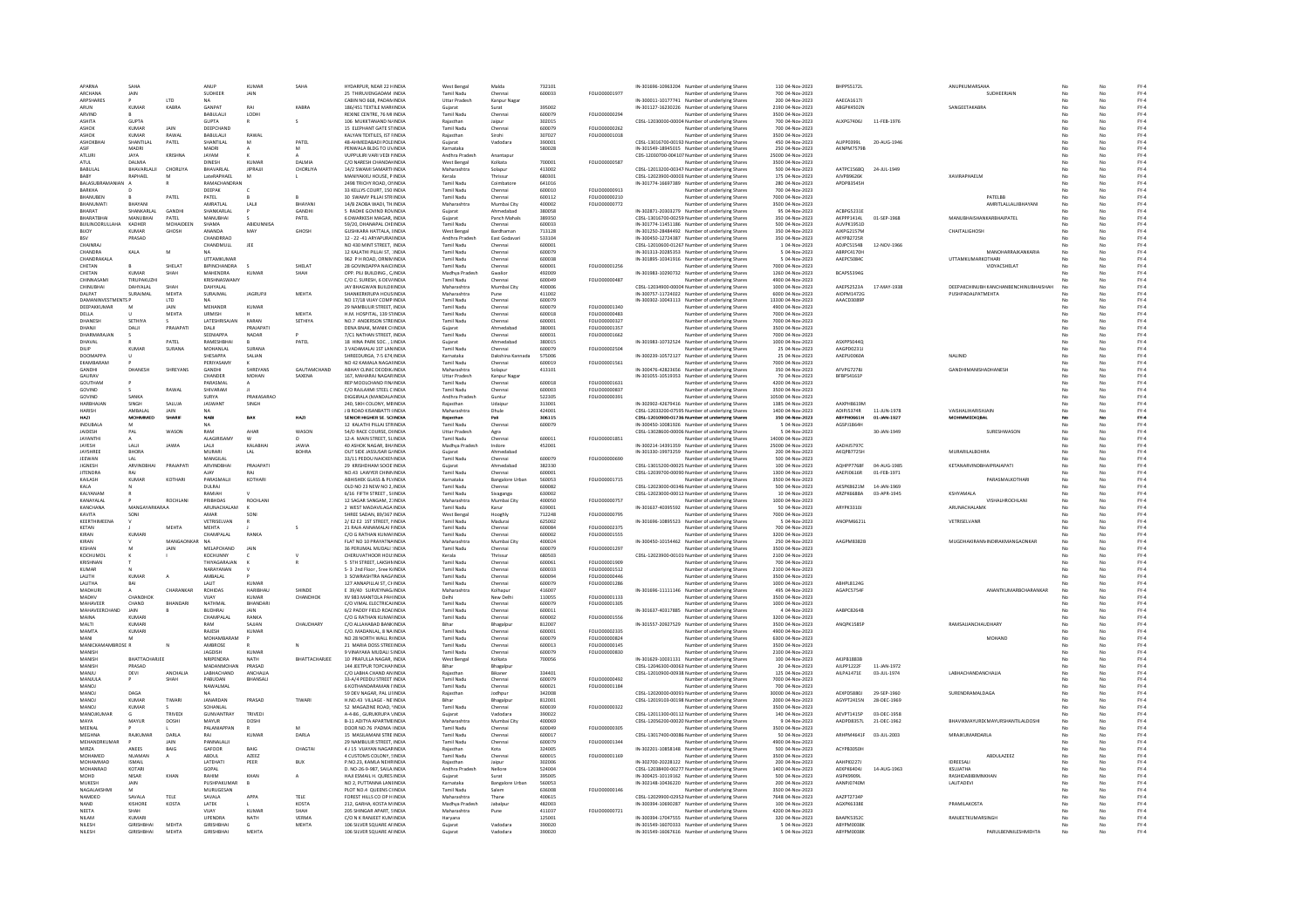| APARNA                        | SAHA                            |                | ANUP                                 | KUMAR             | SAHA                 | HYDARPUR, NEAR 22 HINDIA                               | West Bengal                     | Malda                  | 732101           |                                       | IN-301696-10963204 Number of underlying Shares                                                   | 110 04-Nov-2023                      | BHPPS5172L               |             | ANUPKUMARSAHA                         |    |     | $FY-4$           |
|-------------------------------|---------------------------------|----------------|--------------------------------------|-------------------|----------------------|--------------------------------------------------------|---------------------------------|------------------------|------------------|---------------------------------------|--------------------------------------------------------------------------------------------------|--------------------------------------|--------------------------|-------------|---------------------------------------|----|-----|------------------|
| <b>ARCHANA</b>                | JAIN                            |                | SUDHEER                              | JAIN              |                      | 25 THIRUVENGADAM INDIA                                 | Tamil Nadu                      | Chennai                | 600033           | FOLIO00001977                         | Number of underlying Shares                                                                      | 700 04-Nov-2023                      |                          |             | SUDHEERJAIN                           |    |     | $FY-4$           |
| ARPSHARES                     |                                 | LTD            |                                      |                   |                      | CABIN NO 668, PADAM INDIA                              | <b>Uttar Pradesh</b>            | Kanpur Nagar           |                  |                                       | IN-300011-10177741 Number of underlying Shares                                                   | 200 04-Nov-2023                      | AAECA1617J               |             |                                       |    |     | $FY-4$           |
| ARUN                          | KUMAR                           | KABRA          | <b>GANPAT</b>                        | DAI               | KARRA                | 186/451 TEXTILE MARHNDIA                               |                                 |                        | 395002           |                                       | IN-301127-16230226 Number of underlying Share                                                    | 2190 04-Nov-2023                     | ABGPK4502N               |             | SANGEETAKABRA                         |    |     | $FY-4$           |
| ARVIND                        |                                 |                | RABUIAUL                             | <b>LODHI</b>      |                      | REXINE CENTRE 76 MI INDIA                              | Tamil Nadu                      | Chennai                | 600079           | <b>EQUO0000294</b>                    | Number of underlying Shares                                                                      | 3500.04-Nov-2023                     |                          |             |                                       |    | No  | $FY-4$           |
|                               |                                 |                |                                      |                   |                      |                                                        | Raiasthan                       |                        |                  |                                       | CDSL-12030000-00004 Number of underlying Shares                                                  |                                      |                          | 11-FEB-1976 |                                       |    | No  |                  |
| <b>ASHITA</b><br><b>ASHOI</b> | <b>GUPTA</b><br>KUMAR           | JAIN           | <b>GUPTA</b><br>DEEPCHAND            |                   |                      | 106 MUKKTANAND N/INDIA<br>15 ELEPHANT GATE STINDIA     | Tamil Nadu                      | Jaipur<br>Chenna       | 302015<br>600079 | FOLIO00000262                         | Number of underlying Share                                                                       | 700 04-Nov-2023<br>700 04-Nov-2023   | ALXPG7406J               |             |                                       |    |     | $FY-4$<br>$FY-4$ |
| ASHOK                         | KUMAR                           | RAWAL          | <b>BARULAUL</b>                      | RAWAL             |                      | KALYAN TEXTILES. IST FINDIA                            | Rajasthan                       | Sirohi                 | 307027           | FOLIO00001018                         |                                                                                                  | 3500 04-Nov-2023                     |                          |             |                                       |    | No  | FY-4             |
|                               |                                 |                |                                      |                   |                      |                                                        |                                 |                        |                  |                                       | Number of underlying Shares                                                                      |                                      |                          |             |                                       |    |     |                  |
| ASHOKBHA                      | SHANTILAL                       | PATEL          | SHANTILAL                            | M                 | PATEL                | 48-AHMEDABADI POLEINDIA                                | Guiarat                         | Vadodara               | 390001           |                                       | CDSL-13016700-00192 Number of underlying Shares                                                  | 450 04-Nov-2023                      | ALIPP0399L               | 20-AUG-1946 |                                       |    | No  | $FY-4$           |
| ASIF                          | MADRI                           |                | MADRI                                |                   |                      | PENWALA BLDG TO UVINDIA                                | Karnataka                       |                        | 580028           |                                       | IN-301549-18945015 Number of underlying Shares                                                   | 250 04-Nov-2023                      | AKNPM7579B               |             |                                       |    | No  | $FY-4$           |
| ATLURI                        | JAYA                            | <b>KRISHNA</b> | JAYAM                                |                   |                      | VUPPULIRI VARI VEDI MNDIA                              | Andhra Pradesh                  | Anantapur              |                  |                                       | CDS-12030700-004107 Number of underlying Shares                                                  | 25000 04-Nov-2023                    |                          |             |                                       |    |     | FY-4             |
| ATLIL.                        | <b>DALMIA</b>                   |                | <b>DINESH</b>                        | <b>KUMAS</b>      | <b>DALMIA</b>        | C/O NARESH CHANDALINDIA                                | West Bengal                     | Kolkata                | 700001           | FOLIO00000587                         | Number of underlying Share                                                                       | 3500 04-Nov-2023                     |                          |             |                                       |    |     | $FY-4$           |
| <b>BABULAL</b>                | BHAVARLALII                     | CHORLIYA       | BHAVARLAL                            | <b>JIPRAJJI</b>   | CHORLIYA             | 14/2 SWAMI SAMARTHNDIA                                 | Maharashtra                     | Solapur                | 413002           |                                       | CDSL-12013200-00347 Number of underlying Shares                                                  | 500 04-Nov-2023                      | AATPC1568Q               | 24-JUL-1949 |                                       |    | No  | $FY-4$           |
| <b>BABY</b>                   | RAPHAEL                         |                | LateRAPHAEL                          |                   |                      | MANIYAKKU HOUSE, P INDIA                               | Kerala                          | Thrissu                | 680301           |                                       | CDSL-12023900-00003 Number of underlying Shares                                                  | 175 04-Nov-2023                      | AJVPB9626K               |             | <b>XAVIRAPHAELM</b>                   |    |     | $FY-4$           |
| BALASUBRAMANIA                |                                 |                | RAMACHANDRAN                         |                   |                      | 2498 TRICHY ROAD, ONNDIA                               | <b>Tamil Nady</b>               | Coimbator              | 641016           |                                       | IN-301774-16697389 Number of underlying Share                                                    | 280 04-Nov-2023                      | APDPB3545H               |             |                                       |    |     | FY-4             |
| RARKHA                        |                                 |                | DEEPAK                               |                   |                      | 33 KELLYS COURT, 150 INDIA                             | Tamil Nadu                      | Chennai                | 600010           | FOU IO00000913                        | Number of underlying Share                                                                       | 700.04-Nov-2023                      |                          |             |                                       |    |     | $FY-4$           |
| BHANUBEN                      |                                 | PATEL          | PATEL                                |                   |                      | 30 SWAMY PILLAI STRIINDIA                              | <b>Tamil Nadu</b>               | Chennai                | 600112           | FOLIO00000210                         | Number of underlying Shares                                                                      | 7000 04-Nov-2023                     |                          |             | PATELBB                               |    | No  | $FY-4$           |
| BHANUMATI                     | BHAYAN                          |                | AMRATLAI                             | LALI              | BHAYAN               | 14/B ZAOBA WADI, TH.INDIA                              | Maharashtra                     | Mumbai City            | 400002           | FOLIO00000772                         | Number of underlying Shares                                                                      | 3500 04-Nov-2023                     |                          |             | AMRITLALLALJIBHAYANI                  |    | No  | $FY-4$           |
| BHARAT                        | SHANKARLA                       | GANDH          | SHANKARLAL                           |                   | GANDH                | <b>S RADHE GOVIND ROVINDIA</b>                         | Gujarat                         | Ahmedabag              | 380058           |                                       | IN-302871-20303279 Number of underlying Share                                                    | 95 04-Nov-2023                       | ACBPG5231E               |             |                                       |    |     | $FY-4$           |
| BHARATBHAI                    | MANUBHAI                        | PATEL          | MANUBHAI                             |                   | PATEL                | 6 DWARKESH MAGAR, INDIA                                | Guiarat                         | Panch Mahals           | 389350           |                                       | CDSL-13016700-00259 Number of underlying Shares                                                  | 350 04-Nov-2023                      | AKPPP1414L               | 01-SEP-1968 | MANUBHAISHANKARBHAIPATEL              |    |     | $FY-4$           |
| BUILINOORULLAHA               | KADHER                          | MOHAIDEEN      | SHAMA                                | <b>ABIDUNNISA</b> |                      | 59/20, DHANAPAL CHEINDIA                               | Tamil Nadu                      | Chennai                | 600033           |                                       | IN-301774-11451186 Number of underlying Shares                                                   | 500 04-Nov-2023                      | AUVPK1951D               |             |                                       |    | No  | $FY-4$           |
| BUOY                          | KUMAR                           | GHOSH          | ANAND/                               | MAY               | GHOSH                | <b>GUSHKARA HATTALA, IINDIA</b>                        | <b>West Bengal</b>              | Bardhaman              | 713128           |                                       | IN-301250-28484492 Number of underlying Shares                                                   | 350 04-Nov-2023                      | AJKPG2157M               |             | <b>CHAITALIGHOSH</b>                  |    |     | FY-4             |
|                               | PRASAD                          |                | CHANDRRAD                            |                   |                      | 12 - 22 -41 ARYAPURAIINDIA                             | Andhra Pradesh                  | East Godavar           | 533104           |                                       | IN-300450-12724387 Number of underlying Share                                                    | 350 04-Nov-2023                      | AKYPB2725R               |             |                                       |    |     | $FY-4$           |
| CHAINRAL                      |                                 |                | CHANDMULL                            | IFF               |                      | NO 430 MINT STREET INDIA                               | Tamil Nadu                      | Chennai                | 600001           |                                       | CDSL-12010600-01267 Number of underlying Shares                                                  | 1.04-Nov-2023                        | ADIPCS154B               | 12-NOV-1966 |                                       |    | No. | FY-4             |
| CHANDRA                       | KALA                            | M              | <b>NA</b>                            |                   |                      | 12 KALATHI PILLAI ST. : INDIA                          | <b>Tamil Nadu</b>               | Chennai                | 600079           |                                       | IN-301313-20285353 Number of underlying Shares                                                   | 5 04-Nov-2023                        | ABRPC4170H               |             | MANOHARRAJKANKARIA                    |    | No  | $FY-4$           |
| CHANDRAKAL                    |                                 |                | UTTAMKUMAR                           |                   |                      | 962 P H ROAD, ORNIMINDIA                               | <b>Tamil Nadu</b>               | Chenna                 | 600038           |                                       | IN-301895-10341916 Number of underlying Share                                                    | 5 04-Nov-2023                        | AAEPC5084C               |             | <b>UTTAMKUMARKOTHARI</b>              |    |     | $FY-4$           |
| CHETAN                        |                                 | SHELAT         | BIPINCHANDRA                         |                   | SHELAT               | 28 GOVINDAPPA NAICUNDIA                                | Tamil Nadu                      | Chennai                | 600001           | FOLIO00001256                         | Number of underlying Share                                                                       | 7000 04-Nov-2023                     |                          |             | VIDYACSHELAT                          |    | No  | FY-4             |
| CHETAN                        | <b>KUMAR</b>                    | SHAH           | MAHENDRA                             | <b>KUMAR</b>      | SHAH                 | OPP. PILI BUILDING . C/INDIA                           | Madhya Pradesh                  | Gwalion                | 492009           |                                       | IN-301983-10290732 Number of underlying Shares                                                   | 1260 04-Nov-2023                     | BCAPSS394G               |             |                                       |    | No  | $FY-4$           |
| CHINNASAMI                    | <b>TIRUPAKUZH</b>               |                | KRISHNASWAMY                         |                   |                      | C/O C. SURESH, 6 DEV/INDIA                             | Tamil Nadu                      | Chennai                | 600049           | FOLIO00000487                         | Number of underlying Shares                                                                      | 4900 04-Nov-2023                     |                          |             |                                       |    |     | $FY-4$           |
| CHINUBHA                      | DAHYALAI                        | <b>SHAI</b>    | DAHYALAL                             |                   |                      | JAY BHAGWAN BUILDIIINDIA                               | Maharashtra                     | Mumbai City            | 400006           |                                       | CDSL-12034900-00004 Number of underlying Shares                                                  | 1000 04-Nov-2023                     | AAEPS2523A               | 17-MAY-1938 | DEEPAKCHINUBH KANCHANBENCHINUBHAISHAH |    |     | FY-4             |
| DAIPAT                        | SURAJMAL                        | <b>MEHTA</b>   | SURAJMAL                             | <b>IAGRUP</b>     | <b>MEHTA</b>         | SHANKERKRUPA HOUSINDIA                                 | Maharashtra                     | Pune                   | 411002           |                                       | IN-300757-11724022 Number of underlying Shares                                                   | 6000 04-Nov-2023                     | <b>AIOPM1472G</b>        |             | PUSHPADALPATMEHTA                     |    |     |                  |
| <b>DAMANINVESTMENTS P</b>     |                                 | <b>LTD</b>     | <b>NA</b>                            |                   |                      | NO 17/18 VIJAY COMP INDIA                              | Tamil Nadu                      | Chennai                | 600079           |                                       | IN-300302-10043113 Number of underlying Shares                                                   | 13300 04-Nov-2023                    | AAACD3089P               |             |                                       |    | No  | FY-4<br>FY-4     |
| DEEPAKKUMAR                   | M                               | <b>JAIN</b>    | MEHANDR                              | KUMAF             |                      | 29 NAMBULIR STREET, INDIA                              | Tamil Nadu                      | Chennai                | 600079           | FOLIO00001340                         | Number of underlying Shares                                                                      | 4900 04-Nov-2023                     |                          |             |                                       |    |     | $FY-4$           |
| DELLA                         |                                 | MEHTA          | URMISH                               |                   | <b>MEHTA</b>         |                                                        | <b>Tamil Nady</b>               | Chennai                | 600018           | FOLIO00000483                         |                                                                                                  |                                      |                          |             |                                       |    |     |                  |
| <b>DHANESH</b>                | SETHIVA                         |                | <b>LATESHRISAIAN</b>                 | KARAN             | SETHIVA              | H.M. HOSPITAL, 139 STINDIA<br>NO 7 ANDERSON STREINDIA  | Tamil Nadu                      | Chennai                | 600001           | <b>FOU IO00000322</b>                 | Number of underlying Share                                                                       | 7000 04-Nov-2023<br>7000.04-Nov-2023 |                          |             |                                       |    |     | $FY-4$           |
|                               |                                 |                |                                      |                   |                      |                                                        |                                 |                        |                  |                                       | Number of underlying Share                                                                       |                                      |                          |             |                                       |    | No  | $FY-4$           |
| DHANJI                        | DALI                            | PRAJAPATI      | DALI                                 | PRAJAPATI         |                      | DENA BNAK, MANIK CHNDIA                                | Guiarat                         | Ahmedabad              | 380001           | FOLIO00001357                         | Number of underlying Shares                                                                      | 3500 04-Nov-2023                     |                          |             |                                       |    | No  | $FY-4$           |
| DHARMARAJ                     |                                 |                | SEENIAPPA                            | NADAR             |                      | 7/C1 NATHAN STREET, INDIA                              | Tamil Nadu                      | Chennai                | 600031           | FOLIO00001662                         | Number of underlying Shares                                                                      | 7000 04-Nov-2023                     |                          |             |                                       |    | No  | $FY-4$           |
| DHAVAL                        |                                 | PATEL          | RAMESHBHAI                           |                   | PATEL                | 18 HINA PARK SOC., 1 INDIA                             |                                 | Ahmedabag              | 380015           |                                       | IN-301983-10732524 Number of underlying Share                                                    | 1000 04-Nov-2023                     | ASXPP5044C               |             |                                       |    |     | $FY-4$           |
| DILIP                         | <b>KUMAR</b>                    | SURANA         | <b>MOHANLAL</b>                      | SURANA            |                      | 3 VADAMALAI 1ST LANINDIA                               | <b>Tamil Nadu</b>               | Chennai                | 600079           | FOLIO0000250-                         | Number of underlying Shares                                                                      | 25 04-Nov-2023                       | AAGPD0231J               |             |                                       |    | No  | $FY-4$           |
| <b>DOOMAPP</b>                |                                 |                | SHESAPPA                             | SALIAN            |                      | SHREEDURGA, 7-5 674, INDIA                             | Karnataka                       | Dakshina Kannada       | 575006           |                                       | IN-300239-10572127 Number of underlying Shares                                                   | 25 04-Nov-2023                       | AAEPU0060A               |             | NALINID                               |    | No  | $FY-4$           |
| EKAMBARAM                     |                                 |                | PERIYASAM                            |                   |                      | NO 42 KAMALA NAGAFINDIA                                | <b>Tamil Nadu</b>               | Chennai                | 600019           | FOLIO00001561                         | Number of underlying Shares                                                                      | 7000 04-Nov-2023                     |                          |             |                                       |    |     | FY-4             |
| GANDHI                        | DHANESH                         | SHREYANS       | <b>GANDHI</b>                        | SHREYANS          | GAUTAMCHAND          | ABHAY CLINIC DEODIK INDIA                              | Maharashtra                     | Solapur                | 413101           |                                       | IN-300476-42823656 Number of underlying Shares                                                   | 350 04-Nov-2023                      | AFVPG7278J               |             | GANDHIMANISHADHANESH                  |    |     | $FY-4$           |
| GAURAV                        |                                 |                | CHANDER                              | <b>MOHAN</b>      | SAXENA               | 167. MAHARAJ NAGARINDIA                                | <b>Uttar Pradesh</b>            | Kanpur Nagar           |                  |                                       | IN-301055-10519353 Number of underlying Shares                                                   | 70 04-Nov-2023                       | BFBPS4161P               |             |                                       |    | No  | $FY-4$           |
| GOUTHAM                       |                                 |                | PARASMAL                             |                   |                      | REP MOOLCHAND FIN/INDIA                                | Tamil Nadu                      | Chennai                | 600018           | FOLIO00001631                         | Number of underlying Shares                                                                      | 4200 04-Nov-2023                     |                          |             |                                       |    | No  | $FY-4$           |
| GOVIND                        |                                 | RAWAL          | SHIVARAM                             |                   |                      | C/O RAJLAXMI STEEL C INDIA                             | Tamil Nadu                      | Chenna                 | 600003           | FOLIO00000837                         | Number of underlying Share                                                                       | 3500 04-Nov-2023                     |                          |             |                                       |    |     | $FY-4$           |
| GOVIND                        | SANKA                           |                | SLIRVA                               | PRAKASARAO        |                      | DIGGIRALA (MANDALAINDIA                                | Andhra Pradesh                  | Guntur                 | 522305           | <b>FOLIO0000391</b>                   | Number of underlying Share                                                                       | 10500.04-Nov-2023                    |                          |             |                                       |    | No  | $FY-4$           |
| HARBHAJAN                     | SINGH                           | SALUJA         | <b>JASWANT</b>                       | SINGH             |                      | 240, SIKH COLONY, MBINDIA                              | Raiasthan                       | Udaipu                 | 313001           |                                       | IN-302902-42679416 Number of underlying Shares                                                   | 1385 04-Nov-2023                     | AAXPH8619M               |             |                                       |    | No  | $FY-4$           |
| HARISH                        | AMBALAI                         | JAIN           | <b>NA</b>                            |                   |                      | J B ROAD KISANBATTI (INDIA                             | Maharashtra                     | Dhule                  | 424001           |                                       | CDSL-12033200-07595 Number of underlying Shares                                                  | 1400 04-Nov-2023                     | ADIPIS374R               | 11-JUN-1978 | VAISHALIHARISHJAIN                    |    | No  | $FY-4$           |
|                               |                                 | SHARI          | <b>NAB</b>                           | <b>BAX</b>        | HAZ                  | SENIOR HIGHER SE. SCINDIA                              |                                 |                        | 306115           |                                       | CDSL-12010900-01736 Number of underlying Share                                                   | 350 04-Nov-2023                      | ABYPH0661H               | 01-JAN-1927 | <b>OHMMEDIQBA</b>                     |    |     | FY-4             |
| INDURALA                      | M                               |                | NA                                   |                   |                      | 12 KALATHI PILLAI STRINDIA                             | Tamil Nadu                      | Chennai                | 600079           |                                       | IN-300450-10081926 Number of underlying Share                                                    | 5 04-Nov-2023                        | AGSPJ1864H               |             |                                       |    | No  | FY-4             |
| JAIDESH                       | PAL                             | WASON          | RAM                                  | AHAR              | WASON                | 54/D RACE COURSE, DIINDIA                              | <b>Uttar Pradesh</b>            | Agra                   |                  |                                       | CDSL-13028600-00006 Number of underlying Shares                                                  | 5 04-Nov-2023                        |                          | 30-JAN-1949 | SURESHWASON                           |    | No  | $FY-4$           |
| <b>JAYANTH</b>                |                                 |                | ALAGIRISAM                           |                   |                      | 12-A MAIN STREET, SLINDIA                              | <b>Tamil Nadu</b>               | Chennai                | 600011           | FOLIO00001851                         | Number of underlying Shares                                                                      | 14000 04-Nov-2023                    |                          |             |                                       |    |     | FY-4             |
| <b>JAYESH</b>                 | LALI                            | JAWU           | LALI                                 | KALABHAI          | JAWIA                | 40 ASHOK NAGAR, BH/ INDIA                              | Madhya Pradesh                  | Indore                 | 452001           |                                       | IN-300214-14391359 Number of underlying Shares                                                   | 25000 04-Nov-2023                    | <b>AADHIS707C</b>        |             |                                       |    |     | $FY-4$           |
| <b>JAYSHREE</b>               | RHORA                           |                | MURARI                               | LAL               | ROHRA                | OUT SIDE JASSUSAR GUNDIA                               | Guiarat                         | Ahmedahad              |                  |                                       | IN-301330-19973259 Number of underlying Shares                                                   | 200 04-Nov-2023                      | AKOPR7725H               |             | MURARIL ALBOHRA                       |    | No. | FY-4             |
| JEEWAN                        | $\mathsf{IAI}$                  |                | MANGILAL                             |                   |                      | 33/11 PEDDU NAICKENINDIA                               | <b>Tamil Nadu</b>               | Chennai                | 600079           | FOLIO00000690                         | Number of underlying Shares                                                                      | 500 04-Nov-2023                      |                          |             |                                       |    | No  | $FY-4$           |
| <b>JIGNESH</b>                | <b>ARVINDBHA</b>                | PRAJAPATI      | ARVINDBHAI                           | PRAJAPATI         |                      | 29 KRISHDHAM SOCIE INDIA                               | Guiarat                         | Ahmedabad              | 382330           |                                       | CDSL-13015200-00025 Number of underlying Shares                                                  | 100 04-Nov-2023                      | AQHPP7768F               | 04-AUG-1985 | KETANARVINDBHAIPRAJAPAT               |    |     | FY-4             |
| <b>JITENDRA</b>               | RA                              |                | <b>AIAY</b>                          |                   |                      | NO.43 LAWYER CHINNINDIA                                | <b>Tamil Nadu</b>               | Chenna                 | 500001           |                                       | CDSL-12039700-00090 Number of underlying Share                                                   | 1300 04-Nov-2023                     | AAEPJ0616R               | 01-FEB-1971 |                                       |    |     | $FY-4$           |
| KAILASH                       | <b>KUMAR</b>                    | KOTHARI        | PARASMALII                           | KOTHARI           |                      | ABHISHEK GLASS & PLYINDIA                              | Karnataka                       | <b>Bangalore Urban</b> | 560053           | FOLIO00001715                         | Number of underlying Shares                                                                      | 3500 04-Nov-2023                     |                          |             | PARASMALKOTHARI                       |    | No  | $FY-4$           |
| KALA                          |                                 |                |                                      |                   |                      |                                                        |                                 |                        | 600082           |                                       |                                                                                                  | 500 04-Nov-2023                      |                          | 14-JAN-1969 |                                       |    |     |                  |
|                               |                                 |                |                                      |                   |                      |                                                        |                                 |                        |                  |                                       |                                                                                                  |                                      |                          |             |                                       |    |     |                  |
|                               |                                 |                | DULRAI                               |                   |                      | OLD NO 23 NEW NO 2, INDIA                              | Tamil Nadu                      | Chennai                |                  |                                       | CDSL-12023000-00346 Number of underlying Shares                                                  |                                      | AKSPK8621M               |             |                                       |    | No  | $FY-4$           |
| KALYANAM                      |                                 |                | RAMIAH                               |                   |                      | 6/16 FIFTH STREET, SUNDIA                              | Tamil Nadu                      | Sivaganga              | 630002           |                                       | CDSL-12023000-00012 Number of underlying Shares                                                  | 10 04-Nov-2023                       | <b>ARZPK6688A</b>        | 03-APR-1945 | KSHYAMALA                             |    |     | FY-4             |
| KANAYALAI                     |                                 | ROCHLANI       | PRIRHDAS                             | ROCHLANI          |                      | 12 SAGAR SANGAM, 21 INDIA                              | Maharashtra                     | Mumbai City            | 400050           | FOLIO00000757                         | Number of underlying Share                                                                       | 1000 04-Nov-2023                     |                          |             | VISHALHROCHLANI                       |    |     | $FY-4$           |
| KANCHANA                      | MANGAYARKARAA                   |                | ARUNACHALAM                          | к                 |                      | 2 WEST MADAVILAGA INDIA                                | <b>Tamil Nadu</b>               | Karur                  | 639001           |                                       | IN-301637-40395592 Number of underlying Shares                                                   | 50 04-Nov-2023                       | ARYPK3310J               |             | ARUNACHALAMK                          |    | No  | $FY-4$           |
| KAVITA                        | SONI                            |                | AMAR                                 | SONI              |                      | SHREE SADAN, 89/367 INDIA                              | West Bengal                     | Hooghly                | 712248           | FOLIO00000795                         | Number of underlying Shares                                                                      | 7000 04-Nov-2023                     |                          |             |                                       |    |     | $FY-4$           |
| KEERTHIMEENA                  |                                 |                | VETRISELVAN                          |                   |                      | 2/ E2 E2 1ST STREET, MINDIA                            | <b>Tamil Nady</b>               | Madura                 | 625002           |                                       | IN-301696-10895523 Number of underlying Shares                                                   | 5 04-Nov-2023                        | ANOPM6621L               |             | VETRISELVANR                          |    |     | $FY-4$           |
| KETAN                         |                                 | <b>MFHTA</b>   | <b>MFHTA</b>                         |                   |                      | 21 RAIA ANNAMALAI FINDIA                               | Tamil Nadu                      | Chennai                | 600084           | EQUO00002375                          | Number of underlying Share                                                                       | 700.04-Nov-2023                      |                          |             |                                       |    | No  | FY-4             |
| KIRAN                         | KUMARI                          |                | CHAMPALAL                            | RANKA             |                      | C/O G RATHAN KUMAFINDIA                                | <b>Tamil Nadu</b>               | Chennai                | 600002           | FOLIO00001555                         | Number of underlying Shares                                                                      | 3200 04-Nov-2023                     |                          |             |                                       |    | No  | $FY-4$           |
| KIRAN                         |                                 | MANGAONKAR     | <b>NA</b>                            |                   |                      | FLAT NO 10 PRAYATNAINDIA                               | Maharashtra                     | Mumbai City            | 400024           |                                       | IN-300450-10154462 Number of underlying Shares                                                   | 250 04-Nov-2023                      | AAGPM8382E               |             | MUGDHAKIRANNINDIRAKMANGAONKAR         |    |     | $FY-4$           |
| <b>KISHAN</b>                 |                                 |                | MELAPCHANE                           | JAIN              |                      | 36 PERUMAL MUDALI : INDIA                              | <b>Tamil Nadu</b>               | Chenna                 | 600079           | FOLIO00001297                         | Number of underlying Shares                                                                      | 3500 04-Nov-2023                     |                          |             |                                       |    |     | $FY-4$           |
| KOCHLIMOL                     |                                 |                | KOCHLINNY                            |                   |                      | CHERUVATHOOR HOU! INDIA                                | Kerala                          | Thrissur               | 680503           |                                       | CDSL-12023900-00101/Number of underlying Shares                                                  | 2100.04-Nov-2023                     |                          |             |                                       |    |     | FY-4             |
| KRISHNAN                      |                                 |                | THIYAGARAJAN                         |                   |                      | 5 STH STREET, LAKSHMINDIA                              | Tamil Nadu                      | Chennai                | 600061           | FOLIO00001909                         | Number of underlying Shares                                                                      | 700 04-Nov-2023                      |                          |             |                                       |    |     | $FY-4$           |
| KUMAR                         |                                 |                | NARAYANAN                            |                   |                      | S- 3 2nd Floor, Sree KrINDI/                           | Tamil Nadu                      | Chenna                 | 600033           | FOLIO00001512                         | Number of underlying Shares                                                                      | 2100 04-Nov-2023                     |                          |             |                                       |    |     | FY-4             |
| <b>HTIAI</b>                  | KUMAR                           |                | AMBALAL                              |                   |                      | 3 SOWRASHTRA NAGAINDIA                                 | <b>Tamil Nadu</b>               | Chennai                | 600094           | FOLIOD0000446                         | Number of underlying Share                                                                       | 3500 04-Nov-2023                     |                          |             |                                       |    |     | $FY-4$           |
| LALITHA                       | BAI                             |                | LALIT                                | <b>KUMAR</b>      |                      | 127 ANNAPILLAI ST. CHINDIA                             | <b>Tamil Nadu</b>               | Chennai                | 600079           | FOLIO00001286                         | Number of underlying Shares                                                                      | 1000 04-Nov-2023                     | ABHPL8124G               |             |                                       |    | No  | $FY-4$           |
| MADHURI                       |                                 | CHARANKAR      | ROHIDAS                              | HARIBHAU          | SHINDE               | E 39/40 SURVEYNAG INDIA                                | Maharashtra                     | Kolhapur               | 416007           |                                       | IN-301696-11111146 Number of underlying Shares                                                   | 495 04-Nov-2023                      | AGAPCS754F               |             | ANANTKUMARBCHARANKAR                  |    | No  | $FY-4$           |
| MADHV                         | CHANDHOL                        |                | VIJAY                                | KUMAR             | CHANDHON             | XV 983 MANTOLA PAH INDIA                               | Delhi                           | New Delh               | 110055           | FOLIO00001133                         | Number of underlying Shares                                                                      | 3500 04-Nov-2023                     |                          |             |                                       |    |     | FY-4             |
| MAHAVEER                      | CHAND                           | RHANDAR        | NATHMAL                              | RHANDAR           |                      | C/O VIMAL ELECTRICALINDIA                              | Tamil Nadi                      | Chenna                 | 600079           | FOLIO00001305                         | Number of underlying Share                                                                       | 1000 04-Nov-2023                     |                          |             |                                       |    |     | $FY-4$           |
| MAHAVEERCHAND                 | JAIN                            |                | <b>BUDHRAJ</b>                       | <b>IAIN</b>       |                      | 6/2 PADDY FIELD ROAEINDIA                              | <b>Tamil Nadu</b>               | Chennai                | 600011           |                                       | IN-301637-40317885 Number of underlying Shares                                                   | 4 04-Nov-2023                        | AABPC8264B               |             |                                       |    | No  | $FY-4$           |
| MAINA                         | <b>KUMAR</b>                    |                | CHAMPALAL                            | RANKA             |                      | C/O G RATHAN KUMAFINDIA                                | <b>Tamil Nadu</b>               | Chennai                | 600002           | FOLIO00001556                         | Number of underlying Shares                                                                      | 3200 04-Nov-2023                     |                          |             |                                       |    | No  | $FY-4$           |
| MALTI                         | KUMARI                          |                | RAM                                  | SAJJAN            | CHAUDHAR'            | C/O ALLAHABAD BANK INDIA                               |                                 | Bhagalpu               | 812007           |                                       | IN-301557-20927529 Number of underlying Shares                                                   | 3500 04-Nov-2023                     | ANQPK1585F               |             | RAMSAJJANCHAUDHAR                     |    |     | FY-4             |
| MAMTA                         | KUMARI                          |                | RAIFSH                               | KUMAR             |                      | C/O. MADANLAL, 8 NA INDIA                              | Tamil Nadi                      | Chennai                | 600001           | FOLIO00002335                         |                                                                                                  | 4900 04-Nov-2023                     |                          |             |                                       |    |     | FY-4             |
| MANI                          | M                               |                | MOHAMBARAM                           |                   |                      | NO 28 NORTH WALL RINDIA                                | <b>Tamil Nadu</b>               | Chennai                | 600079           | FOLIO00000824                         | Number of underlying Shares<br>Number of underlying Shares                                       | 6300 04-Nov-2023                     |                          |             | MOHAND                                | No | No  | $FY-4$           |
| MANICKAMAMBROSE R             |                                 |                | AMBROSE                              |                   |                      | 21 MARIA DOSS STREEINDIA                               | Tamil Nadu                      | Chennai                | 600013           | FOLIO00000145                         | Number of underlying Shares                                                                      | 3500 04-Nov-2023                     |                          |             |                                       |    |     | $FY-4$           |
| <b>MANISH</b>                 |                                 |                | <b>JAGDISH</b>                       | <b>KUMAN</b>      |                      | 9 VINAYAKA MUDALI SINDIA                               | <b>Tamil Nadu</b>               | Chenna                 | 600079           | FOLIO00000830                         | Number of underlying Share                                                                       | 2100 04-Nov-2023                     |                          |             |                                       |    |     | $FY-4$           |
| <b>MANISH</b>                 | <b><i>RHATTACHARIEF</i></b>     |                | NRIPENDRA                            | <b>NATH</b>       | <b>RHATTACHARIEF</b> | 10 PRAFILLA NAGAR INDIA                                | West Bengal                     | Kolkata                | 700056           |                                       | IN-301629-10031131 Number of underlying Shares                                                   | 100.04-Nov-2023                      | AKIPR1883B               |             |                                       |    | No  | FY-4             |
| MANISH                        | PRASAD                          |                | MADANMOHAN                           | PRASAD            |                      | 144 JEETPUR TOPCHANINDIA                               | Bihar                           | Bhagalou               |                  |                                       | CDSL-12046300-00063 Number of underlying Shares                                                  | 20 04-Nov-2023                       | AJLPP1222F               | 11-JAN-1972 |                                       |    | No  | $FY-4$           |
| MANJU                         | DEVI                            | ANCHALIA       | LABHACHAND                           | <b>ANCHALLA</b>   |                      | C/O LABHA CHAND AN INDIA                               | Raiasthar                       |                        | 334401           |                                       |                                                                                                  | 125 04-Nov-2023                      | AILPA1471E               | 03-JUL-1974 | LABHACHANDANCHALIA                    |    |     |                  |
| MANJUL                        |                                 | SHAH           | PABUDAN                              | BHANSALI          |                      |                                                        |                                 | Bikaner                |                  |                                       | CDSL-12010900-00938 Number of underlying Shares                                                  |                                      |                          |             |                                       |    |     | $FY-4$           |
| MANOL                         |                                 |                | NAWAI MAI                            |                   |                      | 33-A/4 PEDDU STREET INDIA<br>6 KOTHANDARAMAN LINDIA    | <b>Tamil Nadu</b><br>Tamil Nadu | Chenna<br>Chennai      | 600079<br>600021 | FOLIO00000492<br><b>FOLIO00001184</b> | Number of underlying Share                                                                       | 7000 04-Nov-2023<br>700.04-Nov-2023  |                          |             |                                       |    | No. | $FY-4$<br>FY-4   |
|                               | DAGA                            |                | NA.                                  |                   |                      |                                                        |                                 |                        |                  |                                       | Number of underlying Share                                                                       |                                      | AEXPD5880J               | 29-SEP-1960 | SURENDRAMALDAGA                       |    |     |                  |
| MANOJ<br>MANOJ                | KUMAR                           |                | <b>JANARDAN</b>                      |                   |                      | 59 DEV NAGAR, PAL LINDIA                               | Rajasthan                       | Jodhpur                | 342008           |                                       | CDSL-12020000-00091 Number of underlying Shares                                                  | 30000 04-Nov-2023                    |                          |             |                                       |    |     | $FY-4$           |
|                               |                                 | TIWARI         |                                      | PRASAD            | TIWAR                | H.NO.43 VILLAGE - NE INDIA                             |                                 | Bhagalpu               | 812001           |                                       | CDSL-12019103-00198 Number of underlying Share                                                   | 2000 04-Nov-2023                     | AGYPT2415N               | 28-DEC-1969 |                                       |    |     | FY-4             |
| MANOL                         | KUMAR                           |                | SOHANLAL                             |                   |                      | 52 MAGAZINE ROAD, VINDIA                               | Tamil Nadu                      | Chennai                | 600039           | FOLIO00000322                         | Number of underlying Share                                                                       | 3500 04-Nov-2023                     |                          |             |                                       |    |     | FY-4             |
| MANOJKUMAF                    | $\mathbf{G}$                    | TRIVED         | GUNVANTRAY                           | TRIVED            |                      | A-4-86 . GURUKRUPA VINDIA                              | Guiarat                         | Vadodara               | 390022           |                                       | CDSL-12011300-00112 Number of underlying Shares                                                  | 140 04-Nov-2023                      | AEVPT1415P               | 03-DEC-1958 |                                       |    | No  | $FY-4$           |
| MAYA                          | MAYUR                           | DOSHI          | MAYUR                                | DOSHI             |                      | B-11 ADITYA APARTMEINDIA                               | Maharashtra                     | Mumbai City            | 400069           |                                       | CDSL-12056200-00020 Number of underlying Shares                                                  | 9 04-Nov-2023                        | AADPD8357L               | 21-DEC-1962 | BHAVIKMAYURD(MAYURSHANTILALDOSHI      |    | No  | $FY-4$           |
| MEENA                         |                                 |                | PALANIAPPAN                          |                   |                      | DOOR NO.76 PADMA IINDIA                                | <b>Tamil Nadu</b>               | Chennai                | 600049           | FOLIO0000030                          | Number of underlying Shares                                                                      | 3500 04-Nov-2023                     |                          |             |                                       |    |     | FY-4             |
| <b>MEGHNA</b>                 | RAIKUMAR                        | DARLA          | DAI                                  | KUMAF             | DARLA                | 15 MASILAMANI STREINDIA                                | Tamil Nadi                      | Chennai                | 600017           |                                       | CDSL-13017400-00086 Number of underlying Share                                                   | 50 04-Nov-2023                       | ΔRΗΡΜ4641F               | 03-JUL-2003 | MPAIKLIMAPDARLA                       |    |     | $FY-4$           |
| MEHANDRKUMAR                  |                                 | <b>JAIN</b>    | PANNALALI                            |                   |                      | 29 NAMBULIR STREET. INDIA                              | <b>Tamil Nadu</b>               | Chennai                | 600079           | FOLIO00001344                         | Number of underlying Shares                                                                      | 4900 04-Nov-2023                     |                          |             |                                       |    | No  | $FY-4$           |
| MIRZA                         | ANEES                           | BAIG           | GAFOOR                               |                   | CHAGTA               | 4 J 15 VIJAYAN NAGARINDIA                              | Raiasthan                       | Kota                   | 324005           |                                       | IN-302201-10858148 Number of underlying Shares                                                   | 500 04-Nov-2023                      | ACYPB3050H               |             |                                       |    |     | $FY-4$           |
| MOHAMED                       | <b>NUAMAN</b>                   |                | ABDUL                                | AZEEZ             |                      | 4 CUSTOMS COLONY, SINDIA                               | <b>Tamil Nadu</b>               | Chenna                 | 600015           | FOLIO00001169                         | Number of underlying Share                                                                       | 3500 04-Nov-2023                     |                          |             | <b>ABDULAZEEZ</b>                     |    |     | $FY-4$           |
| MOHAMMAD                      | <b>ISMAIL</b>                   |                | <b>LATFHATI</b>                      | PEER              | <b>BUX</b>           | P.NO.23, KAMLA NEHRINDIA                               | Raiasthan                       | Jaipur                 | 302006           |                                       | IN-302700-20228122 Number of underlying Shares                                                   | 200 04-Nov-2023                      | <b>AAHPI02271</b>        |             | <b>IDREESALL</b>                      |    | No  | FY-4             |
| <b>MOHANRAO</b>               | KOTARI                          |                | GOPAL                                |                   |                      | D. NO-26-9-987, SAILA INDIA                            | Andhra Pradesh                  | Nellore                | 524004           |                                       | CDSL-12038400-00277. Number of underlying Shares                                                 | 1400 04-Nov-2023                     | AEKPK6404J               | 14-AUG-1963 | KSUJATHA                              |    | No  | FY-4             |
| MOHD                          | <b>NISAR</b>                    | KHAN           | RAHIM                                | KHAN              |                      | HAJI ESMAIL H. QURES INDIA                             | Gujarat                         | Surat                  | 395005           |                                       | IN-300425-10119162 Number of underlying Shares                                                   | 500 04-Nov-2023                      | <b>ASIPK99091</b>        |             | RASHIDABIBIMNKHAI                     |    |     | $FY-4$           |
| <b>MUKESH</b>                 | <b>JAIN</b>                     |                | PUSHPAKUMAR                          |                   |                      | NO 2. PUTTANNA LANEINDIA                               | Karnataka                       | <b>Bangalore Urban</b> | 560053           |                                       | IN-302148-10436220 Number of underlying Share                                                    | 200 04-Nov-2023                      | AANPJ0740M               |             | LALITADEVI                            |    |     | $FY-4$           |
| NAGALAKSHM                    | M                               |                | MURUGESAN                            |                   |                      | PLOT NO.4 QUEENS CHNDIA                                | <b>Tamil Nadu</b>               | Salem                  | 636008           | FOLIO00000146                         | Number of underlying Shares                                                                      | 3500 04-Nov-2023                     |                          |             |                                       |    | No  | $FY-4$           |
| NAMDEO                        | SAVALA                          | TELE           | SAVALA                               | APPA              | TELE                 | FOREST HILLS CO OP H INDIA                             | Maharashtra                     | Thane                  | 400615           |                                       | CDSL-12029900-02952 Number of underlying Shares                                                  | 7648 04-Nov-2023                     | AAZPT2734P               |             |                                       |    | No  | $FY-4$           |
| NAND                          | KISHORE                         | KOSTA          | LATEK                                |                   | KOSTA                | 212, GARHA, KOSTA M INDIA                              | Madhya Pradesh                  | Jabalpur               | 482003           |                                       | IN-300394-10690287 Number of underlying Shares                                                   | 100 04-Nov-2023                      | AGXPK6338E               |             | PRAMILAKOST/                          |    |     | $FY-4$           |
| NEETA                         | SHAH                            |                | VIJAY                                | KUMAI             | SHAH                 | 205 SHINGAR APART, SINDIA                              | Maharashtra                     | Pune                   | 411037           | FOLIO00000721                         | Number of underlying Share                                                                       | 4200 04-Nov-2023                     |                          |             |                                       |    |     | $FY-4$           |
| NILAM                         | KUMARI                          |                | <b>UPENDRA</b>                       | <b>NATH</b>       | <b>VFRMA</b>         | C/O N K RAN IFFT KUM INDIA                             | Harvana                         |                        | 125001           |                                       | IN-300394-17047555 Number of underlying Shares                                                   | 320 04-Nov-2023                      | <b>RAAPKS3S2C</b>        |             | <b>RANIFFTKUMARSINGH</b>              |    |     | FY-4             |
| NILESH<br>NILESH              | GIRISHBHAI<br><b>GIRISHBHAI</b> | MEHTA<br>MEHTA | <b>GIRISHBHA</b><br><b>GIRISHRHA</b> | G<br><b>MEHT/</b> | MEHTA                | 106 SILVER SQUARE AFINDIA<br>106 SILVER SQUARE AFINDIA | Gujarat<br>Gujara               | Vadodara<br>Vadodar    | 390020<br>390020 |                                       | IN-301549-16070333 Number of underlying Shares<br>IN-301549-16067616 Number of underlying Shares | 5 04-Nov-2023<br>5 04-Nov-2023       | ABYPM0038K<br>ABYPM0038K |             | PARULBENNILESHMEHTA                   |    |     | FY-4<br>$FY-4$   |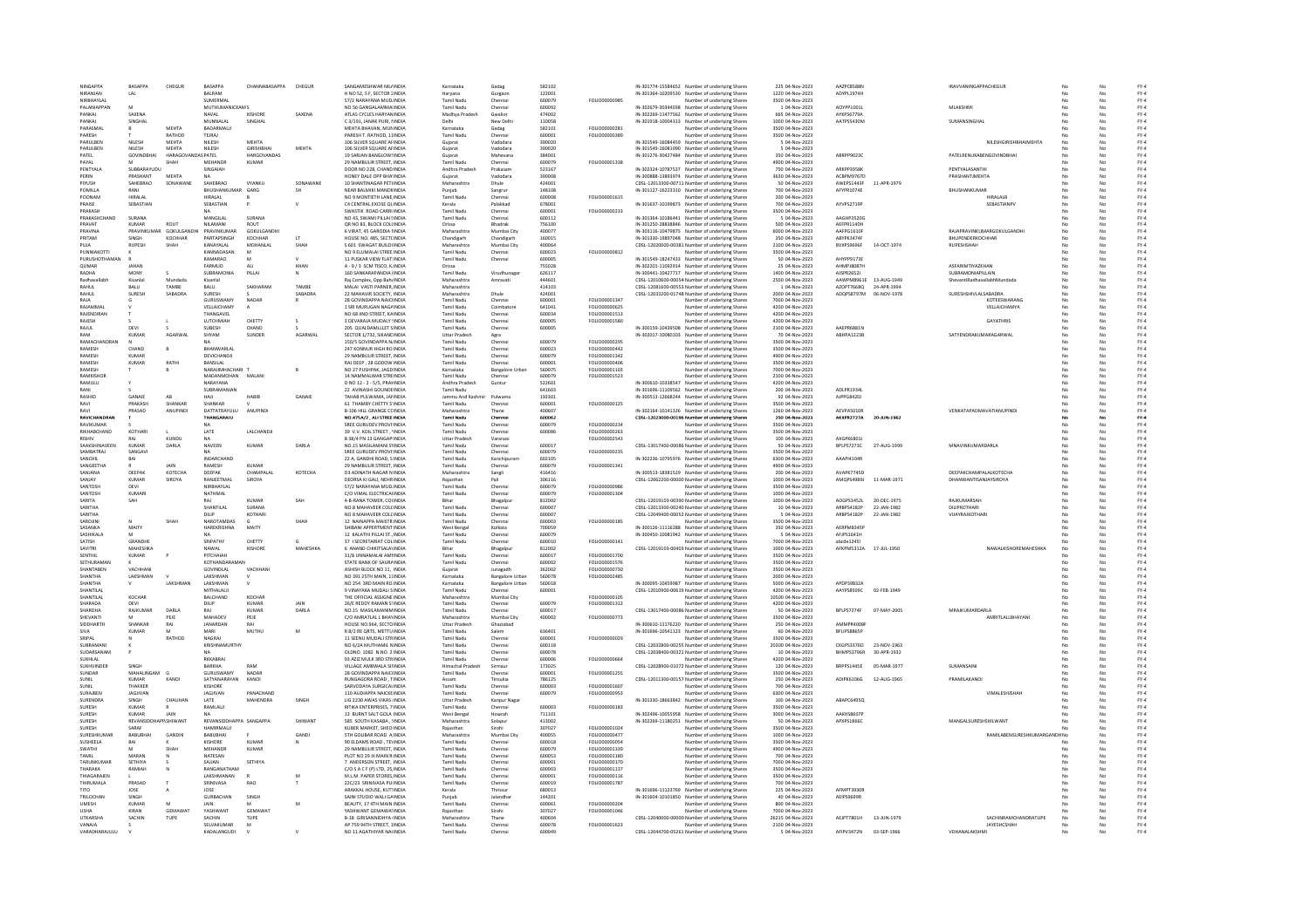| <b>NINGAPPA</b>  |                   | RASAPPA                 |                    | RASAPPA                 | CHANNABASAPPA    |              | SANGAMESHWAR NILLINDIA            | Karnataka            |                       | 582102 |                      |                                                  |                   | AAZPC8588N                 |
|------------------|-------------------|-------------------------|--------------------|-------------------------|------------------|--------------|-----------------------------------|----------------------|-----------------------|--------|----------------------|--------------------------------------------------|-------------------|----------------------------|
|                  |                   |                         | CHEGUR             |                         |                  | CHEGUR       |                                   |                      | Gadag                 |        |                      | IN-301774-15584652 Number of underlying Shares   | 225 04-Nov-2023   |                            |
| NIRANJAN         |                   | LAL                     |                    | <b>BALRAM</b>           |                  |              | H NO 52, S F, SECTOR 2 INDIA      | Harvana              | Gurgaor               | 122001 |                      | IN-301364-10209530 Number of underlying Shares   | 1220 04-Nov-2023  | ADYPL1974H                 |
| NIRBHAYLAL       |                   |                         |                    | SUMERMAL                |                  |              | 57/2 NARAYANA MUD INDIA           | Tamil Nadu           | Chennai               | 600079 | FOLIO00000985        | Number of underlying Shares                      | 3500 04-Nov-2023  |                            |
|                  | PALANIAPPAN       |                         |                    | MUTHUMANICKAM S         |                  |              | NO 56 GANGALAMMA INDIA            | Tamil Nadu           | Chennai               | 600092 |                      | IN-302679-30344038 Number of underlying Shares   | 1 04-Nov-2023     | AOYPP1001                  |
| <b>PANKAI</b>    |                   | <b>SAXENA</b>           |                    | NAVAL                   | KISHORE          | SAXENA       | ATLAS CYCLES HARYANINDIA          | Madhya Prades        | Gwalio                | 474002 |                      | IN-302269-11477562 Number of underlying Shares   | 665 04-Nov-2023   | AYKPS6779A                 |
| PANKAL           |                   | SINGHAL                 |                    | MUNNALAI                | SINGHAI          |              | C3/191 JANAK PURL NNDIA           | Delhi                | New Delhi             | 110058 |                      | IN-301918-10004313 Number of underlying Shares   | 1000 04-Nov-2023  | AATPSS430M                 |
|                  |                   |                         | MEHTA              |                         |                  |              | MEHTA BHAVAN, MUNINDIA            |                      |                       |        | FOLIO00000281        |                                                  | 3500 04-Nov-2023  |                            |
| PARASMAI         |                   |                         |                    | BADARMALII              |                  |              |                                   | Karnataka            | Gadag                 | 582101 |                      | Number of underlying Shares                      |                   |                            |
| PARESH           |                   |                         | RATHOD             | TEJRAJ                  |                  |              | PARESH T. RATHOD, 11INDIA         | Tamil Nadu           | Chennai               | 600001 | FOLIO00000389        | Number of underlying Shares                      | 3500 04-Nov-2023  |                            |
| <b>PARLILREN</b> |                   | NILFSH                  | <b>MEHTA</b>       | <b>NILESH</b>           | <b>MEHTA</b>     |              | 106 SILVER SQUARE AFINDIA         | Gujarat              | Vadodara              | 390020 |                      | IN-301549-16084459 Number of underlying Shares   | 5 04-Nov-2023     |                            |
| PARULBEN         |                   | NILESH                  | <b>MEHTA</b>       | NILESH                  | GIRISHBHAI       | MEHTA        | 106 SILVER SQUARE AFINDIA         | Guiarat              | Vadodara              | 390020 |                      | IN-301549-16081090 Number of underlying Shares   | 5 04-Nov-2023     |                            |
| PATEL            |                   | GOVINDBHA               | HARAGOVANDAS PATEL |                         | HARGOVANDAS      |              | 19 SARJAN BANGLOWSINDIA           | Gujarat              | Mahesana              | 384001 |                      | IN-301276-30427484 Number of underlying Shares   | 350 04-Nov-2023   | ABRPP9023C                 |
|                  |                   |                         |                    |                         |                  |              |                                   |                      |                       |        |                      |                                                  |                   |                            |
| PAYAL            |                   |                         | SHAH               | MEHANDI                 | KUMAR            |              | 29 NAMBULIR STREET, INDIA         | Tamil Nadu           | Chennai               | 600079 | FOLIO00001338        | Number of underlying Shares                      | 4900 04-Nov-2023  |                            |
| PENTYALA         |                   | SURRARAYUDU             |                    | SINGAIAH                |                  |              | DOOR NO 228 CHAND INDIA           | Andhra Pradesh       | Prakasam              | 523167 |                      | IN-302324-10787537 Number of underlying Shares   | 750.04-Nov-2023   | <b>ARKPP3958K</b>          |
| PERIN            |                   | PRASHANT                | MEHTA              |                         |                  |              | HONEY DALE OPP BHA'INDIA          | Guiarat              | Vadodara              | 390008 |                      | IN-300888-13893974 Number of underlying Shares   | 3630 04-Nov-2023  | ACBPM9767D                 |
| PIYUSH           |                   | SAHEBRAO                | SONAWANE           | SAHEBRAO                | VYANKU           | SONAWANE     | 10 SHANTINAGAR PETHNDIA           | Maharashtra          | Dhule                 | 424001 |                      | CDSL-12013300-00711: Number of underlying Shares | 50 04-Nov-2023    | AWEPS1443F                 |
|                  |                   |                         |                    |                         |                  |              |                                   |                      |                       |        |                      |                                                  |                   |                            |
| <b>POMILLA</b>   |                   | RANI                    |                    | BHUSHANKUMAF            | GARG             | <b>SH</b>    | NEAR BALMIKI MANDIHNDIA           |                      | Sangrur               | 148108 |                      | IN-301127-16223310 Number of underlying Shares   | 700 04-Nov-2023   | AFYPR1074E                 |
| POONAM           |                   | <b>HIRALAI</b>          |                    | HIRALAI                 |                  |              | NO 9 MONTIFTH LANE INDIA          | <b>Tamil Nadu</b>    | Chennai               | 600008 | <b>FOLIO00001615</b> | Number of underlying Shares                      | 200 04-Nov-2023   |                            |
| PRAISE           |                   | SEBASTIAN               |                    | SEBASTIAN               |                  |              | C4 CENTRAL EXCISE OLINDIA         | Kerala               | Palakkad              | 678001 |                      | IN-301637-10199873 Number of underlying Shares   | 700 04-Nov-2023   | AYVPS2719P                 |
| PRAKASH          |                   |                         |                    |                         |                  |              | SWASTIK ROAD CARRI INDIA          | Tamil Nadu           | Chennai               | 600001 | FOLIO00000233        | Number of underlying Shares                      | 3500 04-Nov-2023  |                            |
|                  | PRAKASHCHAND      | SURANA                  |                    | MANGILAL                | SURANA           |              | NO 43, SWAMI PILLAI SINDIA        | Tamil Nadu           | Chennai               | 600112 |                      | IN-301364-10186441 Number of underlying Shares   | 5 04-Nov-2023     | AAGHP3520G                 |
|                  |                   |                         |                    |                         |                  |              |                                   |                      |                       |        |                      |                                                  |                   |                            |
| PRAVAT           |                   | KUMAR                   | ROUT               | NILAMANI                | ROUT             |              | OR NO 83, BLOCK COL(INDIA         | Orissa               | Bhadrak               | 756100 |                      | IN-301250-28838846 Number of underlying Shares   | 500 04-Nov-2023   | AEFPR1140H                 |
| PRAVINA          |                   | PRAVINKUMAR GOKULGANDHI |                    | PRAVINKUMAR             | GOKULGANDHI      |              | 6 VIRAT, 45 GARODIA NNDIA         | Maharashtra          | Mumbai City           | 400077 |                      | IN-303116-10479875 Number of underlying Shares   | 6000 04-Nov-2023  | AAFPG1610F                 |
| PRITAM           |                   | SINGH                   | KOCHHAR            | PARTAPSINGH             | KOCHHAR          |              | HOUSE NO. 485, SECTCINDIA         | Chandigarh           | Chandigarh            | 160015 |                      | IN-301330-19897048 Number of underlying Shares   | 350 04-Nov-2023   | ABYPK3474F                 |
| PLIIA            |                   | <b>RUPESE</b>           | <b>SHAH</b>        | KANAYALAI               | MOHANLAL         | SHAH         | S 601 SWAGAT BUILDI INDIA         | Maharashtra          | Mumbai City           | 400064 |                      | CDSL-12020000-00381 Number of underlying Share   | 2100 04-Nov-2023  | BVXPS9696F                 |
|                  | ΡΗΝΝΙΔΚΟΤΤΙ       |                         |                    | KANNADASAN              | M                |              | NO 9 FILIMALAI STREE INDIA        | Tamil Nadu           | Chennai               | 600023 | FOLIO00000812        |                                                  | 3500.04-Nov-2023  |                            |
|                  |                   |                         |                    |                         |                  |              |                                   |                      |                       |        |                      | Number of underlying Shares                      |                   | AHYPP9173E                 |
| <b>PURUSHOT</b>  |                   |                         |                    | RAMARAO                 |                  |              | 11 PUSKAR VIEW FLAT: INDIA        | Tamil Nadu           | Chennai               | 600005 |                      | IN-301549-18247433 Number of underlying Shares   | 50 04-Nov-2023    |                            |
| QUMAR            |                   | <b>JAHA!</b>            |                    | FARMUD                  |                  | KHAN         | A - 9 / 3 SCM TISCO, KINDIA       |                      |                       | 755028 |                      | IN-302201-11092914 Number of underlying Shares   | 25 04-Nov-2023    | <b>AHMPJ8087H</b>          |
| RADHA            |                   | MONY                    |                    | SURRAMONIA              | PILLAI           |              | 160 SANKARAPANDIA HNDIA           | Tamil Nadu           | Virudhunaga           | 626117 |                      | IN-300441-10427717 Number of underlying Shares   | 1400 04-Nov-2023  | AISPR26521                 |
|                  | Radhavallabh      | Kisanlal                | Mundada            | Kisanlal                |                  |              | Rai Complex, Opp BahelNDIA        | Maharashtra          | Amravati              | 444601 |                      | CDSL-12010600-00054 Number of underlying Shares  | 2500 04-Nov-2023  | AAWPM8961E<br>13-AUG-1949  |
| RAHUL            |                   | <b>BALU</b>             | TAMBE              | BALU                    | SAKHARAM         | TAMBE        | MALAI VASTI PARNER, INDIA         |                      |                       | 414103 |                      | CDSL-12081600-00553 Number of underlying Shares  | 1 04-Nov-2023     | AZOPT7668Q<br>24-APR-1994  |
|                  |                   |                         |                    |                         |                  |              |                                   | Maharashtra          |                       |        |                      |                                                  |                   |                            |
| RAHUL            |                   | <b>SURESH</b>           | SABADRA            | SURESH                  |                  | SABADRA      | 22 MAHAVIR SOCIETY, INDIA         | Maharashtra          | Dhule                 | 424001 |                      | CDSL-12033200-01748 Number of underlying Shares  | 2000 04-Nov-2023  | ADQPS8797M                 |
| RAJA             |                   |                         |                    | GURUSWAMY               | NADAR            |              | 28 GOVINDAPPA NAICHNDIA           | <b>Tamil Nadu</b>    | Chennai               | 600001 | FOLIO00001347        | Number of underlying Shares                      | 7000 04-Nov-2023  |                            |
| RAJAMMAL         |                   |                         |                    | VELLAICHAMY             |                  |              | 1 SRI MURUGAN NAGAINDIA           | Tamil Nadu           | Coimbatore            | 641041 | FOLIO00000625        | Number of underlying Shares                      | 4200 04-Nov-2023  |                            |
| RAJENDIRA        |                   |                         |                    | THANGAVEL               |                  |              | NO 68 IIND STREET, KAINDIA        | Tamil Nadu           | Chennai               | 600034 | FOLIO00001513        | Number of underlying Shares                      | 4200 04-Nov-2023  |                            |
| RAJESH           |                   |                         |                    | LUTCHMIAH               | CHETTY           |              | 3 DEVARAJA MUDALY : INDIA         | Tamil Nadu           | Chennai               | 600005 | FOLIO00001580        | Number of underlying Shares                      | 4200 04-Nov-2023  |                            |
|                  |                   |                         |                    |                         |                  |              |                                   |                      |                       |        |                      |                                                  |                   |                            |
| RAILL            |                   | DEVI                    |                    | <b>SLIBESH</b>          | CHAND            |              | 205 OUALDAMILIET SINDIA           | Tamil Nadu           | Chennai               | 600005 |                      | IN-300159-10439508 Number of underlying Shares   | 2100.04-Nov-2023  | AAFPR6881M                 |
| RAM              |                   | KUMAR                   | AGARWAI            | SHYAM                   | SUNDER           | AGARWAL      | SECTOR 1/732, SIKANDINDIA         | <b>Uttar Pradesh</b> | Agra                  |        |                      | IN-302017-10080103 Number of underlying Shares   | 70 04-Nov-2023    | ABHPA1223B                 |
|                  | RAMACHANDRAN      |                         |                    |                         |                  |              | 150/5 GOVINDAPPA N/INDIA          | Tamil Nadu           | Chennai               | 600079 | FOLIO00000295        | Number of underlying Shares                      | 3500 04-Nov-2023  |                            |
| RAMESH           |                   | CHAND                   |                    | <b>RHANWARI AI</b>      |                  |              | 247 KONNUR HIGH ROINDIA           | Tamil Nadu           | Chennai               | 600023 | <b>FOLIO00000442</b> | Number of underlying Shares                      | 3500 04-Nov-2023  |                            |
| RAMESH           |                   | KUMAR                   |                    | DEVICHANDJI             |                  |              | 29 NAMBULIR STREET, INDIA         | <b>Tamil Nadu</b>    | Chennai               | 600079 | FOLIO00001342        | Number of underlying Shares                      | 4900 04-Nov-2023  |                            |
|                  |                   |                         |                    |                         |                  |              |                                   |                      |                       |        |                      |                                                  |                   |                            |
| RAMESH           |                   | KUMAR                   | RATHI              | BANSILAL                |                  |              | RAI DEEP, 28 GODOW INDIA          | Tamil Nadu           | Chennai               | 600001 | FOLIO00000406        | Number of underlying Shares                      | 3500 04-Nov-2023  |                            |
| RAMESH           |                   |                         |                    | NARAJIMHACHARI          |                  |              | NO 27 PUSHPAK, JAGD INDIA         | Karnataka            | <b>Bangalore Urba</b> | 560075 | FOLIO00001103        | Number of underlying Shares                      | 7000 04-Nov-2023  |                            |
| RAMKISHOP        |                   |                         |                    | MADANMOHAN              | MALAN            |              | 14 NAMMALWAR STREINDIA            | Tamil Nadu           | Chenna                | 600079 | FOLIO00001523        | Number of underlying Shares                      | 2100 04-Nov-2023  |                            |
| <b>RAMULU</b>    |                   |                         |                    | NARAYANA                |                  |              | D NO 12 - 2 - 5/5, PRAHNDIA       | Andhra Pradesh       | Guntur                | 522601 |                      | IN-300610-10338547 Number of underlying Shares   | 4200 04-Nov-2023  |                            |
| RANI             |                   |                         |                    | SUBRAMANIA              |                  |              | 22 AVINASHI GOUNDEINDIA           | Tamil Nadu           |                       | 641603 |                      | IN-301696-11109562 Number of underlying Shares   | 200 04-Nov-2023   | ADLPR1934                  |
|                  |                   |                         |                    |                         |                  |              |                                   |                      |                       |        |                      |                                                  |                   |                            |
| RASHID           |                   | <b>GANAIR</b>           | AR                 | HAIL                    | HARIR            | <b>GANAI</b> | TAHAB PULWAMA, JANNDIA            | Jammu And Kash       | Pulwam                | 192301 |                      | IN-300513-12668244 Number of underlying Shares   | 92 04-Nov-2023    | AJPPG8420J                 |
| RAVI             |                   | PRAKASH                 | SHANKAR            | SHANKAR                 |                  |              | 61 THAMRY CHETTY S'INDIA          | Tamil Nadu           | Chennai               | 600001 | <b>FOLIO00000125</b> | Number of underlying Shares                      | 3500 04-Nov-2023  |                            |
| RAVI             |                   | PRASAD                  | ANUPINDI           | DATTATRAYULU            | ANUPINDI         |              | <b>B-106 HILL GRANGE CCINDIA</b>  | Maharashtra          | Thane                 | 400607 |                      | IN-302164-10141326 Number of underlying Shares   | 1260 04-Nov-2023  | AFVPAS010F                 |
|                  | RAVICHANDRAI      |                         |                    | THANGARAJU              |                  |              | NO.475A/2, ALI STREE INDIA        | Tamil Nadu           | Chennai               | 600062 |                      | CDSL-12023000-00196 Number of underlying Shares  | 250 04-Nov-2023   | AKXPR2727A                 |
| RAVIKUMAR        |                   |                         |                    |                         |                  |              | SREE GURUDEV PROVI:INDIA          | Tamil Nadu           |                       | 600079 | FOLIO00000234        | Number of underlying Share                       | 3500 04-Nov-2023  |                            |
|                  |                   |                         |                    |                         |                  |              |                                   |                      | Chenna                |        |                      |                                                  |                   |                            |
|                  | RIKHABCHAND       | KOTHARI                 |                    | LATE                    | LALCHANDJI       |              | 39 V.V. KOIL STREET . 'INDIA      | <b>Tamil Nadu</b>    | Chennai               | 600086 | FOLIO00000263        | Number of underlying Shares                      | 3500 04-Nov-2023  |                            |
| <b>RISHIV</b>    |                   | RAJ                     | KUNDU              | <b>NA</b>               |                  |              | B 38/4 PN 13 GANGAPIINDIA         | Uttar Pradesh        | Varanasi              |        | FOLIO00002543        | Number of underlying Shares                      | 100 04-Nov-2023   | AXGPK6801J                 |
|                  | SAAKSHINAVEEN     | KUMAF                   | DARLA              | NAVEEN                  | KUMAR            | DARLA        | NO.15 MASILAMANI STINDIA          | Tamil Nadu           | Chennai               | 600017 |                      | CDSL-13017400-00086 Number of underlying Shares  | 50 04-Nov-2023    | BPLPS7273C                 |
| SAMBATRAJ        |                   | SANGAVI                 |                    |                         |                  |              | SREE GURUDEV PROVI:INDIA          | Tamil Nadu           | Chennai               | 600079 | FOLIO00000239        | Number of underlying Shares                      | 3500 04-Nov-2023  |                            |
|                  |                   |                         |                    |                         |                  |              |                                   |                      |                       |        |                      |                                                  |                   |                            |
| SANCHIL          |                   | RAI                     |                    | <b>INDARCHAND</b>       |                  |              | 22 A GANDHI ROAD SINDIA           | Tamil Nadu           | Kanchinuram           | 602105 |                      | IN-302236-10795976 Number of underlying Shares   | 6300.04-Nov-2023  | AAAPI4104R                 |
| <b>SANGEETHA</b> |                   |                         | JAIN               | RAMESH                  | <b>KUMAR</b>     |              | 29 NAMBULIR STREET. INDIA         | Tamil Nadu           | Chennai               | 600079 | FOLIO00001341        | Number of underlying Shares                      | 4900 04-Nov-2023  |                            |
| SANJANA          |                   | DEEPAK                  | KOTECHA            | DEEPAK                  | CHAMPALAL        | КОТЕСНА      | <b>D3 ADINATH NAGAR N INDIA</b>   | Maharashtra          | Sangli                | 416416 |                      | IN-300513-18381529 Number of underlying Shares   | 200 04-Nov-2023   | AVAPK7745D                 |
| SANJAY           |                   | KUMAR                   | <b>SIROVA</b>      | RANIFFTMAL              | SIROVA           |              | DEORSA KLGALL NEHR INDIA          | Raiasthan            | Pali                  | 306116 |                      | CDSL-12062200-00000 Number of underlying Shares  | 1000 04-Nov-2023  | AMOPS4989J                 |
| SANTOSH          |                   | DEVI                    |                    | NIRBHAYLAL              |                  |              | 57/2 NARAYANA MUD INDIA           | <b>Tamil Nadu</b>    | Chennai               | 600079 | FOLIO00000986        | Number of underlying Shares                      | 3500 04-Nov-2023  |                            |
|                  |                   |                         |                    |                         |                  |              |                                   |                      |                       |        | FOLIO00001304        |                                                  |                   |                            |
| <b>SANTOSH</b>   |                   | KUMARI                  |                    | NATHMAL                 |                  |              | C/O VIMAL ELECTRICALINDIA         | Tamil Nadu           | Chennai               | 600079 |                      | Number of underlying Shares                      | 1000 04-Nov-2023  |                            |
| SARITA           |                   | SAH                     |                    | RAJ                     | KUMAR            | SAH          | 4-B-RANA TOWER, COUNDIA           | Bihar                | Bhagalpu              | 812002 |                      | CDSL-12019103-00390 Number of underlying Shares  | 1000 04-Nov-2023  | AOGPS3452L                 |
| SARITHA          |                   |                         |                    | SHANTILAL               | SURANA           |              | NO.8 MAHAVEER COLCINDIA           | Tamil Nadu           | Chennai               | 600007 |                      | CDSL-12013300-00240 Number of underlying Shares  | 10 04-Nov-2023    | ARRPS4182P                 |
| SARITHA          |                   |                         |                    | DILIP                   | KOTHARI          |              | NO 8 MAHAVEER COLCINDIA           | <b>Tamil Nadu</b>    | Chennai               | 600007 |                      | CDSL-12049400-00052 Number of underlying Shares  | 5 04-Nov-2023     | ARBPS4182P                 |
| SAROJIN          |                   |                         | SHAH               | NAROTAMDAS              |                  |              | 12 NAINAPPA MAISTR INDIA          | Tamil Nadu           | Chennai               | 600003 | FOLIO00000185        | Number of underlying Shares                      | 3500 04-Nov-2023  |                            |
| CACANICA         |                   | MAITY                   |                    | HAREKRISHNA             | MAITY            |              |                                   |                      |                       |        |                      |                                                  |                   | <b>AFRPMR345</b>           |
|                  |                   |                         |                    |                         |                  |              | SHIBANI APPERTMENT INDIA          | West Benga           | Kolkata               | 700059 |                      | IN-300126-11116288 Number of underlying Shares   | 350 04-Nov-2023   |                            |
| <b>SASHIKALA</b> |                   | 6.6                     |                    | <b>NA</b>               |                  |              | 12 KALATHLPILLALST INDIA          | Tamil Nadu           | Chennai               | 600079 |                      | IN-300450-10081942 Number of underlying Shares   | 5.04-Nov-2023     | AFIPS1641H                 |
| SATISH           |                   | GRANDHE                 |                    | SRIPATHY                | CHETTY           |              | 37 I SECRETARIAT COL INDIA        | Tamil Nadu           | Chennai               | 600010 | FOLIO00000141        | Number of underlying Shares                      | 7000 04-Nov-2023  | abcde12451                 |
| SAVITRI          |                   | MAHESHKA                |                    | NAWAL                   | <b>KISHORE</b>   | MAHESHKA     | 6 ANAND CHIKITSALAYINDIA          | Bihar                | Bhagalpur             | 812002 |                      | CDSL-12019103-00403 Number of underlying Shares  | 1000 04-Nov-2023  | AFKPM5312A                 |
| SENTHIL          |                   | KUMAR                   |                    | PITCHAIAH               |                  |              | 31/8 UNNAMALAI AMIINDI            | Tamil Nadu           | Chennai               | 600017 | EQUO00001700         | Number of underlying Shares                      | 3500 04-Nov-2023  |                            |
|                  | SETHURAMAN        |                         |                    | KOTHANDARAMAN           |                  |              | STATE BANK OF SAURAINDIA          | <b>Tamil Nadu</b>    | Chennai               | 600002 | FOLIO00001576        | Number of underlying Shares                      | 3500 04-Nov-2023  |                            |
|                  |                   |                         |                    |                         |                  |              |                                   |                      |                       |        |                      |                                                  |                   |                            |
|                  | SHANTABEN         | VACHHANI                |                    | GOVINDLAL               | VACHHAN          |              | ASHISH BLOCK NO 11, INDIA         | Guiarat              | Junagadh              | 362002 | FOLIO00000730        | Number of underlying Shares                      | 3500 04-Nov-2023  |                            |
| SHANTHA          |                   | LAKSHMAN                |                    | LAKSHMAN                |                  |              | NO 391 25TH MAIN, 11INDIA         | Karnataka            | <b>Bangalore Urba</b> | 560078 | FOLIO00002485        | Number of underlying Shares                      | 2000 04-Nov-2023  |                            |
| SHANTHA          |                   |                         | LAKSHMAN           | LAKSHMAN                |                  |              | NO 254 3RD MAIN RO.INDIA          | Karnataka            | <b>Bangalore Urba</b> | 560018 |                      | IN-300095-10459987 Number of underlying Shares   | 5000 04-Nov-2023  | APDPS98324                 |
| SHANTILAL        |                   |                         |                    | MITHALALI               |                  |              | 9 VINAYAKA MUDALI SINDIA          | <b>Tamil Nadu</b>    | Chennai               | 600001 |                      | CDSL-12010900-00619 Number of underlying Shares  | 4200 04-Nov-2023  | AAYPS8509C<br>02-FEB-1949  |
| SHANTILAL        |                   | KOCHAR                  |                    | BALCHAND                | KOCHAR           |              | THE OFFICIAL ASSIGNE INDIA        | Maharashtra          | Mumbai City           |        | FOLIO00000105        | Number of underlying Shares                      | 10500 04-Nov-2023 |                            |
| SHARADA          |                   |                         |                    | DILIP                   |                  |              | 26/E REDDY RAMAN STINDIA          | Tamil Nadu           |                       | 600079 | FOLIO00001312        | Number of underlying Shares                      | 4200 04-Nov-2023  |                            |
| SHARDHA          |                   | DEVI<br>RAIKUMAR        | <b>DARLA</b>       |                         | $KUMAR$<br>KUMAR | DARLA        | NO 15 MASILAMANIMINDIA            | Tamil Nadu           | Chennai<br>Chennai    | 600017 |                      |                                                  | 50.04-Nov-2023    | RPI PS7274F<br>07-MAY-2005 |
|                  |                   |                         |                    | RAI                     |                  |              |                                   |                      |                       |        |                      | CDSL-13017400-00086 Number of underlying Shares  |                   |                            |
| SHEVANTI         |                   | M                       | PEJE               | MAHADEV                 | PEJE             |              | C/O AMRATLAL L BHAYINDIA          | Maharashtra          | Mumbai City           | 400002 | FOLIO00000773        | Number of underlying Shares                      | 3500 04-Nov-2023  |                            |
| SIDDHARTH        |                   | SHANKAR                 | RAI                | JANARDAN                | RAI              |              | HOUSE NO.964, SECTO INDIA         | <b>Uttar Pradesh</b> | Ghaziabad             |        |                      | IN-300610-11176220 Number of underlying Shares   | 250 04-Nov-2023   | AMMPR4008                  |
|                  |                   | KUMAR                   |                    | MARI                    | MUTHU            |              | R 8/2 RE QRTS, METTU INDIA        | Tamil Nadu           | Salem                 | 636401 |                      | IN-301696-10541123 Number of underlying Shares   | 60 04-Nov-2023    | BFUPS8865F                 |
| SRIPAL           |                   |                         | RATHOD             | NAGRAI                  |                  |              | 11 SEENU MUDALI STRINDIA          | Tamil Nadu           | Chennai               | 600001 | <b>EQUO0000029</b>   | Number of underlying Shares                      | 3500 04-Nov-2023  |                            |
|                  |                   |                         |                    |                         |                  |              |                                   |                      |                       |        |                      |                                                  |                   |                            |
| SUBRAMANI        |                   |                         |                    | KRISHNAMURTHY           |                  |              | NO 6/2A MUTHAMIL NINDIA           | <b>Tamil Nadu</b>    | Chennai               | 600118 |                      | CDSL-12032800-00255 Number of underlying Shares  | 20300 04-Nov-2023 | CKGPS3376D<br>23-NOV-1963  |
|                  | SUDARSANAM        |                         |                    |                         |                  |              | OLDNO, 1082 N.NO. 2 INDIA         | Tamil Nadu           | Chennai               | 600078 |                      | CDSL-12038400-00321 Number of underlying Shares  | 10 04-Nov-2023    | BHMPS3796R                 |
| SUKHLAL          |                   |                         |                    | RKKABRAJ                |                  |              | 93 AZIZ MULK 3RD STRINDIA         | Tamil Nadu           | Chenna                | 600006 | FOLIO00000664        | Number of underlying Shares                      | 4200 04-Nov-2023  |                            |
|                  | <b>SUKHVINDER</b> | <b>SINGH</b>            |                    | RARKHA                  | RAM              |              | VILLAGE AMRWALA SINDIA            | Himachal Pradesh     | Sirmaur               | 173025 |                      | CDSL-12028900-01072 Number of underlying Shares  | 120 04-Nov-2023   | RRPPS144SF                 |
| SUNDAR           |                   | MAHALINGAM              |                    | GURUSWAMY               | NADAR            |              | 28 GOVINDAPPA NAICHNDIA           | Tamil Nadu           | Chennai               | 600001 | FOLIO00001255        | Number of underlying Shares                      | 3500 04-Nov-2023  |                            |
|                  |                   | KUMAR                   | KANOI              | SATYANARAYAN            | KANOI            |              | RUNGAGORA ROAD . TINDIA           |                      | Tinsukia              | 786125 |                      | CDSL-12011300-00157 Number of underlying Shares  | 250 04-Nov-2023   | ADIPK6106G                 |
| SUNIL            |                   |                         |                    |                         |                  |              |                                   | Assam                |                       |        |                      |                                                  |                   |                            |
|                  |                   | THAKKER                 |                    | KISHORE                 |                  |              | SARVODAYA SURGICALINDIA           | <b>Tamil Nady</b>    | Chennai               | 600003 | <b>FOLIO00001607</b> | Number of underlying Shares                      | 700 04-Nov-2023   |                            |
| SURAJBEN         |                   | JAGJIVAN                |                    | JAGJIVAN                | PANACHAND        |              | 110 AUDIAPPA NAICKEINDIA          | Tamil Nadu           | Chennai               | 600079 | FOLIO00000953        | Number of underlying Shares                      | 6300 04-Nov-2023  |                            |
| SURENDRA         |                   | SINGH                   | CHAUHAN            | LATE                    | MAHENDRA         | SINGH        | LIG 2230 AWAS VIKAS IINDIA        | Uttar Pradesh        | Kanpur Nagar          |        |                      | IN-301330-18663842 Number of underlying Shares   | 100 04-Nov-2023   | ABAPC6495Q                 |
| SURESH           |                   | KUMAR                   |                    | RAMLALI                 |                  |              | RITIKA ENTERPRISES, 7 INDIA       | Tamil Nadu           | Chennai               | 600003 | FOLIO00000183        | lumber of underlying Shares                      | 3500 04-Nov-2023  |                            |
| SURFSH           |                   | KUMAR                   | <b>JAIN</b>        | <b>NA</b>               |                  |              | 13 BURNT SALT GOLA INDIA          | West Bengal          | Howrah                | 711101 |                      | IN-302496-10055958 Number of underlying Shares   | 3000 04-Nov-2023  | <b>AAKHS8607F</b>          |
|                  |                   |                         |                    |                         |                  |              |                                   |                      |                       |        |                      |                                                  |                   |                            |
| SURESH           |                   | REVANSIDDHAPP.SHIWANT   |                    | REVANSIDDHAPPA SANGAPPA |                  | SHIWANT      | 585 SOUTH KASABA, : INDIA         | Maharashtra          | Solapur               | 413002 |                      | IN-302269-11180251 Number of underlying Shares   | 50 04-Nov-2023    | APXPS1866C                 |
| SURESH           |                   | SARAF                   |                    | HAMIRMALII              |                  |              | KUBER MARKET, SHEO INDIA          | Rajasthan            | Sirohi                | 307027 | FOLIO00001024        | Number of underlying Shares                      | 3500 04-Nov-2023  |                            |
|                  | SURESHKUMAR       | <b>BABUBH</b>           | GANDH              | BABUBHAI                |                  | GAND         | <b>STH GOLIBAR ROAD A INDIA</b>   | Maharashtra          | Mumbai City           | 400055 | FOLIO00000477        | lumber of underlying Shares                      | 1000 04-Nov-2023  |                            |
| <b>SUSHEELA</b>  |                   | <b>BAI</b>              |                    | KISHORE                 | KUMAR            |              | 90 FLDAMS ROAD TEVINDIA           | Tamil Nadu           | Chennai               | 600018 | FOU IODDDDDDS4       | Number of underlying Shares                      | 3500.04-Nov-2023  |                            |
|                  |                   | M                       | SHAH               |                         |                  |              | 29 NAMBULIR STREET, INDIA         |                      |                       |        |                      |                                                  |                   |                            |
| SWATHI           |                   |                         |                    | MEHANDR                 | <b>KUMAR</b>     |              |                                   | Tamil Nadu           | Chennai               | 600079 | FOLIO00001339        | Number of underlying Shares                      | 4900 04-Nov-2023  |                            |
| TAMIL            |                   | MARAN                   |                    | NATESAN                 |                  |              | PLOT NO 29 III MAIN R INDIA       | Tamil Nadu           | Chennai               | 600053 | FOLIO00001180        | Number of underlying Shares                      | 700 04-Nov-2023   |                            |
|                  | TARUNKUMAR        | SETHIYA                 |                    | SAJJAN                  | SETHIYA          |              | 7 ANDERSON STREET, INDIA          | <b>Tamil Nadu</b>    | Chenna                | 600001 | FOLIO00000170        | Number of underlying Shares                      | 7000 04-Nov-2023  |                            |
| THARAKA          |                   | RAMIAH                  | $\mathbf{N}$       | RANGANATHAM             |                  |              | C/O S A C F (P) LTD, 25 INDIA     | Tamil Nadu           | Chennai               | 600003 | FOLIO00001137        | Number of underlying Shares                      | 3500 04-Nov-2023  |                            |
|                  | THIAGARAJEN       |                         |                    | LAKSHMANAN              |                  |              | M.L.M. PAPER STORES. INDIA        | <b>Tamil Nadu</b>    | Chennai               | 600001 | FOLIO00000116        | Number of underlying Shares                      | 3500 04-Nov-2023  |                            |
|                  |                   |                         |                    |                         |                  |              |                                   |                      |                       |        |                      |                                                  |                   |                            |
|                  | THIRUMALA         | PRASAD                  |                    | SRINIVASA               | RAO              |              | 22C/23 SRINIVASA PUIINDIA         | Tamil Nadu           | Chennai               | 600019 | FOLIO00001787        | lumber of underlying Shares                      | 700 04-Nov-2023   |                            |
|                  |                   | JOSE                    |                    | JOSE                    |                  |              | ARAKKAL HOUSE, KUTIINDIA          | Kerala               | Thrissu               | 680013 |                      | IN-301696-11123769 Number of underlying Shares   | 225 04-Nov-2023   | <b>AFMPT3930R</b>          |
| TITO             |                   |                         |                    | GURBACHAN               | SINGH            |              | SAINI STUDIO WALI GAINDIA         | Puniab               | Jalandha              | 144201 |                      | IN-301604-10101850 Number of underlying Shares   | 40 04-Nov-2023    | AEIPS9699R                 |
| TRILOCHAN        |                   | SINGH                   |                    |                         |                  |              |                                   |                      | Chennai               | 600061 | FOLIO0000020         |                                                  | 800 04-Nov-2023   |                            |
|                  |                   |                         |                    |                         |                  |              |                                   |                      |                       |        |                      |                                                  |                   |                            |
| <b>UMESH</b>     |                   | KUMAR                   |                    | <b>JAIN</b>             |                  |              | BEAUTY, 17 4TH MAIN INDIA         | Tamil Nadu           |                       |        |                      | Number of underlying Shares                      |                   |                            |
| USHA             |                   | KIRAN                   | GEMAWA             | YASHWANT                | GEMAWA           |              | YASHWANT GEMAWA1INDIA             | Rajasthar            | Sirohi                | 307027 | FOLIO00001046        | Number of underlying Shares                      | 7000 04-Nov-2023  |                            |
| <b>LITVADSHA</b> |                   | SACHIN                  | TUPE               | <b>SACHIN</b>           | TUPI             |              | <b>B-18 GIRISANNIDHYA (INDIA)</b> | Maharashtra          | Thane                 | 400604 |                      | CDSL-12040000-00000 Number of underlying Share   | 26215 04-Nov-2023 | AEJPT7801H                 |
| VANAJA           |                   |                         |                    | SELVAKUMAR              | M                |              | AP 759 94TH STREET, 1 INDIA       | Tamil Nadu           | Chennai               | 600078 | FOLIO00001623        | Number of underlying Shares                      | 2100 04-Nov-2023  |                            |
|                  | VARADHARAJULU     |                         |                    | KADALANGUDI             |                  |              | NO 11 AGATHIYAR NA(INDIA          | Tamil Nadu           | Chennai               | 600049 |                      | CDSL-12044700-05261 Number of underlying Shares  | 5 04-Nov-2023     | AFIPV3472N                 |